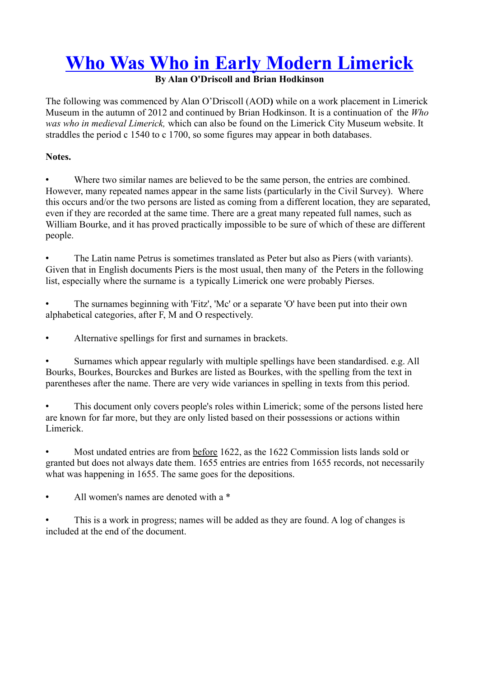## **Who Was Who in Early Modern Limerick**

### **By Alan O'Driscoll and Brian Hodkinson**

The following was commenced by Alan O'Driscoll (AOD**)** while on a work placement in Limerick Museum in the autumn of 2012 and continued by Brian Hodkinson. It is a continuation of the *Who was who in medieval Limerick,* which can also be found on the Limerick City Museum website. It straddles the period c 1540 to c 1700, so some figures may appear in both databases.

#### **Notes.**

• Where two similar names are believed to be the same person, the entries are combined. However, many repeated names appear in the same lists (particularly in the Civil Survey). Where this occurs and/or the two persons are listed as coming from a different location, they are separated, even if they are recorded at the same time. There are a great many repeated full names, such as William Bourke, and it has proved practically impossible to be sure of which of these are different people.

• The Latin name Petrus is sometimes translated as Peter but also as Piers (with variants). Given that in English documents Piers is the most usual, then many of the Peters in the following list, especially where the surname is a typically Limerick one were probably Pierses.

• The surnames beginning with 'Fitz', 'Mc' or a separate 'O' have been put into their own alphabetical categories, after F, M and O respectively.

• Alternative spellings for first and surnames in brackets.

• Surnames which appear regularly with multiple spellings have been standardised. e.g. All Bourks, Bourkes, Bourckes and Burkes are listed as Bourkes, with the spelling from the text in parentheses after the name. There are very wide variances in spelling in texts from this period.

This document only covers people's roles within Limerick; some of the persons listed here are known for far more, but they are only listed based on their possessions or actions within Limerick.

• Most undated entries are from before 1622, as the 1622 Commission lists lands sold or granted but does not always date them. 1655 entries are entries from 1655 records, not necessarily what was happening in 1655. The same goes for the depositions.

All women's names are denoted with a  $*$ 

This is a work in progress; names will be added as they are found. A log of changes is included at the end of the document.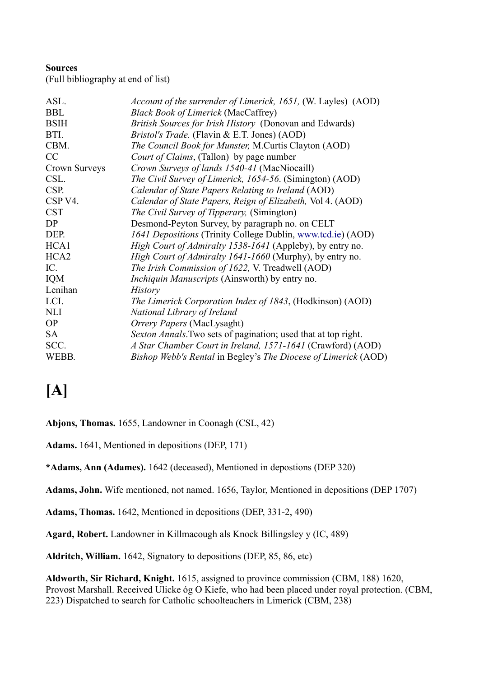#### **Sources**

(Full bibliography at end of list)

| ASL.                | Account of the surrender of Limerick, 1651, (W. Layles) (AOD)    |
|---------------------|------------------------------------------------------------------|
| <b>BBL</b>          | <b>Black Book of Limerick (MacCaffrey)</b>                       |
| <b>BSIH</b>         | British Sources for Irish History (Donovan and Edwards)          |
| BTI.                | <i>Bristol's Trade.</i> (Flavin & E.T. Jones) (AOD)              |
| CBM.                | The Council Book for Munster, M.Curtis Clayton (AOD)             |
| CC                  | Court of Claims, (Tallon) by page number                         |
| Crown Surveys       | Crown Surveys of lands 1540-41 (MacNiocaill)                     |
| CSL.                | The Civil Survey of Limerick, 1654-56. (Simington) (AOD)         |
| CSP.                | Calendar of State Papers Relating to Ireland (AOD)               |
| CSP <sub>V4</sub> . | Calendar of State Papers, Reign of Elizabeth, Vol 4. (AOD)       |
| <b>CST</b>          | <i>The Civil Survey of Tipperary, (Simington)</i>                |
| DP                  | Desmond-Peyton Survey, by paragraph no. on CELT                  |
| DEP.                | 1641 Depositions (Trinity College Dublin, www.tcd.ie) (AOD)      |
| HCA1                | <i>High Court of Admiralty 1538-1641</i> (Appleby), by entry no. |
| HCA <sub>2</sub>    | <i>High Court of Admiralty 1641-1660</i> (Murphy), by entry no.  |
| IC.                 | The Irish Commission of 1622, V. Treadwell (AOD)                 |
| IQM                 | <i>Inchiquin Manuscripts</i> (Ainsworth) by entry no.            |
| Lenihan             | <b>History</b>                                                   |
| LCI.                | The Limerick Corporation Index of 1843, (Hodkinson) (AOD)        |
| <b>NLI</b>          | National Library of Ireland                                      |
| <b>OP</b>           | Orrery Papers (MacLysaght)                                       |
| <b>SA</b>           | Sexton Annals. Two sets of pagination; used that at top right.   |
| SCC.                | A Star Chamber Court in Ireland, 1571-1641 (Crawford) (AOD)      |
| WEBB.               | Bishop Webb's Rental in Begley's The Diocese of Limerick (AOD)   |
|                     |                                                                  |

### **[A]**

**Abjons, Thomas.** 1655, Landowner in Coonagh (CSL, 42)

**Adams.** 1641, Mentioned in depositions (DEP, 171)

**\*Adams, Ann (Adames).** 1642 (deceased), Mentioned in depostions (DEP 320)

**Adams, John.** Wife mentioned, not named. 1656, Taylor, Mentioned in depositions (DEP 1707)

**Adams, Thomas.** 1642, Mentioned in depositions (DEP, 331-2, 490)

**Agard, Robert.** Landowner in Killmacough als Knock Billingsley y (IC, 489)

**Aldritch, William.** 1642, Signatory to depositions (DEP, 85, 86, etc)

**Aldworth, Sir Richard, Knight.** 1615, assigned to province commission (CBM, 188) 1620, Provost Marshall. Received Ulicke óg O Kiefe, who had been placed under royal protection. (CBM, 223) Dispatched to search for Catholic schoolteachers in Limerick (CBM, 238)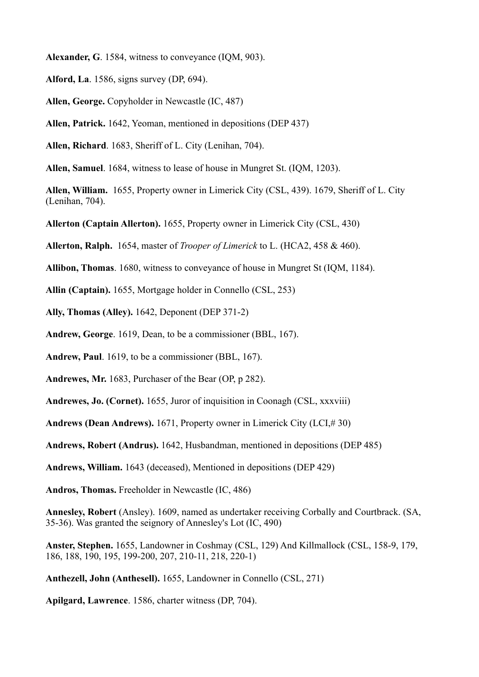**Alexander, G**. 1584, witness to conveyance (IQM, 903).

- **Alford, La**. 1586, signs survey (DP, 694).
- **Allen, George.** Copyholder in Newcastle (IC, 487)
- **Allen, Patrick.** 1642, Yeoman, mentioned in depositions (DEP 437)
- **Allen, Richard**. 1683, Sheriff of L. City (Lenihan, 704).
- **Allen, Samuel**. 1684, witness to lease of house in Mungret St. (IQM, 1203).
- **Allen, William.** 1655, Property owner in Limerick City (CSL, 439). 1679, Sheriff of L. City (Lenihan, 704).
- **Allerton (Captain Allerton).** 1655, Property owner in Limerick City (CSL, 430)
- **Allerton, Ralph.** 1654, master of *Trooper of Limerick* to L. (HCA2, 458 & 460).
- **Allibon, Thomas**. 1680, witness to conveyance of house in Mungret St (IQM, 1184).
- **Allin (Captain).** 1655, Mortgage holder in Connello (CSL, 253)
- **Ally, Thomas (Alley).** 1642, Deponent (DEP 371-2)
- **Andrew, George**. 1619, Dean, to be a commissioner (BBL, 167).
- **Andrew, Paul**. 1619, to be a commissioner (BBL, 167).
- **Andrewes, Mr.** 1683, Purchaser of the Bear (OP, p 282).
- **Andrewes, Jo. (Cornet).** 1655, Juror of inquisition in Coonagh (CSL, xxxviii)
- **Andrews (Dean Andrews).** 1671, Property owner in Limerick City (LCI,# 30)
- **Andrews, Robert (Andrus).** 1642, Husbandman, mentioned in depositions (DEP 485)
- **Andrews, William.** 1643 (deceased), Mentioned in depositions (DEP 429)
- **Andros, Thomas.** Freeholder in Newcastle (IC, 486)
- **Annesley, Robert** (Ansley). 1609, named as undertaker receiving Corbally and Courtbrack. (SA, 35-36). Was granted the seignory of Annesley's Lot (IC, 490)
- **Anster, Stephen.** 1655, Landowner in Coshmay (CSL, 129) And Killmallock (CSL, 158-9, 179, 186, 188, 190, 195, 199-200, 207, 210-11, 218, 220-1)
- **Anthezell, John (Anthesell).** 1655, Landowner in Connello (CSL, 271)
- **Apilgard, Lawrence**. 1586, charter witness (DP, 704).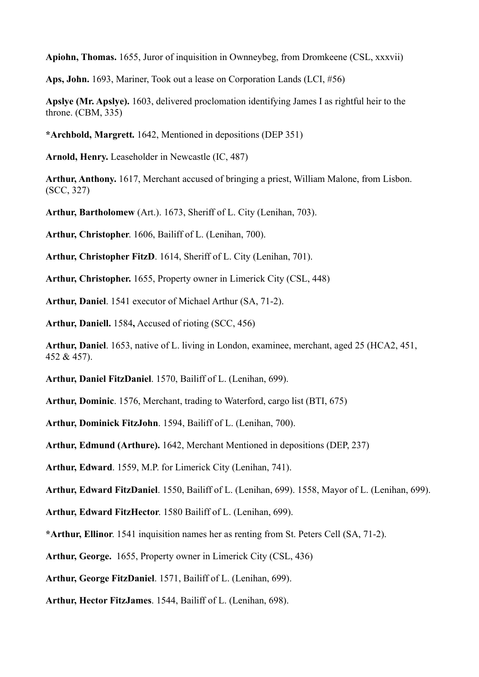**Apiohn, Thomas.** 1655, Juror of inquisition in Ownneybeg, from Dromkeene (CSL, xxxvii)

**Aps, John.** 1693, Mariner, Took out a lease on Corporation Lands (LCI, #56)

**Apslye (Mr. Apslye).** 1603, delivered proclomation identifying James I as rightful heir to the throne. (CBM, 335)

**\*Archbold, Margrett.** 1642, Mentioned in depositions (DEP 351)

**Arnold, Henry.** Leaseholder in Newcastle (IC, 487)

**Arthur, Anthony.** 1617, Merchant accused of bringing a priest, William Malone, from Lisbon. (SCC, 327)

**Arthur, Bartholomew** (Art.). 1673, Sheriff of L. City (Lenihan, 703).

**Arthur, Christopher**. 1606, Bailiff of L. (Lenihan, 700).

**Arthur, Christopher FitzD**. 1614, Sheriff of L. City (Lenihan, 701).

**Arthur, Christopher.** 1655, Property owner in Limerick City (CSL, 448)

**Arthur, Daniel**. 1541 executor of Michael Arthur (SA, 71-2).

**Arthur, Daniell.** 1584**,** Accused of rioting (SCC, 456)

**Arthur, Daniel**. 1653, native of L. living in London, examinee, merchant, aged 25 (HCA2, 451, 452 & 457).

**Arthur, Daniel FitzDaniel**. 1570, Bailiff of L. (Lenihan, 699).

**Arthur, Dominic**. 1576, Merchant, trading to Waterford, cargo list (BTI, 675)

**Arthur, Dominick FitzJohn**. 1594, Bailiff of L. (Lenihan, 700).

**Arthur, Edmund (Arthure).** 1642, Merchant Mentioned in depositions (DEP, 237)

**Arthur, Edward**. 1559, M.P. for Limerick City (Lenihan, 741).

**Arthur, Edward FitzDaniel**. 1550, Bailiff of L. (Lenihan, 699). 1558, Mayor of L. (Lenihan, 699).

**Arthur, Edward FitzHector**. 1580 Bailiff of L. (Lenihan, 699).

**\*Arthur, Ellinor**. 1541 inquisition names her as renting from St. Peters Cell (SA, 71-2).

**Arthur, George.** 1655, Property owner in Limerick City (CSL, 436)

**Arthur, George FitzDaniel**. 1571, Bailiff of L. (Lenihan, 699).

**Arthur, Hector FitzJames**. 1544, Bailiff of L. (Lenihan, 698).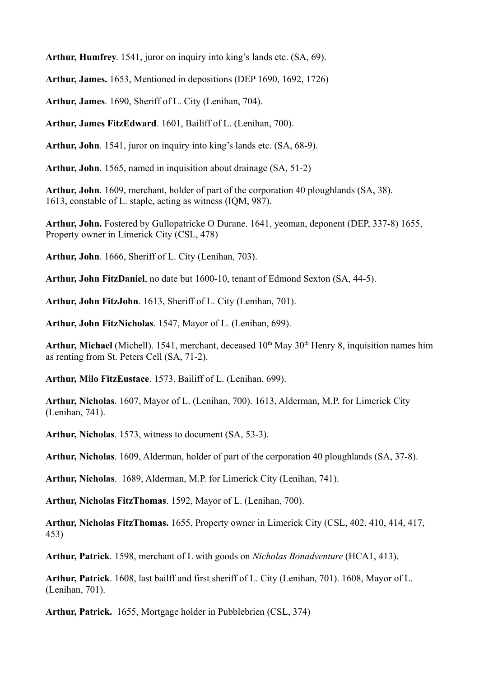**Arthur, Humfrey**. 1541, juror on inquiry into king's lands etc. (SA, 69).

**Arthur, James.** 1653, Mentioned in depositions (DEP 1690, 1692, 1726)

**Arthur, James**. 1690, Sheriff of L. City (Lenihan, 704).

**Arthur, James FitzEdward**. 1601, Bailiff of L. (Lenihan, 700).

**Arthur, John**. 1541, juror on inquiry into king's lands etc. (SA, 68-9).

**Arthur, John**. 1565, named in inquisition about drainage (SA, 51-2)

**Arthur, John**. 1609, merchant, holder of part of the corporation 40 ploughlands (SA, 38). 1613, constable of L. staple, acting as witness (IQM, 987).

**Arthur, John.** Fostered by Gullopatricke O Durane. 1641, yeoman, deponent (DEP, 337-8) 1655, Property owner in Limerick City (CSL, 478)

**Arthur, John**. 1666, Sheriff of L. City (Lenihan, 703).

**Arthur, John FitzDaniel**, no date but 1600-10, tenant of Edmond Sexton (SA, 44-5).

**Arthur, John FitzJohn**. 1613, Sheriff of L. City (Lenihan, 701).

**Arthur, John FitzNicholas**. 1547, Mayor of L. (Lenihan, 699).

**Arthur, Michael** (Michell). 1541, merchant, deceased 10<sup>th</sup> May 30<sup>th</sup> Henry 8, inquisition names him as renting from St. Peters Cell (SA, 71-2).

**Arthur, Milo FitzEustace**. 1573, Bailiff of L. (Lenihan, 699).

**Arthur, Nicholas**. 1607, Mayor of L. (Lenihan, 700). 1613, Alderman, M.P. for Limerick City (Lenihan, 741).

**Arthur, Nicholas**. 1573, witness to document (SA, 53-3).

**Arthur, Nicholas**. 1609, Alderman, holder of part of the corporation 40 ploughlands (SA, 37-8).

**Arthur, Nicholas**. 1689, Alderman, M.P. for Limerick City (Lenihan, 741).

**Arthur, Nicholas FitzThomas**. 1592, Mayor of L. (Lenihan, 700).

**Arthur, Nicholas FitzThomas.** 1655, Property owner in Limerick City (CSL, 402, 410, 414, 417, 453)

**Arthur, Patrick**. 1598, merchant of L with goods on *Nicholas Bonadventure* (HCA1, 413).

**Arthur, Patrick**. 1608, last bailff and first sheriff of L. City (Lenihan, 701). 1608, Mayor of L. (Lenihan, 701).

**Arthur, Patrick.** 1655, Mortgage holder in Pubblebrien (CSL, 374)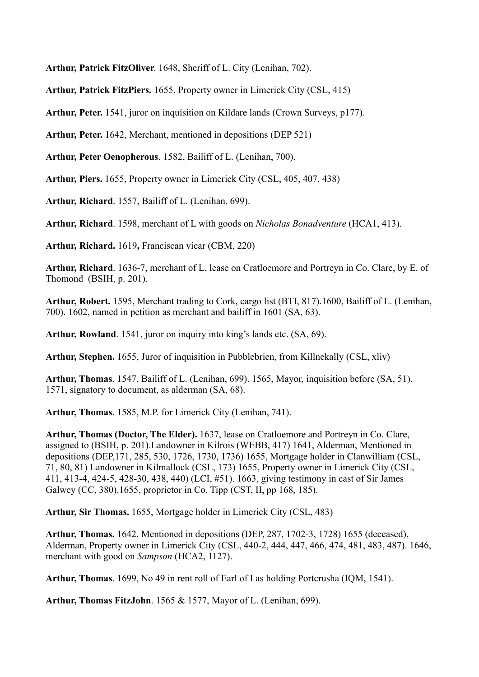**Arthur, Patrick FitzOliver**. 1648, Sheriff of L. City (Lenihan, 702).

**Arthur, Patrick FitzPiers.** 1655, Property owner in Limerick City (CSL, 415)

**Arthur, Peter.** 1541, juror on inquisition on Kildare lands (Crown Surveys, p177).

**Arthur, Peter.** 1642, Merchant, mentioned in depositions (DEP 521)

**Arthur, Peter Oenopherous**. 1582, Bailiff of L. (Lenihan, 700).

**Arthur, Piers.** 1655, Property owner in Limerick City (CSL, 405, 407, 438)

**Arthur, Richard**. 1557, Bailiff of L. (Lenihan, 699).

**Arthur, Richard**. 1598, merchant of L with goods on *Nicholas Bonadventure* (HCA1, 413).

**Arthur, Richard.** 1619**,** Franciscan vicar (CBM, 220)

**Arthur, Richard**. 1636-7, merchant of L, lease on Cratloemore and Portreyn in Co. Clare, by E. of Thomond (BSIH, p. 201).

**Arthur, Robert.** 1595, Merchant trading to Cork, cargo list (BTI, 817).1600, Bailiff of L. (Lenihan, 700). 1602, named in petition as merchant and bailiff in 1601 (SA, 63).

**Arthur, Rowland**. 1541, juror on inquiry into king's lands etc. (SA, 69).

**Arthur, Stephen.** 1655, Juror of inquisition in Pubblebrien, from Killnekally (CSL, xliv)

**Arthur, Thomas**. 1547, Bailiff of L. (Lenihan, 699). 1565, Mayor, inquisition before (SA, 51). 1571, signatory to document, as alderman (SA, 68).

**Arthur, Thomas**. 1585, M.P. for Limerick City (Lenihan, 741).

**Arthur, Thomas (Doctor, The Elder).** 1637, lease on Cratloemore and Portreyn in Co. Clare, assigned to (BSIH, p. 201).Landowner in Kilrois (WEBB, 417) 1641, Alderman, Mentioned in depositions (DEP,171, 285, 530, 1726, 1730, 1736) 1655, Mortgage holder in Clanwilliam (CSL, 71, 80, 81) Landowner in Kilmallock (CSL, 173) 1655, Property owner in Limerick City (CSL, 411, 413-4, 424-5, 428-30, 438, 440) (LCI, #51). 1663, giving testimony in cast of Sir James Galwey (CC, 380).1655, proprietor in Co. Tipp (CST, II, pp 168, 185).

**Arthur, Sir Thomas.** 1655, Mortgage holder in Limerick City (CSL, 483)

**Arthur, Thomas.** 1642, Mentioned in depositions (DEP, 287, 1702-3, 1728) 1655 (deceased), Alderman, Property owner in Limerick City (CSL, 440-2, 444, 447, 466, 474, 481, 483, 487). 1646, merchant with good on *Sampson* (HCA2, 1127).

**Arthur, Thomas**. 1699, No 49 in rent roll of Earl of I as holding Portcrusha (IQM, 1541).

**Arthur, Thomas FitzJohn**. 1565 & 1577, Mayor of L. (Lenihan, 699).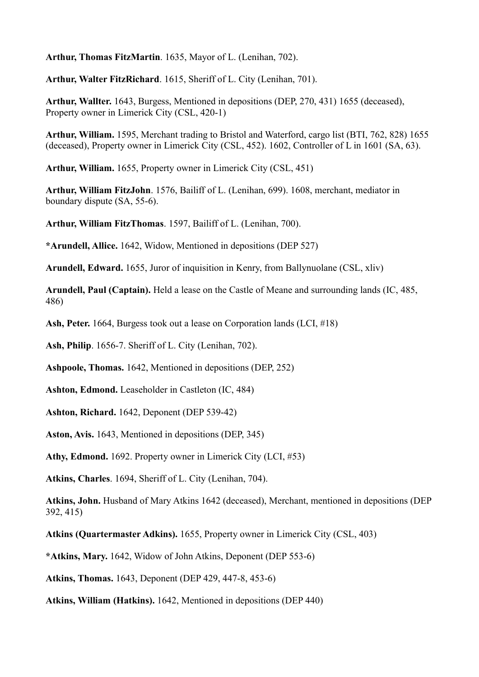**Arthur, Thomas FitzMartin**. 1635, Mayor of L. (Lenihan, 702).

**Arthur, Walter FitzRichard**. 1615, Sheriff of L. City (Lenihan, 701).

**Arthur, Wallter.** 1643, Burgess, Mentioned in depositions (DEP, 270, 431) 1655 (deceased), Property owner in Limerick City (CSL, 420-1)

**Arthur, William.** 1595, Merchant trading to Bristol and Waterford, cargo list (BTI, 762, 828) 1655 (deceased), Property owner in Limerick City (CSL, 452). 1602, Controller of L in 1601 (SA, 63).

**Arthur, William.** 1655, Property owner in Limerick City (CSL, 451)

**Arthur, William FitzJohn**. 1576, Bailiff of L. (Lenihan, 699). 1608, merchant, mediator in boundary dispute (SA, 55-6).

**Arthur, William FitzThomas**. 1597, Bailiff of L. (Lenihan, 700).

**\*Arundell, Allice.** 1642, Widow, Mentioned in depositions (DEP 527)

**Arundell, Edward.** 1655, Juror of inquisition in Kenry, from Ballynuolane (CSL, xliv)

**Arundell, Paul (Captain).** Held a lease on the Castle of Meane and surrounding lands (IC, 485, 486)

**Ash, Peter.** 1664, Burgess took out a lease on Corporation lands (LCI, #18)

**Ash, Philip**. 1656-7. Sheriff of L. City (Lenihan, 702).

**Ashpoole, Thomas.** 1642, Mentioned in depositions (DEP, 252)

**Ashton, Edmond.** Leaseholder in Castleton (IC, 484)

**Ashton, Richard.** 1642, Deponent (DEP 539-42)

**Aston, Avis.** 1643, Mentioned in depositions (DEP, 345)

**Athy, Edmond.** 1692. Property owner in Limerick City (LCI, #53)

**Atkins, Charles**. 1694, Sheriff of L. City (Lenihan, 704).

**Atkins, John.** Husband of Mary Atkins 1642 (deceased), Merchant, mentioned in depositions (DEP 392, 415)

**Atkins (Quartermaster Adkins).** 1655, Property owner in Limerick City (CSL, 403)

**\*Atkins, Mary.** 1642, Widow of John Atkins, Deponent (DEP 553-6)

**Atkins, Thomas.** 1643, Deponent (DEP 429, 447-8, 453-6)

**Atkins, William (Hatkins).** 1642, Mentioned in depositions (DEP 440)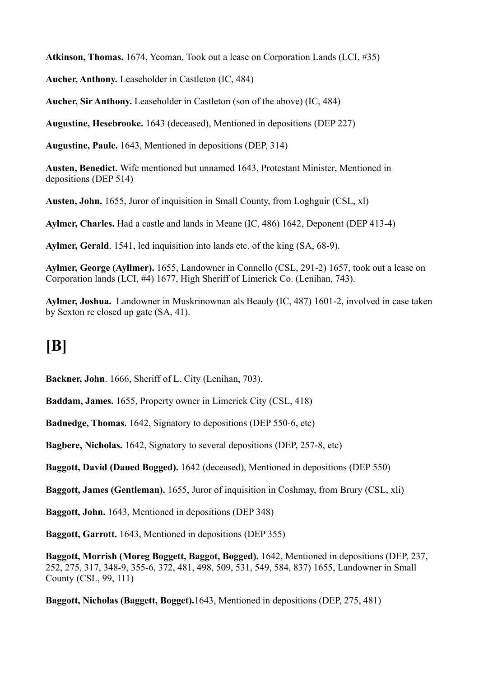**Atkinson, Thomas.** 1674, Yeoman, Took out a lease on Corporation Lands (LCI, #35)

**Aucher, Anthony.** Leaseholder in Castleton (IC, 484)

**Aucher, Sir Anthony.** Leaseholder in Castleton (son of the above) (IC, 484)

**Augustine, Hesebrooke.** 1643 (deceased), Mentioned in depositions (DEP 227)

**Augustine, Paule.** 1643, Mentioned in depositions (DEP, 314)

**Austen, Benedict.** Wife mentioned but unnamed 1643, Protestant Minister, Mentioned in depositions (DEP 514)

**Austen, John.** 1655, Juror of inquisition in Small County, from Loghguir (CSL, xl)

**Aylmer, Charles.** Had a castle and lands in Meane (IC, 486) 1642, Deponent (DEP 413-4)

**Aylmer, Gerald**. 1541, led inquisition into lands etc. of the king (SA, 68-9).

**Aylmer, George (Ayllmer).** 1655, Landowner in Connello (CSL, 291-2) 1657, took out a lease on Corporation lands (LCI, #4) 1677, High Sheriff of Limerick Co. (Lenihan, 743).

**Aylmer, Joshua.** Landowner in Muskrinownan als Beauly (IC, 487) 1601-2, involved in case taken by Sexton re closed up gate (SA, 41).

### **[B]**

**Backner, John**. 1666, Sheriff of L. City (Lenihan, 703).

**Baddam, James.** 1655, Property owner in Limerick City (CSL, 418)

**Badnedge, Thomas.** 1642, Signatory to depositions (DEP 550-6, etc)

**Bagbere, Nicholas.** 1642, Signatory to several depositions (DEP, 257-8, etc)

**Baggott, David (Daued Bogged).** 1642 (deceased), Mentioned in depositions (DEP 550)

**Baggott, James (Gentleman).** 1655, Juror of inquisition in Coshmay, from Brury (CSL, xli)

**Baggott, John.** 1643, Mentioned in depositions (DEP 348)

**Baggott, Garrott.** 1643, Mentioned in depositions (DEP 355)

**Baggott, Morrish (Moreg Boggett, Baggot, Bogged).** 1642, Mentioned in depositions (DEP, 237, 252, 275, 317, 348-9, 355-6, 372, 481, 498, 509, 531, 549, 584, 837) 1655, Landowner in Small County (CSL, 99, 111)

**Baggott, Nicholas (Baggett, Bogget).**1643, Mentioned in depositions (DEP, 275, 481)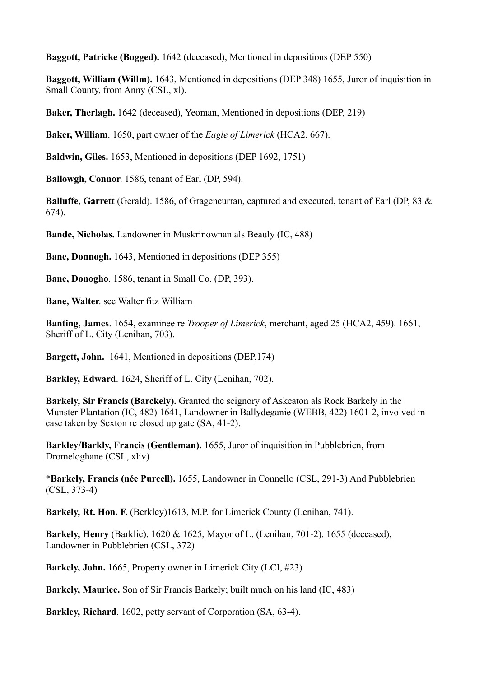**Baggott, Patricke (Bogged).** 1642 (deceased), Mentioned in depositions (DEP 550)

**Baggott, William (Willm).** 1643, Mentioned in depositions (DEP 348) 1655, Juror of inquisition in Small County, from Anny (CSL, xl).

**Baker, Therlagh.** 1642 (deceased), Yeoman, Mentioned in depositions (DEP, 219)

**Baker, William**. 1650, part owner of the *Eagle of Limerick* (HCA2, 667).

**Baldwin, Giles.** 1653, Mentioned in depositions (DEP 1692, 1751)

**Ballowgh, Connor**. 1586, tenant of Earl (DP, 594).

**Balluffe, Garrett** (Gerald). 1586, of Gragencurran, captured and executed, tenant of Earl (DP, 83 & 674).

**Bande, Nicholas.** Landowner in Muskrinownan als Beauly (IC, 488)

**Bane, Donnogh.** 1643, Mentioned in depositions (DEP 355)

**Bane, Donogho**. 1586, tenant in Small Co. (DP, 393).

**Bane, Walter**. see Walter fitz William

**Banting, James**. 1654, examinee re *Trooper of Limerick*, merchant, aged 25 (HCA2, 459). 1661, Sheriff of L. City (Lenihan, 703).

**Bargett, John.** 1641, Mentioned in depositions (DEP,174)

**Barkley, Edward**. 1624, Sheriff of L. City (Lenihan, 702).

**Barkely, Sir Francis (Barckely).** Granted the seignory of Askeaton als Rock Barkely in the Munster Plantation (IC, 482) 1641, Landowner in Ballydeganie (WEBB, 422) 1601-2, involved in case taken by Sexton re closed up gate (SA, 41-2).

**Barkley/Barkly, Francis (Gentleman).** 1655, Juror of inquisition in Pubblebrien, from Dromeloghane (CSL, xliv)

\***Barkely, Francis (née Purcell).** 1655, Landowner in Connello (CSL, 291-3) And Pubblebrien (CSL, 373-4)

**Barkely, Rt. Hon. F.** (Berkley)1613, M.P. for Limerick County (Lenihan, 741).

**Barkely, Henry** (Barklie). 1620 & 1625, Mayor of L. (Lenihan, 701-2). 1655 (deceased), Landowner in Pubblebrien (CSL, 372)

**Barkely, John.** 1665, Property owner in Limerick City (LCI, #23)

**Barkely, Maurice.** Son of Sir Francis Barkely; built much on his land (IC, 483)

**Barkley, Richard**. 1602, petty servant of Corporation (SA, 63-4).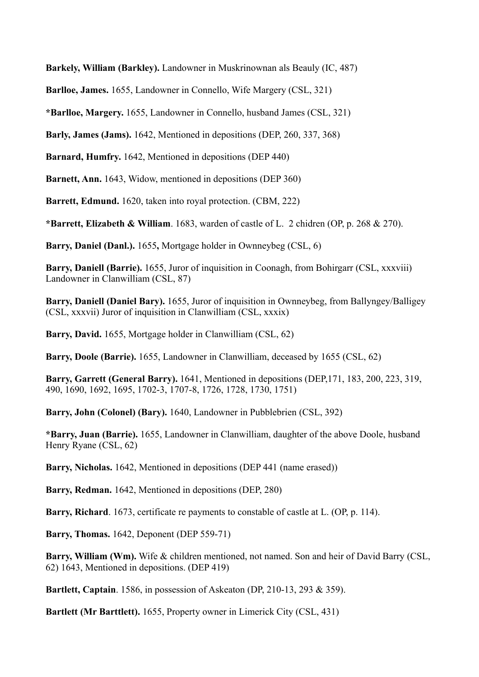**Barkely, William (Barkley).** Landowner in Muskrinownan als Beauly (IC, 487)

**Barlloe, James.** 1655, Landowner in Connello, Wife Margery (CSL, 321)

**\*Barlloe, Margery.** 1655, Landowner in Connello, husband James (CSL, 321)

**Barly, James (Jams).** 1642, Mentioned in depositions (DEP, 260, 337, 368)

**Barnard, Humfry.** 1642, Mentioned in depositions (DEP 440)

**Barnett, Ann.** 1643, Widow, mentioned in depositions (DEP 360)

**Barrett, Edmund.** 1620, taken into royal protection. (CBM, 222)

**\*Barrett, Elizabeth & William**. 1683, warden of castle of L. 2 chidren (OP, p. 268 & 270).

**Barry, Daniel (Danl.).** 1655**,** Mortgage holder in Ownneybeg (CSL, 6)

**Barry, Daniell (Barrie).** 1655, Juror of inquisition in Coonagh, from Bohirgarr (CSL, xxxviii) Landowner in Clanwilliam (CSL, 87)

**Barry, Daniell (Daniel Bary).** 1655, Juror of inquisition in Ownneybeg, from Ballyngey/Balligey (CSL, xxxvii) Juror of inquisition in Clanwilliam (CSL, xxxix)

**Barry, David.** 1655, Mortgage holder in Clanwilliam (CSL, 62)

**Barry, Doole (Barrie).** 1655, Landowner in Clanwilliam, deceased by 1655 (CSL, 62)

**Barry, Garrett (General Barry).** 1641, Mentioned in depositions (DEP,171, 183, 200, 223, 319, 490, 1690, 1692, 1695, 1702-3, 1707-8, 1726, 1728, 1730, 1751)

**Barry, John (Colonel) (Bary).** 1640, Landowner in Pubblebrien (CSL, 392)

**\*Barry, Juan (Barrie).** 1655, Landowner in Clanwilliam, daughter of the above Doole, husband Henry Ryane (CSL, 62)

**Barry, Nicholas.** 1642, Mentioned in depositions (DEP 441 (name erased))

**Barry, Redman.** 1642, Mentioned in depositions (DEP, 280)

**Barry, Richard**. 1673, certificate re payments to constable of castle at L. (OP, p. 114).

**Barry, Thomas.** 1642, Deponent (DEP 559-71)

**Barry, William (Wm).** Wife & children mentioned, not named. Son and heir of David Barry (CSL, 62) 1643, Mentioned in depositions. (DEP 419)

**Bartlett, Captain**. 1586, in possession of Askeaton (DP, 210-13, 293 & 359).

**Bartlett (Mr Barttlett).** 1655, Property owner in Limerick City (CSL, 431)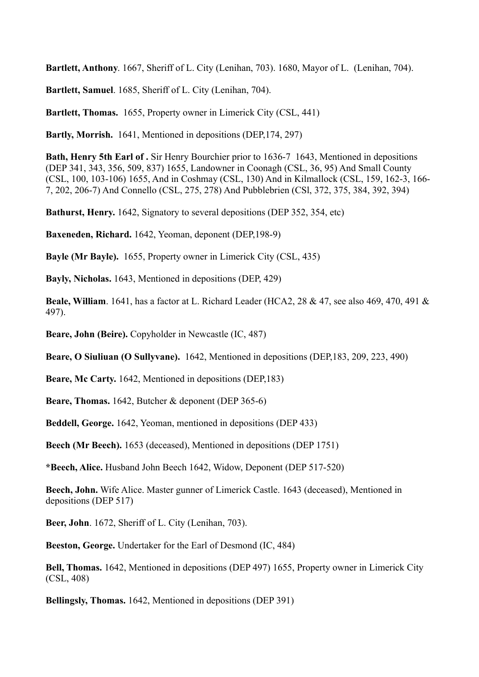**Bartlett, Anthony**. 1667, Sheriff of L. City (Lenihan, 703). 1680, Mayor of L. (Lenihan, 704).

**Bartlett, Samuel**. 1685, Sheriff of L. City (Lenihan, 704).

**Bartlett, Thomas.** 1655, Property owner in Limerick City (CSL, 441)

**Bartly, Morrish.** 1641, Mentioned in depositions (DEP,174, 297)

**Bath, Henry 5th Earl of .** Sir Henry Bourchier prior to 1636-7 1643, Mentioned in depositions (DEP 341, 343, 356, 509, 837) 1655, Landowner in Coonagh (CSL, 36, 95) And Small County (CSL, 100, 103-106) 1655, And in Coshmay (CSL, 130) And in Kilmallock (CSL, 159, 162-3, 166- 7, 202, 206-7) And Connello (CSL, 275, 278) And Pubblebrien (CSl, 372, 375, 384, 392, 394)

**Bathurst, Henry.** 1642, Signatory to several depositions (DEP 352, 354, etc)

**Baxeneden, Richard.** 1642, Yeoman, deponent (DEP,198-9)

**Bayle (Mr Bayle).** 1655, Property owner in Limerick City (CSL, 435)

**Bayly, Nicholas.** 1643, Mentioned in depositions (DEP, 429)

**Beale, William**. 1641, has a factor at L. Richard Leader (HCA2, 28 & 47, see also 469, 470, 491 & 497).

**Beare, John (Beire).** Copyholder in Newcastle (IC, 487)

**Beare, O Siuliuan (O Sullyvane).** 1642, Mentioned in depositions (DEP,183, 209, 223, 490)

**Beare, Mc Carty.** 1642, Mentioned in depositions (DEP,183)

**Beare, Thomas.** 1642, Butcher & deponent (DEP 365-6)

**Beddell, George.** 1642, Yeoman, mentioned in depositions (DEP 433)

**Beech (Mr Beech).** 1653 (deceased), Mentioned in depositions (DEP 1751)

**\*Beech, Alice.** Husband John Beech 1642, Widow, Deponent (DEP 517-520)

**Beech, John.** Wife Alice. Master gunner of Limerick Castle. 1643 (deceased), Mentioned in depositions (DEP 517)

**Beer, John**. 1672, Sheriff of L. City (Lenihan, 703).

**Beeston, George.** Undertaker for the Earl of Desmond (IC, 484)

**Bell, Thomas.** 1642, Mentioned in depositions (DEP 497) 1655, Property owner in Limerick City (CSL, 408)

**Bellingsly, Thomas.** 1642, Mentioned in depositions (DEP 391)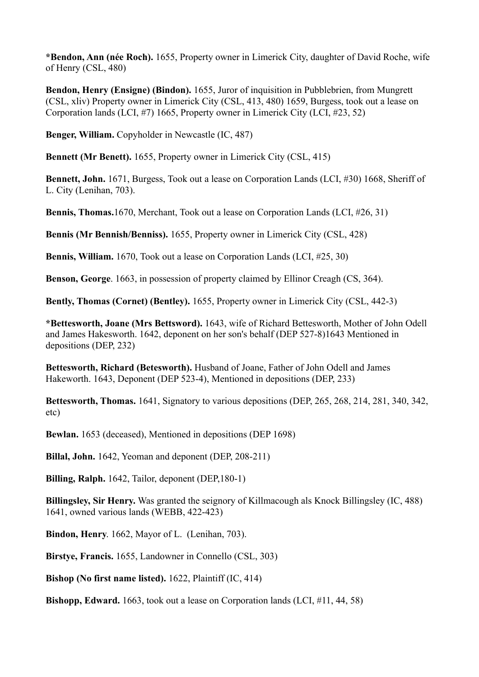**\*Bendon, Ann (née Roch).** 1655, Property owner in Limerick City, daughter of David Roche, wife of Henry (CSL, 480)

**Bendon, Henry (Ensigne) (Bindon).** 1655, Juror of inquisition in Pubblebrien, from Mungrett (CSL, xliv) Property owner in Limerick City (CSL, 413, 480) 1659, Burgess, took out a lease on Corporation lands (LCI, #7) 1665, Property owner in Limerick City (LCI, #23, 52)

**Benger, William.** Copyholder in Newcastle (IC, 487)

**Bennett (Mr Benett).** 1655, Property owner in Limerick City (CSL, 415)

**Bennett, John.** 1671, Burgess, Took out a lease on Corporation Lands (LCI, #30) 1668, Sheriff of L. City (Lenihan, 703).

**Bennis, Thomas.**1670, Merchant, Took out a lease on Corporation Lands (LCI, #26, 31)

**Bennis (Mr Bennish/Benniss).** 1655, Property owner in Limerick City (CSL, 428)

**Bennis, William.** 1670, Took out a lease on Corporation Lands (LCI, #25, 30)

**Benson, George**. 1663, in possession of property claimed by Ellinor Creagh (CS, 364).

**Bently, Thomas (Cornet) (Bentley).** 1655, Property owner in Limerick City (CSL, 442-3)

**\*Bettesworth, Joane (Mrs Bettsword).** 1643, wife of Richard Bettesworth, Mother of John Odell and James Hakesworth. 1642, deponent on her son's behalf (DEP 527-8)1643 Mentioned in depositions (DEP, 232)

**Bettesworth, Richard (Betesworth).** Husband of Joane, Father of John Odell and James Hakeworth. 1643, Deponent (DEP 523-4), Mentioned in depositions (DEP, 233)

**Bettesworth, Thomas.** 1641, Signatory to various depositions (DEP, 265, 268, 214, 281, 340, 342, etc)

**Bewlan.** 1653 (deceased), Mentioned in depositions (DEP 1698)

**Billal, John.** 1642, Yeoman and deponent (DEP, 208-211)

**Billing, Ralph.** 1642, Tailor, deponent (DEP,180-1)

**Billingsley, Sir Henry.** Was granted the seignory of Killmacough als Knock Billingsley (IC, 488) 1641, owned various lands (WEBB, 422-423)

**Bindon, Henry**. 1662, Mayor of L. (Lenihan, 703).

**Birstye, Francis.** 1655, Landowner in Connello (CSL, 303)

**Bishop (No first name listed).** 1622, Plaintiff (IC, 414)

**Bishopp, Edward.** 1663, took out a lease on Corporation lands (LCI, #11, 44, 58)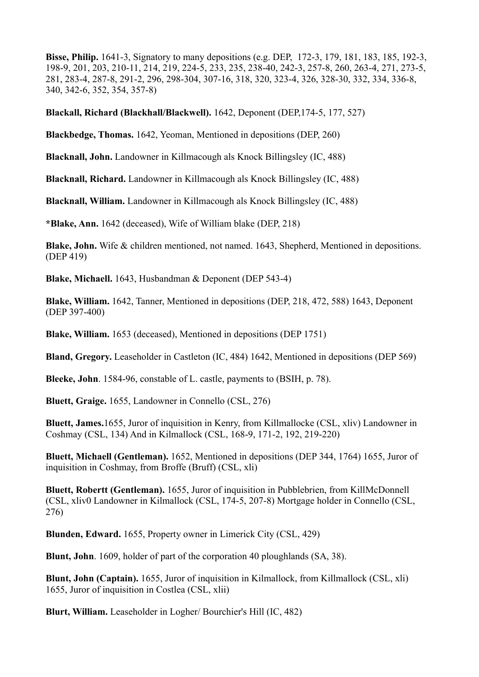**Bisse, Philip.** 1641-3, Signatory to many depositions (e.g. DEP, 172-3, 179, 181, 183, 185, 192-3, 198-9, 201, 203, 210-11, 214, 219, 224-5, 233, 235, 238-40, 242-3, 257-8, 260, 263-4, 271, 273-5, 281, 283-4, 287-8, 291-2, 296, 298-304, 307-16, 318, 320, 323-4, 326, 328-30, 332, 334, 336-8, 340, 342-6, 352, 354, 357-8)

**Blackall, Richard (Blackhall/Blackwell).** 1642, Deponent (DEP,174-5, 177, 527)

**Blackbedge, Thomas.** 1642, Yeoman, Mentioned in depositions (DEP, 260)

**Blacknall, John.** Landowner in Killmacough als Knock Billingsley (IC, 488)

**Blacknall, Richard.** Landowner in Killmacough als Knock Billingsley (IC, 488)

**Blacknall, William.** Landowner in Killmacough als Knock Billingsley (IC, 488)

**\*Blake, Ann.** 1642 (deceased), Wife of William blake (DEP, 218)

**Blake, John.** Wife & children mentioned, not named. 1643, Shepherd, Mentioned in depositions. (DEP 419)

**Blake, Michaell.** 1643, Husbandman & Deponent (DEP 543-4)

**Blake, William.** 1642, Tanner, Mentioned in depositions (DEP, 218, 472, 588) 1643, Deponent (DEP 397-400)

**Blake, William.** 1653 (deceased), Mentioned in depositions (DEP 1751)

**Bland, Gregory.** Leaseholder in Castleton (IC, 484) 1642, Mentioned in depositions (DEP 569)

**Bleeke, John**. 1584-96, constable of L. castle, payments to (BSIH, p. 78).

**Bluett, Graige.** 1655, Landowner in Connello (CSL, 276)

**Bluett, James.**1655, Juror of inquisition in Kenry, from Killmallocke (CSL, xliv) Landowner in Coshmay (CSL, 134) And in Kilmallock (CSL, 168-9, 171-2, 192, 219-220)

**Bluett, Michaell (Gentleman).** 1652, Mentioned in depositions (DEP 344, 1764) 1655, Juror of inquisition in Coshmay, from Broffe (Bruff) (CSL, xli)

**Bluett, Robertt (Gentleman).** 1655, Juror of inquisition in Pubblebrien, from KillMcDonnell (CSL, xliv0 Landowner in Kilmallock (CSL, 174-5, 207-8) Mortgage holder in Connello (CSL, 276)

**Blunden, Edward.** 1655, Property owner in Limerick City (CSL, 429)

**Blunt, John**. 1609, holder of part of the corporation 40 ploughlands (SA, 38).

**Blunt, John (Captain).** 1655, Juror of inquisition in Kilmallock, from Killmallock (CSL, xli) 1655, Juror of inquisition in Costlea (CSL, xlii)

**Blurt, William.** Leaseholder in Logher/ Bourchier's Hill (IC, 482)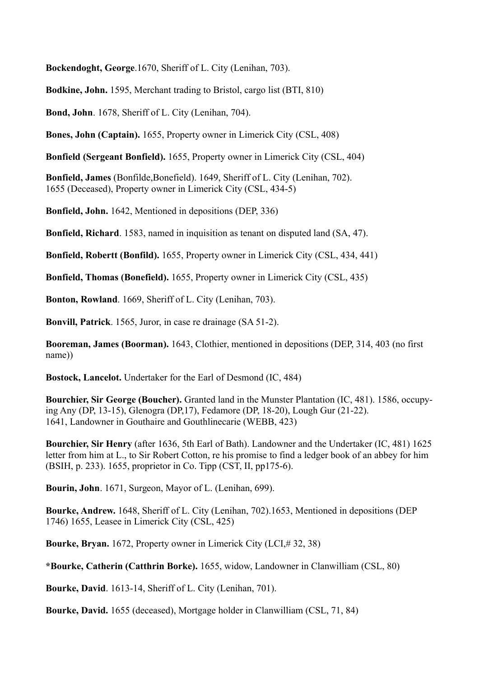**Bockendoght, George**.1670, Sheriff of L. City (Lenihan, 703).

**Bodkine, John.** 1595, Merchant trading to Bristol, cargo list (BTI, 810)

**Bond, John**. 1678, Sheriff of L. City (Lenihan, 704).

**Bones, John (Captain).** 1655, Property owner in Limerick City (CSL, 408)

**Bonfield (Sergeant Bonfield).** 1655, Property owner in Limerick City (CSL, 404)

**Bonfield, James** (Bonfilde,Bonefield). 1649, Sheriff of L. City (Lenihan, 702). 1655 (Deceased), Property owner in Limerick City (CSL, 434-5)

**Bonfield, John.** 1642, Mentioned in depositions (DEP, 336)

**Bonfield, Richard**. 1583, named in inquisition as tenant on disputed land (SA, 47).

**Bonfield, Robertt (Bonfild).** 1655, Property owner in Limerick City (CSL, 434, 441)

**Bonfield, Thomas (Bonefield).** 1655, Property owner in Limerick City (CSL, 435)

**Bonton, Rowland**. 1669, Sheriff of L. City (Lenihan, 703).

**Bonvill, Patrick**. 1565, Juror, in case re drainage (SA 51-2).

**Booreman, James (Boorman).** 1643, Clothier, mentioned in depositions (DEP, 314, 403 (no first name))

**Bostock, Lancelot.** Undertaker for the Earl of Desmond (IC, 484)

**Bourchier, Sir George (Boucher).** Granted land in the Munster Plantation (IC, 481). 1586, occupying Any (DP, 13-15), Glenogra (DP,17), Fedamore (DP, 18-20), Lough Gur (21-22). 1641, Landowner in Gouthaire and Gouthlinecarie (WEBB, 423)

**Bourchier, Sir Henry** (after 1636, 5th Earl of Bath). Landowner and the Undertaker (IC, 481) 1625 letter from him at L., to Sir Robert Cotton, re his promise to find a ledger book of an abbey for him (BSIH, p. 233). 1655, proprietor in Co. Tipp (CST, II, pp175-6).

**Bourin, John**. 1671, Surgeon, Mayor of L. (Lenihan, 699).

**Bourke, Andrew.** 1648, Sheriff of L. City (Lenihan, 702).1653, Mentioned in depositions (DEP 1746) 1655, Leasee in Limerick City (CSL, 425)

**Bourke, Bryan.** 1672, Property owner in Limerick City (LCI,# 32, 38)

**\*Bourke, Catherin (Catthrin Borke).** 1655, widow, Landowner in Clanwilliam (CSL, 80)

**Bourke, David**. 1613-14, Sheriff of L. City (Lenihan, 701).

**Bourke, David.** 1655 (deceased), Mortgage holder in Clanwilliam (CSL, 71, 84)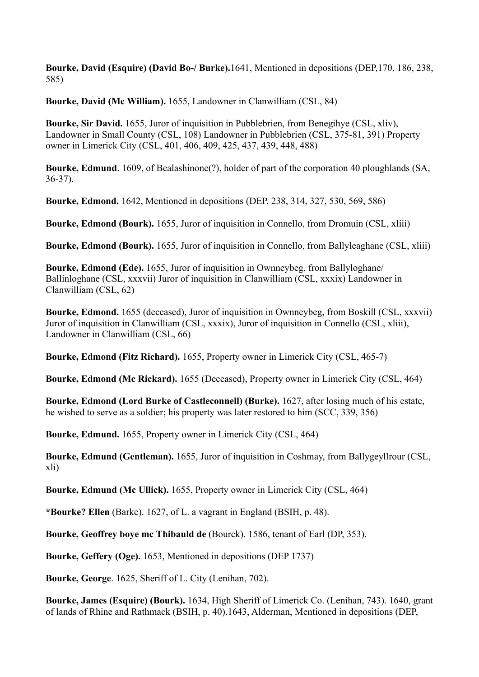**Bourke, David (Esquire) (David Bo-/ Burke).**1641, Mentioned in depositions (DEP,170, 186, 238, 585)

**Bourke, David (Mc William).** 1655, Landowner in Clanwilliam (CSL, 84)

**Bourke, Sir David.** 1655, Juror of inquisition in Pubblebrien, from Benegihye (CSL, xliv), Landowner in Small County (CSL, 108) Landowner in Pubblebrien (CSL, 375-81, 391) Property owner in Limerick City (CSL, 401, 406, 409, 425, 437, 439, 448, 488)

**Bourke, Edmund**. 1609, of Bealashinone(?), holder of part of the corporation 40 ploughlands (SA, 36-37).

**Bourke, Edmond.** 1642, Mentioned in depositions (DEP, 238, 314, 327, 530, 569, 586)

**Bourke, Edmond (Bourk).** 1655, Juror of inquisition in Connello, from Dromuin (CSL, xliii)

**Bourke, Edmond (Bourk).** 1655, Juror of inquisition in Connello, from Ballyleaghane (CSL, xliii)

**Bourke, Edmond (Ede).** 1655, Juror of inquisition in Ownneybeg, from Ballyloghane/ Ballinloghane (CSL, xxxvii) Juror of inquisition in Clanwilliam (CSL, xxxix) Landowner in Clanwilliam (CSL, 62)

**Bourke, Edmond.** 1655 (deceased), Juror of inquisition in Ownneybeg, from Boskill (CSL, xxxvii) Juror of inquisition in Clanwilliam (CSL, xxxix), Juror of inquisition in Connello (CSL, xliii), Landowner in Clanwilliam (CSL, 66)

**Bourke, Edmond (Fitz Richard).** 1655, Property owner in Limerick City (CSL, 465-7)

**Bourke, Edmond (Mc Rickard).** 1655 (Deceased), Property owner in Limerick City (CSL, 464)

**Bourke, Edmond (Lord Burke of Castleconnell) (Burke).** 1627, after losing much of his estate, he wished to serve as a soldier; his property was later restored to him (SCC, 339, 356)

**Bourke, Edmund.** 1655, Property owner in Limerick City (CSL, 464)

**Bourke, Edmund (Gentleman).** 1655, Juror of inquisition in Coshmay, from Ballygeyllrour (CSL, xli)

**Bourke, Edmund (Mc Ullick).** 1655, Property owner in Limerick City (CSL, 464)

**\*Bourke? Ellen** (Barke). 1627, of L. a vagrant in England (BSIH, p. 48).

**Bourke, Geoffrey boye mc Thibauld de** (Bourck). 1586, tenant of Earl (DP, 353).

**Bourke, Geffery (Oge).** 1653, Mentioned in depositions (DEP 1737)

**Bourke, George**. 1625, Sheriff of L. City (Lenihan, 702).

**Bourke, James (Esquire) (Bourk).** 1634, High Sheriff of Limerick Co. (Lenihan, 743). 1640, grant of lands of Rhine and Rathmack (BSIH, p. 40).1643, Alderman, Mentioned in depositions (DEP,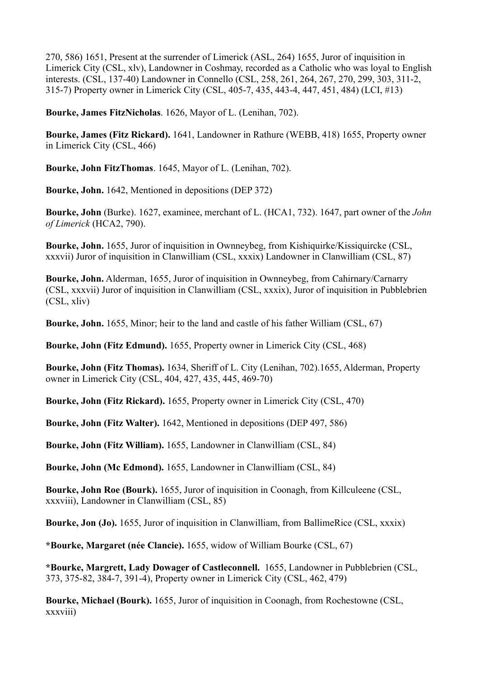270, 586) 1651, Present at the surrender of Limerick (ASL, 264) 1655, Juror of inquisition in Limerick City (CSL, xlv), Landowner in Coshmay, recorded as a Catholic who was loyal to English interests. (CSL, 137-40) Landowner in Connello (CSL, 258, 261, 264, 267, 270, 299, 303, 311-2, 315-7) Property owner in Limerick City (CSL, 405-7, 435, 443-4, 447, 451, 484) (LCI, #13)

**Bourke, James FitzNicholas**. 1626, Mayor of L. (Lenihan, 702).

**Bourke, James (Fitz Rickard).** 1641, Landowner in Rathure (WEBB, 418) 1655, Property owner in Limerick City (CSL, 466)

**Bourke, John FitzThomas**. 1645, Mayor of L. (Lenihan, 702).

**Bourke, John.** 1642, Mentioned in depositions (DEP 372)

**Bourke, John** (Burke). 1627, examinee, merchant of L. (HCA1, 732). 1647, part owner of the *John of Limerick* (HCA2, 790).

**Bourke, John.** 1655, Juror of inquisition in Ownneybeg, from Kishiquirke/Kissiquircke (CSL, xxxvii) Juror of inquisition in Clanwilliam (CSL, xxxix) Landowner in Clanwilliam (CSL, 87)

**Bourke, John.** Alderman, 1655, Juror of inquisition in Ownneybeg, from Cahirnary/Carnarry (CSL, xxxvii) Juror of inquisition in Clanwilliam (CSL, xxxix), Juror of inquisition in Pubblebrien (CSL, xliv)

**Bourke, John.** 1655, Minor; heir to the land and castle of his father William (CSL, 67)

**Bourke, John (Fitz Edmund).** 1655, Property owner in Limerick City (CSL, 468)

**Bourke, John (Fitz Thomas).** 1634, Sheriff of L. City (Lenihan, 702).1655, Alderman, Property owner in Limerick City (CSL, 404, 427, 435, 445, 469-70)

**Bourke, John (Fitz Rickard).** 1655, Property owner in Limerick City (CSL, 470)

**Bourke, John (Fitz Walter).** 1642, Mentioned in depositions (DEP 497, 586)

**Bourke, John (Fitz William).** 1655, Landowner in Clanwilliam (CSL, 84)

**Bourke, John (Mc Edmond).** 1655, Landowner in Clanwilliam (CSL, 84)

**Bourke, John Roe (Bourk).** 1655, Juror of inquisition in Coonagh, from Killculeene (CSL, xxxviii), Landowner in Clanwilliam (CSL, 85)

**Bourke, Jon (Jo).** 1655, Juror of inquisition in Clanwilliam, from BallimeRice (CSL, xxxix)

**\*Bourke, Margaret (née Clancie).** 1655, widow of William Bourke (CSL, 67)

**\*Bourke, Margrett, Lady Dowager of Castleconnell.** 1655, Landowner in Pubblebrien (CSL, 373, 375-82, 384-7, 391-4), Property owner in Limerick City (CSL, 462, 479)

**Bourke, Michael (Bourk).** 1655, Juror of inquisition in Coonagh, from Rochestowne (CSL, xxxviii)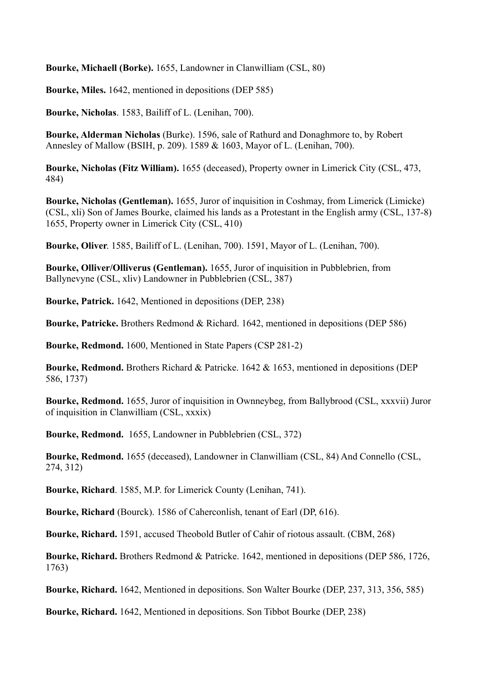**Bourke, Michaell (Borke).** 1655, Landowner in Clanwilliam (CSL, 80)

**Bourke, Miles.** 1642, mentioned in depositions (DEP 585)

**Bourke, Nicholas**. 1583, Bailiff of L. (Lenihan, 700).

**Bourke, Alderman Nicholas** (Burke). 1596, sale of Rathurd and Donaghmore to, by Robert Annesley of Mallow (BSIH, p. 209). 1589 & 1603, Mayor of L. (Lenihan, 700).

**Bourke, Nicholas (Fitz William).** 1655 (deceased), Property owner in Limerick City (CSL, 473, 484)

**Bourke, Nicholas (Gentleman).** 1655, Juror of inquisition in Coshmay, from Limerick (Limicke) (CSL, xli) Son of James Bourke, claimed his lands as a Protestant in the English army (CSL, 137-8) 1655, Property owner in Limerick City (CSL, 410)

**Bourke, Oliver**. 1585, Bailiff of L. (Lenihan, 700). 1591, Mayor of L. (Lenihan, 700).

**Bourke, Olliver/Olliverus (Gentleman).** 1655, Juror of inquisition in Pubblebrien, from Ballynevyne (CSL, xliv) Landowner in Pubblebrien (CSL, 387)

**Bourke, Patrick.** 1642, Mentioned in depositions (DEP, 238)

**Bourke, Patricke.** Brothers Redmond & Richard. 1642, mentioned in depositions (DEP 586)

**Bourke, Redmond.** 1600, Mentioned in State Papers (CSP 281-2)

**Bourke, Redmond.** Brothers Richard & Patricke. 1642 & 1653, mentioned in depositions (DEP 586, 1737)

**Bourke, Redmond.** 1655, Juror of inquisition in Ownneybeg, from Ballybrood (CSL, xxxvii) Juror of inquisition in Clanwilliam (CSL, xxxix)

**Bourke, Redmond.** 1655, Landowner in Pubblebrien (CSL, 372)

**Bourke, Redmond.** 1655 (deceased), Landowner in Clanwilliam (CSL, 84) And Connello (CSL, 274, 312)

**Bourke, Richard**. 1585, M.P. for Limerick County (Lenihan, 741).

**Bourke, Richard** (Bourck). 1586 of Caherconlish, tenant of Earl (DP, 616).

**Bourke, Richard.** 1591, accused Theobold Butler of Cahir of riotous assault. (CBM, 268)

**Bourke, Richard.** Brothers Redmond & Patricke. 1642, mentioned in depositions (DEP 586, 1726, 1763)

**Bourke, Richard.** 1642, Mentioned in depositions. Son Walter Bourke (DEP, 237, 313, 356, 585)

**Bourke, Richard.** 1642, Mentioned in depositions. Son Tibbot Bourke (DEP, 238)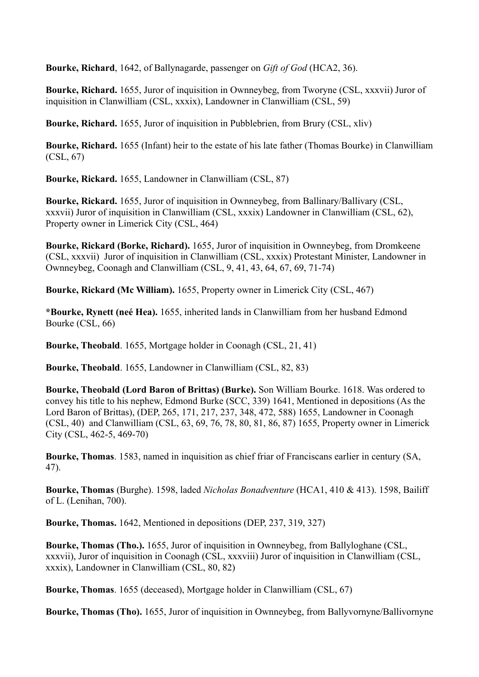**Bourke, Richard**, 1642, of Ballynagarde, passenger on *Gift of God* (HCA2, 36).

**Bourke, Richard.** 1655, Juror of inquisition in Ownneybeg, from Tworyne (CSL, xxxvii) Juror of inquisition in Clanwilliam (CSL, xxxix), Landowner in Clanwilliam (CSL, 59)

**Bourke, Richard.** 1655, Juror of inquisition in Pubblebrien, from Brury (CSL, xliv)

**Bourke, Richard.** 1655 (Infant) heir to the estate of his late father (Thomas Bourke) in Clanwilliam (CSL, 67)

**Bourke, Rickard.** 1655, Landowner in Clanwilliam (CSL, 87)

**Bourke, Rickard.** 1655, Juror of inquisition in Ownneybeg, from Ballinary/Ballivary (CSL, xxxvii) Juror of inquisition in Clanwilliam (CSL, xxxix) Landowner in Clanwilliam (CSL, 62), Property owner in Limerick City (CSL, 464)

**Bourke, Rickard (Borke, Richard).** 1655, Juror of inquisition in Ownneybeg, from Dromkeene (CSL, xxxvii) Juror of inquisition in Clanwilliam (CSL, xxxix) Protestant Minister, Landowner in Ownneybeg, Coonagh and Clanwilliam (CSL, 9, 41, 43, 64, 67, 69, 71-74)

**Bourke, Rickard (Mc William).** 1655, Property owner in Limerick City (CSL, 467)

**\*Bourke, Rynett (neé Hea).** 1655, inherited lands in Clanwilliam from her husband Edmond Bourke (CSL, 66)

**Bourke, Theobald**. 1655, Mortgage holder in Coonagh (CSL, 21, 41)

**Bourke, Theobald**. 1655, Landowner in Clanwilliam (CSL, 82, 83)

**Bourke, Theobald (Lord Baron of Brittas) (Burke).** Son William Bourke. 1618. Was ordered to convey his title to his nephew, Edmond Burke (SCC, 339) 1641, Mentioned in depositions (As the Lord Baron of Brittas), (DEP, 265, 171, 217, 237, 348, 472, 588) 1655, Landowner in Coonagh (CSL, 40) and Clanwilliam (CSL, 63, 69, 76, 78, 80, 81, 86, 87) 1655, Property owner in Limerick City (CSL, 462-5, 469-70)

**Bourke, Thomas**. 1583, named in inquisition as chief friar of Franciscans earlier in century (SA, 47).

**Bourke, Thomas** (Burghe). 1598, laded *Nicholas Bonadventure* (HCA1, 410 & 413). 1598, Bailiff of L. (Lenihan, 700).

**Bourke, Thomas.** 1642, Mentioned in depositions (DEP, 237, 319, 327)

**Bourke, Thomas (Tho.).** 1655, Juror of inquisition in Ownneybeg, from Ballyloghane (CSL, xxxvii), Juror of inquisition in Coonagh (CSL, xxxviii) Juror of inquisition in Clanwilliam (CSL, xxxix), Landowner in Clanwilliam (CSL, 80, 82)

**Bourke, Thomas**. 1655 (deceased), Mortgage holder in Clanwilliam (CSL, 67)

**Bourke, Thomas (Tho).** 1655, Juror of inquisition in Ownneybeg, from Ballyvornyne/Ballivornyne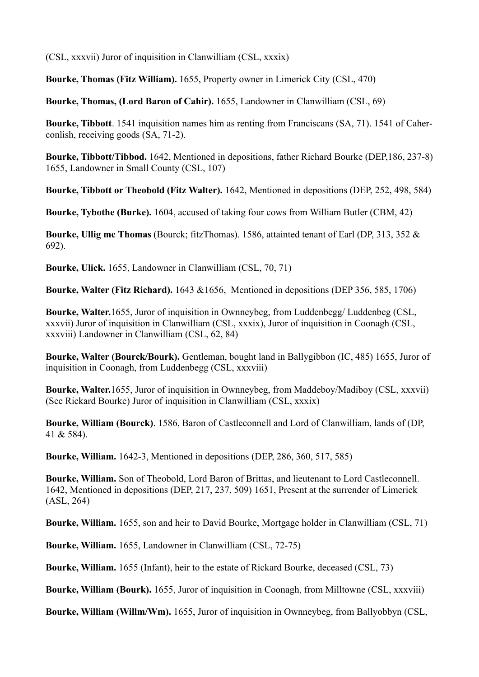(CSL, xxxvii) Juror of inquisition in Clanwilliam (CSL, xxxix)

**Bourke, Thomas (Fitz William).** 1655, Property owner in Limerick City (CSL, 470)

**Bourke, Thomas, (Lord Baron of Cahir).** 1655, Landowner in Clanwilliam (CSL, 69)

**Bourke, Tibbott**. 1541 inquisition names him as renting from Franciscans (SA, 71). 1541 of Caherconlish, receiving goods (SA, 71-2).

**Bourke, Tibbott/Tibbod.** 1642, Mentioned in depositions, father Richard Bourke (DEP,186, 237-8) 1655, Landowner in Small County (CSL, 107)

**Bourke, Tibbott or Theobold (Fitz Walter).** 1642, Mentioned in depositions (DEP, 252, 498, 584)

**Bourke, Tybothe (Burke).** 1604, accused of taking four cows from William Butler (CBM, 42)

**Bourke, Ullig mc Thomas** (Bourck; fitzThomas). 1586, attainted tenant of Earl (DP, 313, 352 & 692).

**Bourke, Ulick.** 1655, Landowner in Clanwilliam (CSL, 70, 71)

**Bourke, Walter (Fitz Richard).** 1643 &1656, Mentioned in depositions (DEP 356, 585, 1706)

**Bourke, Walter.**1655, Juror of inquisition in Ownneybeg, from Luddenbegg/ Luddenbeg (CSL, xxxvii) Juror of inquisition in Clanwilliam (CSL, xxxix), Juror of inquisition in Coonagh (CSL, xxxviii) Landowner in Clanwilliam (CSL, 62, 84)

**Bourke, Walter (Bourck/Bourk).** Gentleman, bought land in Ballygibbon (IC, 485) 1655, Juror of inquisition in Coonagh, from Luddenbegg (CSL, xxxviii)

**Bourke, Walter.**1655, Juror of inquisition in Ownneybeg, from Maddeboy/Madiboy (CSL, xxxvii) (See Rickard Bourke) Juror of inquisition in Clanwilliam (CSL, xxxix)

**Bourke, William (Bourck)**. 1586, Baron of Castleconnell and Lord of Clanwilliam, lands of (DP, 41 & 584).

**Bourke, William.** 1642-3, Mentioned in depositions (DEP, 286, 360, 517, 585)

**Bourke, William.** Son of Theobold, Lord Baron of Brittas, and lieutenant to Lord Castleconnell. 1642, Mentioned in depositions (DEP, 217, 237, 509) 1651, Present at the surrender of Limerick (ASL, 264)

**Bourke, William.** 1655, son and heir to David Bourke, Mortgage holder in Clanwilliam (CSL, 71)

**Bourke, William.** 1655, Landowner in Clanwilliam (CSL, 72-75)

**Bourke, William.** 1655 (Infant), heir to the estate of Rickard Bourke, deceased (CSL, 73)

**Bourke, William (Bourk).** 1655, Juror of inquisition in Coonagh, from Milltowne (CSL, xxxviii)

**Bourke, William (Willm/Wm).** 1655, Juror of inquisition in Ownneybeg, from Ballyobbyn (CSL,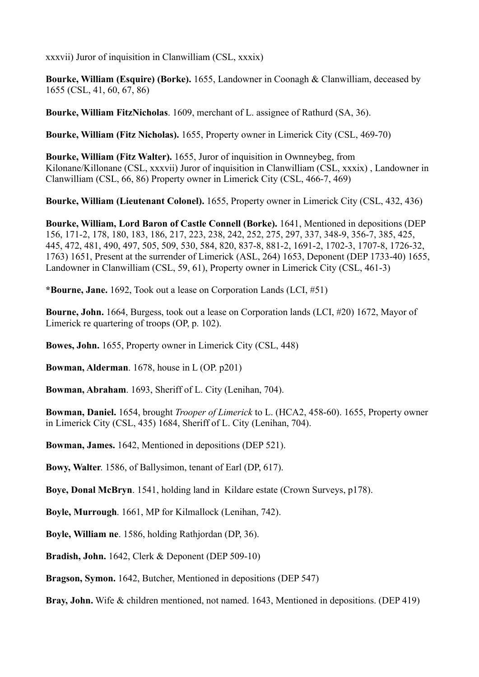xxxvii) Juror of inquisition in Clanwilliam (CSL, xxxix)

**Bourke, William (Esquire) (Borke).** 1655, Landowner in Coonagh & Clanwilliam, deceased by 1655 (CSL, 41, 60, 67, 86)

**Bourke, William FitzNicholas**. 1609, merchant of L. assignee of Rathurd (SA, 36).

**Bourke, William (Fitz Nicholas).** 1655, Property owner in Limerick City (CSL, 469-70)

**Bourke, William (Fitz Walter).** 1655, Juror of inquisition in Ownneybeg, from Kilonane/Killonane (CSL, xxxvii) Juror of inquisition in Clanwilliam (CSL, xxxix) , Landowner in Clanwilliam (CSL, 66, 86) Property owner in Limerick City (CSL, 466-7, 469)

**Bourke, William (Lieutenant Colonel).** 1655, Property owner in Limerick City (CSL, 432, 436)

**Bourke, William, Lord Baron of Castle Connell (Borke).** 1641, Mentioned in depositions (DEP 156, 171-2, 178, 180, 183, 186, 217, 223, 238, 242, 252, 275, 297, 337, 348-9, 356-7, 385, 425, 445, 472, 481, 490, 497, 505, 509, 530, 584, 820, 837-8, 881-2, 1691-2, 1702-3, 1707-8, 1726-32, 1763) 1651, Present at the surrender of Limerick (ASL, 264) 1653, Deponent (DEP 1733-40) 1655, Landowner in Clanwilliam (CSL, 59, 61), Property owner in Limerick City (CSL, 461-3)

**\*Bourne, Jane.** 1692, Took out a lease on Corporation Lands (LCI, #51)

**Bourne, John.** 1664, Burgess, took out a lease on Corporation lands (LCI, #20) 1672, Mayor of Limerick re quartering of troops (OP, p. 102).

**Bowes, John.** 1655, Property owner in Limerick City (CSL, 448)

**Bowman, Alderman**. 1678, house in L (OP. p201)

**Bowman, Abraham**. 1693, Sheriff of L. City (Lenihan, 704).

**Bowman, Daniel.** 1654, brought *Trooper of Limerick* to L. (HCA2, 458-60). 1655, Property owner in Limerick City (CSL, 435) 1684, Sheriff of L. City (Lenihan, 704).

**Bowman, James.** 1642, Mentioned in depositions (DEP 521).

**Bowy, Walter**. 1586, of Ballysimon, tenant of Earl (DP, 617).

**Boye, Donal McBryn**. 1541, holding land in Kildare estate (Crown Surveys, p178).

**Boyle, Murrough**. 1661, MP for Kilmallock (Lenihan, 742).

**Boyle, William ne**. 1586, holding Rathjordan (DP, 36).

**Bradish, John.** 1642, Clerk & Deponent (DEP 509-10)

**Bragson, Symon.** 1642, Butcher, Mentioned in depositions (DEP 547)

**Bray, John.** Wife & children mentioned, not named. 1643, Mentioned in depositions. (DEP 419)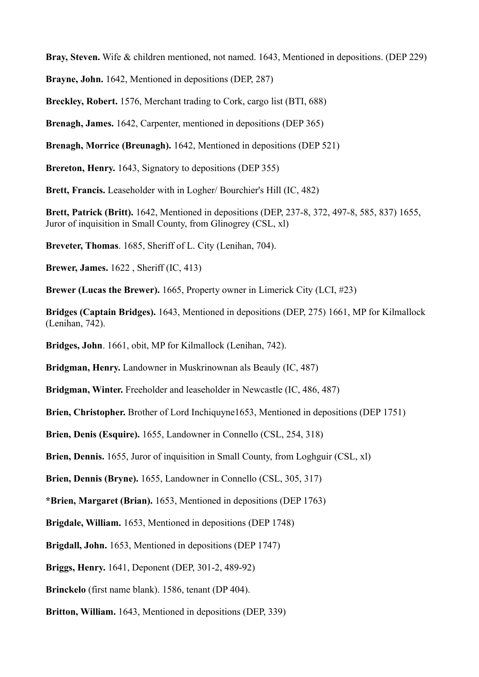**Bray, Steven.** Wife & children mentioned, not named. 1643, Mentioned in depositions. (DEP 229)

**Brayne, John.** 1642, Mentioned in depositions (DEP, 287)

**Breckley, Robert.** 1576, Merchant trading to Cork, cargo list (BTI, 688)

**Brenagh, James.** 1642, Carpenter, mentioned in depositions (DEP 365)

**Brenagh, Morrice (Breunagh).** 1642, Mentioned in depositions (DEP 521)

**Brereton, Henry.** 1643, Signatory to depositions (DEP 355)

**Brett, Francis.** Leaseholder with in Logher/ Bourchier's Hill (IC, 482)

**Brett, Patrick (Britt).** 1642, Mentioned in depositions (DEP, 237-8, 372, 497-8, 585, 837) 1655, Juror of inquisition in Small County, from Glinogrey (CSL, xl)

**Breveter, Thomas**. 1685, Sheriff of L. City (Lenihan, 704).

**Brewer, James.** 1622 , Sheriff (IC, 413)

**Brewer (Lucas the Brewer).** 1665, Property owner in Limerick City (LCI, #23)

**Bridges (Captain Bridges).** 1643, Mentioned in depositions (DEP, 275) 1661, MP for Kilmallock (Lenihan, 742).

**Bridges, John**. 1661, obit, MP for Kilmallock (Lenihan, 742).

**Bridgman, Henry.** Landowner in Muskrinownan als Beauly (IC, 487)

**Bridgman, Winter.** Freeholder and leaseholder in Newcastle (IC, 486, 487)

**Brien, Christopher.** Brother of Lord Inchiquyne1653, Mentioned in depositions (DEP 1751)

**Brien, Denis (Esquire).** 1655, Landowner in Connello (CSL, 254, 318)

**Brien, Dennis.** 1655, Juror of inquisition in Small County, from Loghguir (CSL, xl)

**Brien, Dennis (Bryne).** 1655, Landowner in Connello (CSL, 305, 317)

**\*Brien, Margaret (Brian).** 1653, Mentioned in depositions (DEP 1763)

**Brigdale, William.** 1653, Mentioned in depositions (DEP 1748)

**Brigdall, John.** 1653, Mentioned in depositions (DEP 1747)

**Briggs, Henry.** 1641, Deponent (DEP, 301-2, 489-92)

**Brinckelo** (first name blank). 1586, tenant (DP 404).

**Britton, William.** 1643, Mentioned in depositions (DEP, 339)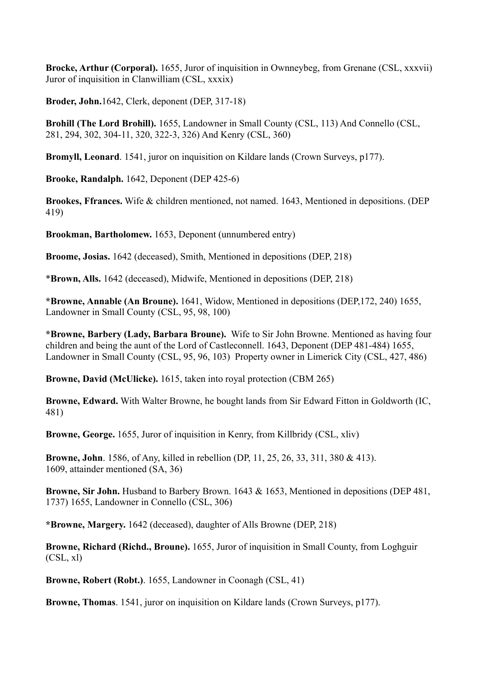**Brocke, Arthur (Corporal).** 1655, Juror of inquisition in Ownneybeg, from Grenane (CSL, xxxvii) Juror of inquisition in Clanwilliam (CSL, xxxix)

**Broder, John.**1642, Clerk, deponent (DEP, 317-18)

**Brohill (The Lord Brohill).** 1655, Landowner in Small County (CSL, 113) And Connello (CSL, 281, 294, 302, 304-11, 320, 322-3, 326) And Kenry (CSL, 360)

**Bromyll, Leonard**. 1541, juror on inquisition on Kildare lands (Crown Surveys, p177).

**Brooke, Randalph.** 1642, Deponent (DEP 425-6)

**Brookes, Ffrances.** Wife & children mentioned, not named. 1643, Mentioned in depositions. (DEP 419)

**Brookman, Bartholomew.** 1653, Deponent (unnumbered entry)

**Broome, Josias.** 1642 (deceased), Smith, Mentioned in depositions (DEP, 218)

\***Brown, Alls.** 1642 (deceased), Midwife, Mentioned in depositions (DEP, 218)

**\*Browne, Annable (An Broune).** 1641, Widow, Mentioned in depositions (DEP,172, 240) 1655, Landowner in Small County (CSL, 95, 98, 100)

**\*Browne, Barbery (Lady, Barbara Broune).** Wife to Sir John Browne. Mentioned as having four children and being the aunt of the Lord of Castleconnell. 1643, Deponent (DEP 481-484) 1655, Landowner in Small County (CSL, 95, 96, 103) Property owner in Limerick City (CSL, 427, 486)

**Browne, David (McUlicke).** 1615, taken into royal protection (CBM 265)

**Browne, Edward.** With Walter Browne, he bought lands from Sir Edward Fitton in Goldworth (IC, 481)

**Browne, George.** 1655, Juror of inquisition in Kenry, from Killbridy (CSL, xliv)

**Browne, John**. 1586, of Any, killed in rebellion (DP, 11, 25, 26, 33, 311, 380 & 413). 1609, attainder mentioned (SA, 36)

**Browne, Sir John.** Husband to Barbery Brown. 1643 & 1653, Mentioned in depositions (DEP 481, 1737) 1655, Landowner in Connello (CSL, 306)

**\*Browne, Margery.** 1642 (deceased), daughter of Alls Browne (DEP, 218)

**Browne, Richard (Richd., Broune).** 1655, Juror of inquisition in Small County, from Loghguir (CSL, xl)

**Browne, Robert (Robt.)**. 1655, Landowner in Coonagh (CSL, 41)

**Browne, Thomas**. 1541, juror on inquisition on Kildare lands (Crown Surveys, p177).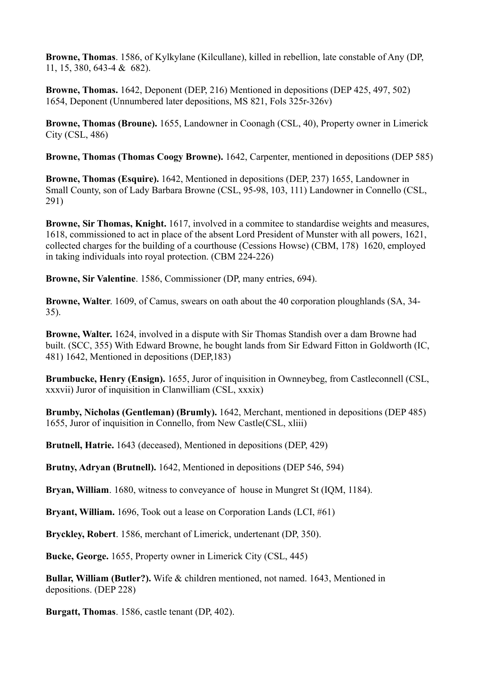**Browne, Thomas**. 1586, of Kylkylane (Kilcullane), killed in rebellion, late constable of Any (DP, 11, 15, 380, 643-4 & 682).

**Browne, Thomas.** 1642, Deponent (DEP, 216) Mentioned in depositions (DEP 425, 497, 502) 1654, Deponent (Unnumbered later depositions, MS 821, Fols 325r-326v)

**Browne, Thomas (Broune).** 1655, Landowner in Coonagh (CSL, 40), Property owner in Limerick City (CSL, 486)

**Browne, Thomas (Thomas Coogy Browne).** 1642, Carpenter, mentioned in depositions (DEP 585)

**Browne, Thomas (Esquire).** 1642, Mentioned in depositions (DEP, 237) 1655, Landowner in Small County, son of Lady Barbara Browne (CSL, 95-98, 103, 111) Landowner in Connello (CSL, 291)

**Browne, Sir Thomas, Knight.** 1617, involved in a commitee to standardise weights and measures, 1618, commissioned to act in place of the absent Lord President of Munster with all powers, 1621, collected charges for the building of a courthouse (Cessions Howse) (CBM, 178) 1620, employed in taking individuals into royal protection. (CBM 224-226)

**Browne, Sir Valentine**. 1586, Commissioner (DP, many entries, 694).

**Browne, Walter**. 1609, of Camus, swears on oath about the 40 corporation ploughlands (SA, 34- 35).

**Browne, Walter.** 1624, involved in a dispute with Sir Thomas Standish over a dam Browne had built. (SCC, 355) With Edward Browne, he bought lands from Sir Edward Fitton in Goldworth (IC, 481) 1642, Mentioned in depositions (DEP,183)

**Brumbucke, Henry (Ensign).** 1655, Juror of inquisition in Ownneybeg, from Castleconnell (CSL, xxxvii) Juror of inquisition in Clanwilliam (CSL, xxxix)

**Brumby, Nicholas (Gentleman) (Brumly).** 1642, Merchant, mentioned in depositions (DEP 485) 1655, Juror of inquisition in Connello, from New Castle(CSL, xliii)

**Brutnell, Hatrie.** 1643 (deceased), Mentioned in depositions (DEP, 429)

**Brutny, Adryan (Brutnell).** 1642, Mentioned in depositions (DEP 546, 594)

**Bryan, William**. 1680, witness to conveyance of house in Mungret St (IQM, 1184).

**Bryant, William.** 1696, Took out a lease on Corporation Lands (LCI, #61)

**Bryckley, Robert**. 1586, merchant of Limerick, undertenant (DP, 350).

**Bucke, George.** 1655, Property owner in Limerick City (CSL, 445)

**Bullar, William (Butler?).** Wife & children mentioned, not named. 1643, Mentioned in depositions. (DEP 228)

**Burgatt, Thomas**. 1586, castle tenant (DP, 402).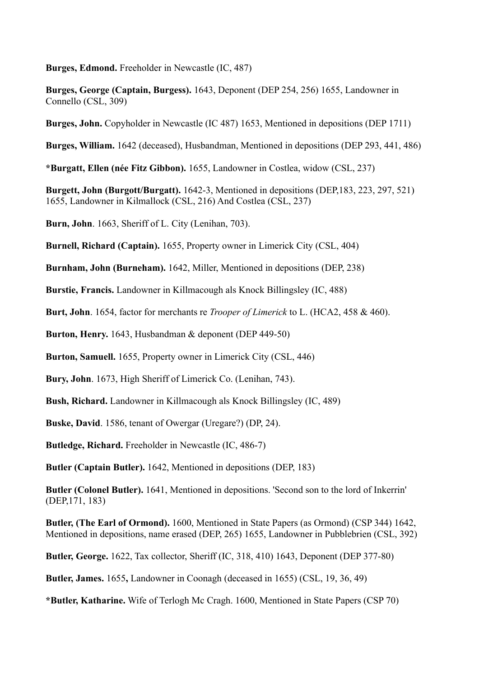**Burges, Edmond.** Freeholder in Newcastle (IC, 487)

**Burges, George (Captain, Burgess).** 1643, Deponent (DEP 254, 256) 1655, Landowner in Connello (CSL, 309)

**Burges, John.** Copyholder in Newcastle (IC 487) 1653, Mentioned in depositions (DEP 1711)

**Burges, William.** 1642 (deceased), Husbandman, Mentioned in depositions (DEP 293, 441, 486)

**\*Burgatt, Ellen (née Fitz Gibbon).** 1655, Landowner in Costlea, widow (CSL, 237)

**Burgett, John (Burgott/Burgatt).** 1642-3, Mentioned in depositions (DEP,183, 223, 297, 521) 1655, Landowner in Kilmallock (CSL, 216) And Costlea (CSL, 237)

**Burn, John**. 1663, Sheriff of L. City (Lenihan, 703).

**Burnell, Richard (Captain).** 1655, Property owner in Limerick City (CSL, 404)

**Burnham, John (Burneham).** 1642, Miller, Mentioned in depositions (DEP, 238)

**Burstie, Francis.** Landowner in Killmacough als Knock Billingsley (IC, 488)

**Burt, John**. 1654, factor for merchants re *Trooper of Limerick* to L. (HCA2, 458 & 460).

**Burton, Henry.** 1643, Husbandman & deponent (DEP 449-50)

**Burton, Samuell.** 1655, Property owner in Limerick City (CSL, 446)

**Bury, John**. 1673, High Sheriff of Limerick Co. (Lenihan, 743).

**Bush, Richard.** Landowner in Killmacough als Knock Billingsley (IC, 489)

**Buske, David**. 1586, tenant of Owergar (Uregare?) (DP, 24).

**Butledge, Richard.** Freeholder in Newcastle (IC, 486-7)

**Butler (Captain Butler).** 1642, Mentioned in depositions (DEP, 183)

**Butler (Colonel Butler).** 1641, Mentioned in depositions. 'Second son to the lord of Inkerrin' (DEP,171, 183)

**Butler, (The Earl of Ormond).** 1600, Mentioned in State Papers (as Ormond) (CSP 344) 1642, Mentioned in depositions, name erased (DEP, 265) 1655, Landowner in Pubblebrien (CSL, 392)

**Butler, George.** 1622, Tax collector, Sheriff (IC, 318, 410) 1643, Deponent (DEP 377-80)

**Butler, James.** 1655**,** Landowner in Coonagh (deceased in 1655) (CSL, 19, 36, 49)

**\*Butler, Katharine.** Wife of Terlogh Mc Cragh. 1600, Mentioned in State Papers (CSP 70)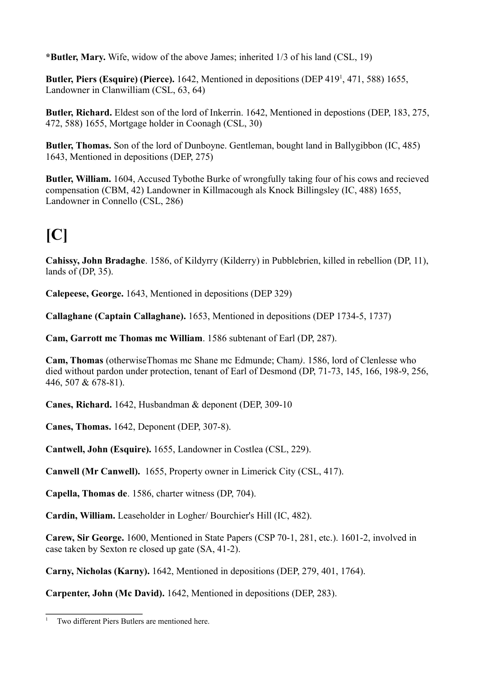**\*Butler, Mary.** Wife, widow of the above James; inherited 1/3 of his land (CSL, 19)

Butler, Piers (Esquire) (Pierce). 1642, Mentioned in depositions (DEP 419<sup>1</sup>, 471, 588) 1655, Landowner in Clanwilliam (CSL, 63, 64)

**Butler, Richard.** Eldest son of the lord of Inkerrin. 1642, Mentioned in depostions (DEP, 183, 275, 472, 588) 1655, Mortgage holder in Coonagh (CSL, 30)

**Butler, Thomas.** Son of the lord of Dunboyne. Gentleman, bought land in Ballygibbon (IC, 485) 1643, Mentioned in depositions (DEP, 275)

**Butler, William.** 1604, Accused Tybothe Burke of wrongfully taking four of his cows and recieved compensation (CBM, 42) Landowner in Killmacough als Knock Billingsley (IC, 488) 1655, Landowner in Connello (CSL, 286)

# **[C]**

**Cahissy, John Bradaghe**. 1586, of Kildyrry (Kilderry) in Pubblebrien, killed in rebellion (DP, 11), lands of (DP, 35).

**Calepeese, George.** 1643, Mentioned in depositions (DEP 329)

**Callaghane (Captain Callaghane).** 1653, Mentioned in depositions (DEP 1734-5, 1737)

**Cam, Garrott mc Thomas mc William**. 1586 subtenant of Earl (DP, 287).

**Cam, Thomas** (otherwiseThomas mc Shane mc Edmunde; Cham*)*. 1586, lord of Clenlesse who died without pardon under protection, tenant of Earl of Desmond (DP, 71-73, 145, 166, 198-9, 256, 446, 507 & 678-81).

**Canes, Richard.** 1642, Husbandman & deponent (DEP, 309-10

**Canes, Thomas.** 1642, Deponent (DEP, 307-8).

**Cantwell, John (Esquire).** 1655, Landowner in Costlea (CSL, 229).

**Canwell (Mr Canwell).** 1655, Property owner in Limerick City (CSL, 417).

**Capella, Thomas de**. 1586, charter witness (DP, 704).

**Cardin, William.** Leaseholder in Logher/ Bourchier's Hill (IC, 482).

**Carew, Sir George.** 1600, Mentioned in State Papers (CSP 70-1, 281, etc.). 1601-2, involved in case taken by Sexton re closed up gate (SA, 41-2).

**Carny, Nicholas (Karny).** 1642, Mentioned in depositions (DEP, 279, 401, 1764).

**Carpenter, John (Mc David).** 1642, Mentioned in depositions (DEP, 283).

Two different Piers Butlers are mentioned here.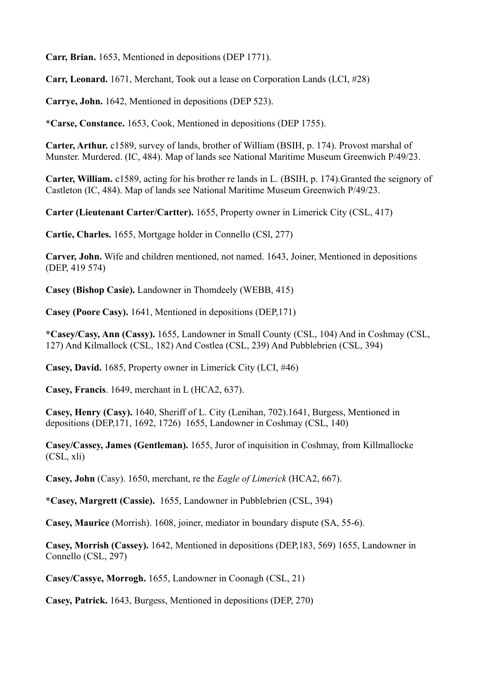**Carr, Brian.** 1653, Mentioned in depositions (DEP 1771).

**Carr, Leonard.** 1671, Merchant, Took out a lease on Corporation Lands (LCI, #28)

**Carrye, John.** 1642, Mentioned in depositions (DEP 523).

**\*Carse, Constance.** 1653, Cook, Mentioned in depositions (DEP 1755).

**Carter, Arthur.** c1589, survey of lands, brother of William (BSIH, p. 174). Provost marshal of Munster. Murdered. (IC, 484). Map of lands see National Maritime Museum Greenwich P/49/23.

**Carter, William.** c1589, acting for his brother re lands in L. (BSIH, p. 174).Granted the seignory of Castleton (IC, 484). Map of lands see National Maritime Museum Greenwich P/49/23.

**Carter (Lieutenant Carter/Cartter).** 1655, Property owner in Limerick City (CSL, 417)

**Cartie, Charles.** 1655, Mortgage holder in Connello (CSl, 277)

**Carver, John.** Wife and children mentioned, not named. 1643, Joiner, Mentioned in depositions (DEP, 419 574)

**Casey (Bishop Casie).** Landowner in Thomdeely (WEBB, 415)

**Casey (Poore Casy).** 1641, Mentioned in depositions (DEP,171)

**\*Casey/Casy, Ann (Cassy).** 1655, Landowner in Small County (CSL, 104) And in Coshmay (CSL, 127) And Kilmallock (CSL, 182) And Costlea (CSL, 239) And Pubblebrien (CSL, 394)

**Casey, David.** 1685, Property owner in Limerick City (LCI, #46)

**Casey, Francis**. 1649, merchant in L (HCA2, 637).

**Casey, Henry (Casy).** 1640, Sheriff of L. City (Lenihan, 702).1641, Burgess, Mentioned in depositions (DEP,171, 1692, 1726)1655, Landowner in Coshmay (CSL, 140)

**Casey/Cassey, James (Gentleman).** 1655, Juror of inquisition in Coshmay, from Killmallocke (CSL, xli)

**Casey, John** (Casy). 1650, merchant, re the *Eagle of Limerick* (HCA2, 667).

**\*Casey, Margrett (Cassie).** 1655, Landowner in Pubblebrien (CSL, 394)

**Casey, Maurice** (Morrish). 1608, joiner, mediator in boundary dispute (SA, 55-6).

**Casey, Morrish (Cassey).** 1642, Mentioned in depositions (DEP,183, 569) 1655, Landowner in Connello (CSL, 297)

**Casey/Cassye, Morrogh.** 1655, Landowner in Coonagh (CSL, 21)

**Casey, Patrick.** 1643, Burgess, Mentioned in depositions (DEP, 270)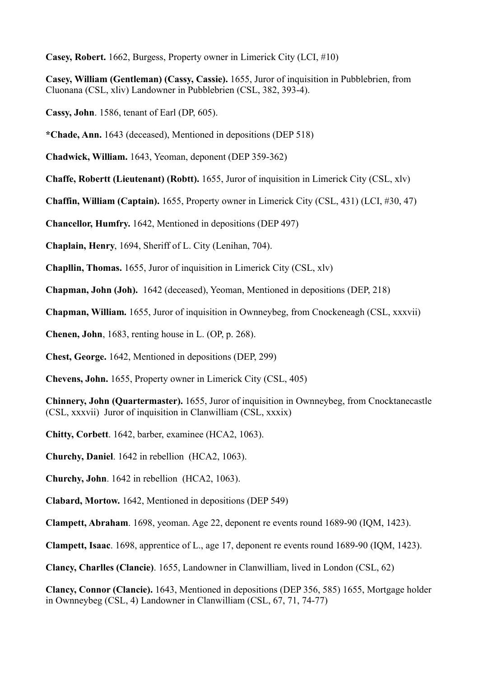**Casey, Robert.** 1662, Burgess, Property owner in Limerick City (LCI, #10)

**Casey, William (Gentleman) (Cassy, Cassie).** 1655, Juror of inquisition in Pubblebrien, from Cluonana (CSL, xliv) Landowner in Pubblebrien (CSL, 382, 393-4).

**Cassy, John**. 1586, tenant of Earl (DP, 605).

**\*Chade, Ann.** 1643 (deceased), Mentioned in depositions (DEP 518)

**Chadwick, William.** 1643, Yeoman, deponent (DEP 359-362)

**Chaffe, Robertt (Lieutenant) (Robtt).** 1655, Juror of inquisition in Limerick City (CSL, xlv)

**Chaffin, William (Captain).** 1655, Property owner in Limerick City (CSL, 431) (LCI, #30, 47)

**Chancellor, Humfry.** 1642, Mentioned in depositions (DEP 497)

**Chaplain, Henry**, 1694, Sheriff of L. City (Lenihan, 704).

**Chapllin, Thomas.** 1655, Juror of inquisition in Limerick City (CSL, xlv)

**Chapman, John (Joh).** 1642 (deceased), Yeoman, Mentioned in depositions (DEP, 218)

**Chapman, William.** 1655, Juror of inquisition in Ownneybeg, from Cnockeneagh (CSL, xxxvii)

**Chenen, John**, 1683, renting house in L. (OP, p. 268).

**Chest, George.** 1642, Mentioned in depositions (DEP, 299)

**Chevens, John.** 1655, Property owner in Limerick City (CSL, 405)

**Chinnery, John (Quartermaster).** 1655, Juror of inquisition in Ownneybeg, from Cnocktanecastle (CSL, xxxvii) Juror of inquisition in Clanwilliam (CSL, xxxix)

**Chitty, Corbett**. 1642, barber, examinee (HCA2, 1063).

**Churchy, Daniel**. 1642 in rebellion (HCA2, 1063).

**Churchy, John**. 1642 in rebellion (HCA2, 1063).

**Clabard, Mortow.** 1642, Mentioned in depositions (DEP 549)

**Clampett, Abraham**. 1698, yeoman. Age 22, deponent re events round 1689-90 (IQM, 1423).

**Clampett, Isaac**. 1698, apprentice of L., age 17, deponent re events round 1689-90 (IQM, 1423).

**Clancy, Charlles (Clancie)**. 1655, Landowner in Clanwilliam, lived in London (CSL, 62)

**Clancy, Connor (Clancie).** 1643, Mentioned in depositions (DEP 356, 585) 1655, Mortgage holder in Ownneybeg (CSL, 4) Landowner in Clanwilliam (CSL, 67, 71, 74-77)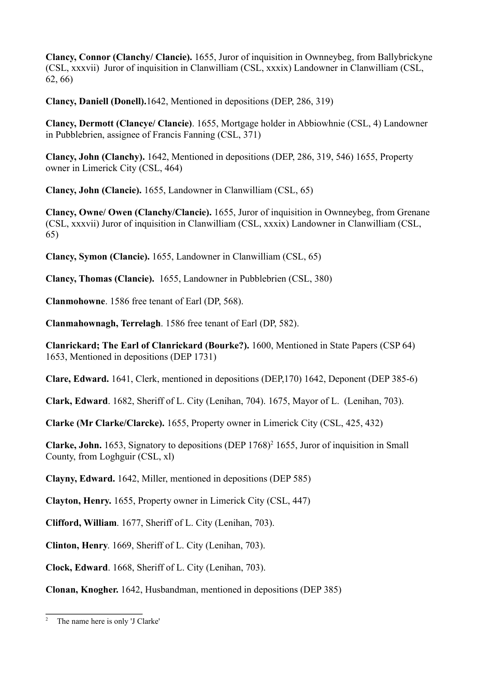**Clancy, Connor (Clanchy/ Clancie).** 1655, Juror of inquisition in Ownneybeg, from Ballybrickyne (CSL, xxxvii) Juror of inquisition in Clanwilliam (CSL, xxxix) Landowner in Clanwilliam (CSL, 62, 66)

**Clancy, Daniell (Donell).**1642, Mentioned in depositions (DEP, 286, 319)

**Clancy, Dermott (Clancye/ Clancie)**. 1655, Mortgage holder in Abbiowhnie (CSL, 4) Landowner in Pubblebrien, assignee of Francis Fanning (CSL, 371)

**Clancy, John (Clanchy).** 1642, Mentioned in depositions (DEP, 286, 319, 546) 1655, Property owner in Limerick City (CSL, 464)

**Clancy, John (Clancie).** 1655, Landowner in Clanwilliam (CSL, 65)

**Clancy, Owne/ Owen (Clanchy/Clancie).** 1655, Juror of inquisition in Ownneybeg, from Grenane (CSL, xxxvii) Juror of inquisition in Clanwilliam (CSL, xxxix) Landowner in Clanwilliam (CSL, 65)

**Clancy, Symon (Clancie).** 1655, Landowner in Clanwilliam (CSL, 65)

**Clancy, Thomas (Clancie).** 1655, Landowner in Pubblebrien (CSL, 380)

**Clanmohowne**. 1586 free tenant of Earl (DP, 568).

**Clanmahownagh, Terrelagh**. 1586 free tenant of Earl (DP, 582).

**Clanrickard; The Earl of Clanrickard (Bourke?).** 1600, Mentioned in State Papers (CSP 64) 1653, Mentioned in depositions (DEP 1731)

**Clare, Edward.** 1641, Clerk, mentioned in depositions (DEP,170) 1642, Deponent (DEP 385-6)

**Clark, Edward**. 1682, Sheriff of L. City (Lenihan, 704). 1675, Mayor of L. (Lenihan, 703).

**Clarke (Mr Clarke/Clarcke).** 1655, Property owner in Limerick City (CSL, 425, 432)

**Clarke, John.** 1653, Signatory to depositions (DEP 1768)<sup>2</sup> 1655, Juror of inquisition in Small County, from Loghguir (CSL, xl)

**Clayny, Edward.** 1642, Miller, mentioned in depositions (DEP 585)

**Clayton, Henry.** 1655, Property owner in Limerick City (CSL, 447)

**Clifford, William**. 1677, Sheriff of L. City (Lenihan, 703).

**Clinton, Henry**. 1669, Sheriff of L. City (Lenihan, 703).

**Clock, Edward**. 1668, Sheriff of L. City (Lenihan, 703).

**Clonan, Knogher.** 1642, Husbandman, mentioned in depositions (DEP 385)

<sup>&</sup>lt;sup>2</sup> The name here is only 'J Clarke'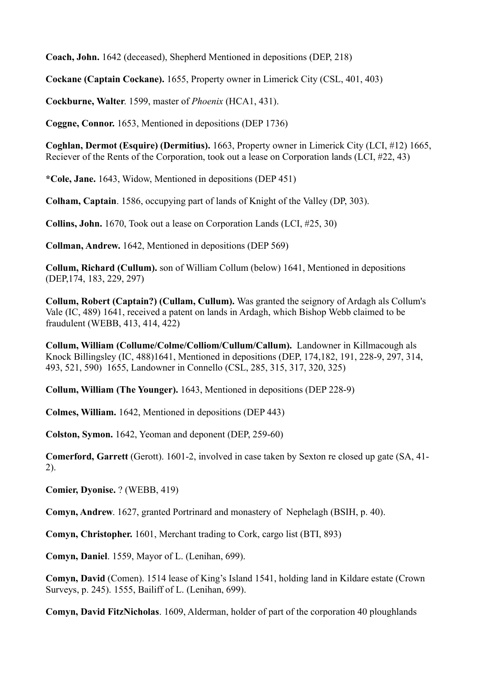**Coach, John.** 1642 (deceased), Shepherd Mentioned in depositions (DEP, 218)

**Cockane (Captain Cockane).** 1655, Property owner in Limerick City (CSL, 401, 403)

**Cockburne, Walter**. 1599, master of *Phoenix* (HCA1, 431).

**Coggne, Connor.** 1653, Mentioned in depositions (DEP 1736)

**Coghlan, Dermot (Esquire) (Dermitius).** 1663, Property owner in Limerick City (LCI, #12) 1665, Reciever of the Rents of the Corporation, took out a lease on Corporation lands (LCI, #22, 43)

**\*Cole, Jane.** 1643, Widow, Mentioned in depositions (DEP 451)

**Colham, Captain**. 1586, occupying part of lands of Knight of the Valley (DP, 303).

**Collins, John.** 1670, Took out a lease on Corporation Lands (LCI, #25, 30)

**Collman, Andrew.** 1642, Mentioned in depositions (DEP 569)

**Collum, Richard (Cullum).** son of William Collum (below) 1641, Mentioned in depositions (DEP,174, 183, 229, 297)

**Collum, Robert (Captain?) (Cullam, Cullum).** Was granted the seignory of Ardagh als Collum's Vale (IC, 489) 1641, received a patent on lands in Ardagh, which Bishop Webb claimed to be fraudulent (WEBB, 413, 414, 422)

**Collum, William (Collume/Colme/Colliom/Cullum/Callum).** Landowner in Killmacough als Knock Billingsley (IC, 488)1641, Mentioned in depositions (DEP, 174,182, 191, 228-9, 297, 314, 493, 521, 590)1655, Landowner in Connello (CSL, 285, 315, 317, 320, 325)

**Collum, William (The Younger).** 1643, Mentioned in depositions (DEP 228-9)

**Colmes, William.** 1642, Mentioned in depositions (DEP 443)

**Colston, Symon.** 1642, Yeoman and deponent (DEP, 259-60)

**Comerford, Garrett** (Gerott). 1601-2, involved in case taken by Sexton re closed up gate (SA, 41- 2).

**Comier, Dyonise.** ? (WEBB, 419)

**Comyn, Andrew**. 1627, granted Portrinard and monastery of Nephelagh (BSIH, p. 40).

**Comyn, Christopher.** 1601, Merchant trading to Cork, cargo list (BTI, 893)

**Comyn, Daniel**. 1559, Mayor of L. (Lenihan, 699).

**Comyn, David** (Comen). 1514 lease of King's Island 1541, holding land in Kildare estate (Crown Surveys, p. 245). 1555, Bailiff of L. (Lenihan, 699).

**Comyn, David FitzNicholas**. 1609, Alderman, holder of part of the corporation 40 ploughlands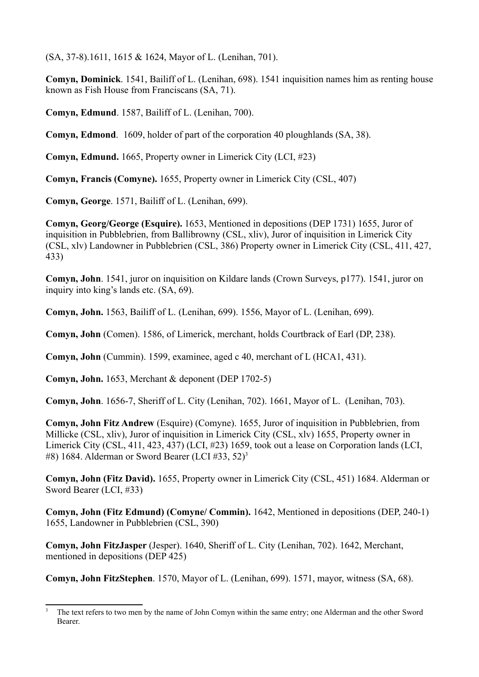(SA, 37-8).1611, 1615 & 1624, Mayor of L. (Lenihan, 701).

**Comyn, Dominick**. 1541, Bailiff of L. (Lenihan, 698). 1541 inquisition names him as renting house known as Fish House from Franciscans (SA, 71).

**Comyn, Edmund**. 1587, Bailiff of L. (Lenihan, 700).

**Comyn, Edmond**. 1609, holder of part of the corporation 40 ploughlands (SA, 38).

**Comyn, Edmund.** 1665, Property owner in Limerick City (LCI, #23)

**Comyn, Francis (Comyne).** 1655, Property owner in Limerick City (CSL, 407)

**Comyn, George**. 1571, Bailiff of L. (Lenihan, 699).

**Comyn, Georg/George (Esquire).** 1653, Mentioned in depositions (DEP 1731) 1655, Juror of inquisition in Pubblebrien, from Ballibrowny (CSL, xliv), Juror of inquisition in Limerick City (CSL, xlv) Landowner in Pubblebrien (CSL, 386) Property owner in Limerick City (CSL, 411, 427, 433)

**Comyn, John**. 1541, juror on inquisition on Kildare lands (Crown Surveys, p177). 1541, juror on inquiry into king's lands etc. (SA, 69).

**Comyn, John.** 1563, Bailiff of L. (Lenihan, 699). 1556, Mayor of L. (Lenihan, 699).

**Comyn, John** (Comen). 1586, of Limerick, merchant, holds Courtbrack of Earl (DP, 238).

**Comyn, John** (Cummin). 1599, examinee, aged c 40, merchant of L (HCA1, 431).

**Comyn, John.** 1653, Merchant & deponent (DEP 1702-5)

**Comyn, John**. 1656-7, Sheriff of L. City (Lenihan, 702). 1661, Mayor of L. (Lenihan, 703).

**Comyn, John Fitz Andrew** (Esquire) (Comyne). 1655, Juror of inquisition in Pubblebrien, from Millicke (CSL, xliv), Juror of inquisition in Limerick City (CSL, xlv) 1655, Property owner in Limerick City (CSL, 411, 423, 437) (LCI, #23) 1659, took out a lease on Corporation lands (LCI, #8) 1684. Alderman or Sword Bearer (LCI #33,  $52$ )<sup>3</sup>

**Comyn, John (Fitz David).** 1655, Property owner in Limerick City (CSL, 451) 1684. Alderman or Sword Bearer (LCI, #33)

**Comyn, John (Fitz Edmund) (Comyne/ Commin).** 1642, Mentioned in depositions (DEP, 240-1) 1655, Landowner in Pubblebrien (CSL, 390)

**Comyn, John FitzJasper** (Jesper). 1640, Sheriff of L. City (Lenihan, 702). 1642, Merchant, mentioned in depositions (DEP 425)

**Comyn, John FitzStephen**. 1570, Mayor of L. (Lenihan, 699). 1571, mayor, witness (SA, 68).

<sup>3</sup> The text refers to two men by the name of John Comyn within the same entry; one Alderman and the other Sword Bearer.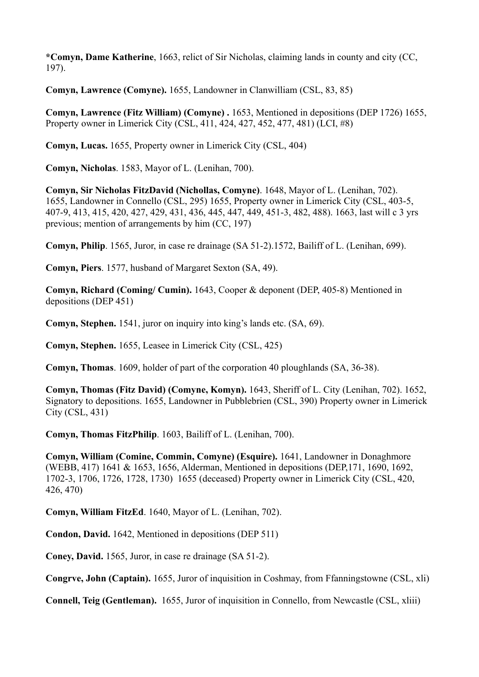**\*Comyn, Dame Katherine**, 1663, relict of Sir Nicholas, claiming lands in county and city (CC, 197).

**Comyn, Lawrence (Comyne).** 1655, Landowner in Clanwilliam (CSL, 83, 85)

**Comyn, Lawrence (Fitz William) (Comyne) .** 1653, Mentioned in depositions (DEP 1726) 1655, Property owner in Limerick City (CSL, 411, 424, 427, 452, 477, 481) (LCI, #8)

**Comyn, Lucas.** 1655, Property owner in Limerick City (CSL, 404)

**Comyn, Nicholas**. 1583, Mayor of L. (Lenihan, 700).

**Comyn, Sir Nicholas FitzDavid (Nichollas, Comyne)**. 1648, Mayor of L. (Lenihan, 702). 1655, Landowner in Connello (CSL, 295) 1655, Property owner in Limerick City (CSL, 403-5, 407-9, 413, 415, 420, 427, 429, 431, 436, 445, 447, 449, 451-3, 482, 488). 1663, last will c 3 yrs previous; mention of arrangements by him (CC, 197)

**Comyn, Philip**. 1565, Juror, in case re drainage (SA 51-2).1572, Bailiff of L. (Lenihan, 699).

**Comyn, Piers**. 1577, husband of Margaret Sexton (SA, 49).

**Comyn, Richard (Coming/ Cumin).** 1643, Cooper & deponent (DEP, 405-8) Mentioned in depositions (DEP 451)

**Comyn, Stephen.** 1541, juror on inquiry into king's lands etc. (SA, 69).

**Comyn, Stephen.** 1655, Leasee in Limerick City (CSL, 425)

**Comyn, Thomas**. 1609, holder of part of the corporation 40 ploughlands (SA, 36-38).

**Comyn, Thomas (Fitz David) (Comyne, Komyn).** 1643, Sheriff of L. City (Lenihan, 702). 1652, Signatory to depositions. 1655, Landowner in Pubblebrien (CSL, 390) Property owner in Limerick City (CSL, 431)

**Comyn, Thomas FitzPhilip**. 1603, Bailiff of L. (Lenihan, 700).

**Comyn, William (Comine, Commin, Comyne) (Esquire).** 1641, Landowner in Donaghmore (WEBB, 417) 1641 & 1653, 1656, Alderman, Mentioned in depositions (DEP,171, 1690, 1692, 1702-3, 1706, 1726, 1728, 1730) 1655 (deceased) Property owner in Limerick City (CSL, 420, 426, 470)

**Comyn, William FitzEd**. 1640, Mayor of L. (Lenihan, 702).

**Condon, David.** 1642, Mentioned in depositions (DEP 511)

**Coney, David.** 1565, Juror, in case re drainage (SA 51-2).

**Congrve, John (Captain).** 1655, Juror of inquisition in Coshmay, from Ffanningstowne (CSL, xli)

**Connell, Teig (Gentleman).** 1655, Juror of inquisition in Connello, from Newcastle (CSL, xliii)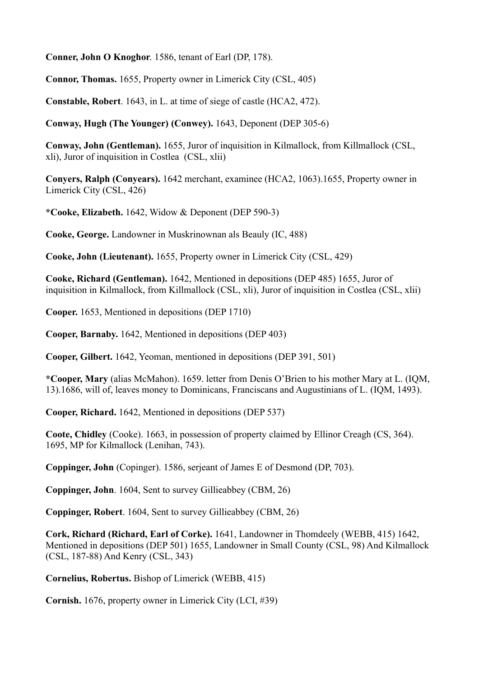**Conner, John O Knoghor**. 1586, tenant of Earl (DP, 178).

**Connor, Thomas.** 1655, Property owner in Limerick City (CSL, 405)

**Constable, Robert**. 1643, in L. at time of siege of castle (HCA2, 472).

**Conway, Hugh (The Younger) (Conwey).** 1643, Deponent (DEP 305-6)

**Conway, John (Gentleman).** 1655, Juror of inquisition in Kilmallock, from Killmallock (CSL, xli), Juror of inquisition in Costlea (CSL, xlii)

**Conyers, Ralph (Conyears).** 1642 merchant, examinee (HCA2, 1063).1655, Property owner in Limerick City (CSL, 426)

**\*Cooke, Elizabeth.** 1642, Widow & Deponent (DEP 590-3)

**Cooke, George.** Landowner in Muskrinownan als Beauly (IC, 488)

**Cooke, John (Lieutenant).** 1655, Property owner in Limerick City (CSL, 429)

**Cooke, Richard (Gentleman).** 1642, Mentioned in depositions (DEP 485) 1655, Juror of inquisition in Kilmallock, from Killmallock (CSL, xli), Juror of inquisition in Costlea (CSL, xlii)

**Cooper.** 1653, Mentioned in depositions (DEP 1710)

**Cooper, Barnaby.** 1642, Mentioned in depositions (DEP 403)

**Cooper, Gilbert.** 1642, Yeoman, mentioned in depositions (DEP 391, 501)

**\*Cooper, Mary** (alias McMahon). 1659. letter from Denis O'Brien to his mother Mary at L. (IQM, 13).1686, will of, leaves money to Dominicans, Franciscans and Augustinians of L. (IQM, 1493).

**Cooper, Richard.** 1642, Mentioned in depositions (DEP 537)

**Coote, Chidley** (Cooke). 1663, in possession of property claimed by Ellinor Creagh (CS, 364). 1695, MP for Kilmallock (Lenihan, 743).

**Coppinger, John** (Copinger). 1586, serjeant of James E of Desmond (DP, 703).

**Coppinger, John**. 1604, Sent to survey Gillieabbey (CBM, 26)

**Coppinger, Robert**. 1604, Sent to survey Gillieabbey (CBM, 26)

**Cork, Richard (Richard, Earl of Corke).** 1641, Landowner in Thomdeely (WEBB, 415) 1642, Mentioned in depositions (DEP 501) 1655, Landowner in Small County (CSL, 98) And Kilmallock (CSL, 187-88) And Kenry (CSL, 343)

**Cornelius, Robertus.** Bishop of Limerick (WEBB, 415)

**Cornish.** 1676, property owner in Limerick City (LCI, #39)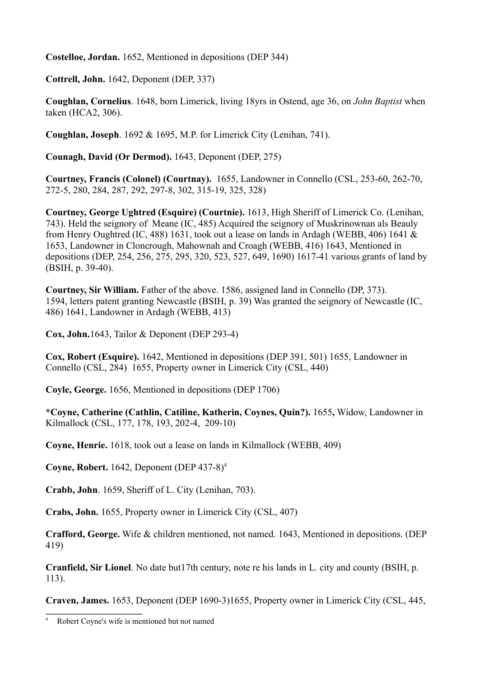**Costelloe, Jordan.** 1652, Mentioned in depositions (DEP 344)

**Cottrell, John.** 1642, Deponent (DEP, 337)

**Coughlan, Cornelius**. 1648, born Limerick, living 18yrs in Ostend, age 36, on *John Baptist* when taken (HCA2, 306).

**Coughlan, Joseph**. 1692 & 1695, M.P. for Limerick City (Lenihan, 741).

**Counagh, David (Or Dermod).** 1643, Deponent (DEP, 275)

**Courtney, Francis (Colonel) (Courtnay).** 1655, Landowner in Connello (CSL, 253-60, 262-70, 272-5, 280, 284, 287, 292, 297-8, 302, 315-19, 325, 328)

**Courtney, George Ughtred (Esquire) (Courtnie).** 1613, High Sheriff of Limerick Co. (Lenihan, 743). Held the seignory of Meane (IC, 485) Acquired the seignory of Muskrinownan als Beauly from Henry Oughtred (IC, 488) 1631, took out a lease on lands in Ardagh (WEBB, 406) 1641 & 1653, Landowner in Cloncrough, Mahownah and Croagh (WEBB, 416) 1643, Mentioned in depositions (DEP, 254, 256, 275, 295, 320, 523, 527, 649, 1690) 1617-41 various grants of land by (BSIH, p. 39-40).

**Courtney, Sir William.** Father of the above. 1586, assigned land in Connello (DP, 373). 1594, letters patent granting Newcastle (BSIH, p. 39) Was granted the seignory of Newcastle (IC, 486) 1641, Landowner in Ardagh (WEBB, 413)

**Cox, John.**1643, Tailor & Deponent (DEP 293-4)

**Cox, Robert (Esquire).** 1642, Mentioned in depositions (DEP 391, 501) 1655, Landowner in Connello (CSL, 284) 1655, Property owner in Limerick City (CSL, 440)

**Coyle, George.** 1656, Mentioned in depositions (DEP 1706)

**\*Coyne, Catherine (Cathlin, Catiline, Katherin, Coynes, Quin?).** 1655**,** Widow, Landowner in Kilmallock (CSL, 177, 178, 193, 202-4, 209-10)

**Coyne, Henrie.** 1618, took out a lease on lands in Kilmallock (WEBB, 409)

**Coyne, Robert.** 1642, Deponent (DEP 437-8)4

**Crabb, John**. 1659, Sheriff of L. City (Lenihan, 703).

**Crabs, John.** 1655, Property owner in Limerick City (CSL, 407)

**Crafford, George.** Wife & children mentioned, not named. 1643, Mentioned in depositions. (DEP 419)

**Cranfield, Sir Lionel**. No date but17th century, note re his lands in L. city and county (BSIH, p. 113).

**Craven, James.** 1653, Deponent (DEP 1690-3)1655, Property owner in Limerick City (CSL, 445,

<sup>4</sup> Robert Coyne's wife is mentioned but not named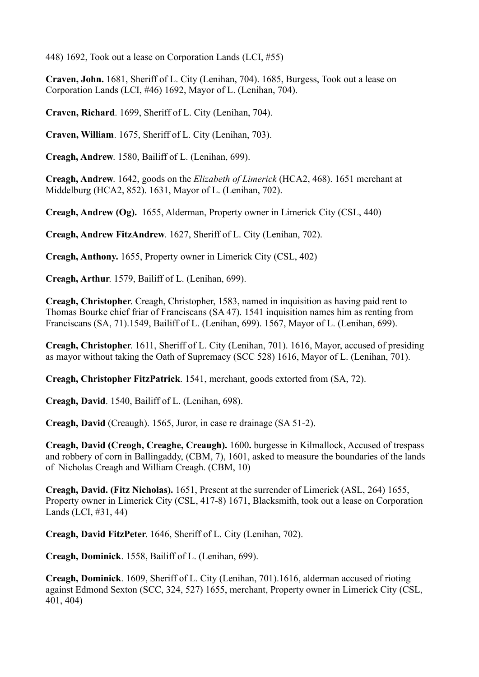448) 1692, Took out a lease on Corporation Lands (LCI, #55)

**Craven, John.** 1681, Sheriff of L. City (Lenihan, 704). 1685, Burgess, Took out a lease on Corporation Lands (LCI, #46) 1692, Mayor of L. (Lenihan, 704).

**Craven, Richard**. 1699, Sheriff of L. City (Lenihan, 704).

**Craven, William**. 1675, Sheriff of L. City (Lenihan, 703).

**Creagh, Andrew**. 1580, Bailiff of L. (Lenihan, 699).

**Creagh, Andrew**. 1642, goods on the *Elizabeth of Limerick* (HCA2, 468). 1651 merchant at Middelburg (HCA2, 852). 1631, Mayor of L. (Lenihan, 702).

**Creagh, Andrew (Og).** 1655, Alderman, Property owner in Limerick City (CSL, 440)

**Creagh, Andrew FitzAndrew**. 1627, Sheriff of L. City (Lenihan, 702).

**Creagh, Anthony.** 1655, Property owner in Limerick City (CSL, 402)

**Creagh, Arthur**. 1579, Bailiff of L. (Lenihan, 699).

**Creagh, Christopher**. Creagh, Christopher, 1583, named in inquisition as having paid rent to Thomas Bourke chief friar of Franciscans (SA 47). 1541 inquisition names him as renting from Franciscans (SA, 71).1549, Bailiff of L. (Lenihan, 699). 1567, Mayor of L. (Lenihan, 699).

**Creagh, Christopher**. 1611, Sheriff of L. City (Lenihan, 701). 1616, Mayor, accused of presiding as mayor without taking the Oath of Supremacy (SCC 528) 1616, Mayor of L. (Lenihan, 701).

**Creagh, Christopher FitzPatrick**. 1541, merchant, goods extorted from (SA, 72).

**Creagh, David**. 1540, Bailiff of L. (Lenihan, 698).

**Creagh, David** (Creaugh). 1565, Juror, in case re drainage (SA 51-2).

**Creagh, David (Creogh, Creaghe, Creaugh).** 1600**.** burgesse in Kilmallock, Accused of trespass and robbery of corn in Ballingaddy, (CBM, 7), 1601, asked to measure the boundaries of the lands of Nicholas Creagh and William Creagh. (CBM, 10)

**Creagh, David. (Fitz Nicholas).** 1651, Present at the surrender of Limerick (ASL, 264) 1655, Property owner in Limerick City (CSL, 417-8) 1671, Blacksmith, took out a lease on Corporation Lands (LCI, #31, 44)

**Creagh, David FitzPeter**. 1646, Sheriff of L. City (Lenihan, 702).

**Creagh, Dominick**. 1558, Bailiff of L. (Lenihan, 699).

**Creagh, Dominick**. 1609, Sheriff of L. City (Lenihan, 701).1616, alderman accused of rioting against Edmond Sexton (SCC, 324, 527) 1655, merchant, Property owner in Limerick City (CSL, 401, 404)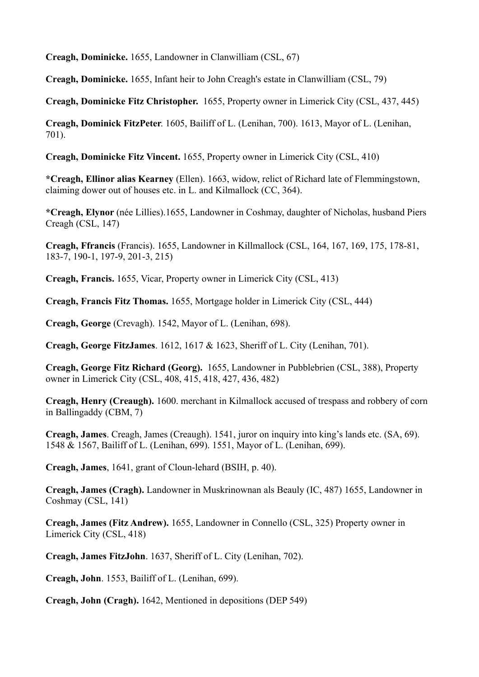**Creagh, Dominicke.** 1655, Landowner in Clanwilliam (CSL, 67)

**Creagh, Dominicke.** 1655, Infant heir to John Creagh's estate in Clanwilliam (CSL, 79)

**Creagh, Dominicke Fitz Christopher.** 1655, Property owner in Limerick City (CSL, 437, 445)

**Creagh, Dominick FitzPeter**. 1605, Bailiff of L. (Lenihan, 700). 1613, Mayor of L. (Lenihan, 701).

**Creagh, Dominicke Fitz Vincent.** 1655, Property owner in Limerick City (CSL, 410)

**\*Creagh, Ellinor alias Kearney** (Ellen). 1663, widow, relict of Richard late of Flemmingstown, claiming dower out of houses etc. in L. and Kilmallock (CC, 364).

**\*Creagh, Elynor** (née Lillies).1655, Landowner in Coshmay, daughter of Nicholas, husband Piers Creagh (CSL, 147)

**Creagh, Ffrancis** (Francis). 1655, Landowner in Killmallock (CSL, 164, 167, 169, 175, 178-81, 183-7, 190-1, 197-9, 201-3, 215)

**Creagh, Francis.** 1655, Vicar, Property owner in Limerick City (CSL, 413)

**Creagh, Francis Fitz Thomas.** 1655, Mortgage holder in Limerick City (CSL, 444)

**Creagh, George** (Crevagh). 1542, Mayor of L. (Lenihan, 698).

**Creagh, George FitzJames**. 1612, 1617 & 1623, Sheriff of L. City (Lenihan, 701).

**Creagh, George Fitz Richard (Georg).** 1655, Landowner in Pubblebrien (CSL, 388), Property owner in Limerick City (CSL, 408, 415, 418, 427, 436, 482)

**Creagh, Henry (Creaugh).** 1600. merchant in Kilmallock accused of trespass and robbery of corn in Ballingaddy (CBM, 7)

**Creagh, James**. Creagh, James (Creaugh). 1541, juror on inquiry into king's lands etc. (SA, 69). 1548 & 1567, Bailiff of L. (Lenihan, 699). 1551, Mayor of L. (Lenihan, 699).

**Creagh, James**, 1641, grant of Cloun-lehard (BSIH, p. 40).

**Creagh, James (Cragh).** Landowner in Muskrinownan als Beauly (IC, 487) 1655, Landowner in Coshmay (CSL, 141)

**Creagh, James (Fitz Andrew).** 1655, Landowner in Connello (CSL, 325) Property owner in Limerick City (CSL, 418)

**Creagh, James FitzJohn**. 1637, Sheriff of L. City (Lenihan, 702).

**Creagh, John**. 1553, Bailiff of L. (Lenihan, 699).

**Creagh, John (Cragh).** 1642, Mentioned in depositions (DEP 549)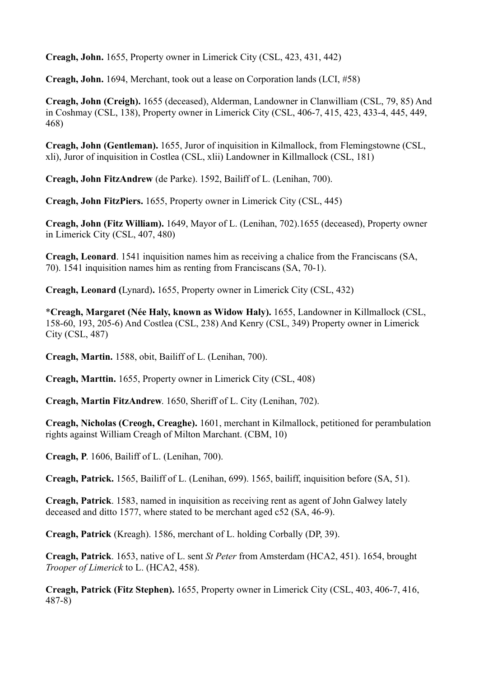**Creagh, John.** 1655, Property owner in Limerick City (CSL, 423, 431, 442)

**Creagh, John.** 1694, Merchant, took out a lease on Corporation lands (LCI, #58)

**Creagh, John (Creigh).** 1655 (deceased), Alderman, Landowner in Clanwilliam (CSL, 79, 85) And in Coshmay (CSL, 138), Property owner in Limerick City (CSL, 406-7, 415, 423, 433-4, 445, 449, 468)

**Creagh, John (Gentleman).** 1655, Juror of inquisition in Kilmallock, from Flemingstowne (CSL, xli), Juror of inquisition in Costlea (CSL, xlii) Landowner in Killmallock (CSL, 181)

**Creagh, John FitzAndrew** (de Parke). 1592, Bailiff of L. (Lenihan, 700).

**Creagh, John FitzPiers.** 1655, Property owner in Limerick City (CSL, 445)

**Creagh, John (Fitz William).** 1649, Mayor of L. (Lenihan, 702).1655 (deceased), Property owner in Limerick City (CSL, 407, 480)

**Creagh, Leonard**. 1541 inquisition names him as receiving a chalice from the Franciscans (SA, 70). 1541 inquisition names him as renting from Franciscans (SA, 70-1).

**Creagh, Leonard (**Lynard)**.** 1655, Property owner in Limerick City (CSL, 432)

\***Creagh, Margaret (Née Haly, known as Widow Haly).** 1655, Landowner in Killmallock (CSL, 158-60, 193, 205-6) And Costlea (CSL, 238) And Kenry (CSL, 349) Property owner in Limerick City (CSL, 487)

**Creagh, Martin.** 1588, obit, Bailiff of L. (Lenihan, 700).

**Creagh, Marttin.** 1655, Property owner in Limerick City (CSL, 408)

**Creagh, Martin FitzAndrew**. 1650, Sheriff of L. City (Lenihan, 702).

**Creagh, Nicholas (Creogh, Creaghe).** 1601, merchant in Kilmallock, petitioned for perambulation rights against William Creagh of Milton Marchant. (CBM, 10)

**Creagh, P**. 1606, Bailiff of L. (Lenihan, 700).

**Creagh, Patrick.** 1565, Bailiff of L. (Lenihan, 699). 1565, bailiff, inquisition before (SA, 51).

**Creagh, Patrick**. 1583, named in inquisition as receiving rent as agent of John Galwey lately deceased and ditto 1577, where stated to be merchant aged c52 (SA, 46-9).

**Creagh, Patrick** (Kreagh). 1586, merchant of L. holding Corbally (DP, 39).

**Creagh, Patrick**. 1653, native of L. sent *St Peter* from Amsterdam (HCA2, 451). 1654, brought *Trooper of Limerick* to L. (HCA2, 458).

**Creagh, Patrick (Fitz Stephen).** 1655, Property owner in Limerick City (CSL, 403, 406-7, 416, 487-8)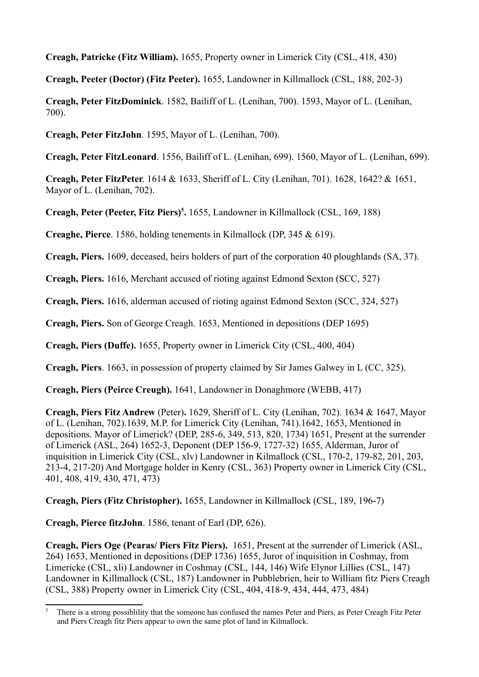**Creagh, Patricke (Fitz William).** 1655, Property owner in Limerick City (CSL, 418, 430)

**Creagh, Peeter (Doctor) (Fitz Peeter).** 1655, Landowner in Killmallock (CSL, 188, 202-3)

**Creagh, Peter FitzDominick**. 1582, Bailiff of L. (Lenihan, 700). 1593, Mayor of L. (Lenihan, 700).

**Creagh, Peter FitzJohn**. 1595, Mayor of L. (Lenihan, 700).

**Creagh, Peter FitzLeonard**. 1556, Bailiff of L. (Lenihan, 699). 1560, Mayor of L. (Lenihan, 699).

**Creagh, Peter FitzPeter**. 1614 & 1633, Sheriff of L. City (Lenihan, 701). 1628, 1642? & 1651, Mayor of L. (Lenihan, 702).

Creagh, Peter (Peeter, Fitz Piers)<sup>5</sup>. 1655, Landowner in Killmallock (CSL, 169, 188)

**Creaghe, Pierce**. 1586, holding tenements in Kilmallock (DP, 345 & 619).

**Creagh, Piers.** 1609, deceased, heirs holders of part of the corporation 40 ploughlands (SA, 37).

**Creagh, Piers.** 1616, Merchant accused of rioting against Edmond Sexton (SCC, 527)

**Creagh, Piers.** 1616, alderman accused of rioting against Edmond Sexton (SCC, 324, 527)

**Creagh, Piers.** Son of George Creagh. 1653, Mentioned in depositions (DEP 1695)

**Creagh, Piers (Duffe).** 1655, Property owner in Limerick City (CSL, 400, 404)

**Creagh, Piers**. 1663, in possession of property claimed by Sir James Galwey in L (CC, 325).

**Creagh, Piers (Peirce Creugh).** 1641, Landowner in Donaghmore (WEBB, 417)

**Creagh, Piers Fitz Andrew** (Peter)**.** 1629, Sheriff of L. City (Lenihan, 702). 1634 & 1647, Mayor of L. (Lenihan, 702).1639, M.P. for Limerick City (Lenihan, 741).1642, 1653, Mentioned in depositions. Mayor of Limerick? (DEP, 285-6, 349, 513, 820, 1734) 1651, Present at the surrender of Limerick (ASL, 264) 1652-3, Deponent (DEP 156-9, 1727-32) 1655, Alderman, Juror of inquisition in Limerick City (CSL, xlv) Landowner in Kilmallock (CSL, 170-2, 179-82, 201, 203, 213-4, 217-20) And Mortgage holder in Kenry (CSL, 363) Property owner in Limerick City (CSL, 401, 408, 419, 430, 471, 473)

**Creagh, Piers (Fitz Christopher).** 1655, Landowner in Killmallock (CSL, 189, 196-7)

**Creagh, Pierce fitzJohn**. 1586, tenant of Earl (DP, 626).

**Creagh, Piers Oge (Pearas/ Piers Fitz Piers).** 1651, Present at the surrender of Limerick (ASL, 264) 1653, Mentioned in depositions (DEP 1736) 1655, Juror of inquisition in Coshmay, from Limericke (CSL, xli) Landowner in Coshmay (CSL, 144, 146) Wife Elynor Lillies (CSL, 147) Landowner in Killmallock (CSL, 187) Landowner in Pubblebrien, heir to William fitz Piers Creagh (CSL, 388) Property owner in Limerick City (CSL, 404, 418-9, 434, 444, 473, 484)

<sup>5</sup> There is a strong possiblility that the someone has confused the names Peter and Piers, as Peter Creagh Fitz Peter and Piers Creagh fitz Piers appear to own the same plot of land in Kilmallock.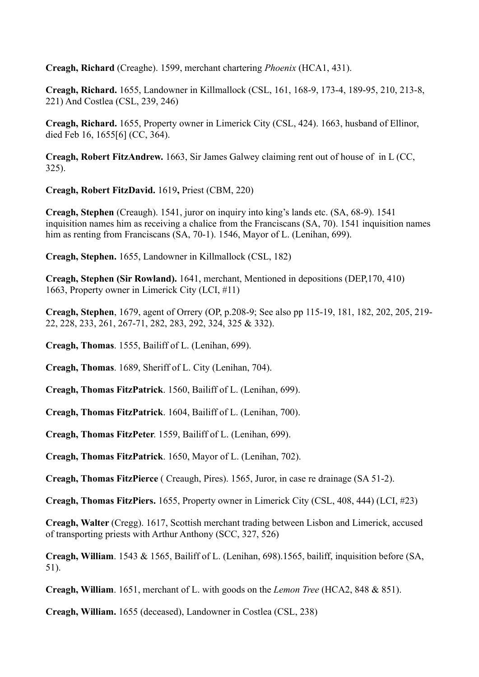**Creagh, Richard** (Creaghe). 1599, merchant chartering *Phoenix* (HCA1, 431).

**Creagh, Richard.** 1655, Landowner in Killmallock (CSL, 161, 168-9, 173-4, 189-95, 210, 213-8, 221) And Costlea (CSL, 239, 246)

**Creagh, Richard.** 1655, Property owner in Limerick City (CSL, 424). 1663, husband of Ellinor, died Feb 16, 1655[6] (CC, 364).

**Creagh, Robert FitzAndrew.** 1663, Sir James Galwey claiming rent out of house of in L (CC, 325).

**Creagh, Robert FitzDavid.** 1619**,** Priest (CBM, 220)

**Creagh, Stephen** (Creaugh). 1541, juror on inquiry into king's lands etc. (SA, 68-9). 1541 inquisition names him as receiving a chalice from the Franciscans (SA, 70). 1541 inquisition names him as renting from Franciscans (SA, 70-1). 1546, Mayor of L. (Lenihan, 699).

**Creagh, Stephen.** 1655, Landowner in Killmallock (CSL, 182)

**Creagh, Stephen (Sir Rowland).** 1641, merchant, Mentioned in depositions (DEP,170, 410) 1663, Property owner in Limerick City (LCI, #11)

**Creagh, Stephen**, 1679, agent of Orrery (OP, p.208-9; See also pp 115-19, 181, 182, 202, 205, 219- 22, 228, 233, 261, 267-71, 282, 283, 292, 324, 325 & 332).

**Creagh, Thomas**. 1555, Bailiff of L. (Lenihan, 699).

**Creagh, Thomas**. 1689, Sheriff of L. City (Lenihan, 704).

**Creagh, Thomas FitzPatrick**. 1560, Bailiff of L. (Lenihan, 699).

**Creagh, Thomas FitzPatrick**. 1604, Bailiff of L. (Lenihan, 700).

**Creagh, Thomas FitzPeter**. 1559, Bailiff of L. (Lenihan, 699).

**Creagh, Thomas FitzPatrick**. 1650, Mayor of L. (Lenihan, 702).

**Creagh, Thomas FitzPierce** ( Creaugh, Pires). 1565, Juror, in case re drainage (SA 51-2).

**Creagh, Thomas FitzPiers.** 1655, Property owner in Limerick City (CSL, 408, 444) (LCI, #23)

**Creagh, Walter** (Cregg). 1617, Scottish merchant trading between Lisbon and Limerick, accused of transporting priests with Arthur Anthony (SCC, 327, 526)

**Creagh, William**. 1543 & 1565, Bailiff of L. (Lenihan, 698).1565, bailiff, inquisition before (SA, 51).

**Creagh, William**. 1651, merchant of L. with goods on the *Lemon Tree* (HCA2, 848 & 851).

**Creagh, William.** 1655 (deceased), Landowner in Costlea (CSL, 238)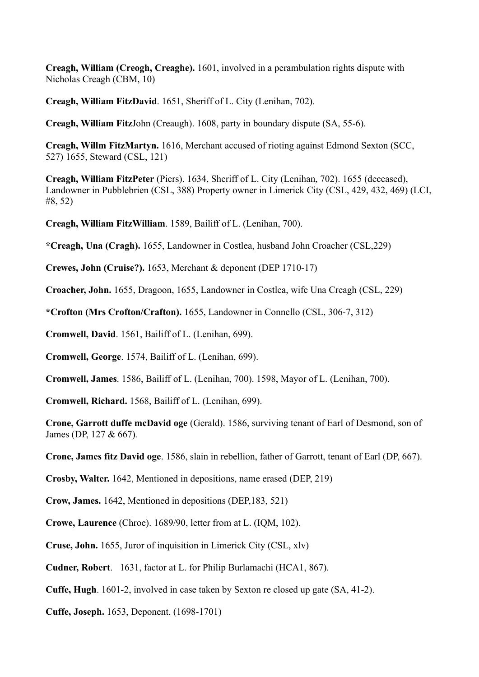**Creagh, William (Creogh, Creaghe).** 1601, involved in a perambulation rights dispute with Nicholas Creagh (CBM, 10)

**Creagh, William FitzDavid**. 1651, Sheriff of L. City (Lenihan, 702).

**Creagh, William Fitz**John (Creaugh). 1608, party in boundary dispute (SA, 55-6).

**Creagh, Willm FitzMartyn.** 1616, Merchant accused of rioting against Edmond Sexton (SCC, 527) 1655, Steward (CSL, 121)

**Creagh, William FitzPeter** (Piers). 1634, Sheriff of L. City (Lenihan, 702). 1655 (deceased), Landowner in Pubblebrien (CSL, 388) Property owner in Limerick City (CSL, 429, 432, 469) (LCI, #8, 52)

**Creagh, William FitzWilliam**. 1589, Bailiff of L. (Lenihan, 700).

**\*Creagh, Una (Cragh).** 1655, Landowner in Costlea, husband John Croacher (CSL,229)

**Crewes, John (Cruise?).** 1653, Merchant & deponent (DEP 1710-17)

**Croacher, John.** 1655, Dragoon, 1655, Landowner in Costlea, wife Una Creagh (CSL, 229)

**\*Crofton (Mrs Crofton/Crafton).** 1655, Landowner in Connello (CSL, 306-7, 312)

**Cromwell, David**. 1561, Bailiff of L. (Lenihan, 699).

**Cromwell, George**. 1574, Bailiff of L. (Lenihan, 699).

**Cromwell, James**. 1586, Bailiff of L. (Lenihan, 700). 1598, Mayor of L. (Lenihan, 700).

**Cromwell, Richard.** 1568, Bailiff of L. (Lenihan, 699).

**Crone, Garrott duffe mcDavid oge** (Gerald). 1586, surviving tenant of Earl of Desmond, son of James (DP, 127 & 667)*.*

**Crone, James fitz David oge**. 1586, slain in rebellion, father of Garrott, tenant of Earl (DP, 667).

**Crosby, Walter.** 1642, Mentioned in depositions, name erased (DEP, 219)

**Crow, James.** 1642, Mentioned in depositions (DEP,183, 521)

**Crowe, Laurence** (Chroe). 1689/90, letter from at L. (IQM, 102).

**Cruse, John.** 1655, Juror of inquisition in Limerick City (CSL, xlv)

**Cudner, Robert**. 1631, factor at L. for Philip Burlamachi (HCA1, 867).

**Cuffe, Hugh**. 1601-2, involved in case taken by Sexton re closed up gate (SA, 41-2).

**Cuffe, Joseph.** 1653, Deponent. (1698-1701)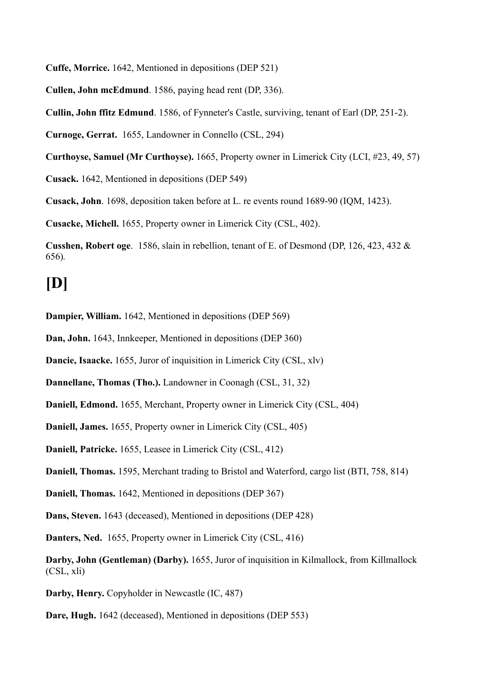**Cuffe, Morrice.** 1642, Mentioned in depositions (DEP 521)

**Cullen, John mcEdmund**. 1586, paying head rent (DP, 336).

**Cullin, John ffitz Edmund**. 1586, of Fynneter's Castle, surviving, tenant of Earl (DP, 251-2).

**Curnoge, Gerrat.** 1655, Landowner in Connello (CSL, 294)

**Curthoyse, Samuel (Mr Curthoyse).** 1665, Property owner in Limerick City (LCI, #23, 49, 57)

**Cusack.** 1642, Mentioned in depositions (DEP 549)

**Cusack, John**. 1698, deposition taken before at L. re events round 1689-90 (IQM, 1423).

**Cusacke, Michell.** 1655, Property owner in Limerick City (CSL, 402).

**Cusshen, Robert oge**. 1586, slain in rebellion, tenant of E. of Desmond (DP, 126, 423, 432 & 656)*.*

### **[D]**

**Dampier, William.** 1642, Mentioned in depositions (DEP 569)

**Dan, John.** 1643, Innkeeper, Mentioned in depositions (DEP 360)

**Dancie, Isaacke.** 1655, Juror of inquisition in Limerick City (CSL, xlv)

**Dannellane, Thomas (Tho.).** Landowner in Coonagh (CSL, 31, 32)

**Daniell, Edmond.** 1655, Merchant, Property owner in Limerick City (CSL, 404)

**Daniell, James.** 1655, Property owner in Limerick City (CSL, 405)

**Daniell, Patricke.** 1655, Leasee in Limerick City (CSL, 412)

**Daniell, Thomas.** 1595, Merchant trading to Bristol and Waterford, cargo list (BTI, 758, 814)

**Daniell, Thomas.** 1642, Mentioned in depositions (DEP 367)

**Dans, Steven.** 1643 (deceased), Mentioned in depositions (DEP 428)

**Danters, Ned.** 1655, Property owner in Limerick City (CSL, 416)

**Darby, John (Gentleman) (Darby).** 1655, Juror of inquisition in Kilmallock, from Killmallock (CSL, xli)

**Darby, Henry.** Copyholder in Newcastle (IC, 487)

**Dare, Hugh.** 1642 (deceased), Mentioned in depositions (DEP 553)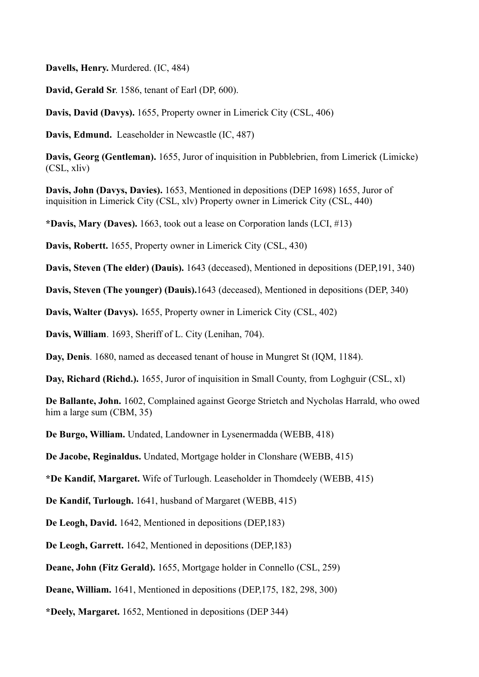**Davells, Henry.** Murdered. (IC, 484)

**David, Gerald Sr**. 1586, tenant of Earl (DP, 600).

**Davis, David (Davys).** 1655, Property owner in Limerick City (CSL, 406)

**Davis, Edmund.** Leaseholder in Newcastle (IC, 487)

**Davis, Georg (Gentleman).** 1655, Juror of inquisition in Pubblebrien, from Limerick (Limicke) (CSL, xliv)

**Davis, John (Davys, Davies).** 1653, Mentioned in depositions (DEP 1698) 1655, Juror of inquisition in Limerick City (CSL, xlv) Property owner in Limerick City (CSL, 440)

**\*Davis, Mary (Daves).** 1663, took out a lease on Corporation lands (LCI, #13)

**Davis, Robertt.** 1655, Property owner in Limerick City (CSL, 430)

**Davis, Steven (The elder) (Dauis).** 1643 (deceased), Mentioned in depositions (DEP,191, 340)

**Davis, Steven (The younger) (Dauis).**1643 (deceased), Mentioned in depositions (DEP, 340)

**Davis, Walter (Davys).** 1655, Property owner in Limerick City (CSL, 402)

**Davis, William**. 1693, Sheriff of L. City (Lenihan, 704).

**Day, Denis**. 1680, named as deceased tenant of house in Mungret St (IQM, 1184).

**Day, Richard (Richd.).** 1655, Juror of inquisition in Small County, from Loghguir (CSL, xl)

**De Ballante, John.** 1602, Complained against George Strietch and Nycholas Harrald, who owed him a large sum (CBM, 35)

**De Burgo, William.** Undated, Landowner in Lysenermadda (WEBB, 418)

**De Jacobe, Reginaldus.** Undated, Mortgage holder in Clonshare (WEBB, 415)

**\*De Kandif, Margaret.** Wife of Turlough. Leaseholder in Thomdeely (WEBB, 415)

**De Kandif, Turlough.** 1641, husband of Margaret (WEBB, 415)

**De Leogh, David.** 1642, Mentioned in depositions (DEP,183)

**De Leogh, Garrett.** 1642, Mentioned in depositions (DEP,183)

**Deane, John (Fitz Gerald).** 1655, Mortgage holder in Connello (CSL, 259)

**Deane, William.** 1641, Mentioned in depositions (DEP,175, 182, 298, 300)

**\*Deely, Margaret.** 1652, Mentioned in depositions (DEP 344)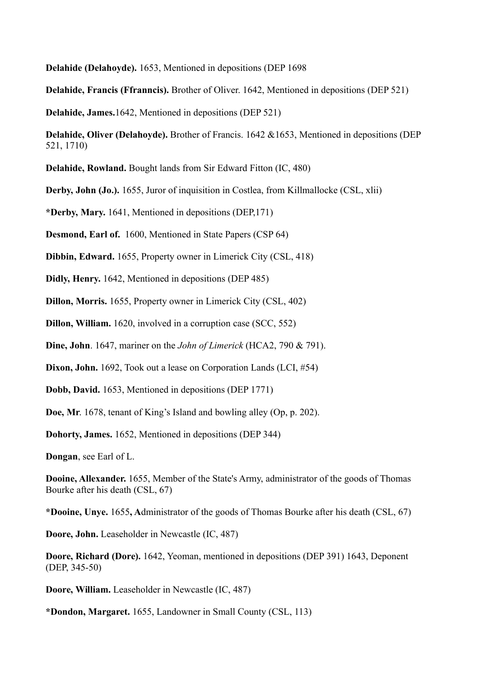**Delahide (Delahoyde).** 1653, Mentioned in depositions (DEP 1698

**Delahide, Francis (Ffranncis).** Brother of Oliver. 1642, Mentioned in depositions (DEP 521)

**Delahide, James.**1642, Mentioned in depositions (DEP 521)

**Delahide, Oliver (Delahoyde).** Brother of Francis. 1642 &1653, Mentioned in depositions (DEP 521, 1710)

**Delahide, Rowland.** Bought lands from Sir Edward Fitton (IC, 480)

**Derby, John (Jo.).** 1655, Juror of inquisition in Costlea, from Killmallocke (CSL, xlii)

**\*Derby, Mary.** 1641, Mentioned in depositions (DEP,171)

**Desmond, Earl of.** 1600, Mentioned in State Papers (CSP 64)

**Dibbin, Edward.** 1655, Property owner in Limerick City (CSL, 418)

**Didly, Henry.** 1642, Mentioned in depositions (DEP 485)

**Dillon, Morris.** 1655, Property owner in Limerick City (CSL, 402)

**Dillon, William.** 1620, involved in a corruption case (SCC, 552)

**Dine, John**. 1647, mariner on the *John of Limerick* (HCA2, 790 & 791).

**Dixon, John.** 1692, Took out a lease on Corporation Lands (LCI, #54)

**Dobb, David.** 1653, Mentioned in depositions (DEP 1771)

**Doe, Mr**. 1678, tenant of King's Island and bowling alley (Op, p. 202).

**Dohorty, James.** 1652, Mentioned in depositions (DEP 344)

**Dongan**, see Earl of L.

**Dooine, Allexander.** 1655, Member of the State's Army, administrator of the goods of Thomas Bourke after his death (CSL, 67)

**\*Dooine, Unye.** 1655**, A**dministrator of the goods of Thomas Bourke after his death (CSL, 67)

**Doore, John.** Leaseholder in Newcastle (IC, 487)

**Doore, Richard (Dore).** 1642, Yeoman, mentioned in depositions (DEP 391) 1643, Deponent (DEP, 345-50)

**Doore, William.** Leaseholder in Newcastle (IC, 487)

**\*Dondon, Margaret.** 1655, Landowner in Small County (CSL, 113)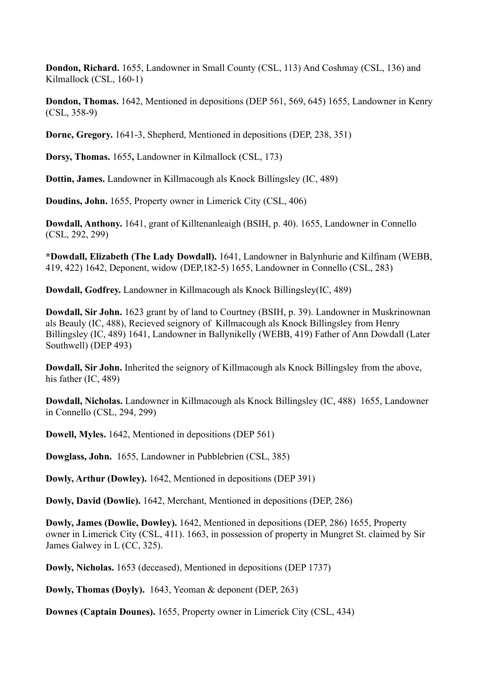**Dondon, Richard.** 1655, Landowner in Small County (CSL, 113) And Coshmay (CSL, 136) and Kilmallock (CSL, 160-1)

**Dondon, Thomas.** 1642, Mentioned in depositions (DEP 561, 569, 645) 1655, Landowner in Kenry (CSL, 358-9)

**Dorne, Gregory.** 1641-3, Shepherd, Mentioned in depositions (DEP, 238, 351)

**Dorsy, Thomas.** 1655**,** Landowner in Kilmallock (CSL, 173)

**Dottin, James.** Landowner in Killmacough als Knock Billingsley (IC, 489)

**Doudins, John.** 1655, Property owner in Limerick City (CSL, 406)

**Dowdall, Anthony.** 1641, grant of Killtenanleaigh (BSIH, p. 40). 1655, Landowner in Connello (CSL, 292, 299)

**\*Dowdall, Elizabeth (The Lady Dowdall).** 1641, Landowner in Balynhurie and Kilfinam (WEBB, 419, 422) 1642, Deponent, widow (DEP,182-5) 1655, Landowner in Connello (CSL, 283)

**Dowdall, Godfrey.** Landowner in Killmacough als Knock Billingsley(IC, 489)

**Dowdall, Sir John.** 1623 grant by of land to Courtney (BSIH, p. 39). Landowner in Muskrinownan als Beauly (IC, 488), Recieved seignory of Killmacough als Knock Billingsley from Henry Billingsley (IC, 489) 1641, Landowner in Ballynikelly (WEBB, 419) Father of Ann Dowdall (Later Southwell) (DEP 493)

**Dowdall, Sir John.** Inherited the seignory of Killmacough als Knock Billingsley from the above, his father (IC, 489)

**Dowdall, Nicholas.** Landowner in Killmacough als Knock Billingsley (IC, 488) 1655, Landowner in Connello (CSL, 294, 299)

**Dowell, Myles.** 1642, Mentioned in depositions (DEP 561)

**Dowglass, John.** 1655, Landowner in Pubblebrien (CSL, 385)

**Dowly, Arthur (Dowley).** 1642, Mentioned in depositions (DEP 391)

**Dowly, David (Dowlie).** 1642, Merchant, Mentioned in depositions (DEP, 286)

**Dowly, James (Dowlie, Dowley).** 1642, Mentioned in depositions (DEP, 286) 1655, Property owner in Limerick City (CSL, 411). 1663, in possession of property in Mungret St. claimed by Sir James Galwey in L (CC, 325).

**Dowly, Nicholas.** 1653 (deceased), Mentioned in depositions (DEP 1737)

**Dowly, Thomas (Doyly).** 1643, Yeoman & deponent (DEP, 263)

**Downes (Captain Dounes).** 1655, Property owner in Limerick City (CSL, 434)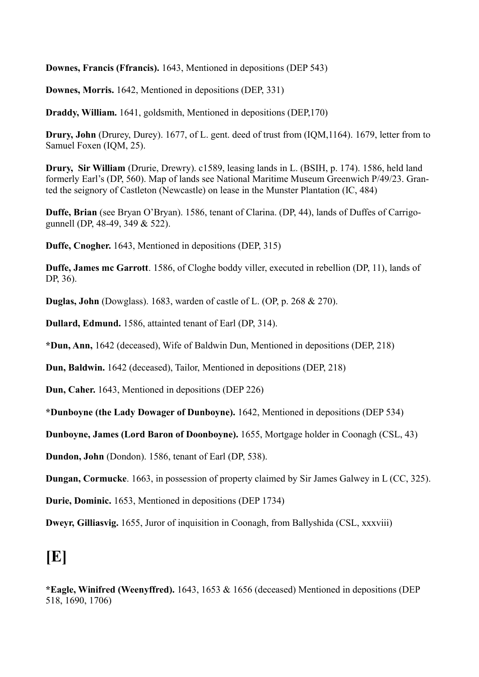**Downes, Francis (Ffrancis).** 1643, Mentioned in depositions (DEP 543)

**Downes, Morris.** 1642, Mentioned in depositions (DEP, 331)

**Draddy, William.** 1641, goldsmith, Mentioned in depositions (DEP,170)

**Drury, John** (Drurey, Durey). 1677, of L. gent. deed of trust from (IQM,1164). 1679, letter from to Samuel Foxen (IQM, 25).

**Drury, Sir William** (Drurie, Drewry). c1589, leasing lands in L. (BSIH, p. 174). 1586, held land formerly Earl's (DP, 560). Map of lands see National Maritime Museum Greenwich P/49/23. Granted the seignory of Castleton (Newcastle) on lease in the Munster Plantation (IC, 484)

**Duffe, Brian** (see Bryan O'Bryan). 1586, tenant of Clarina. (DP, 44), lands of Duffes of Carrigogunnell (DP, 48-49, 349 & 522).

**Duffe, Cnogher.** 1643, Mentioned in depositions (DEP, 315)

**Duffe, James mc Garrott**. 1586, of Cloghe boddy viller, executed in rebellion (DP, 11), lands of DP, 36).

**Duglas, John** (Dowglass). 1683, warden of castle of L. (OP, p. 268 & 270).

**Dullard, Edmund.** 1586, attainted tenant of Earl (DP, 314).

**\*Dun, Ann,** 1642 (deceased), Wife of Baldwin Dun, Mentioned in depositions (DEP, 218)

**Dun, Baldwin.** 1642 (deceased), Tailor, Mentioned in depositions (DEP, 218)

**Dun, Caher.** 1643, Mentioned in depositions (DEP 226)

**\*Dunboyne (the Lady Dowager of Dunboyne).** 1642, Mentioned in depositions (DEP 534)

**Dunboyne, James (Lord Baron of Doonboyne).** 1655, Mortgage holder in Coonagh (CSL, 43)

**Dundon, John** (Dondon). 1586, tenant of Earl (DP, 538).

**Dungan, Cormucke**. 1663, in possession of property claimed by Sir James Galwey in L (CC, 325).

**Durie, Dominic.** 1653, Mentioned in depositions (DEP 1734)

**Dweyr, Gilliasvig.** 1655, Juror of inquisition in Coonagh, from Ballyshida (CSL, xxxviii)

#### **[E]**

**\*Eagle, Winifred (Weenyffred).** 1643, 1653 & 1656 (deceased) Mentioned in depositions (DEP 518, 1690, 1706)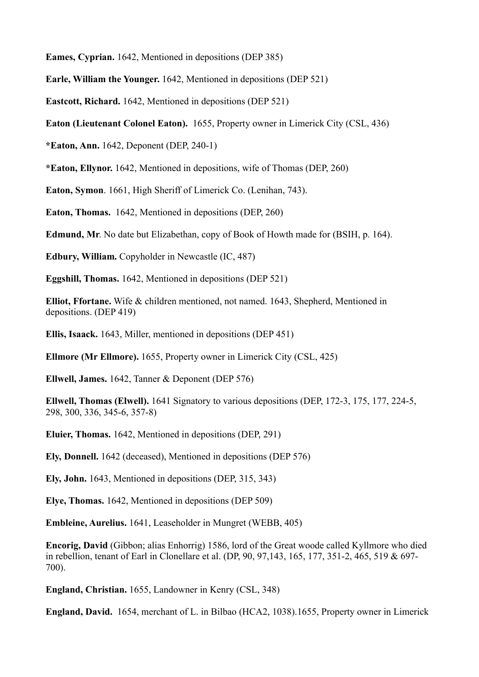**Eames, Cyprian.** 1642, Mentioned in depositions (DEP 385)

**Earle, William the Younger.** 1642, Mentioned in depositions (DEP 521)

**Eastcott, Richard.** 1642, Mentioned in depositions (DEP 521)

**Eaton (Lieutenant Colonel Eaton).** 1655, Property owner in Limerick City (CSL, 436)

**\*Eaton, Ann.** 1642, Deponent (DEP, 240-1)

**\*Eaton, Ellynor.** 1642, Mentioned in depositions, wife of Thomas (DEP, 260)

**Eaton, Symon**. 1661, High Sheriff of Limerick Co. (Lenihan, 743).

**Eaton, Thomas.** 1642, Mentioned in depositions (DEP, 260)

**Edmund, Mr**. No date but Elizabethan, copy of Book of Howth made for (BSIH, p. 164).

**Edbury, William.** Copyholder in Newcastle (IC, 487)

**Eggshill, Thomas.** 1642, Mentioned in depositions (DEP 521)

**Elliot, Ffortane.** Wife & children mentioned, not named. 1643, Shepherd, Mentioned in depositions. (DEP 419)

**Ellis, Isaack.** 1643, Miller, mentioned in depositions (DEP 451)

**Ellmore (Mr Ellmore).** 1655, Property owner in Limerick City (CSL, 425)

**Ellwell, James.** 1642, Tanner & Deponent (DEP 576)

**Ellwell, Thomas (Elwell).** 1641 Signatory to various depositions (DEP, 172-3, 175, 177, 224-5, 298, 300, 336, 345-6, 357-8)

**Eluier, Thomas.** 1642, Mentioned in depositions (DEP, 291)

**Ely, Donnell.** 1642 (deceased), Mentioned in depositions (DEP 576)

**Ely, John.** 1643, Mentioned in depositions (DEP, 315, 343)

**Elye, Thomas.** 1642, Mentioned in depositions (DEP 509)

**Embleine, Aurelius.** 1641, Leaseholder in Mungret (WEBB, 405)

**Encorig, David** (Gibbon; alias Enhorrig) 1586, lord of the Great woode called Kyllmore who died in rebellion, tenant of Earl in Clonellare et al. (DP, 90, 97,143, 165, 177, 351-2, 465, 519 & 697- 700).

**England, Christian.** 1655, Landowner in Kenry (CSL, 348)

**England, David.** 1654, merchant of L. in Bilbao (HCA2, 1038).1655, Property owner in Limerick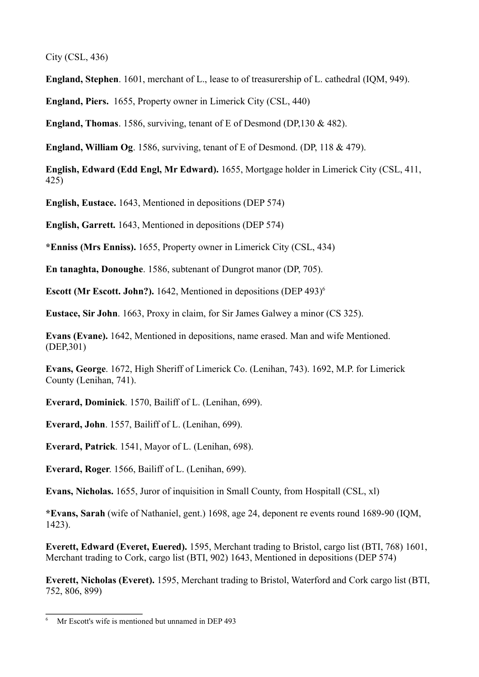City (CSL, 436)

**England, Stephen**. 1601, merchant of L., lease to of treasurership of L. cathedral (IQM, 949).

**England, Piers.** 1655, Property owner in Limerick City (CSL, 440)

**England, Thomas**. 1586, surviving, tenant of E of Desmond (DP,130 & 482).

**England, William Og**. 1586, surviving, tenant of E of Desmond. (DP, 118 & 479).

**English, Edward (Edd Engl, Mr Edward).** 1655, Mortgage holder in Limerick City (CSL, 411, 425)

**English, Eustace.** 1643, Mentioned in depositions (DEP 574)

**English, Garrett.** 1643, Mentioned in depositions (DEP 574)

**\*Enniss (Mrs Enniss).** 1655, Property owner in Limerick City (CSL, 434)

**En tanaghta, Donoughe**. 1586, subtenant of Dungrot manor (DP, 705).

**Escott (Mr Escott. John?).** 1642, Mentioned in depositions (DEP 493)<sup>6</sup>

**Eustace, Sir John**. 1663, Proxy in claim, for Sir James Galwey a minor (CS 325).

**Evans (Evane).** 1642, Mentioned in depositions, name erased. Man and wife Mentioned. (DEP,301)

**Evans, George**. 1672, High Sheriff of Limerick Co. (Lenihan, 743). 1692, M.P. for Limerick County (Lenihan, 741).

**Everard, Dominick**. 1570, Bailiff of L. (Lenihan, 699).

**Everard, John**. 1557, Bailiff of L. (Lenihan, 699).

**Everard, Patrick**. 1541, Mayor of L. (Lenihan, 698).

**Everard, Roger**. 1566, Bailiff of L. (Lenihan, 699).

**Evans, Nicholas.** 1655, Juror of inquisition in Small County, from Hospitall (CSL, xl)

**\*Evans, Sarah** (wife of Nathaniel, gent.) 1698, age 24, deponent re events round 1689-90 (IQM, 1423).

**Everett, Edward (Everet, Euered).** 1595, Merchant trading to Bristol, cargo list (BTI, 768) 1601, Merchant trading to Cork, cargo list (BTI, 902) 1643, Mentioned in depositions (DEP 574)

**Everett, Nicholas (Everet).** 1595, Merchant trading to Bristol, Waterford and Cork cargo list (BTI, 752, 806, 899)

Mr Escott's wife is mentioned but unnamed in DEP 493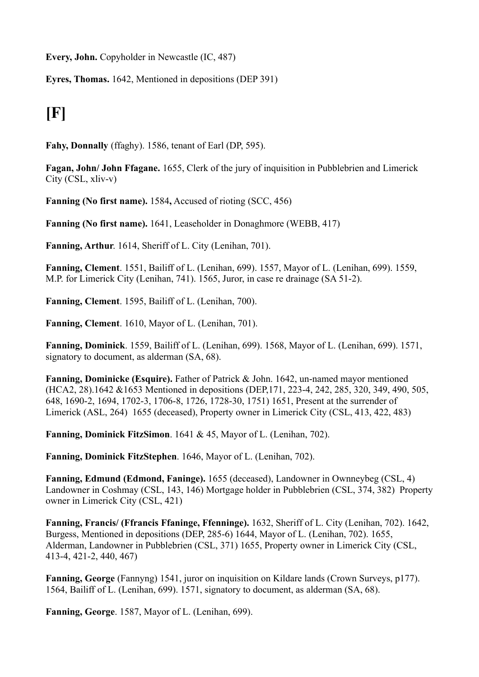**Every, John.** Copyholder in Newcastle (IC, 487)

**Eyres, Thomas.** 1642, Mentioned in depositions (DEP 391)

# **[F]**

**Fahy, Donnally** (ffaghy). 1586, tenant of Earl (DP, 595).

**Fagan, John/ John Ffagane.** 1655, Clerk of the jury of inquisition in Pubblebrien and Limerick City (CSL, xliv-v)

**Fanning (No first name).** 1584**,** Accused of rioting (SCC, 456)

**Fanning (No first name).** 1641, Leaseholder in Donaghmore (WEBB, 417)

**Fanning, Arthur**. 1614, Sheriff of L. City (Lenihan, 701).

**Fanning, Clement**. 1551, Bailiff of L. (Lenihan, 699). 1557, Mayor of L. (Lenihan, 699). 1559, M.P. for Limerick City (Lenihan, 741). 1565, Juror, in case re drainage (SA 51-2).

**Fanning, Clement**. 1595, Bailiff of L. (Lenihan, 700).

**Fanning, Clement**. 1610, Mayor of L. (Lenihan, 701).

**Fanning, Dominick**. 1559, Bailiff of L. (Lenihan, 699). 1568, Mayor of L. (Lenihan, 699). 1571, signatory to document, as alderman (SA, 68).

**Fanning, Dominicke (Esquire).** Father of Patrick & John. 1642, un-named mayor mentioned (HCA2, 28).1642 &1653 Mentioned in depositions (DEP,171, 223-4, 242, 285, 320, 349, 490, 505, 648, 1690-2, 1694, 1702-3, 1706-8, 1726, 1728-30, 1751) 1651, Present at the surrender of Limerick (ASL, 264)1655 (deceased), Property owner in Limerick City (CSL, 413, 422, 483)

**Fanning, Dominick FitzSimon**. 1641 & 45, Mayor of L. (Lenihan, 702).

**Fanning, Dominick FitzStephen**. 1646, Mayor of L. (Lenihan, 702).

**Fanning, Edmund (Edmond, Faninge).** 1655 (deceased), Landowner in Ownneybeg (CSL, 4) Landowner in Coshmay (CSL, 143, 146) Mortgage holder in Pubblebrien (CSL, 374, 382) Property owner in Limerick City (CSL, 421)

**Fanning, Francis/ (Ffrancis Ffaninge, Ffenninge).** 1632, Sheriff of L. City (Lenihan, 702). 1642, Burgess, Mentioned in depositions (DEP, 285-6) 1644, Mayor of L. (Lenihan, 702). 1655, Alderman, Landowner in Pubblebrien (CSL, 371) 1655, Property owner in Limerick City (CSL, 413-4, 421-2, 440, 467)

**Fanning, George** (Fannyng) 1541, juror on inquisition on Kildare lands (Crown Surveys, p177). 1564, Bailiff of L. (Lenihan, 699). 1571, signatory to document, as alderman (SA, 68).

**Fanning, George**. 1587, Mayor of L. (Lenihan, 699).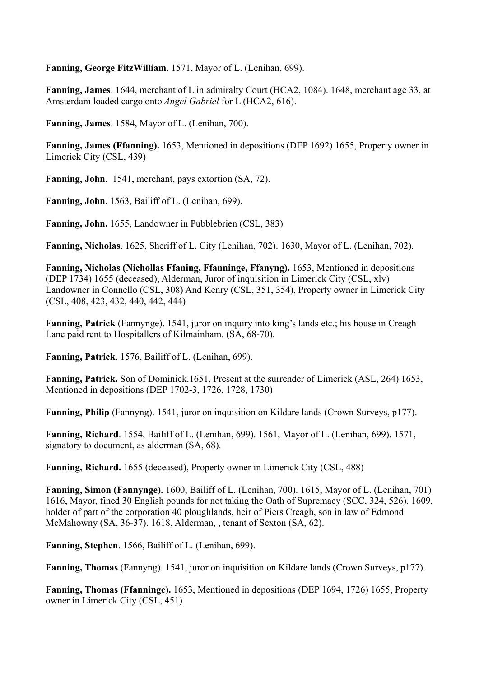**Fanning, George FitzWilliam**. 1571, Mayor of L. (Lenihan, 699).

**Fanning, James**. 1644, merchant of L in admiralty Court (HCA2, 1084). 1648, merchant age 33, at Amsterdam loaded cargo onto *Angel Gabriel* for L (HCA2, 616).

**Fanning, James**. 1584, Mayor of L. (Lenihan, 700).

**Fanning, James (Ffanning).** 1653, Mentioned in depositions (DEP 1692) 1655, Property owner in Limerick City (CSL, 439)

**Fanning, John**. 1541, merchant, pays extortion (SA, 72).

**Fanning, John**. 1563, Bailiff of L. (Lenihan, 699).

**Fanning, John.** 1655, Landowner in Pubblebrien (CSL, 383)

**Fanning, Nicholas**. 1625, Sheriff of L. City (Lenihan, 702). 1630, Mayor of L. (Lenihan, 702).

**Fanning, Nicholas (Nichollas Ffaning, Ffanninge, Ffanyng).** 1653, Mentioned in depositions (DEP 1734) 1655 (deceased), Alderman, Juror of inquisition in Limerick City (CSL, xlv) Landowner in Connello (CSL, 308) And Kenry (CSL, 351, 354), Property owner in Limerick City (CSL, 408, 423, 432, 440, 442, 444)

**Fanning, Patrick** (Fannynge). 1541, juror on inquiry into king's lands etc.; his house in Creagh Lane paid rent to Hospitallers of Kilmainham. (SA, 68-70).

**Fanning, Patrick**. 1576, Bailiff of L. (Lenihan, 699).

**Fanning, Patrick.** Son of Dominick.1651, Present at the surrender of Limerick (ASL, 264) 1653, Mentioned in depositions (DEP 1702-3, 1726, 1728, 1730)

**Fanning, Philip** (Fannyng). 1541, juror on inquisition on Kildare lands (Crown Surveys, p177).

**Fanning, Richard**. 1554, Bailiff of L. (Lenihan, 699). 1561, Mayor of L. (Lenihan, 699). 1571, signatory to document, as alderman (SA, 68).

**Fanning, Richard.** 1655 (deceased), Property owner in Limerick City (CSL, 488)

**Fanning, Simon (Fannynge).** 1600, Bailiff of L. (Lenihan, 700). 1615, Mayor of L. (Lenihan, 701) 1616, Mayor, fined 30 English pounds for not taking the Oath of Supremacy (SCC, 324, 526). 1609, holder of part of the corporation 40 ploughlands, heir of Piers Creagh, son in law of Edmond McMahowny (SA, 36-37). 1618, Alderman, , tenant of Sexton (SA, 62).

**Fanning, Stephen**. 1566, Bailiff of L. (Lenihan, 699).

**Fanning, Thomas** (Fannyng). 1541, juror on inquisition on Kildare lands (Crown Surveys, p177).

**Fanning, Thomas (Ffanninge).** 1653, Mentioned in depositions (DEP 1694, 1726) 1655, Property owner in Limerick City (CSL, 451)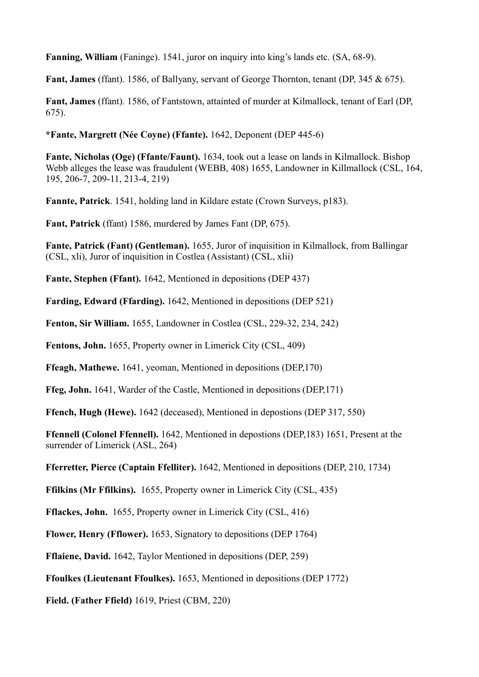**Fanning, William** (Faninge). 1541, juror on inquiry into king's lands etc. (SA, 68-9).

**Fant, James** (ffant). 1586, of Ballyany, servant of George Thornton, tenant (DP, 345 & 675).

**Fant, James** (ffant). 1586, of Fantstown, attainted of murder at Kilmallock, tenant of Earl (DP, 675).

**\*Fante, Margrett (Née Coyne) (Ffante).** 1642, Deponent (DEP 445-6)

**Fante, Nicholas (Oge) (Ffante/Faunt).** 1634, took out a lease on lands in Kilmallock. Bishop Webb alleges the lease was fraudulent (WEBB, 408) 1655, Landowner in Killmallock (CSL, 164, 195, 206-7, 209-11, 213-4, 219)

**Fannte, Patrick**. 1541, holding land in Kildare estate (Crown Surveys, p183).

**Fant, Patrick** (ffant) 1586, murdered by James Fant (DP, 675).

**Fante, Patrick (Fant) (Gentleman).** 1655, Juror of inquisition in Kilmallock, from Ballingar (CSL, xli), Juror of inquisition in Costlea (Assistant) (CSL, xlii)

**Fante, Stephen (Ffant).** 1642, Mentioned in depositions (DEP 437)

**Farding, Edward (Ffarding).** 1642, Mentioned in depositions (DEP 521)

**Fenton, Sir William.** 1655, Landowner in Costlea (CSL, 229-32, 234, 242)

**Fentons, John.** 1655, Property owner in Limerick City (CSL, 409)

**Ffeagh, Mathewe.** 1641, yeoman, Mentioned in depositions (DEP,170)

**Ffeg, John.** 1641, Warder of the Castle, Mentioned in depositions (DEP,171)

**Ffench, Hugh (Hewe).** 1642 (deceased), Mentioned in depostions (DEP 317, 550)

**Ffennell (Colonel Ffennell).** 1642, Mentioned in depostions (DEP,183) 1651, Present at the surrender of Limerick (ASL, 264)

**Fferretter, Pierce (Captain Ffelliter).** 1642, Mentioned in depositions (DEP, 210, 1734)

**Ffilkins (Mr Ffilkins).** 1655, Property owner in Limerick City (CSL, 435)

**Fflackes, John.** 1655, Property owner in Limerick City (CSL, 416)

**Flower, Henry (Fflower).** 1653, Signatory to depositions (DEP 1764)

**Fflaiene, David.** 1642, Taylor Mentioned in depositions (DEP, 259)

**Ffoulkes (Lieutenant Ffoulkes).** 1653, Mentioned in depositions (DEP 1772)

**Field. (Father Ffield)** 1619, Priest (CBM, 220)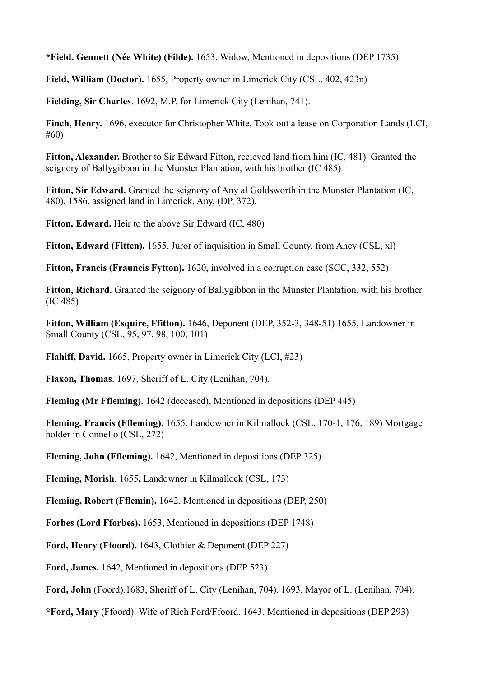**\*Field, Gennett (Née White) (Filde).** 1653, Widow, Mentioned in depositions (DEP 1735)

**Field, William (Doctor).** 1655, Property owner in Limerick City (CSL, 402, 423n)

**Fielding, Sir Charles**. 1692, M.P. for Limerick City (Lenihan, 741).

**Finch, Henry.** 1696, executor for Christopher White, Took out a lease on Corporation Lands (LCI, #60)

**Fitton, Alexander.** Brother to Sir Edward Fitton, recieved land from him (IC, 481) Granted the seignory of Ballygibbon in the Munster Plantation, with his brother (IC 485)

**Fitton, Sir Edward.** Granted the seignory of Any al Goldsworth in the Munster Plantation (IC, 480). 1586, assigned land in Limerick, Any, (DP, 372).

**Fitton, Edward.** Heir to the above Sir Edward (IC, 480)

Fitton, Edward (Fitten). 1655, Juror of inquisition in Small County, from Aney (CSL, xl)

**Fitton, Francis (Frauncis Fytton).** 1620, involved in a corruption case (SCC, 332, 552)

**Fitton, Richard.** Granted the seignory of Ballygibbon in the Munster Plantation, with his brother (IC 485)

**Fitton, William (Esquire, Ffitton).** 1646, Deponent (DEP, 352-3, 348-51) 1655, Landowner in Small County (CSL, 95, 97, 98, 100, 101)

**Flahiff, David.** 1665, Property owner in Limerick City (LCI, #23)

**Flaxon, Thomas**. 1697, Sheriff of L. City (Lenihan, 704).

**Fleming (Mr Ffleming).** 1642 (deceased), Mentioned in depositions (DEP 445)

**Fleming, Francis (Ffleming).** 1655**,** Landowner in Kilmallock (CSL, 170-1, 176, 189) Mortgage holder in Connello (CSL, 272)

**Fleming, John (Ffleming).** 1642, Mentioned in depositions (DEP 325)

**Fleming, Morish**. 1655**,** Landowner in Kilmallock (CSL, 173)

**Fleming, Robert (Fflemin).** 1642, Mentioned in depositions (DEP, 250)

**Forbes (Lord Fforbes).** 1653, Mentioned in depositions (DEP 1748)

**Ford, Henry (Ffoord).** 1643, Clothier & Deponent (DEP 227)

**Ford, James.** 1642, Mentioned in depositions (DEP 523)

**Ford, John** (Foord).1683, Sheriff of L. City (Lenihan, 704). 1693, Mayor of L. (Lenihan, 704).

**\*Ford, Mary** (Ffoord). Wife of Rich Ford/Ffoord. 1643, Mentioned in depositions (DEP 293)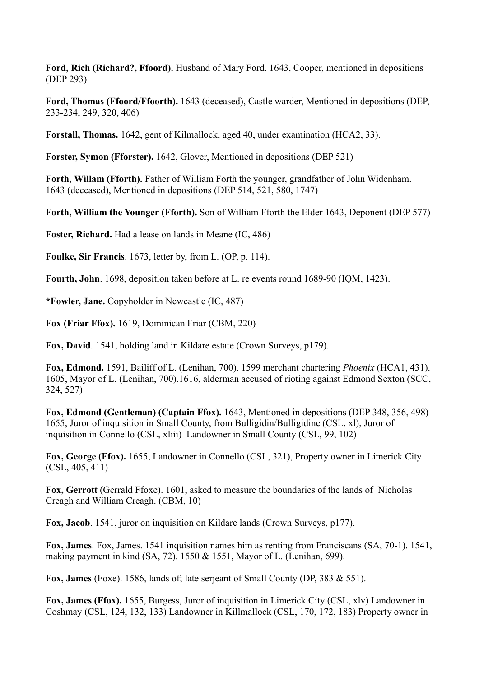**Ford, Rich (Richard?, Ffoord).** Husband of Mary Ford. 1643, Cooper, mentioned in depositions (DEP 293)

**Ford, Thomas (Ffoord/Ffoorth).** 1643 (deceased), Castle warder, Mentioned in depositions (DEP, 233-234, 249, 320, 406)

**Forstall, Thomas.** 1642, gent of Kilmallock, aged 40, under examination (HCA2, 33).

**Forster, Symon (Fforster).** 1642, Glover, Mentioned in depositions (DEP 521)

**Forth, Willam (Fforth).** Father of William Forth the younger, grandfather of John Widenham. 1643 (deceased), Mentioned in depositions (DEP 514, 521, 580, 1747)

**Forth, William the Younger (Fforth).** Son of William Fforth the Elder 1643, Deponent (DEP 577)

**Foster, Richard.** Had a lease on lands in Meane (IC, 486)

**Foulke, Sir Francis**. 1673, letter by, from L. (OP, p. 114).

**Fourth, John**. 1698, deposition taken before at L. re events round 1689-90 (IQM, 1423).

**\*Fowler, Jane.** Copyholder in Newcastle (IC, 487)

**Fox (Friar Ffox).** 1619, Dominican Friar (CBM, 220)

**Fox, David**. 1541, holding land in Kildare estate (Crown Surveys, p179).

**Fox, Edmond.** 1591, Bailiff of L. (Lenihan, 700). 1599 merchant chartering *Phoenix* (HCA1, 431). 1605, Mayor of L. (Lenihan, 700).1616, alderman accused of rioting against Edmond Sexton (SCC, 324, 527)

**Fox, Edmond (Gentleman) (Captain Ffox).** 1643, Mentioned in depositions (DEP 348, 356, 498) 1655, Juror of inquisition in Small County, from Bulligidin/Bulligidine (CSL, xl), Juror of inquisition in Connello (CSL, xliii) Landowner in Small County (CSL, 99, 102)

**Fox, George (Ffox).** 1655, Landowner in Connello (CSL, 321), Property owner in Limerick City (CSL, 405, 411)

**Fox, Gerrott** (Gerrald Ffoxe). 1601, asked to measure the boundaries of the lands of Nicholas Creagh and William Creagh. (CBM, 10)

**Fox, Jacob**. 1541, juror on inquisition on Kildare lands (Crown Surveys, p177).

**Fox, James**. Fox, James. 1541 inquisition names him as renting from Franciscans (SA, 70-1). 1541, making payment in kind (SA, 72). 1550 & 1551, Mayor of L. (Lenihan, 699).

**Fox, James** (Foxe). 1586, lands of; late serjeant of Small County (DP, 383 & 551).

**Fox, James (Ffox).** 1655, Burgess, Juror of inquisition in Limerick City (CSL, xlv) Landowner in Coshmay (CSL, 124, 132, 133) Landowner in Killmallock (CSL, 170, 172, 183) Property owner in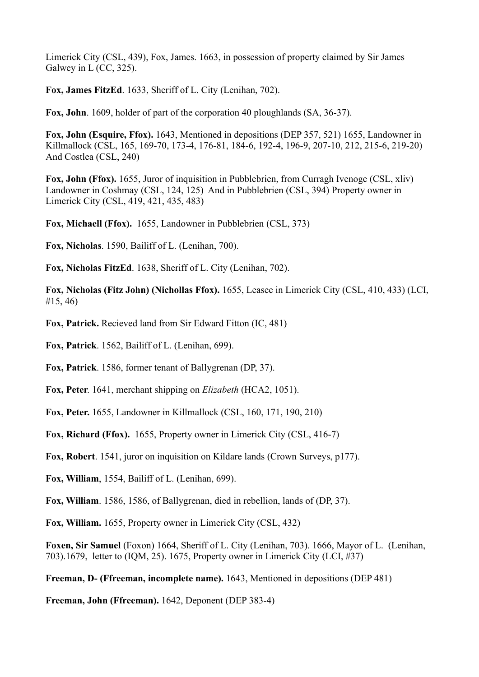Limerick City (CSL, 439), Fox, James. 1663, in possession of property claimed by Sir James Galwey in L (CC, 325).

**Fox, James FitzEd**. 1633, Sheriff of L. City (Lenihan, 702).

**Fox, John**. 1609, holder of part of the corporation 40 ploughlands (SA, 36-37).

**Fox, John (Esquire, Ffox).** 1643, Mentioned in depositions (DEP 357, 521) 1655, Landowner in Killmallock (CSL, 165, 169-70, 173-4, 176-81, 184-6, 192-4, 196-9, 207-10, 212, 215-6, 219-20) And Costlea (CSL, 240)

**Fox, John (Ffox).** 1655, Juror of inquisition in Pubblebrien, from Curragh Ivenoge (CSL, xliv) Landowner in Coshmay (CSL, 124, 125) And in Pubblebrien (CSL, 394) Property owner in Limerick City (CSL, 419, 421, 435, 483)

**Fox, Michaell (Ffox).** 1655, Landowner in Pubblebrien (CSL, 373)

**Fox, Nicholas**. 1590, Bailiff of L. (Lenihan, 700).

**Fox, Nicholas FitzEd**. 1638, Sheriff of L. City (Lenihan, 702).

**Fox, Nicholas (Fitz John) (Nichollas Ffox).** 1655, Leasee in Limerick City (CSL, 410, 433) (LCI, #15, 46)

**Fox, Patrick.** Recieved land from Sir Edward Fitton (IC, 481)

**Fox, Patrick**. 1562, Bailiff of L. (Lenihan, 699).

**Fox, Patrick**. 1586, former tenant of Ballygrenan (DP, 37).

**Fox, Peter**. 1641, merchant shipping on *Elizabeth* (HCA2, 1051).

**Fox, Peter.** 1655, Landowner in Killmallock (CSL, 160, 171, 190, 210)

**Fox, Richard (Ffox).** 1655, Property owner in Limerick City (CSL, 416-7)

**Fox, Robert**. 1541, juror on inquisition on Kildare lands (Crown Surveys, p177).

**Fox, William**, 1554, Bailiff of L. (Lenihan, 699).

**Fox, William**. 1586, 1586, of Ballygrenan, died in rebellion, lands of (DP, 37).

**Fox, William.** 1655, Property owner in Limerick City (CSL, 432)

**Foxen, Sir Samuel** (Foxon) 1664, Sheriff of L. City (Lenihan, 703). 1666, Mayor of L. (Lenihan, 703).1679, letter to (IQM, 25). 1675, Property owner in Limerick City (LCI, #37)

**Freeman, D- (Ffreeman, incomplete name).** 1643, Mentioned in depositions (DEP 481)

**Freeman, John (Ffreeman).** 1642, Deponent (DEP 383-4)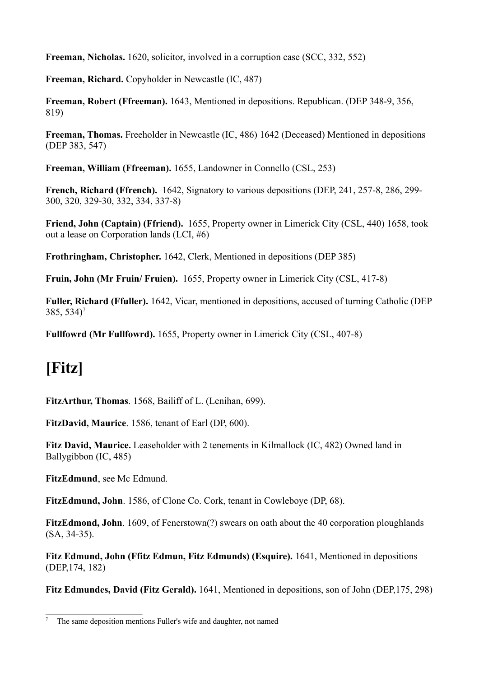**Freeman, Nicholas.** 1620, solicitor, involved in a corruption case (SCC, 332, 552)

**Freeman, Richard.** Copyholder in Newcastle (IC, 487)

**Freeman, Robert (Ffreeman).** 1643, Mentioned in depositions. Republican. (DEP 348-9, 356, 819)

**Freeman, Thomas.** Freeholder in Newcastle (IC, 486) 1642 (Deceased) Mentioned in depositions (DEP 383, 547)

**Freeman, William (Ffreeman).** 1655, Landowner in Connello (CSL, 253)

**French, Richard (Ffrench).** 1642, Signatory to various depositions (DEP, 241, 257-8, 286, 299- 300, 320, 329-30, 332, 334, 337-8)

**Friend, John (Captain) (Ffriend).** 1655, Property owner in Limerick City (CSL, 440) 1658, took out a lease on Corporation lands (LCI, #6)

**Frothringham, Christopher.** 1642, Clerk, Mentioned in depositions (DEP 385)

**Fruin, John (Mr Fruin/ Fruien).** 1655, Property owner in Limerick City (CSL, 417-8)

**Fuller, Richard (Ffuller).** 1642, Vicar, mentioned in depositions, accused of turning Catholic (DEP  $385, 534$ <sup>7</sup>

**Fullfowrd (Mr Fullfowrd).** 1655, Property owner in Limerick City (CSL, 407-8)

### **[Fitz]**

**FitzArthur, Thomas**. 1568, Bailiff of L. (Lenihan, 699).

**FitzDavid, Maurice**. 1586, tenant of Earl (DP, 600).

**Fitz David, Maurice.** Leaseholder with 2 tenements in Kilmallock (IC, 482) Owned land in Ballygibbon (IC, 485)

FitzEdmund, see Mc Edmund.

**FitzEdmund, John**. 1586, of Clone Co. Cork, tenant in Cowleboye (DP, 68).

**FitzEdmond, John**. 1609, of Fenerstown(?) swears on oath about the 40 corporation ploughlands (SA, 34-35).

**Fitz Edmund, John (Ffitz Edmun, Fitz Edmunds) (Esquire).** 1641, Mentioned in depositions (DEP,174, 182)

**Fitz Edmundes, David (Fitz Gerald).** 1641, Mentioned in depositions, son of John (DEP,175, 298)

<sup>7</sup> The same deposition mentions Fuller's wife and daughter, not named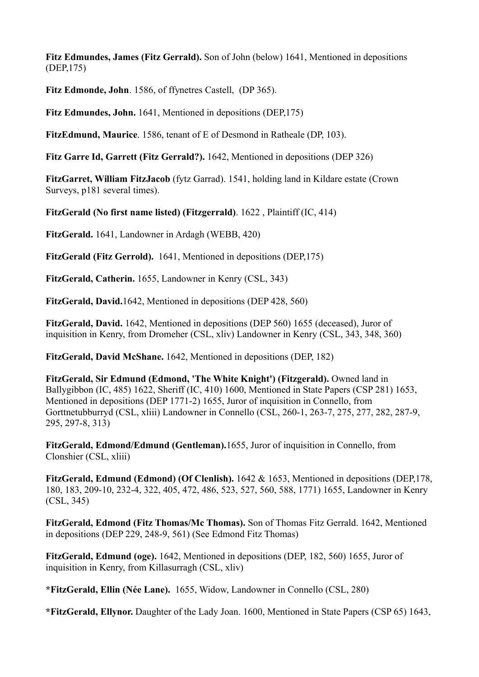**Fitz Edmundes, James (Fitz Gerrald).** Son of John (below) 1641, Mentioned in depositions (DEP,175)

**Fitz Edmonde, John**. 1586, of ffynetres Castell, (DP 365).

**Fitz Edmundes, John.** 1641, Mentioned in depositions (DEP,175)

**FitzEdmund, Maurice**. 1586, tenant of E of Desmond in Ratheale (DP, 103).

**Fitz Garre Id, Garrett (Fitz Gerrald?).** 1642, Mentioned in depositions (DEP 326)

**FitzGarret, William FitzJacob** (fytz Garrad). 1541, holding land in Kildare estate (Crown Surveys, p181 several times).

**FitzGerald (No first name listed) (Fitzgerrald)**. 1622 , Plaintiff (IC, 414)

**FitzGerald.** 1641, Landowner in Ardagh (WEBB, 420)

**FitzGerald (Fitz Gerrold).** 1641, Mentioned in depositions (DEP,175)

**FitzGerald, Catherin.** 1655, Landowner in Kenry (CSL, 343)

**FitzGerald, David.**1642, Mentioned in depositions (DEP 428, 560)

**FitzGerald, David.** 1642, Mentioned in depositions (DEP 560) 1655 (deceased), Juror of inquisition in Kenry, from Dromeher (CSL, xliv) Landowner in Kenry (CSL, 343, 348, 360)

**FitzGerald, David McShane.** 1642, Mentioned in depositions (DEP, 182)

**FitzGerald, Sir Edmund (Edmond, 'The White Knight') (Fitzgerald).** Owned land in Ballygibbon (IC, 485) 1622, Sheriff (IC, 410) 1600, Mentioned in State Papers (CSP 281) 1653, Mentioned in depositions (DEP 1771-2) 1655, Juror of inquisition in Connello, from Gorttnetubburryd (CSL, xliii) Landowner in Connello (CSL, 260-1, 263-7, 275, 277, 282, 287-9, 295, 297-8, 313)

**FitzGerald, Edmond/Edmund (Gentleman).**1655, Juror of inquisition in Connello, from Clonshier (CSL, xliii)

**FitzGerald, Edmund (Edmond) (Of Clenlish).** 1642 & 1653, Mentioned in depositions (DEP,178, 180, 183, 209-10, 232-4, 322, 405, 472, 486, 523, 527, 560, 588, 1771) 1655, Landowner in Kenry (CSL, 345)

**FitzGerald, Edmond (Fitz Thomas/Mc Thomas).** Son of Thomas Fitz Gerrald. 1642, Mentioned in depositions (DEP 229, 248-9, 561) (See Edmond Fitz Thomas)

**FitzGerald, Edmund (oge).** 1642, Mentioned in depositions (DEP, 182, 560) 1655, Juror of inquisition in Kenry, from Killasurragh (CSL, xliv)

**\*FitzGerald, Ellin (Née Lane).** 1655, Widow, Landowner in Connello (CSL, 280)

**\*FitzGerald, Ellynor.** Daughter of the Lady Joan. 1600, Mentioned in State Papers (CSP 65) 1643,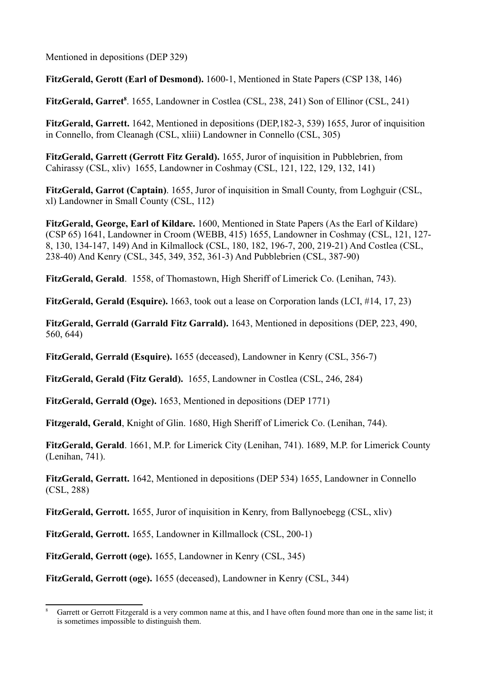Mentioned in depositions (DEP 329)

**FitzGerald, Gerott (Earl of Desmond).** 1600-1, Mentioned in State Papers (CSP 138, 146)

FitzGerald, Garret<sup>8</sup>. 1655, Landowner in Costlea (CSL, 238, 241) Son of Ellinor (CSL, 241)

**FitzGerald, Garrett.** 1642, Mentioned in depositions (DEP,182-3, 539) 1655, Juror of inquisition in Connello, from Cleanagh (CSL, xliii) Landowner in Connello (CSL, 305)

**FitzGerald, Garrett (Gerrott Fitz Gerald).** 1655, Juror of inquisition in Pubblebrien, from Cahirassy (CSL, xliv)1655, Landowner in Coshmay (CSL, 121, 122, 129, 132, 141)

**FitzGerald, Garrot (Captain)**. 1655, Juror of inquisition in Small County, from Loghguir (CSL, xl) Landowner in Small County (CSL, 112)

**FitzGerald, George, Earl of Kildare.** 1600, Mentioned in State Papers (As the Earl of Kildare) (CSP 65) 1641, Landowner in Croom (WEBB, 415) 1655, Landowner in Coshmay (CSL, 121, 127- 8, 130, 134-147, 149) And in Kilmallock (CSL, 180, 182, 196-7, 200, 219-21) And Costlea (CSL, 238-40) And Kenry (CSL, 345, 349, 352, 361-3) And Pubblebrien (CSL, 387-90)

**FitzGerald, Gerald**. 1558, of Thomastown, High Sheriff of Limerick Co. (Lenihan, 743).

**FitzGerald, Gerald (Esquire).** 1663, took out a lease on Corporation lands (LCI, #14, 17, 23)

**FitzGerald, Gerrald (Garrald Fitz Garrald).** 1643, Mentioned in depositions (DEP, 223, 490, 560, 644)

**FitzGerald, Gerrald (Esquire).** 1655 (deceased), Landowner in Kenry (CSL, 356-7)

**FitzGerald, Gerald (Fitz Gerald).** 1655, Landowner in Costlea (CSL, 246, 284)

**FitzGerald, Gerrald (Oge).** 1653, Mentioned in depositions (DEP 1771)

**Fitzgerald, Gerald**, Knight of Glin. 1680, High Sheriff of Limerick Co. (Lenihan, 744).

**FitzGerald, Gerald**. 1661, M.P. for Limerick City (Lenihan, 741). 1689, M.P. for Limerick County (Lenihan, 741).

**FitzGerald, Gerratt.** 1642, Mentioned in depositions (DEP 534) 1655, Landowner in Connello (CSL, 288)

**FitzGerald, Gerrott.** 1655, Juror of inquisition in Kenry, from Ballynoebegg (CSL, xliv)

**FitzGerald, Gerrott.** 1655, Landowner in Killmallock (CSL, 200-1)

**FitzGerald, Gerrott (oge).** 1655, Landowner in Kenry (CSL, 345)

**FitzGerald, Gerrott (oge).** 1655 (deceased), Landowner in Kenry (CSL, 344)

Garrett or Gerrott Fitzgerald is a very common name at this, and I have often found more than one in the same list; it is sometimes impossible to distinguish them.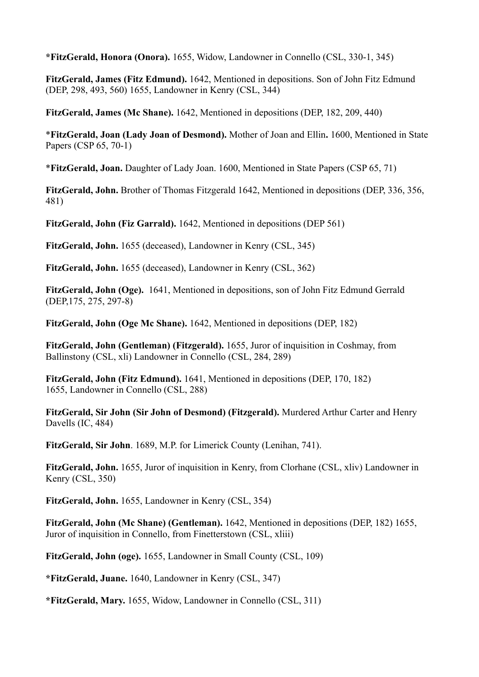**\*FitzGerald, Honora (Onora).** 1655, Widow, Landowner in Connello (CSL, 330-1, 345)

**FitzGerald, James (Fitz Edmund).** 1642, Mentioned in depositions. Son of John Fitz Edmund (DEP, 298, 493, 560) 1655, Landowner in Kenry (CSL, 344)

**FitzGerald, James (Mc Shane).** 1642, Mentioned in depositions (DEP, 182, 209, 440)

\***FitzGerald, Joan (Lady Joan of Desmond).** Mother of Joan and Ellin**.** 1600, Mentioned in State Papers (CSP 65, 70-1)

\***FitzGerald, Joan.** Daughter of Lady Joan. 1600, Mentioned in State Papers (CSP 65, 71)

**FitzGerald, John.** Brother of Thomas Fitzgerald 1642, Mentioned in depositions (DEP, 336, 356, 481)

**FitzGerald, John (Fiz Garrald).** 1642, Mentioned in depositions (DEP 561)

**FitzGerald, John.** 1655 (deceased), Landowner in Kenry (CSL, 345)

**FitzGerald, John.** 1655 (deceased), Landowner in Kenry (CSL, 362)

**FitzGerald, John (Oge).** 1641, Mentioned in depositions, son of John Fitz Edmund Gerrald (DEP,175, 275, 297-8)

**FitzGerald, John (Oge Mc Shane).** 1642, Mentioned in depositions (DEP, 182)

**FitzGerald, John (Gentleman) (Fitzgerald).** 1655, Juror of inquisition in Coshmay, from Ballinstony (CSL, xli) Landowner in Connello (CSL, 284, 289)

**FitzGerald, John (Fitz Edmund).** 1641, Mentioned in depositions (DEP, 170, 182) 1655, Landowner in Connello (CSL, 288)

**FitzGerald, Sir John (Sir John of Desmond) (Fitzgerald).** Murdered Arthur Carter and Henry Davells (IC, 484)

**FitzGerald, Sir John**. 1689, M.P. for Limerick County (Lenihan, 741).

**FitzGerald, John.** 1655, Juror of inquisition in Kenry, from Clorhane (CSL, xliv) Landowner in Kenry (CSL, 350)

**FitzGerald, John.** 1655, Landowner in Kenry (CSL, 354)

**FitzGerald, John (Mc Shane) (Gentleman).** 1642, Mentioned in depositions (DEP, 182) 1655, Juror of inquisition in Connello, from Finetterstown (CSL, xliii)

**FitzGerald, John (oge).** 1655, Landowner in Small County (CSL, 109)

**\*FitzGerald, Juane.** 1640, Landowner in Kenry (CSL, 347)

**\*FitzGerald, Mary.** 1655, Widow, Landowner in Connello (CSL, 311)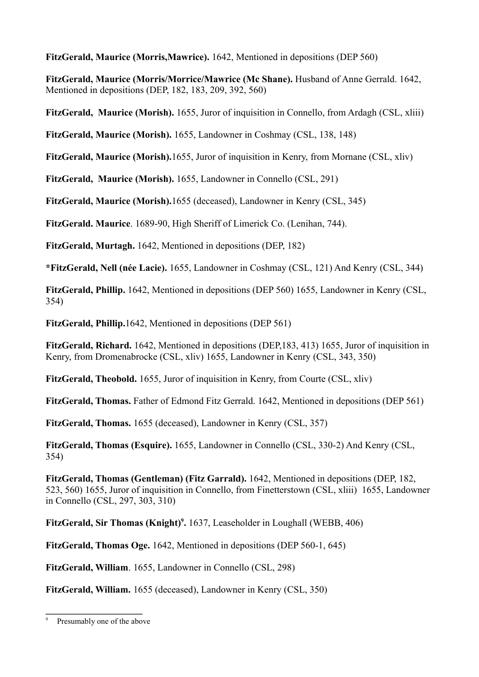**FitzGerald, Maurice (Morris,Mawrice).** 1642, Mentioned in depositions (DEP 560)

**FitzGerald, Maurice (Morris/Morrice/Mawrice (Mc Shane).** Husband of Anne Gerrald. 1642, Mentioned in depositions (DEP, 182, 183, 209, 392, 560)

**FitzGerald, Maurice (Morish).** 1655, Juror of inquisition in Connello, from Ardagh (CSL, xliii)

**FitzGerald, Maurice (Morish).** 1655, Landowner in Coshmay (CSL, 138, 148)

**FitzGerald, Maurice (Morish).**1655, Juror of inquisition in Kenry, from Mornane (CSL, xliv)

**FitzGerald, Maurice (Morish).** 1655, Landowner in Connello (CSL, 291)

**FitzGerald, Maurice (Morish).**1655 (deceased), Landowner in Kenry (CSL, 345)

**FitzGerald. Maurice**. 1689-90, High Sheriff of Limerick Co. (Lenihan, 744).

**FitzGerald, Murtagh.** 1642, Mentioned in depositions (DEP, 182)

**\*FitzGerald, Nell (née Lacie).** 1655, Landowner in Coshmay (CSL, 121) And Kenry (CSL, 344)

**FitzGerald, Phillip.** 1642, Mentioned in depositions (DEP 560) 1655, Landowner in Kenry (CSL, 354)

**FitzGerald, Phillip.**1642, Mentioned in depositions (DEP 561)

**FitzGerald, Richard.** 1642, Mentioned in depositions (DEP,183, 413) 1655, Juror of inquisition in Kenry, from Dromenabrocke (CSL, xliv) 1655, Landowner in Kenry (CSL, 343, 350)

**FitzGerald, Theobold.** 1655, Juror of inquisition in Kenry, from Courte (CSL, xliv)

**FitzGerald, Thomas.** Father of Edmond Fitz Gerrald. 1642, Mentioned in depositions (DEP 561)

**FitzGerald, Thomas.** 1655 (deceased), Landowner in Kenry (CSL, 357)

**FitzGerald, Thomas (Esquire).** 1655, Landowner in Connello (CSL, 330-2) And Kenry (CSL, 354)

**FitzGerald, Thomas (Gentleman) (Fitz Garrald).** 1642, Mentioned in depositions (DEP, 182, 523, 560) 1655, Juror of inquisition in Connello, from Finetterstown (CSL, xliii) 1655, Landowner in Connello (CSL, 297, 303, 310)

FitzGerald, Sir Thomas (Knight)<sup>9</sup>. 1637, Leaseholder in Loughall (WEBB, 406)

**FitzGerald, Thomas Oge.** 1642, Mentioned in depositions (DEP 560-1, 645)

**FitzGerald, William**. 1655, Landowner in Connello (CSL, 298)

**FitzGerald, William.** 1655 (deceased), Landowner in Kenry (CSL, 350)

Presumably one of the above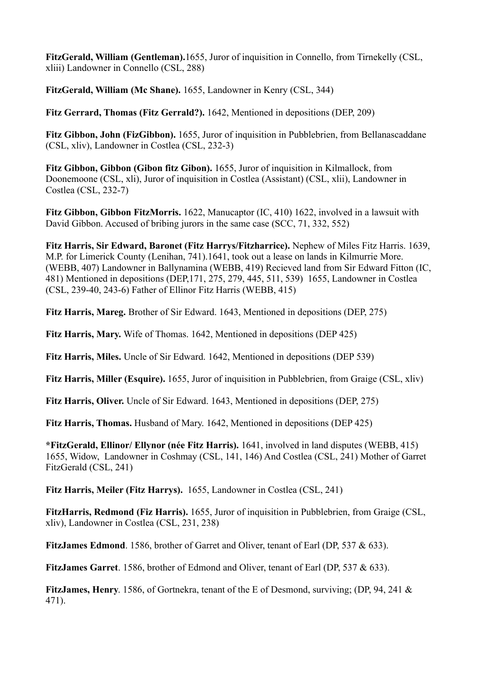**FitzGerald, William (Gentleman).**1655, Juror of inquisition in Connello, from Tirnekelly (CSL, xliii) Landowner in Connello (CSL, 288)

**FitzGerald, William (Mc Shane).** 1655, Landowner in Kenry (CSL, 344)

**Fitz Gerrard, Thomas (Fitz Gerrald?).** 1642, Mentioned in depositions (DEP, 209)

**Fitz Gibbon, John (FizGibbon).** 1655, Juror of inquisition in Pubblebrien, from Bellanascaddane (CSL, xliv), Landowner in Costlea (CSL, 232-3)

**Fitz Gibbon, Gibbon (Gibon fitz Gibon).** 1655, Juror of inquisition in Kilmallock, from Doonemoone (CSL, xli), Juror of inquisition in Costlea (Assistant) (CSL, xlii), Landowner in Costlea (CSL, 232-7)

**Fitz Gibbon, Gibbon FitzMorris.** 1622, Manucaptor (IC, 410) 1622, involved in a lawsuit with David Gibbon. Accused of bribing jurors in the same case (SCC, 71, 332, 552)

**Fitz Harris, Sir Edward, Baronet (Fitz Harrys/Fitzharrice).** Nephew of Miles Fitz Harris. 1639, M.P. for Limerick County (Lenihan, 741).1641, took out a lease on lands in Kilmurrie More. (WEBB, 407) Landowner in Ballynamina (WEBB, 419) Recieved land from Sir Edward Fitton (IC, 481) Mentioned in depositions (DEP,171, 275, 279, 445, 511, 539) 1655, Landowner in Costlea (CSL, 239-40, 243-6) Father of Ellinor Fitz Harris (WEBB, 415)

**Fitz Harris, Mareg.** Brother of Sir Edward. 1643, Mentioned in depositions (DEP, 275)

**Fitz Harris, Mary.** Wife of Thomas. 1642, Mentioned in depositions (DEP 425)

**Fitz Harris, Miles.** Uncle of Sir Edward. 1642, Mentioned in depositions (DEP 539)

**Fitz Harris, Miller (Esquire).** 1655, Juror of inquisition in Pubblebrien, from Graige (CSL, xliv)

**Fitz Harris, Oliver.** Uncle of Sir Edward. 1643, Mentioned in depositions (DEP, 275)

**Fitz Harris, Thomas.** Husband of Mary. 1642, Mentioned in depositions (DEP 425)

**\*FitzGerald, Ellinor/ Ellynor (née Fitz Harris).** 1641, involved in land disputes (WEBB, 415) 1655, Widow, Landowner in Coshmay (CSL, 141, 146) And Costlea (CSL, 241) Mother of Garret FitzGerald (CSL, 241)

**Fitz Harris, Meiler (Fitz Harrys).** 1655, Landowner in Costlea (CSL, 241)

**FitzHarris, Redmond (Fiz Harris).** 1655, Juror of inquisition in Pubblebrien, from Graige (CSL, xliv), Landowner in Costlea (CSL, 231, 238)

**FitzJames Edmond**. 1586, brother of Garret and Oliver, tenant of Earl (DP, 537 & 633).

**FitzJames Garret**. 1586, brother of Edmond and Oliver, tenant of Earl (DP, 537 & 633).

**FitzJames, Henry**. 1586, of Gortnekra, tenant of the E of Desmond, surviving; (DP, 94, 241 & 471).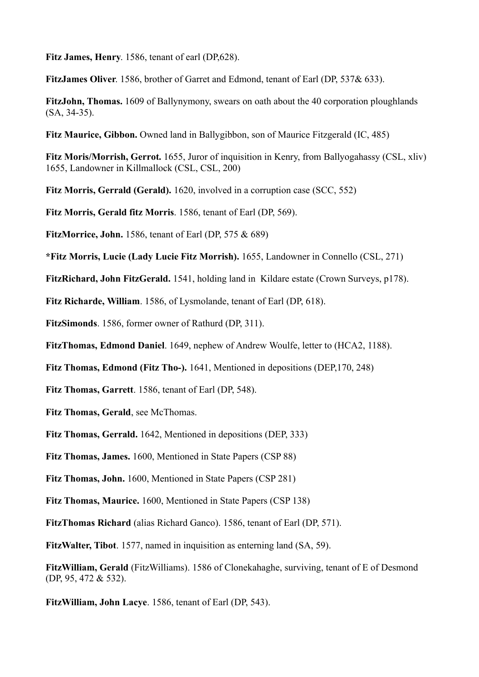**Fitz James, Henry**. 1586, tenant of earl (DP,628).

**FitzJames Oliver**. 1586, brother of Garret and Edmond, tenant of Earl (DP, 537& 633).

**FitzJohn, Thomas.** 1609 of Ballynymony, swears on oath about the 40 corporation ploughlands (SA, 34-35).

**Fitz Maurice, Gibbon.** Owned land in Ballygibbon, son of Maurice Fitzgerald (IC, 485)

**Fitz Moris/Morrish, Gerrot.** 1655, Juror of inquisition in Kenry, from Ballyogahassy (CSL, xliv) 1655, Landowner in Killmallock (CSL, CSL, 200)

**Fitz Morris, Gerrald (Gerald).** 1620, involved in a corruption case (SCC, 552)

**Fitz Morris, Gerald fitz Morris**. 1586, tenant of Earl (DP, 569).

**FitzMorrice, John.** 1586, tenant of Earl (DP, 575 & 689)

**\*Fitz Morris, Lucie (Lady Lucie Fitz Morrish).** 1655, Landowner in Connello (CSL, 271)

**FitzRichard, John FitzGerald.** 1541, holding land in Kildare estate (Crown Surveys, p178).

**Fitz Richarde, William**. 1586, of Lysmolande, tenant of Earl (DP, 618).

**FitzSimonds**. 1586, former owner of Rathurd (DP, 311).

**FitzThomas, Edmond Daniel**. 1649, nephew of Andrew Woulfe, letter to (HCA2, 1188).

**Fitz Thomas, Edmond (Fitz Tho-).** 1641, Mentioned in depositions (DEP,170, 248)

**Fitz Thomas, Garrett**. 1586, tenant of Earl (DP, 548).

**Fitz Thomas, Gerald**, see McThomas.

**Fitz Thomas, Gerrald.** 1642, Mentioned in depositions (DEP, 333)

**Fitz Thomas, James.** 1600, Mentioned in State Papers (CSP 88)

**Fitz Thomas, John.** 1600, Mentioned in State Papers (CSP 281)

**Fitz Thomas, Maurice.** 1600, Mentioned in State Papers (CSP 138)

**FitzThomas Richard** (alias Richard Ganco). 1586, tenant of Earl (DP, 571).

**FitzWalter, Tibot**. 1577, named in inquisition as enterning land (SA, 59).

**FitzWilliam, Gerald** (FitzWilliams). 1586 of Clonekahaghe, surviving, tenant of E of Desmond (DP, 95, 472 & 532).

**FitzWilliam, John Lacye**. 1586, tenant of Earl (DP, 543).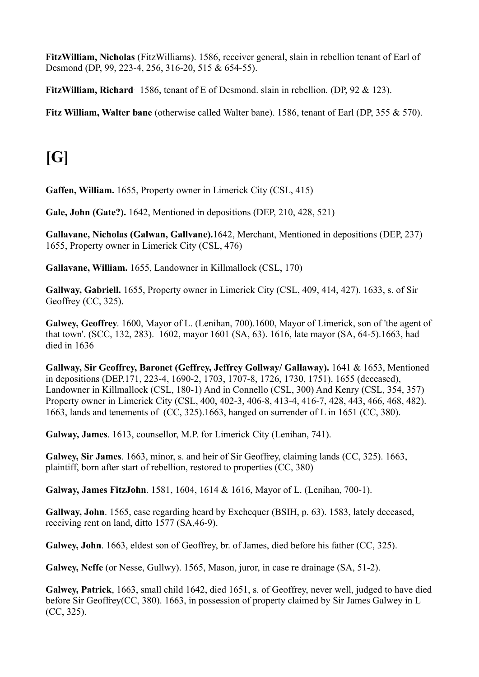**FitzWilliam, Nicholas** (FitzWilliams). 1586, receiver general, slain in rebellion tenant of Earl of Desmond (DP, 99, 223-4, 256, 316-20, 515 & 654-55).

FitzWilliam, Richard 1586, tenant of E of Desmond. slain in rebellion. (DP, 92 & 123).

**Fitz William, Walter bane** (otherwise called Walter bane). 1586, tenant of Earl (DP, 355 & 570).

# **[G]**

**Gaffen, William.** 1655, Property owner in Limerick City (CSL, 415)

**Gale, John (Gate?).** 1642, Mentioned in depositions (DEP, 210, 428, 521)

**Gallavane, Nicholas (Galwan, Gallvane).**1642, Merchant, Mentioned in depositions (DEP, 237) 1655, Property owner in Limerick City (CSL, 476)

**Gallavane, William.** 1655, Landowner in Killmallock (CSL, 170)

**Gallway, Gabriell.** 1655, Property owner in Limerick City (CSL, 409, 414, 427). 1633, s. of Sir Geoffrey (CC, 325).

**Galwey, Geoffrey**. 1600, Mayor of L. (Lenihan, 700).1600, Mayor of Limerick, son of 'the agent of that town'. (SCC, 132, 283). 1602, mayor 1601 (SA, 63). 1616, late mayor (SA, 64-5).1663, had died in 1636

**Gallway, Sir Geoffrey, Baronet (Geffrey, Jeffrey Gollway/ Gallaway).** 1641 & 1653, Mentioned in depositions (DEP,171, 223-4, 1690-2, 1703, 1707-8, 1726, 1730, 1751). 1655 (deceased), Landowner in Killmallock (CSL, 180-1) And in Connello (CSL, 300) And Kenry (CSL, 354, 357) Property owner in Limerick City (CSL, 400, 402-3, 406-8, 413-4, 416-7, 428, 443, 466, 468, 482). 1663, lands and tenements of (CC, 325).1663, hanged on surrender of L in 1651 (CC, 380).

**Galway, James**. 1613, counsellor, M.P. for Limerick City (Lenihan, 741).

**Galwey, Sir James**. 1663, minor, s. and heir of Sir Geoffrey, claiming lands (CC, 325). 1663, plaintiff, born after start of rebellion, restored to properties (CC, 380)

**Galway, James FitzJohn**. 1581, 1604, 1614 & 1616, Mayor of L. (Lenihan, 700-1).

**Gallway, John**. 1565, case regarding heard by Exchequer (BSIH, p. 63). 1583, lately deceased, receiving rent on land, ditto 1577 (SA,46-9).

**Galwey, John**. 1663, eldest son of Geoffrey, br. of James, died before his father (CC, 325).

**Galwey, Neffe** (or Nesse, Gullwy). 1565, Mason, juror, in case re drainage (SA, 51-2).

**Galwey, Patrick**, 1663, small child 1642, died 1651, s. of Geoffrey, never well, judged to have died before Sir Geoffrey(CC, 380). 1663, in possession of property claimed by Sir James Galwey in L (CC, 325).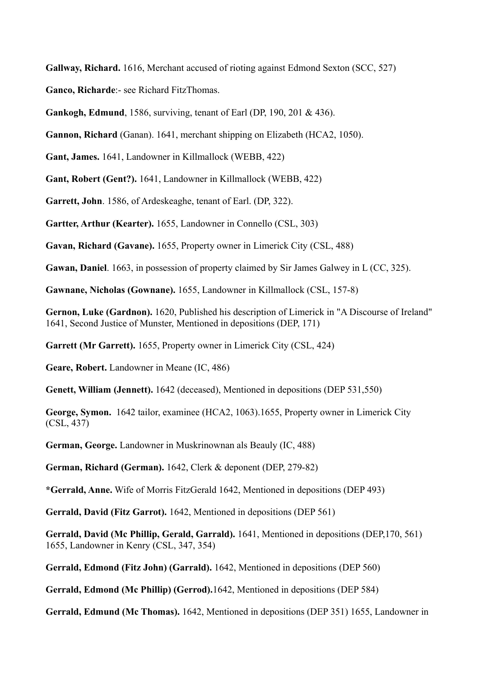**Gallway, Richard.** 1616, Merchant accused of rioting against Edmond Sexton (SCC, 527)

**Ganco, Richarde**:- see Richard FitzThomas.

**Gankogh, Edmund**, 1586, surviving, tenant of Earl (DP, 190, 201 & 436).

**Gannon, Richard** (Ganan). 1641, merchant shipping on Elizabeth (HCA2, 1050).

**Gant, James.** 1641, Landowner in Killmallock (WEBB, 422)

**Gant, Robert (Gent?).** 1641, Landowner in Killmallock (WEBB, 422)

**Garrett, John**. 1586, of Ardeskeaghe, tenant of Earl. (DP, 322).

**Gartter, Arthur (Kearter).** 1655, Landowner in Connello (CSL, 303)

**Gavan, Richard (Gavane).** 1655, Property owner in Limerick City (CSL, 488)

**Gawan, Daniel**. 1663, in possession of property claimed by Sir James Galwey in L (CC, 325).

**Gawnane, Nicholas (Gownane).** 1655, Landowner in Killmallock (CSL, 157-8)

**Gernon, Luke (Gardnon).** 1620, Published his description of Limerick in "A Discourse of Ireland" 1641, Second Justice of Munster, Mentioned in depositions (DEP, 171)

**Garrett (Mr Garrett).** 1655, Property owner in Limerick City (CSL, 424)

**Geare, Robert.** Landowner in Meane (IC, 486)

**Genett, William (Jennett).** 1642 (deceased), Mentioned in depositions (DEP 531,550)

**George, Symon.** 1642 tailor, examinee (HCA2, 1063).1655, Property owner in Limerick City (CSL, 437)

**German, George.** Landowner in Muskrinownan als Beauly (IC, 488)

**German, Richard (German).** 1642, Clerk & deponent (DEP, 279-82)

**\*Gerrald, Anne.** Wife of Morris FitzGerald 1642, Mentioned in depositions (DEP 493)

**Gerrald, David (Fitz Garrot).** 1642, Mentioned in depositions (DEP 561)

**Gerrald, David (Mc Phillip, Gerald, Garrald).** 1641, Mentioned in depositions (DEP,170, 561) 1655, Landowner in Kenry (CSL, 347, 354)

**Gerrald, Edmond (Fitz John) (Garrald).** 1642, Mentioned in depositions (DEP 560)

**Gerrald, Edmond (Mc Phillip) (Gerrod).**1642, Mentioned in depositions (DEP 584)

**Gerrald, Edmund (Mc Thomas).** 1642, Mentioned in depositions (DEP 351) 1655, Landowner in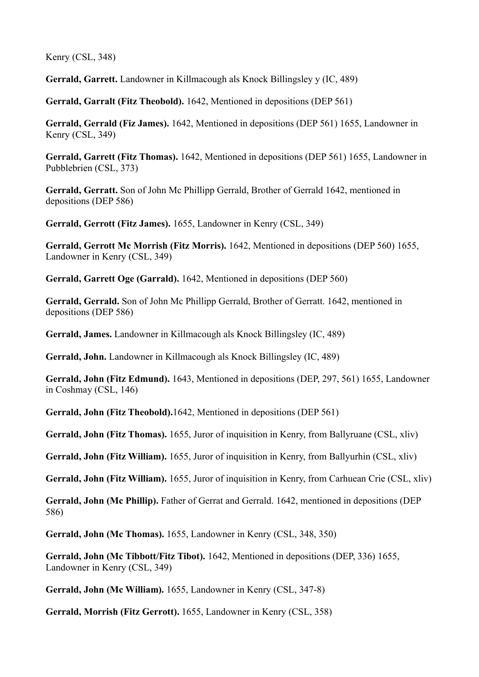Kenry (CSL, 348)

**Gerrald, Garrett.** Landowner in Killmacough als Knock Billingsley y (IC, 489)

**Gerrald, Garralt (Fitz Theobold).** 1642, Mentioned in depositions (DEP 561)

**Gerrald, Gerrald (Fiz James).** 1642, Mentioned in depositions (DEP 561) 1655, Landowner in Kenry (CSL, 349)

**Gerrald, Garrett (Fitz Thomas).** 1642, Mentioned in depositions (DEP 561) 1655, Landowner in Pubblebrien (CSL, 373)

**Gerrald, Gerratt.** Son of John Mc Phillipp Gerrald, Brother of Gerrald 1642, mentioned in depositions (DEP 586)

**Gerrald, Gerrott (Fitz James).** 1655, Landowner in Kenry (CSL, 349)

**Gerrald, Gerrott Mc Morrish (Fitz Morris).** 1642, Mentioned in depositions (DEP 560) 1655, Landowner in Kenry (CSL, 349)

**Gerrald, Garrett Oge (Garrald).** 1642, Mentioned in depositions (DEP 560)

**Gerrald, Gerrald.** Son of John Mc Phillipp Gerrald, Brother of Gerratt. 1642, mentioned in depositions (DEP 586)

**Gerrald, James.** Landowner in Killmacough als Knock Billingsley (IC, 489)

**Gerrald, John.** Landowner in Killmacough als Knock Billingsley (IC, 489)

**Gerrald, John (Fitz Edmund).** 1643, Mentioned in depositions (DEP, 297, 561) 1655, Landowner in Coshmay (CSL, 146)

**Gerrald, John (Fitz Theobold).**1642, Mentioned in depositions (DEP 561)

**Gerrald, John (Fitz Thomas).** 1655, Juror of inquisition in Kenry, from Ballyruane (CSL, xliv)

**Gerrald, John (Fitz William).** 1655, Juror of inquisition in Kenry, from Ballyurhin (CSL, xliv)

**Gerrald, John (Fitz William).** 1655, Juror of inquisition in Kenry, from Carhuean Crie (CSL, xliv)

**Gerrald, John (Mc Phillip).** Father of Gerrat and Gerrald. 1642, mentioned in depositions (DEP 586)

**Gerrald, John (Mc Thomas).** 1655, Landowner in Kenry (CSL, 348, 350)

**Gerrald, John (Mc Tibbott/Fitz Tibot).** 1642, Mentioned in depositions (DEP, 336) 1655, Landowner in Kenry (CSL, 349)

**Gerrald, John (Mc William).** 1655, Landowner in Kenry (CSL, 347-8)

**Gerrald, Morrish (Fitz Gerrott).** 1655, Landowner in Kenry (CSL, 358)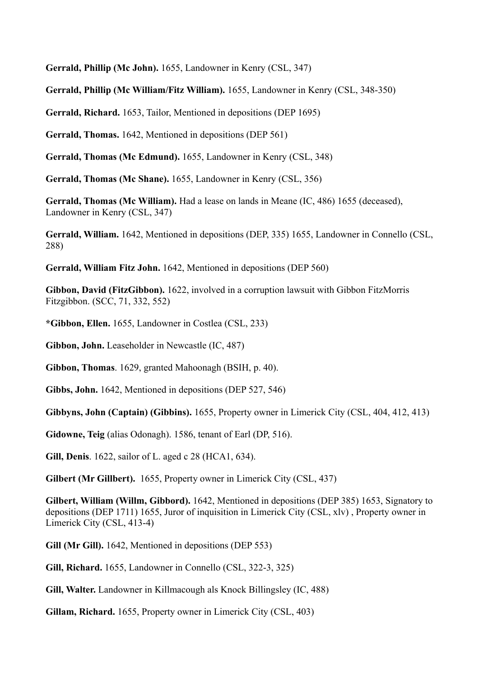**Gerrald, Phillip (Mc John).** 1655, Landowner in Kenry (CSL, 347)

**Gerrald, Phillip (Mc William/Fitz William).** 1655, Landowner in Kenry (CSL, 348-350)

**Gerrald, Richard.** 1653, Tailor, Mentioned in depositions (DEP 1695)

**Gerrald, Thomas.** 1642, Mentioned in depositions (DEP 561)

**Gerrald, Thomas (Mc Edmund).** 1655, Landowner in Kenry (CSL, 348)

**Gerrald, Thomas (Mc Shane).** 1655, Landowner in Kenry (CSL, 356)

**Gerrald, Thomas (Mc William).** Had a lease on lands in Meane (IC, 486) 1655 (deceased), Landowner in Kenry (CSL, 347)

**Gerrald, William.** 1642, Mentioned in depositions (DEP, 335) 1655, Landowner in Connello (CSL, 288)

**Gerrald, William Fitz John.** 1642, Mentioned in depositions (DEP 560)

**Gibbon, David (FitzGibbon).** 1622, involved in a corruption lawsuit with Gibbon FitzMorris Fitzgibbon. (SCC, 71, 332, 552)

**\*Gibbon, Ellen.** 1655, Landowner in Costlea (CSL, 233)

**Gibbon, John.** Leaseholder in Newcastle (IC, 487)

**Gibbon, Thomas**. 1629, granted Mahoonagh (BSIH, p. 40).

**Gibbs, John.** 1642, Mentioned in depositions (DEP 527, 546)

**Gibbyns, John (Captain) (Gibbins).** 1655, Property owner in Limerick City (CSL, 404, 412, 413)

**Gidowne, Teig** (alias Odonagh). 1586, tenant of Earl (DP, 516).

**Gill, Denis**. 1622, sailor of L. aged c 28 (HCA1, 634).

**Gilbert (Mr Gillbert).** 1655, Property owner in Limerick City (CSL, 437)

**Gilbert, William (Willm, Gibbord).** 1642, Mentioned in depositions (DEP 385) 1653, Signatory to depositions (DEP 1711) 1655, Juror of inquisition in Limerick City (CSL, xlv) , Property owner in Limerick City (CSL, 413-4)

**Gill (Mr Gill).** 1642, Mentioned in depositions (DEP 553)

**Gill, Richard.** 1655, Landowner in Connello (CSL, 322-3, 325)

**Gill, Walter.** Landowner in Killmacough als Knock Billingsley (IC, 488)

**Gillam, Richard.** 1655, Property owner in Limerick City (CSL, 403)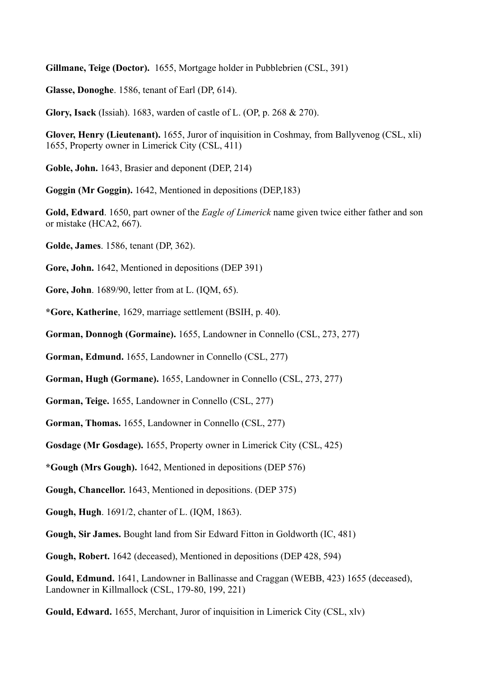**Gillmane, Teige (Doctor).** 1655, Mortgage holder in Pubblebrien (CSL, 391)

**Glasse, Donoghe**. 1586, tenant of Earl (DP, 614).

**Glory, Isack** (Issiah). 1683, warden of castle of L. (OP, p. 268 & 270).

**Glover, Henry (Lieutenant).** 1655, Juror of inquisition in Coshmay, from Ballyvenog (CSL, xli) 1655, Property owner in Limerick City (CSL, 411)

**Goble, John.** 1643, Brasier and deponent (DEP, 214)

**Goggin (Mr Goggin).** 1642, Mentioned in depositions (DEP,183)

**Gold, Edward**. 1650, part owner of the *Eagle of Limerick* name given twice either father and son or mistake (HCA2, 667).

**Golde, James**. 1586, tenant (DP, 362).

**Gore, John.** 1642, Mentioned in depositions (DEP 391)

**Gore, John**. 1689/90, letter from at L. (IQM, 65).

**\*Gore, Katherine**, 1629, marriage settlement (BSIH, p. 40).

**Gorman, Donnogh (Gormaine).** 1655, Landowner in Connello (CSL, 273, 277)

**Gorman, Edmund.** 1655, Landowner in Connello (CSL, 277)

**Gorman, Hugh (Gormane).** 1655, Landowner in Connello (CSL, 273, 277)

**Gorman, Teige.** 1655, Landowner in Connello (CSL, 277)

**Gorman, Thomas.** 1655, Landowner in Connello (CSL, 277)

**Gosdage (Mr Gosdage).** 1655, Property owner in Limerick City (CSL, 425)

**\*Gough (Mrs Gough).** 1642, Mentioned in depositions (DEP 576)

**Gough, Chancellor.** 1643, Mentioned in depositions. (DEP 375)

**Gough, Hugh**. 1691/2, chanter of L. (IQM, 1863).

**Gough, Sir James.** Bought land from Sir Edward Fitton in Goldworth (IC, 481)

**Gough, Robert.** 1642 (deceased), Mentioned in depositions (DEP 428, 594)

**Gould, Edmund.** 1641, Landowner in Ballinasse and Craggan (WEBB, 423) 1655 (deceased), Landowner in Killmallock (CSL, 179-80, 199, 221)

**Gould, Edward.** 1655, Merchant, Juror of inquisition in Limerick City (CSL, xlv)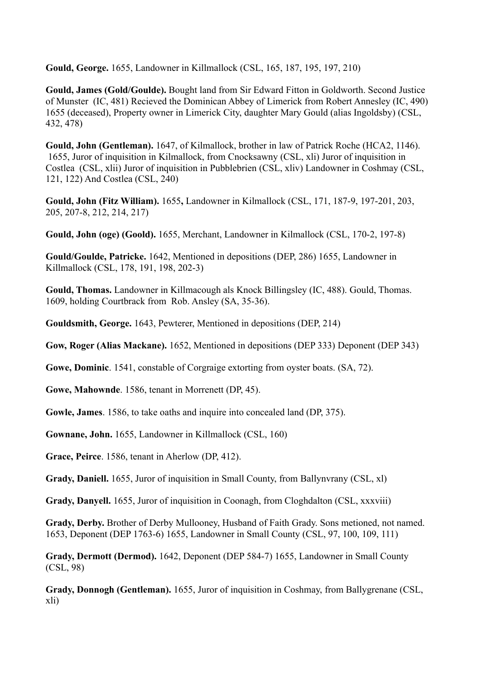**Gould, George.** 1655, Landowner in Killmallock (CSL, 165, 187, 195, 197, 210)

**Gould, James (Gold/Goulde).** Bought land from Sir Edward Fitton in Goldworth. Second Justice of Munster (IC, 481) Recieved the Dominican Abbey of Limerick from Robert Annesley (IC, 490) 1655 (deceased), Property owner in Limerick City, daughter Mary Gould (alias Ingoldsby) (CSL, 432, 478)

**Gould, John (Gentleman).** 1647, of Kilmallock, brother in law of Patrick Roche (HCA2, 1146). 1655, Juror of inquisition in Kilmallock, from Cnocksawny (CSL, xli) Juror of inquisition in Costlea (CSL, xlii) Juror of inquisition in Pubblebrien (CSL, xliv) Landowner in Coshmay (CSL, 121, 122) And Costlea (CSL, 240)

**Gould, John (Fitz William).** 1655**,** Landowner in Kilmallock (CSL, 171, 187-9, 197-201, 203, 205, 207-8, 212, 214, 217)

**Gould, John (oge) (Goold).** 1655, Merchant, Landowner in Kilmallock (CSL, 170-2, 197-8)

**Gould/Goulde, Patricke.** 1642, Mentioned in depositions (DEP, 286) 1655, Landowner in Killmallock (CSL, 178, 191, 198, 202-3)

**Gould, Thomas.** Landowner in Killmacough als Knock Billingsley (IC, 488). Gould, Thomas. 1609, holding Courtbrack from Rob. Ansley (SA, 35-36).

**Gouldsmith, George.** 1643, Pewterer, Mentioned in depositions (DEP, 214)

**Gow, Roger (Alias Mackane).** 1652, Mentioned in depositions (DEP 333) Deponent (DEP 343)

**Gowe, Dominic**. 1541, constable of Corgraige extorting from oyster boats. (SA, 72).

**Gowe, Mahownde**. 1586, tenant in Morrenett (DP, 45).

**Gowle, James**. 1586, to take oaths and inquire into concealed land (DP, 375).

**Gownane, John.** 1655, Landowner in Killmallock (CSL, 160)

**Grace, Peirce**. 1586, tenant in Aherlow (DP, 412).

**Grady, Daniell.** 1655, Juror of inquisition in Small County, from Ballynvrany (CSL, xl)

**Grady, Danyell.** 1655, Juror of inquisition in Coonagh, from Cloghdalton (CSL, xxxviii)

**Grady, Derby.** Brother of Derby Mullooney, Husband of Faith Grady. Sons metioned, not named. 1653, Deponent (DEP 1763-6) 1655, Landowner in Small County (CSL, 97, 100, 109, 111)

**Grady, Dermott (Dermod).** 1642, Deponent (DEP 584-7) 1655, Landowner in Small County (CSL, 98)

**Grady, Donnogh (Gentleman).** 1655, Juror of inquisition in Coshmay, from Ballygrenane (CSL, xli)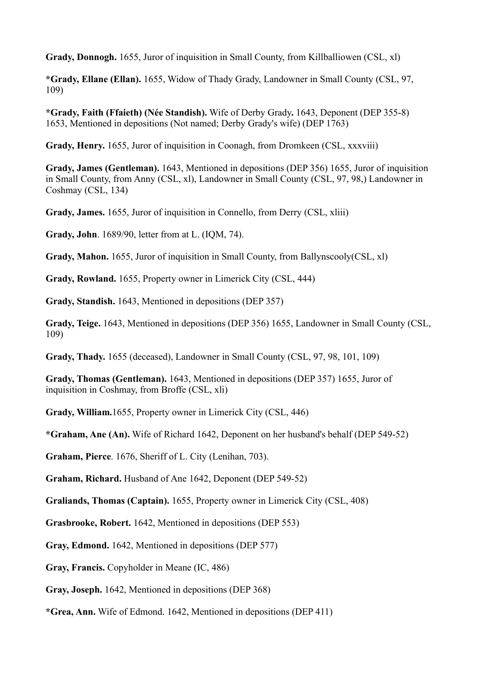**Grady, Donnogh.** 1655, Juror of inquisition in Small County, from Killballiowen (CSL, xl)

**\*Grady, Ellane (Ellan).** 1655, Widow of Thady Grady, Landowner in Small County (CSL, 97, 109)

**\*Grady, Faith (Ffaieth) (Née Standish).** Wife of Derby Grady**.** 1643, Deponent (DEP 355-8) 1653, Mentioned in depositions (Not named; Derby Grady's wife) (DEP 1763)

**Grady, Henry.** 1655, Juror of inquisition in Coonagh, from Dromkeen (CSL, xxxviii)

**Grady, James (Gentleman).** 1643, Mentioned in depositions (DEP 356) 1655, Juror of inquisition in Small County, from Anny (CSL, xl), Landowner in Small County (CSL, 97, 98,) Landowner in Coshmay (CSL, 134)

**Grady, James.** 1655, Juror of inquisition in Connello, from Derry (CSL, xliii)

**Grady, John**. 1689/90, letter from at L. (IQM, 74).

**Grady, Mahon.** 1655, Juror of inquisition in Small County, from Ballynscooly(CSL, xl)

**Grady, Rowland.** 1655, Property owner in Limerick City (CSL, 444)

**Grady, Standish.** 1643, Mentioned in depositions (DEP 357)

**Grady, Teige.** 1643, Mentioned in depositions (DEP 356) 1655, Landowner in Small County (CSL, 109)

**Grady, Thady.** 1655 (deceased), Landowner in Small County (CSL, 97, 98, 101, 109)

**Grady, Thomas (Gentleman).** 1643, Mentioned in depositions (DEP 357) 1655, Juror of inquisition in Coshmay, from Broffe (CSL, xli)

**Grady, William.**1655, Property owner in Limerick City (CSL, 446)

**\*Graham, Ane (An).** Wife of Richard 1642, Deponent on her husband's behalf (DEP 549-52)

**Graham, Pierce**. 1676, Sheriff of L. City (Lenihan, 703).

**Graham, Richard.** Husband of Ane 1642, Deponent (DEP 549-52)

**Graliands, Thomas (Captain).** 1655, Property owner in Limerick City (CSL, 408)

**Grasbrooke, Robert.** 1642, Mentioned in depositions (DEP 553)

**Gray, Edmond.** 1642, Mentioned in depositions (DEP 577)

**Gray, Francis.** Copyholder in Meane (IC, 486)

**Gray, Joseph.** 1642, Mentioned in depositions (DEP 368)

**\*Grea, Ann.** Wife of Edmond. 1642, Mentioned in depositions (DEP 411)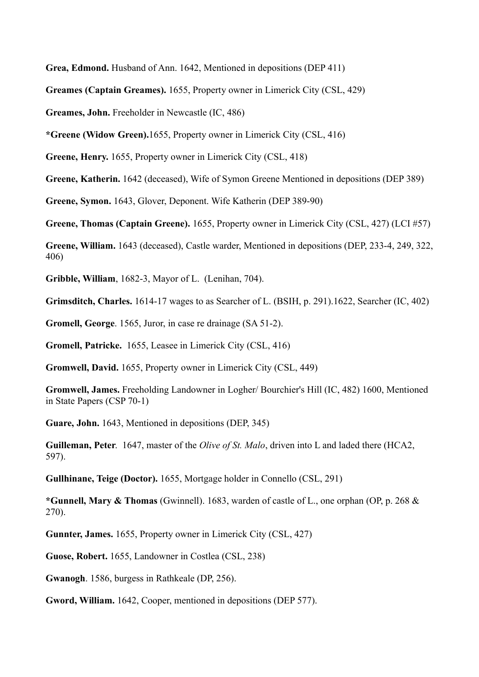**Grea, Edmond.** Husband of Ann. 1642, Mentioned in depositions (DEP 411)

**Greames (Captain Greames).** 1655, Property owner in Limerick City (CSL, 429)

**Greames, John.** Freeholder in Newcastle (IC, 486)

**\*Greene (Widow Green).**1655, Property owner in Limerick City (CSL, 416)

**Greene, Henry.** 1655, Property owner in Limerick City (CSL, 418)

**Greene, Katherin.** 1642 (deceased), Wife of Symon Greene Mentioned in depositions (DEP 389)

**Greene, Symon.** 1643, Glover, Deponent. Wife Katherin (DEP 389-90)

**Greene, Thomas (Captain Greene).** 1655, Property owner in Limerick City (CSL, 427) (LCI #57)

**Greene, William.** 1643 (deceased), Castle warder, Mentioned in depositions (DEP, 233-4, 249, 322, 406)

**Gribble, William**, 1682-3, Mayor of L. (Lenihan, 704).

**Grimsditch, Charles.** 1614-17 wages to as Searcher of L. (BSIH, p. 291).1622, Searcher (IC, 402)

**Gromell, George**. 1565, Juror, in case re drainage (SA 51-2).

**Gromell, Patricke.** 1655, Leasee in Limerick City (CSL, 416)

**Gromwell, David.** 1655, Property owner in Limerick City (CSL, 449)

**Gromwell, James.** Freeholding Landowner in Logher/ Bourchier's Hill (IC, 482) 1600, Mentioned in State Papers (CSP 70-1)

**Guare, John.** 1643, Mentioned in depositions (DEP, 345)

**Guilleman, Peter**. 1647, master of the *Olive of St. Malo*, driven into L and laded there (HCA2, 597).

**Gullhinane, Teige (Doctor).** 1655, Mortgage holder in Connello (CSL, 291)

**\*Gunnell, Mary & Thomas** (Gwinnell). 1683, warden of castle of L., one orphan (OP, p. 268 & 270).

**Gunnter, James.** 1655, Property owner in Limerick City (CSL, 427)

**Guose, Robert.** 1655, Landowner in Costlea (CSL, 238)

**Gwanogh**. 1586, burgess in Rathkeale (DP, 256).

**Gword, William.** 1642, Cooper, mentioned in depositions (DEP 577).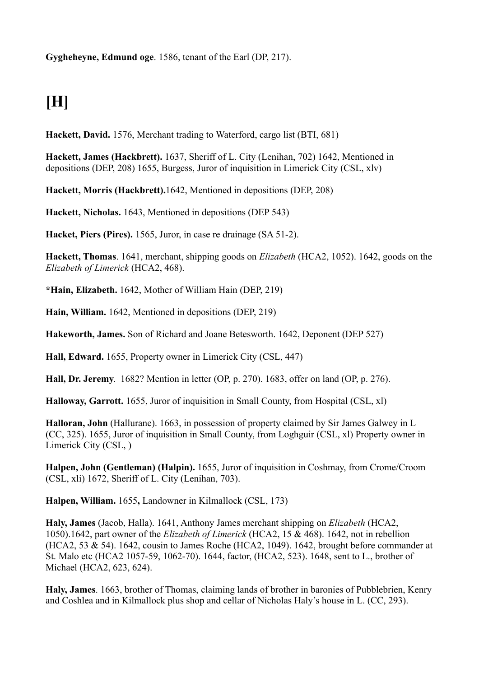**Gygheheyne, Edmund oge**. 1586, tenant of the Earl (DP, 217).

## **[H]**

**Hackett, David.** 1576, Merchant trading to Waterford, cargo list (BTI, 681)

**Hackett, James (Hackbrett).** 1637, Sheriff of L. City (Lenihan, 702) 1642, Mentioned in depositions (DEP, 208) 1655, Burgess, Juror of inquisition in Limerick City (CSL, xlv)

**Hackett, Morris (Hackbrett).**1642, Mentioned in depositions (DEP, 208)

**Hackett, Nicholas.** 1643, Mentioned in depositions (DEP 543)

**Hacket, Piers (Pires).** 1565, Juror, in case re drainage (SA 51-2).

**Hackett, Thomas**. 1641, merchant, shipping goods on *Elizabeth* (HCA2, 1052). 1642, goods on the *Elizabeth of Limerick* (HCA2, 468).

**\*Hain, Elizabeth.** 1642, Mother of William Hain (DEP, 219)

**Hain, William.** 1642, Mentioned in depositions (DEP, 219)

**Hakeworth, James.** Son of Richard and Joane Betesworth. 1642, Deponent (DEP 527)

**Hall, Edward.** 1655, Property owner in Limerick City (CSL, 447)

**Hall, Dr. Jeremy**. 1682? Mention in letter (OP, p. 270). 1683, offer on land (OP, p. 276).

**Halloway, Garrott.** 1655, Juror of inquisition in Small County, from Hospital (CSL, xl)

**Halloran, John** (Hallurane). 1663, in possession of property claimed by Sir James Galwey in L (CC, 325). 1655, Juror of inquisition in Small County, from Loghguir (CSL, xl) Property owner in Limerick City (CSL, )

**Halpen, John (Gentleman) (Halpin).** 1655, Juror of inquisition in Coshmay, from Crome/Croom (CSL, xli) 1672, Sheriff of L. City (Lenihan, 703).

**Halpen, William.** 1655**,** Landowner in Kilmallock (CSL, 173)

**Haly, James** (Jacob, Halla). 1641, Anthony James merchant shipping on *Elizabeth* (HCA2, 1050).1642, part owner of the *Elizabeth of Limerick* (HCA2, 15 & 468). 1642, not in rebellion (HCA2, 53 & 54). 1642, cousin to James Roche (HCA2, 1049). 1642, brought before commander at St. Malo etc (HCA2 1057-59, 1062-70). 1644, factor, (HCA2, 523). 1648, sent to L., brother of Michael (HCA2, 623, 624).

**Haly, James**. 1663, brother of Thomas, claiming lands of brother in baronies of Pubblebrien, Kenry and Coshlea and in Kilmallock plus shop and cellar of Nicholas Haly's house in L. (CC, 293).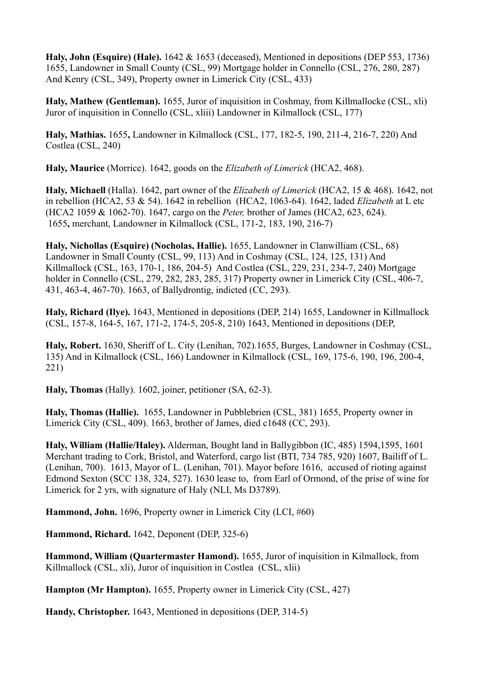**Haly, John (Esquire) (Hale).** 1642 & 1653 (deceased), Mentioned in depositions (DEP 553, 1736) 1655, Landowner in Small County (CSL, 99) Mortgage holder in Connello (CSL, 276, 280, 287) And Kenry (CSL, 349), Property owner in Limerick City (CSL, 433)

**Haly, Mathew (Gentleman).** 1655, Juror of inquisition in Coshmay, from Killmallocke (CSL, xli) Juror of inquisition in Connello (CSL, xliii) Landowner in Kilmallock (CSL, 177)

**Haly, Mathias.** 1655**,** Landowner in Kilmallock (CSL, 177, 182-5, 190, 211-4, 216-7, 220) And Costlea (CSL, 240)

**Haly, Maurice** (Morrice). 1642, goods on the *Elizabeth of Limerick* (HCA2, 468).

**Haly, Michaell** (Halla). 1642, part owner of the *Elizabeth of Limerick* (HCA2, 15 & 468). 1642, not in rebellion (HCA2, 53 & 54). 1642 in rebellion (HCA2, 1063-64). 1642, laded *Elizabeth* at L etc (HCA2 1059 & 1062-70). 1647, cargo on the *Peter,* brother of James (HCA2, 623, 624). 1655**,** merchant, Landowner in Kilmallock (CSL, 171-2, 183, 190, 216-7)

**Haly, Nichollas (Esquire) (Nocholas, Hallie).** 1655, Landowner in Clanwilliam (CSL, 68) Landowner in Small County (CSL, 99, 113) And in Coshmay (CSL, 124, 125, 131) And Killmallock (CSL, 163, 170-1, 186, 204-5) And Costlea (CSL, 229, 231, 234-7, 240) Mortgage holder in Connello (CSL, 279, 282, 283, 285, 317) Property owner in Limerick City (CSL, 406-7, 431, 463-4, 467-70). 1663, of Ballydrontig, indicted (CC, 293).

**Haly, Richard (Ilye).** 1643, Mentioned in depositions (DEP, 214) 1655, Landowner in Killmallock (CSL, 157-8, 164-5, 167, 171-2, 174-5, 205-8, 210) 1643, Mentioned in depositions (DEP,

**Haly, Robert.** 1630, Sheriff of L. City (Lenihan, 702).1655, Burges, Landowner in Coshmay (CSL, 135) And in Kilmallock (CSL, 166) Landowner in Kilmallock (CSL, 169, 175-6, 190, 196, 200-4, 221)

**Haly, Thomas** (Hally). 1602, joiner, petitioner (SA, 62-3).

**Haly, Thomas (Hallie).** 1655, Landowner in Pubblebrien (CSL, 381) 1655, Property owner in Limerick City (CSL, 409). 1663, brother of James, died c1648 (CC, 293).

**Haly, William (Hallie/Haley).** Alderman, Bought land in Ballygibbon (IC, 485) 1594,1595, 1601 Merchant trading to Cork, Bristol, and Waterford, cargo list (BTI, 734 785, 920) 1607, Bailiff of L. (Lenihan, 700). 1613, Mayor of L. (Lenihan, 701). Mayor before 1616, accused of rioting against Edmond Sexton (SCC 138, 324, 527). 1630 lease to, from Earl of Ormond, of the prise of wine for Limerick for 2 yrs, with signature of Haly (NLI, Ms D3789).

**Hammond, John.** 1696, Property owner in Limerick City (LCI, #60)

**Hammond, Richard.** 1642, Deponent (DEP, 325-6)

**Hammond, William (Quartermaster Hamond).** 1655, Juror of inquisition in Kilmallock, from Killmallock (CSL, xli), Juror of inquisition in Costlea (CSL, xlii)

**Hampton (Mr Hampton).** 1655, Property owner in Limerick City (CSL, 427)

**Handy, Christopher.** 1643, Mentioned in depositions (DEP, 314-5)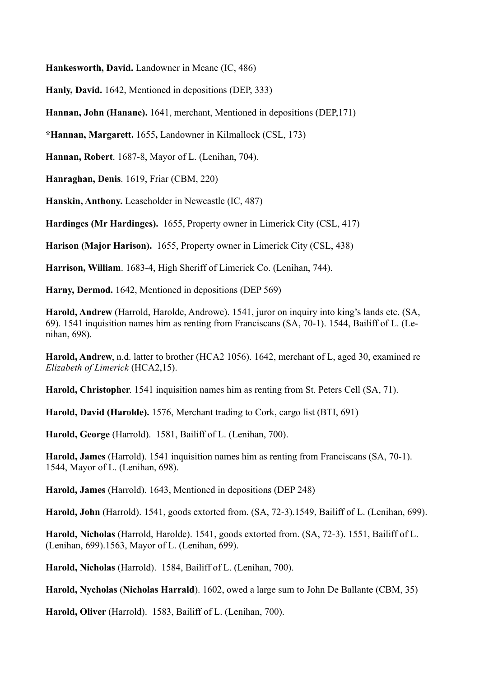**Hankesworth, David.** Landowner in Meane (IC, 486)

**Hanly, David.** 1642, Mentioned in depositions (DEP, 333)

**Hannan, John (Hanane).** 1641, merchant, Mentioned in depositions (DEP,171)

**\*Hannan, Margarett.** 1655**,** Landowner in Kilmallock (CSL, 173)

**Hannan, Robert**. 1687-8, Mayor of L. (Lenihan, 704).

**Hanraghan, Denis**. 1619, Friar (CBM, 220)

**Hanskin, Anthony.** Leaseholder in Newcastle (IC, 487)

**Hardinges (Mr Hardinges).** 1655, Property owner in Limerick City (CSL, 417)

**Harison (Major Harison).** 1655, Property owner in Limerick City (CSL, 438)

**Harrison, William**. 1683-4, High Sheriff of Limerick Co. (Lenihan, 744).

**Harny, Dermod.** 1642, Mentioned in depositions (DEP 569)

**Harold, Andrew** (Harrold, Harolde, Androwe). 1541, juror on inquiry into king's lands etc. (SA, 69). 1541 inquisition names him as renting from Franciscans (SA, 70-1). 1544, Bailiff of L. (Lenihan, 698).

**Harold, Andrew**, n.d. latter to brother (HCA2 1056). 1642, merchant of L, aged 30, examined re *Elizabeth of Limerick* (HCA2,15).

**Harold, Christopher**. 1541 inquisition names him as renting from St. Peters Cell (SA, 71).

**Harold, David (Harolde).** 1576, Merchant trading to Cork, cargo list (BTI, 691)

**Harold, George** (Harrold). 1581, Bailiff of L. (Lenihan, 700).

**Harold, James** (Harrold). 1541 inquisition names him as renting from Franciscans (SA, 70-1). 1544, Mayor of L. (Lenihan, 698).

**Harold, James** (Harrold). 1643, Mentioned in depositions (DEP 248)

**Harold, John** (Harrold). 1541, goods extorted from. (SA, 72-3).1549, Bailiff of L. (Lenihan, 699).

**Harold, Nicholas** (Harrold, Harolde). 1541, goods extorted from. (SA, 72-3). 1551, Bailiff of L. (Lenihan, 699).1563, Mayor of L. (Lenihan, 699).

**Harold, Nicholas** (Harrold). 1584, Bailiff of L. (Lenihan, 700).

**Harold, Nycholas** (**Nicholas Harrald**). 1602, owed a large sum to John De Ballante (CBM, 35)

**Harold, Oliver** (Harrold). 1583, Bailiff of L. (Lenihan, 700).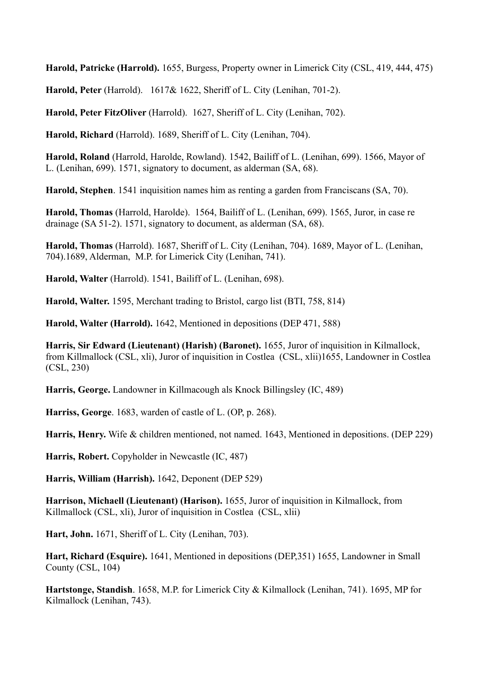**Harold, Patricke (Harrold).** 1655, Burgess, Property owner in Limerick City (CSL, 419, 444, 475)

**Harold, Peter** (Harrold). 1617& 1622, Sheriff of L. City (Lenihan, 701-2).

**Harold, Peter FitzOliver** (Harrold). 1627, Sheriff of L. City (Lenihan, 702).

**Harold, Richard** (Harrold). 1689, Sheriff of L. City (Lenihan, 704).

**Harold, Roland** (Harrold, Harolde, Rowland). 1542, Bailiff of L. (Lenihan, 699). 1566, Mayor of L. (Lenihan, 699). 1571, signatory to document, as alderman (SA, 68).

**Harold, Stephen**. 1541 inquisition names him as renting a garden from Franciscans (SA, 70).

**Harold, Thomas** (Harrold, Harolde). 1564, Bailiff of L. (Lenihan, 699). 1565, Juror, in case re drainage (SA 51-2). 1571, signatory to document, as alderman (SA, 68).

**Harold, Thomas** (Harrold). 1687, Sheriff of L. City (Lenihan, 704). 1689, Mayor of L. (Lenihan, 704).1689, Alderman, M.P. for Limerick City (Lenihan, 741).

**Harold, Walter** (Harrold). 1541, Bailiff of L. (Lenihan, 698).

**Harold, Walter.** 1595, Merchant trading to Bristol, cargo list (BTI, 758, 814)

**Harold, Walter (Harrold).** 1642, Mentioned in depositions (DEP 471, 588)

**Harris, Sir Edward (Lieutenant) (Harish) (Baronet).** 1655, Juror of inquisition in Kilmallock, from Killmallock (CSL, xli), Juror of inquisition in Costlea (CSL, xlii)1655, Landowner in Costlea (CSL, 230)

**Harris, George.** Landowner in Killmacough als Knock Billingsley (IC, 489)

**Harriss, George**. 1683, warden of castle of L. (OP, p. 268).

**Harris, Henry.** Wife & children mentioned, not named. 1643, Mentioned in depositions. (DEP 229)

**Harris, Robert.** Copyholder in Newcastle (IC, 487)

**Harris, William (Harrish).** 1642, Deponent (DEP 529)

**Harrison, Michaell (Lieutenant) (Harison).** 1655, Juror of inquisition in Kilmallock, from Killmallock (CSL, xli), Juror of inquisition in Costlea (CSL, xlii)

**Hart, John.** 1671, Sheriff of L. City (Lenihan, 703).

**Hart, Richard (Esquire).** 1641, Mentioned in depositions (DEP,351) 1655, Landowner in Small County (CSL, 104)

**Hartstonge, Standish**. 1658, M.P. for Limerick City & Kilmallock (Lenihan, 741). 1695, MP for Kilmallock (Lenihan, 743).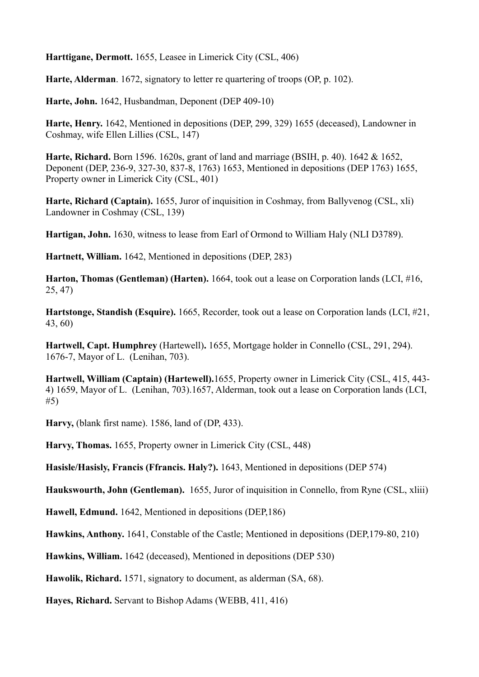**Harttigane, Dermott.** 1655, Leasee in Limerick City (CSL, 406)

**Harte, Alderman**. 1672, signatory to letter re quartering of troops (OP, p. 102).

**Harte, John.** 1642, Husbandman, Deponent (DEP 409-10)

**Harte, Henry.** 1642, Mentioned in depositions (DEP, 299, 329) 1655 (deceased), Landowner in Coshmay, wife Ellen Lillies (CSL, 147)

**Harte, Richard.** Born 1596. 1620s, grant of land and marriage (BSIH, p. 40). 1642 & 1652, Deponent (DEP, 236-9, 327-30, 837-8, 1763) 1653, Mentioned in depositions (DEP 1763) 1655, Property owner in Limerick City (CSL, 401)

**Harte, Richard (Captain).** 1655, Juror of inquisition in Coshmay, from Ballyvenog (CSL, xli) Landowner in Coshmay (CSL, 139)

**Hartigan, John.** 1630, witness to lease from Earl of Ormond to William Haly (NLI D3789).

**Hartnett, William.** 1642, Mentioned in depositions (DEP, 283)

**Harton, Thomas (Gentleman) (Harten).** 1664, took out a lease on Corporation lands (LCI, #16, 25, 47)

**Hartstonge, Standish (Esquire).** 1665, Recorder, took out a lease on Corporation lands (LCI, #21, 43, 60)

**Hartwell, Capt. Humphrey** (Hartewell)**.** 1655, Mortgage holder in Connello (CSL, 291, 294). 1676-7, Mayor of L. (Lenihan, 703).

**Hartwell, William (Captain) (Hartewell).**1655, Property owner in Limerick City (CSL, 415, 443- 4) 1659, Mayor of L. (Lenihan, 703).1657, Alderman, took out a lease on Corporation lands (LCI, #5)

**Harvy,** (blank first name). 1586, land of (DP, 433).

**Harvy, Thomas.** 1655, Property owner in Limerick City (CSL, 448)

**Hasisle/Hasisly, Francis (Ffrancis. Haly?).** 1643, Mentioned in depositions (DEP 574)

**Haukswourth, John (Gentleman).** 1655, Juror of inquisition in Connello, from Ryne (CSL, xliii)

**Hawell, Edmund.** 1642, Mentioned in depositions (DEP,186)

**Hawkins, Anthony.** 1641, Constable of the Castle; Mentioned in depositions (DEP,179-80, 210)

**Hawkins, William.** 1642 (deceased), Mentioned in depositions (DEP 530)

**Hawolik, Richard.** 1571, signatory to document, as alderman (SA, 68).

**Hayes, Richard.** Servant to Bishop Adams (WEBB, 411, 416)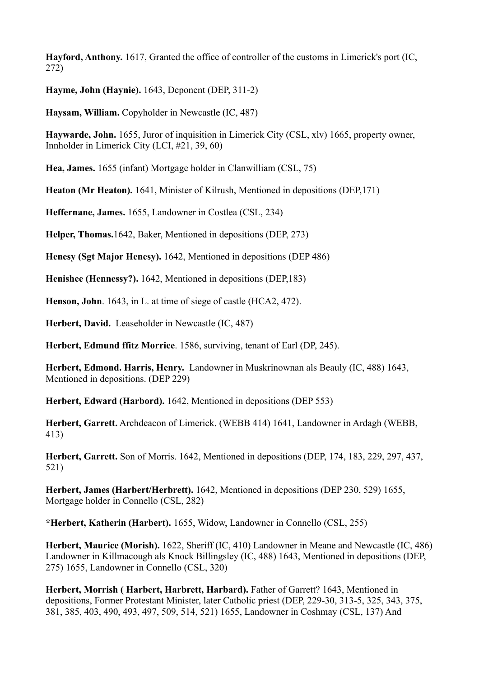**Hayford, Anthony.** 1617, Granted the office of controller of the customs in Limerick's port (IC, 272)

**Hayme, John (Haynie).** 1643, Deponent (DEP, 311-2)

**Haysam, William.** Copyholder in Newcastle (IC, 487)

**Haywarde, John.** 1655, Juror of inquisition in Limerick City (CSL, xlv) 1665, property owner, Innholder in Limerick City (LCI, #21, 39, 60)

**Hea, James.** 1655 (infant) Mortgage holder in Clanwilliam (CSL, 75)

**Heaton (Mr Heaton).** 1641, Minister of Kilrush, Mentioned in depositions (DEP,171)

**Heffernane, James.** 1655, Landowner in Costlea (CSL, 234)

**Helper, Thomas.**1642, Baker, Mentioned in depositions (DEP, 273)

**Henesy (Sgt Major Henesy).** 1642, Mentioned in depositions (DEP 486)

**Henishee (Hennessy?).** 1642, Mentioned in depositions (DEP,183)

**Henson, John**. 1643, in L. at time of siege of castle (HCA2, 472).

**Herbert, David.** Leaseholder in Newcastle (IC, 487)

**Herbert, Edmund ffitz Morrice**. 1586, surviving, tenant of Earl (DP, 245).

**Herbert, Edmond. Harris, Henry.** Landowner in Muskrinownan als Beauly (IC, 488) 1643, Mentioned in depositions. (DEP 229)

**Herbert, Edward (Harbord).** 1642, Mentioned in depositions (DEP 553)

**Herbert, Garrett.** Archdeacon of Limerick. (WEBB 414) 1641, Landowner in Ardagh (WEBB, 413)

**Herbert, Garrett.** Son of Morris. 1642, Mentioned in depositions (DEP, 174, 183, 229, 297, 437, 521)

**Herbert, James (Harbert/Herbrett).** 1642, Mentioned in depositions (DEP 230, 529) 1655, Mortgage holder in Connello (CSL, 282)

**\*Herbert, Katherin (Harbert).** 1655, Widow, Landowner in Connello (CSL, 255)

**Herbert, Maurice (Morish).** 1622, Sheriff (IC, 410) Landowner in Meane and Newcastle (IC, 486) Landowner in Killmacough als Knock Billingsley (IC, 488) 1643, Mentioned in depositions (DEP, 275) 1655, Landowner in Connello (CSL, 320)

**Herbert, Morrish ( Harbert, Harbrett, Harbard).** Father of Garrett? 1643, Mentioned in depositions, Former Protestant Minister, later Catholic priest (DEP, 229-30, 313-5, 325, 343, 375, 381, 385, 403, 490, 493, 497, 509, 514, 521) 1655, Landowner in Coshmay (CSL, 137) And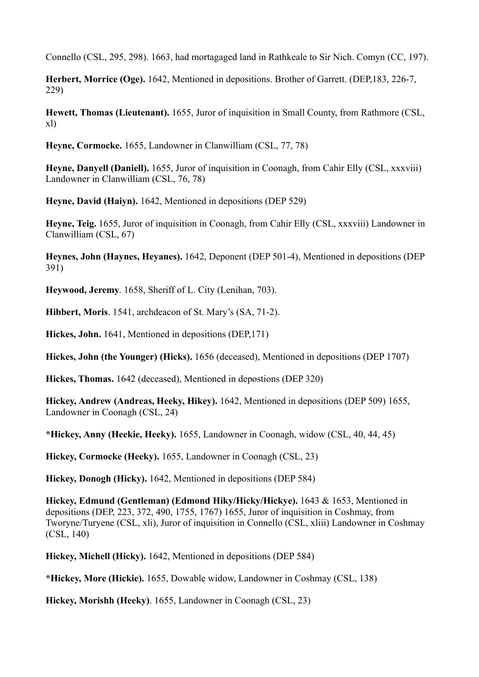Connello (CSL, 295, 298). 1663, had mortagaged land in Rathkeale to Sir Nich. Comyn (CC, 197).

**Herbert, Morrice (Oge).** 1642, Mentioned in depositions. Brother of Garrett. (DEP,183, 226-7, 229)

**Hewett, Thomas (Lieutenant).** 1655, Juror of inquisition in Small County, from Rathmore (CSL, xl)

**Heyne, Cormocke.** 1655, Landowner in Clanwilliam (CSL, 77, 78)

**Heyne, Danyell (Daniell).** 1655, Juror of inquisition in Coonagh, from Cahir Elly (CSL, xxxviii) Landowner in Clanwilliam (CSL, 76, 78)

**Heyne, David (Haiyn).** 1642, Mentioned in depositions (DEP 529)

**Heyne, Teig.** 1655, Juror of inquisition in Coonagh, from Cahir Elly (CSL, xxxviii) Landowner in Clanwilliam (CSL, 67)

**Heynes, John (Haynes, Heyanes).** 1642, Deponent (DEP 501-4), Mentioned in depositions (DEP 391)

**Heywood, Jeremy**. 1658, Sheriff of L. City (Lenihan, 703).

**Hibbert, Moris**. 1541, archdeacon of St. Mary's (SA, 71-2).

**Hickes, John.** 1641, Mentioned in depositions (DEP,171)

**Hickes, John (the Younger) (Hicks).** 1656 (deceased), Mentioned in depositions (DEP 1707)

**Hickes, Thomas.** 1642 (deceased), Mentioned in depostions (DEP 320)

**Hickey, Andrew (Andreas, Heeky, Hikey).** 1642, Mentioned in depositions (DEP 509) 1655, Landowner in Coonagh (CSL, 24)

**\*Hickey, Anny (Heekie, Heeky).** 1655, Landowner in Coonagh, widow (CSL, 40, 44, 45)

**Hickey, Cormocke (Heeky).** 1655, Landowner in Coonagh (CSL, 23)

**Hickey, Donogh (Hicky).** 1642, Mentioned in depositions (DEP 584)

**Hickey, Edmund (Gentleman) (Edmond Hiky/Hicky/Hickye).** 1643 & 1653, Mentioned in depositions (DEP, 223, 372, 490, 1755, 1767) 1655, Juror of inquisition in Coshmay, from Tworyne/Turyene (CSL, xli), Juror of inquisition in Connello (CSL, xliii) Landowner in Coshmay (CSL, 140)

**Hickey, Michell (Hicky).** 1642, Mentioned in depositions (DEP 584)

**\*Hickey, More (Hickie).** 1655, Dowable widow, Landowner in Coshmay (CSL, 138)

**Hickey, Morishh (Heeky)**. 1655, Landowner in Coonagh (CSL, 23)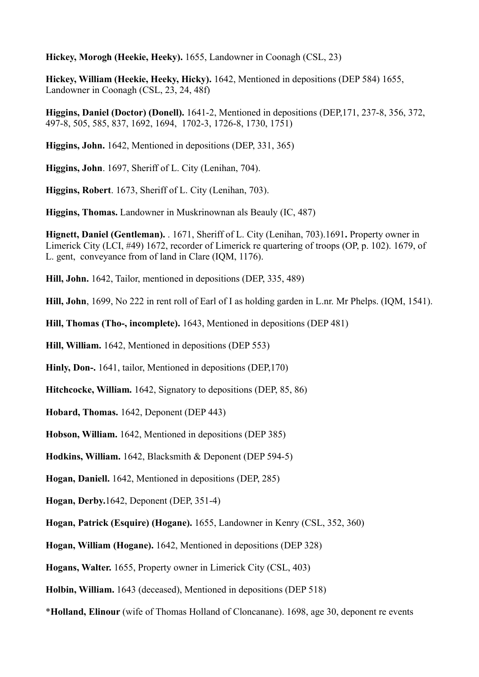**Hickey, Morogh (Heekie, Heeky).** 1655, Landowner in Coonagh (CSL, 23)

**Hickey, William (Heekie, Heeky, Hicky).** 1642, Mentioned in depositions (DEP 584) 1655, Landowner in Coonagh (CSL, 23, 24, 48f)

**Higgins, Daniel (Doctor) (Donell).** 1641-2, Mentioned in depositions (DEP,171, 237-8, 356, 372, 497-8, 505, 585, 837, 1692, 1694, 1702-3, 1726-8, 1730, 1751)

**Higgins, John.** 1642, Mentioned in depositions (DEP, 331, 365)

**Higgins, John**. 1697, Sheriff of L. City (Lenihan, 704).

**Higgins, Robert**. 1673, Sheriff of L. City (Lenihan, 703).

**Higgins, Thomas.** Landowner in Muskrinownan als Beauly (IC, 487)

**Hignett, Daniel (Gentleman).** . 1671, Sheriff of L. City (Lenihan, 703).1691**.** Property owner in Limerick City (LCI, #49) 1672, recorder of Limerick re quartering of troops (OP, p. 102). 1679, of L. gent, conveyance from of land in Clare (IQM, 1176).

**Hill, John.** 1642, Tailor, mentioned in depositions (DEP, 335, 489)

**Hill, John**, 1699, No 222 in rent roll of Earl of I as holding garden in L.nr. Mr Phelps. (IQM, 1541).

**Hill, Thomas (Tho-, incomplete).** 1643, Mentioned in depositions (DEP 481)

**Hill, William.** 1642, Mentioned in depositions (DEP 553)

**Hinly, Don-.** 1641, tailor, Mentioned in depositions (DEP,170)

**Hitchcocke, William.** 1642, Signatory to depositions (DEP, 85, 86)

**Hobard, Thomas.** 1642, Deponent (DEP 443)

**Hobson, William.** 1642, Mentioned in depositions (DEP 385)

**Hodkins, William.** 1642, Blacksmith & Deponent (DEP 594-5)

**Hogan, Daniell.** 1642, Mentioned in depositions (DEP, 285)

**Hogan, Derby.**1642, Deponent (DEP, 351-4)

**Hogan, Patrick (Esquire) (Hogane).** 1655, Landowner in Kenry (CSL, 352, 360)

**Hogan, William (Hogane).** 1642, Mentioned in depositions (DEP 328)

**Hogans, Walter.** 1655, Property owner in Limerick City (CSL, 403)

**Holbin, William.** 1643 (deceased), Mentioned in depositions (DEP 518)

\***Holland, Elinour** (wife of Thomas Holland of Cloncanane). 1698, age 30, deponent re events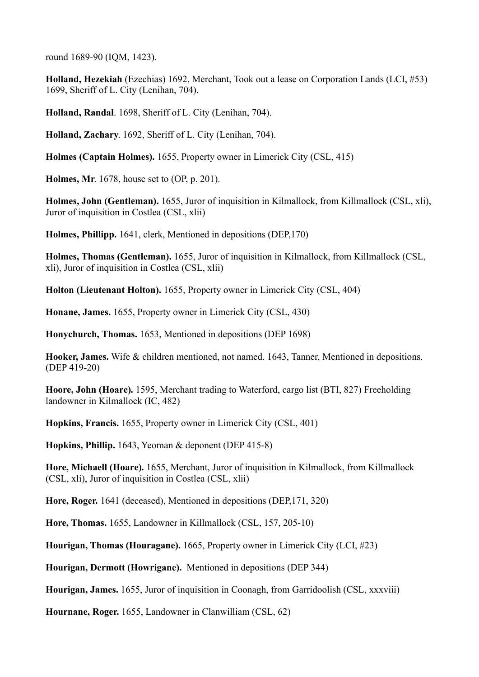round 1689-90 (IQM, 1423).

**Holland, Hezekiah** (Ezechias) 1692, Merchant, Took out a lease on Corporation Lands (LCI, #53) 1699, Sheriff of L. City (Lenihan, 704).

**Holland, Randal**. 1698, Sheriff of L. City (Lenihan, 704).

**Holland, Zachary**. 1692, Sheriff of L. City (Lenihan, 704).

**Holmes (Captain Holmes).** 1655, Property owner in Limerick City (CSL, 415)

**Holmes, Mr**. 1678, house set to (OP, p. 201).

**Holmes, John (Gentleman).** 1655, Juror of inquisition in Kilmallock, from Killmallock (CSL, xli), Juror of inquisition in Costlea (CSL, xlii)

**Holmes, Phillipp.** 1641, clerk, Mentioned in depositions (DEP,170)

**Holmes, Thomas (Gentleman).** 1655, Juror of inquisition in Kilmallock, from Killmallock (CSL, xli), Juror of inquisition in Costlea (CSL, xlii)

**Holton (Lieutenant Holton).** 1655, Property owner in Limerick City (CSL, 404)

**Honane, James.** 1655, Property owner in Limerick City (CSL, 430)

**Honychurch, Thomas.** 1653, Mentioned in depositions (DEP 1698)

**Hooker, James.** Wife & children mentioned, not named. 1643, Tanner, Mentioned in depositions. (DEP 419-20)

**Hoore, John (Hoare).** 1595, Merchant trading to Waterford, cargo list (BTI, 827) Freeholding landowner in Kilmallock (IC, 482)

**Hopkins, Francis.** 1655, Property owner in Limerick City (CSL, 401)

**Hopkins, Phillip.** 1643, Yeoman & deponent (DEP 415-8)

**Hore, Michaell (Hoare).** 1655, Merchant, Juror of inquisition in Kilmallock, from Killmallock (CSL, xli), Juror of inquisition in Costlea (CSL, xlii)

**Hore, Roger.** 1641 (deceased), Mentioned in depositions (DEP,171, 320)

**Hore, Thomas.** 1655, Landowner in Killmallock (CSL, 157, 205-10)

**Hourigan, Thomas (Houragane).** 1665, Property owner in Limerick City (LCI, #23)

**Hourigan, Dermott (Howrigane).** Mentioned in depositions (DEP 344)

**Hourigan, James.** 1655, Juror of inquisition in Coonagh, from Garridoolish (CSL, xxxviii)

**Hournane, Roger.** 1655, Landowner in Clanwilliam (CSL, 62)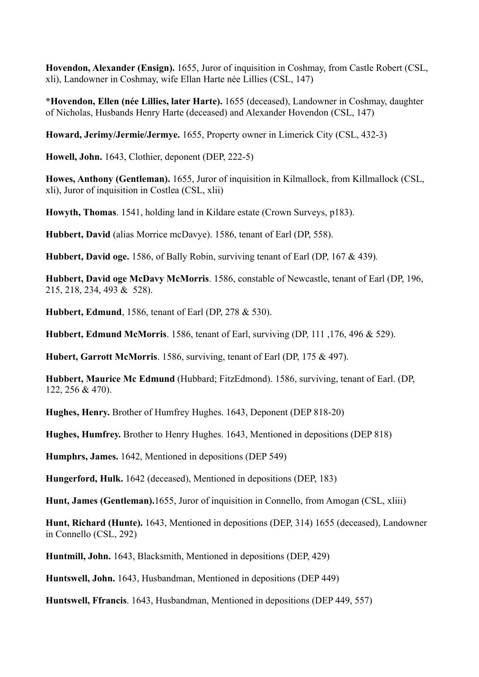**Hovendon, Alexander (Ensign).** 1655, Juror of inquisition in Coshmay, from Castle Robert (CSL, xli), Landowner in Coshmay, wife Ellan Harte née Lillies (CSL, 147)

**\*Hovendon, Ellen (née Lillies, later Harte).** 1655 (deceased), Landowner in Coshmay, daughter of Nicholas, Husbands Henry Harte (deceased) and Alexander Hovendon (CSL, 147)

**Howard, Jerimy/Jermie/Jermye.** 1655, Property owner in Limerick City (CSL, 432-3)

**Howell, John.** 1643, Clothier, deponent (DEP, 222-5)

**Howes, Anthony (Gentleman).** 1655, Juror of inquisition in Kilmallock, from Killmallock (CSL, xli), Juror of inquisition in Costlea (CSL, xlii)

**Howyth, Thomas**. 1541, holding land in Kildare estate (Crown Surveys, p183).

**Hubbert, David** (alias Morrice mcDavye). 1586, tenant of Earl (DP, 558).

**Hubbert, David oge.** 1586, of Bally Robin, surviving tenant of Earl (DP, 167 & 439)*.*

**Hubbert, David oge McDavy McMorris**. 1586, constable of Newcastle, tenant of Earl (DP, 196, 215, 218, 234, 493 & 528).

**Hubbert, Edmund**, 1586, tenant of Earl (DP, 278 & 530).

**Hubbert, Edmund McMorris**. 1586, tenant of Earl, surviving (DP, 111 ,176, 496 & 529).

**Hubert, Garrott McMorris**. 1586, surviving, tenant of Earl (DP, 175 & 497).

**Hubbert, Maurice Mc Edmund** (Hubbard; FitzEdmond). 1586, surviving, tenant of Earl. (DP, 122, 256 & 470).

**Hughes, Henry.** Brother of Humfrey Hughes. 1643, Deponent (DEP 818-20)

**Hughes, Humfrey.** Brother to Henry Hughes. 1643, Mentioned in depositions (DEP 818)

**Humphrs, James.** 1642, Mentioned in depositions (DEP 549)

**Hungerford, Hulk.** 1642 (deceased), Mentioned in depositions (DEP, 183)

**Hunt, James (Gentleman).**1655, Juror of inquisition in Connello, from Amogan (CSL, xliii)

**Hunt, Richard (Hunte).** 1643, Mentioned in depositions (DEP, 314) 1655 (deceased), Landowner in Connello (CSL, 292)

**Huntmill, John.** 1643, Blacksmith, Mentioned in depositions (DEP, 429)

**Huntswell, John.** 1643, Husbandman, Mentioned in depositions (DEP 449)

**Huntswell, Ffrancis**. 1643, Husbandman, Mentioned in depositions (DEP 449, 557)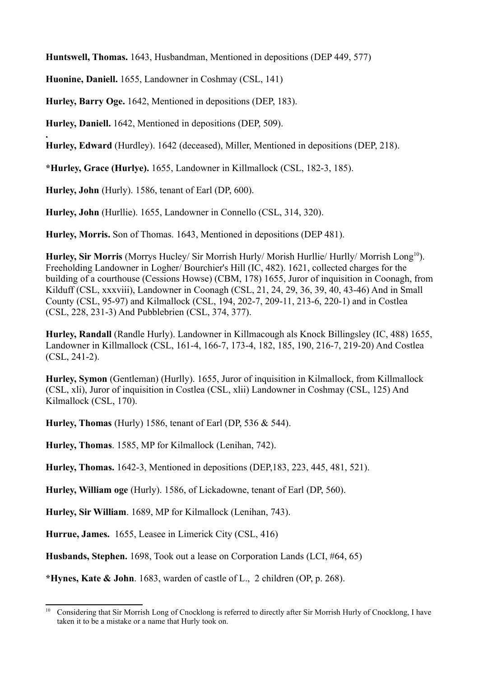**Huntswell, Thomas.** 1643, Husbandman, Mentioned in depositions (DEP 449, 577)

**Huonine, Daniell.** 1655, Landowner in Coshmay (CSL, 141)

**Hurley, Barry Oge.** 1642, Mentioned in depositions (DEP, 183).

**Hurley, Daniell.** 1642, Mentioned in depositions (DEP, 509).

**. Hurley, Edward** (Hurdley). 1642 (deceased), Miller, Mentioned in depositions (DEP, 218).

**\*Hurley, Grace (Hurlye).** 1655, Landowner in Killmallock (CSL, 182-3, 185).

**Hurley, John** (Hurly). 1586, tenant of Earl (DP, 600).

**Hurley, John** (Hurllie). 1655, Landowner in Connello (CSL, 314, 320).

**Hurley, Morris.** Son of Thomas. 1643, Mentioned in depositions (DEP 481).

**Hurley, Sir Morris** (Morrys Hucley/ Sir Morrish Hurly/ Morish Hurllie/ Hurlly/ Morrish Long<sup>10</sup>). Freeholding Landowner in Logher/ Bourchier's Hill (IC, 482). 1621, collected charges for the building of a courthouse (Cessions Howse) (CBM, 178) 1655, Juror of inquisition in Coonagh, from Kilduff (CSL, xxxviii), Landowner in Coonagh (CSL, 21, 24, 29, 36, 39, 40, 43-46) And in Small County (CSL, 95-97) and Kilmallock (CSL, 194, 202-7, 209-11, 213-6, 220-1) and in Costlea (CSL, 228, 231-3) And Pubblebrien (CSL, 374, 377).

**Hurley, Randall** (Randle Hurly). Landowner in Killmacough als Knock Billingsley (IC, 488) 1655, Landowner in Killmallock (CSL, 161-4, 166-7, 173-4, 182, 185, 190, 216-7, 219-20) And Costlea (CSL, 241-2).

**Hurley, Symon** (Gentleman) (Hurlly). 1655, Juror of inquisition in Kilmallock, from Killmallock (CSL, xli), Juror of inquisition in Costlea (CSL, xlii) Landowner in Coshmay (CSL, 125) And Kilmallock (CSL, 170).

**Hurley, Thomas** (Hurly) 1586, tenant of Earl (DP, 536 & 544).

**Hurley, Thomas**. 1585, MP for Kilmallock (Lenihan, 742).

**Hurley, Thomas.** 1642-3, Mentioned in depositions (DEP,183, 223, 445, 481, 521).

**Hurley, William oge** (Hurly). 1586, of Lickadowne, tenant of Earl (DP, 560).

**Hurley, Sir William**. 1689, MP for Kilmallock (Lenihan, 743).

**Hurrue, James.** 1655, Leasee in Limerick City (CSL, 416)

**Husbands, Stephen.** 1698, Took out a lease on Corporation Lands (LCI, #64, 65)

**\*Hynes, Kate & John**. 1683, warden of castle of L., 2 children (OP, p. 268).

<sup>&</sup>lt;sup>10</sup> Considering that Sir Morrish Long of Cnocklong is referred to directly after Sir Morrish Hurly of Cnocklong, I have taken it to be a mistake or a name that Hurly took on.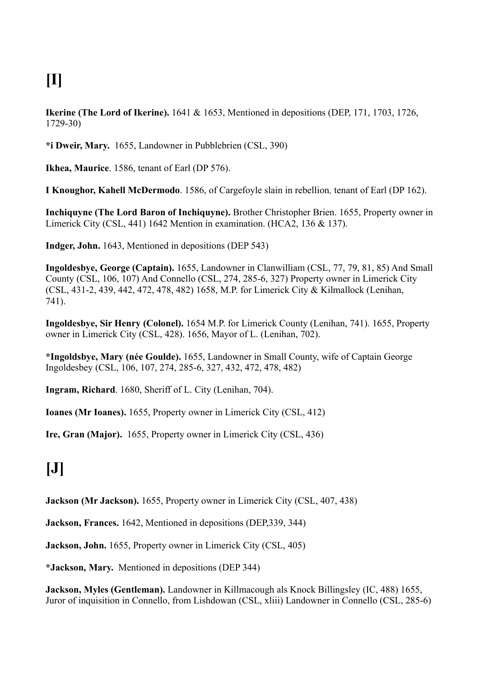# **[I]**

**Ikerine (The Lord of Ikerine).** 1641 & 1653, Mentioned in depositions (DEP, 171, 1703, 1726, 1729-30)

**\*i Dweir, Mary.** 1655, Landowner in Pubblebrien (CSL, 390)

**Ikhea, Maurice**. 1586, tenant of Earl (DP 576).

**I Knoughor, Kahell McDermodo**. 1586, of Cargefoyle slain in rebellion*,* tenant of Earl (DP 162).

**Inchiquyne (The Lord Baron of Inchiquyne).** Brother Christopher Brien. 1655, Property owner in Limerick City (CSL, 441) 1642 Mention in examination. (HCA2, 136 & 137).

**Indger, John.** 1643, Mentioned in depositions (DEP 543)

**Ingoldesbye, George (Captain).** 1655, Landowner in Clanwilliam (CSL, 77, 79, 81, 85) And Small County (CSL, 106, 107) And Connello (CSL, 274, 285-6, 327) Property owner in Limerick City (CSL, 431-2, 439, 442, 472, 478, 482) 1658, M.P. for Limerick City & Kilmallock (Lenihan, 741).

**Ingoldesbye, Sir Henry (Colonel).** 1654 M.P. for Limerick County (Lenihan, 741). 1655, Property owner in Limerick City (CSL, 428). 1656, Mayor of L. (Lenihan, 702).

**\*Ingoldsbye, Mary (née Goulde).** 1655, Landowner in Small County, wife of Captain George Ingoldesbey (CSL, 106, 107, 274, 285-6, 327, 432, 472, 478, 482)

**Ingram, Richard**. 1680, Sheriff of L. City (Lenihan, 704).

**Ioanes (Mr Ioanes).** 1655, Property owner in Limerick City (CSL, 412)

**Ire, Gran (Major).** 1655, Property owner in Limerick City (CSL, 436)

### **[J]**

**Jackson (Mr Jackson).** 1655, Property owner in Limerick City (CSL, 407, 438)

**Jackson, Frances.** 1642, Mentioned in depositions (DEP,339, 344)

**Jackson, John.** 1655, Property owner in Limerick City (CSL, 405)

**\*Jackson, Mary.** Mentioned in depositions (DEP 344)

**Jackson, Myles (Gentleman).** Landowner in Killmacough als Knock Billingsley (IC, 488) 1655, Juror of inquisition in Connello, from Lishdowan (CSL, xliii) Landowner in Connello (CSL, 285-6)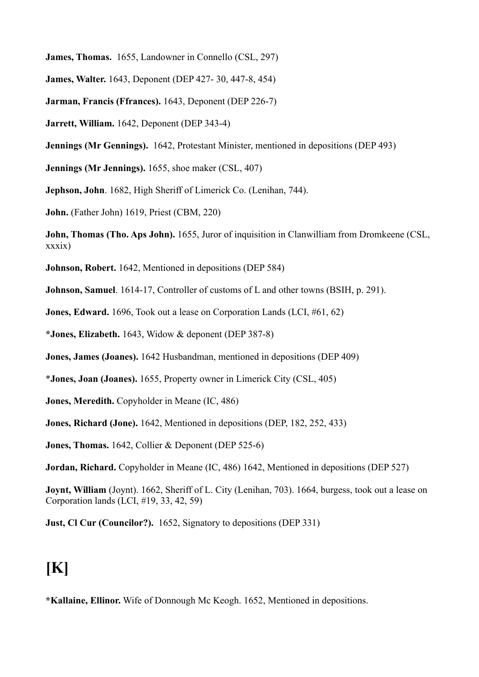**James, Thomas.** 1655, Landowner in Connello (CSL, 297)

**James, Walter.** 1643, Deponent (DEP 427- 30, 447-8, 454)

**Jarman, Francis (Ffrances).** 1643, Deponent (DEP 226-7)

**Jarrett, William.** 1642, Deponent (DEP 343-4)

**Jennings (Mr Gennings).** 1642, Protestant Minister, mentioned in depositions (DEP 493)

**Jennings (Mr Jennings).** 1655, shoe maker (CSL, 407)

**Jephson, John**. 1682, High Sheriff of Limerick Co. (Lenihan, 744).

**John.** (Father John) 1619, Priest (CBM, 220)

**John, Thomas (Tho. Aps John).** 1655, Juror of inquisition in Clanwilliam from Dromkeene (CSL, xxxix)

**Johnson, Robert.** 1642, Mentioned in depositions (DEP 584)

**Johnson, Samuel**. 1614-17, Controller of customs of L and other towns (BSIH, p. 291).

**Jones, Edward.** 1696, Took out a lease on Corporation Lands (LCI, #61, 62)

**\*Jones, Elizabeth.** 1643, Widow & deponent (DEP 387-8)

**Jones, James (Joanes).** 1642 Husbandman, mentioned in depositions (DEP 409)

\***Jones, Joan (Joanes).** 1655, Property owner in Limerick City (CSL, 405)

**Jones, Meredith.** Copyholder in Meane (IC, 486)

**Jones, Richard (Jone).** 1642, Mentioned in depositions (DEP, 182, 252, 433)

**Jones, Thomas.** 1642, Collier & Deponent (DEP 525-6)

**Jordan, Richard.** Copyholder in Meane (IC, 486) 1642, Mentioned in depositions (DEP 527)

**Joynt, William** (Joynt). 1662, Sheriff of L. City (Lenihan, 703). 1664, burgess, took out a lease on Corporation lands (LCI, #19, 33, 42, 59)

**Just, Cl Cur (Councilor?).** 1652, Signatory to depositions (DEP 331)

#### **[K]**

**\*Kallaine, Ellinor.** Wife of Donnough Mc Keogh. 1652, Mentioned in depositions.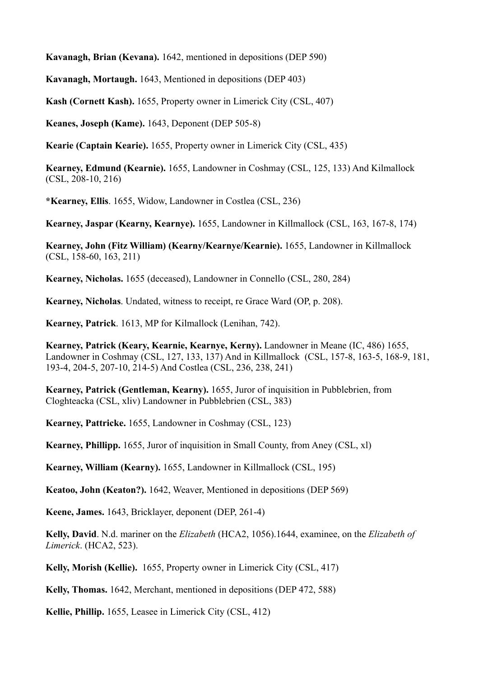**Kavanagh, Brian (Kevana).** 1642, mentioned in depositions (DEP 590)

**Kavanagh, Mortaugh.** 1643, Mentioned in depositions (DEP 403)

**Kash (Cornett Kash).** 1655, Property owner in Limerick City (CSL, 407)

**Keanes, Joseph (Kame).** 1643, Deponent (DEP 505-8)

**Kearie (Captain Kearie).** 1655, Property owner in Limerick City (CSL, 435)

**Kearney, Edmund (Kearnie).** 1655, Landowner in Coshmay (CSL, 125, 133) And Kilmallock (CSL, 208-10, 216)

**\*Kearney, Ellis**. 1655, Widow, Landowner in Costlea (CSL, 236)

**Kearney, Jaspar (Kearny, Kearnye).** 1655, Landowner in Killmallock (CSL, 163, 167-8, 174)

**Kearney, John (Fitz William) (Kearny/Kearnye/Kearnie).** 1655, Landowner in Killmallock (CSL, 158-60, 163, 211)

**Kearney, Nicholas.** 1655 (deceased), Landowner in Connello (CSL, 280, 284)

**Kearney, Nicholas**. Undated, witness to receipt, re Grace Ward (OP, p. 208).

**Kearney, Patrick**. 1613, MP for Kilmallock (Lenihan, 742).

**Kearney, Patrick (Keary, Kearnie, Kearnye, Kerny).** Landowner in Meane (IC, 486) 1655, Landowner in Coshmay (CSL, 127, 133, 137) And in Killmallock (CSL, 157-8, 163-5, 168-9, 181, 193-4, 204-5, 207-10, 214-5) And Costlea (CSL, 236, 238, 241)

**Kearney, Patrick (Gentleman, Kearny).** 1655, Juror of inquisition in Pubblebrien, from Cloghteacka (CSL, xliv) Landowner in Pubblebrien (CSL, 383)

**Kearney, Pattricke.** 1655, Landowner in Coshmay (CSL, 123)

**Kearney, Phillipp.** 1655, Juror of inquisition in Small County, from Aney (CSL, xl)

**Kearney, William (Kearny).** 1655, Landowner in Killmallock (CSL, 195)

**Keatoo, John (Keaton?).** 1642, Weaver, Mentioned in depositions (DEP 569)

**Keene, James.** 1643, Bricklayer, deponent (DEP, 261-4)

**Kelly, David**. N.d. mariner on the *Elizabeth* (HCA2, 1056).1644, examinee, on the *Elizabeth of Limerick*. (HCA2, 523).

**Kelly, Morish (Kellie).** 1655, Property owner in Limerick City (CSL, 417)

**Kelly, Thomas.** 1642, Merchant, mentioned in depositions (DEP 472, 588)

**Kellie, Phillip.** 1655, Leasee in Limerick City (CSL, 412)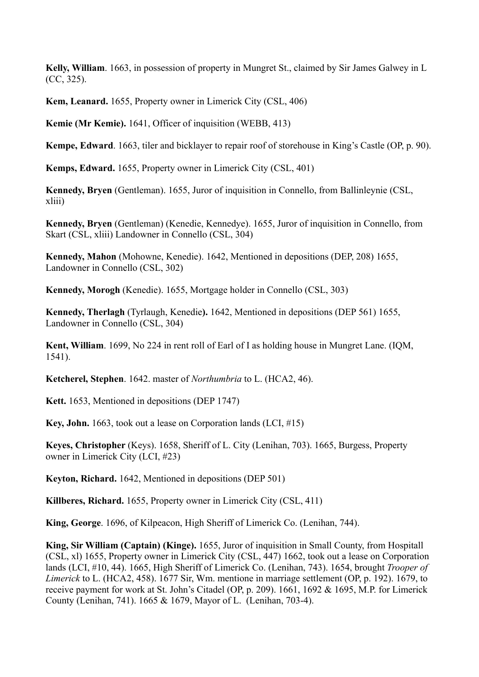**Kelly, William**. 1663, in possession of property in Mungret St., claimed by Sir James Galwey in L (CC, 325).

**Kem, Leanard.** 1655, Property owner in Limerick City (CSL, 406)

**Kemie (Mr Kemie).** 1641, Officer of inquisition (WEBB, 413)

**Kempe, Edward**. 1663, tiler and bicklayer to repair roof of storehouse in King's Castle (OP, p. 90).

**Kemps, Edward.** 1655, Property owner in Limerick City (CSL, 401)

**Kennedy, Bryen** (Gentleman). 1655, Juror of inquisition in Connello, from Ballinleynie (CSL, xliii)

**Kennedy, Bryen** (Gentleman) (Kenedie, Kennedye). 1655, Juror of inquisition in Connello, from Skart (CSL, xliii) Landowner in Connello (CSL, 304)

**Kennedy, Mahon** (Mohowne, Kenedie). 1642, Mentioned in depositions (DEP, 208) 1655, Landowner in Connello (CSL, 302)

**Kennedy, Morogh** (Kenedie). 1655, Mortgage holder in Connello (CSL, 303)

**Kennedy, Therlagh** (Tyrlaugh, Kenedie**).** 1642, Mentioned in depositions (DEP 561) 1655, Landowner in Connello (CSL, 304)

**Kent, William**. 1699, No 224 in rent roll of Earl of I as holding house in Mungret Lane. (IQM, 1541).

**Ketcherel, Stephen**. 1642. master of *Northumbria* to L. (HCA2, 46).

**Kett.** 1653, Mentioned in depositions (DEP 1747)

**Key, John.** 1663, took out a lease on Corporation lands (LCI, #15)

**Keyes, Christopher** (Keys). 1658, Sheriff of L. City (Lenihan, 703). 1665, Burgess, Property owner in Limerick City (LCI, #23)

**Keyton, Richard.** 1642, Mentioned in depositions (DEP 501)

**Killberes, Richard.** 1655, Property owner in Limerick City (CSL, 411)

**King, George**. 1696, of Kilpeacon, High Sheriff of Limerick Co. (Lenihan, 744).

**King, Sir William (Captain) (Kinge).** 1655, Juror of inquisition in Small County, from Hospitall (CSL, xl) 1655, Property owner in Limerick City (CSL, 447) 1662, took out a lease on Corporation lands (LCI, #10, 44). 1665, High Sheriff of Limerick Co. (Lenihan, 743). 1654, brought *Trooper of Limerick* to L. (HCA2, 458). 1677 Sir, Wm. mentione in marriage settlement (OP, p. 192). 1679, to receive payment for work at St. John's Citadel (OP, p. 209). 1661, 1692 & 1695, M.P. for Limerick County (Lenihan, 741). 1665 & 1679, Mayor of L. (Lenihan, 703-4).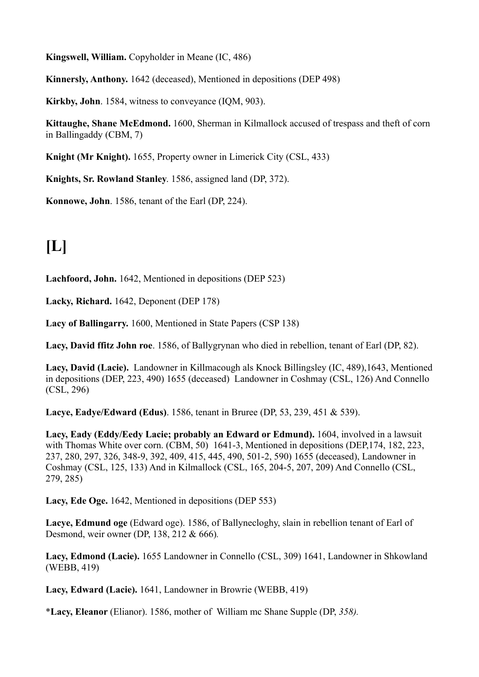**Kingswell, William.** Copyholder in Meane (IC, 486)

**Kinnersly, Anthony.** 1642 (deceased), Mentioned in depositions (DEP 498)

**Kirkby, John**. 1584, witness to conveyance (IQM, 903).

**Kittaughe, Shane McEdmond.** 1600, Sherman in Kilmallock accused of trespass and theft of corn in Ballingaddy (CBM, 7)

**Knight (Mr Knight).** 1655, Property owner in Limerick City (CSL, 433)

**Knights, Sr. Rowland Stanley**. 1586, assigned land (DP, 372).

**Konnowe, John**. 1586, tenant of the Earl (DP, 224).

## **[L]**

**Lachfoord, John.** 1642, Mentioned in depositions (DEP 523)

**Lacky, Richard.** 1642, Deponent (DEP 178)

**Lacy of Ballingarry.** 1600, Mentioned in State Papers (CSP 138)

**Lacy, David ffitz John roe**. 1586, of Ballygrynan who died in rebellion, tenant of Earl (DP, 82).

**Lacy, David (Lacie).** Landowner in Killmacough als Knock Billingsley (IC, 489),1643, Mentioned in depositions (DEP, 223, 490) 1655 (deceased) Landowner in Coshmay (CSL, 126) And Connello (CSL, 296)

**Lacye, Eadye/Edward (Edus)**. 1586, tenant in Bruree (DP, 53, 239, 451 & 539).

**Lacy, Eady (Eddy/Eedy Lacie; probably an Edward or Edmund).** 1604, involved in a lawsuit with Thomas White over corn. (CBM, 50) 1641-3, Mentioned in depositions (DEP, 174, 182, 223, 237, 280, 297, 326, 348-9, 392, 409, 415, 445, 490, 501-2, 590) 1655 (deceased), Landowner in Coshmay (CSL, 125, 133) And in Kilmallock (CSL, 165, 204-5, 207, 209) And Connello (CSL, 279, 285)

**Lacy, Ede Oge.** 1642, Mentioned in depositions (DEP 553)

**Lacye, Edmund oge** (Edward oge). 1586, of Ballynecloghy, slain in rebellion tenant of Earl of Desmond, weir owner (DP, 138, 212 & 666)*.*

**Lacy, Edmond (Lacie).** 1655 Landowner in Connello (CSL, 309) 1641, Landowner in Shkowland (WEBB, 419)

**Lacy, Edward (Lacie).** 1641, Landowner in Browrie (WEBB, 419)

\***Lacy, Eleanor** (Elianor). 1586, mother of William mc Shane Supple (DP, *358).*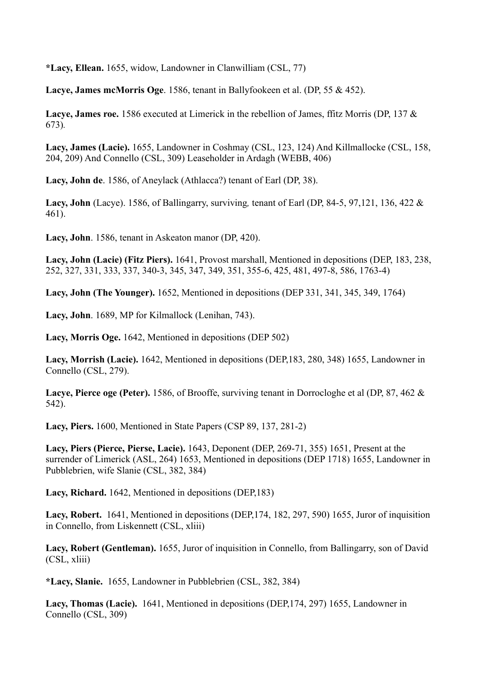**\*Lacy, Ellean.** 1655, widow, Landowner in Clanwilliam (CSL, 77)

**Lacye, James mcMorris Oge**. 1586, tenant in Ballyfookeen et al. (DP, 55 & 452).

**Lacye, James roe.** 1586 executed at Limerick in the rebellion of James, ffitz Morris (DP, 137 & 673)*.*

**Lacy, James (Lacie).** 1655, Landowner in Coshmay (CSL, 123, 124) And Killmallocke (CSL, 158, 204, 209) And Connello (CSL, 309) Leaseholder in Ardagh (WEBB, 406)

**Lacy, John de**. 1586, of Aneylack (Athlacca?) tenant of Earl (DP, 38).

**Lacy, John** (Lacye). 1586, of Ballingarry, surviving*,* tenant of Earl (DP, 84-5, 97,121, 136, 422 & 461).

**Lacy, John**. 1586, tenant in Askeaton manor (DP, 420).

**Lacy, John (Lacie) (Fitz Piers).** 1641, Provost marshall, Mentioned in depositions (DEP, 183, 238, 252, 327, 331, 333, 337, 340-3, 345, 347, 349, 351, 355-6, 425, 481, 497-8, 586, 1763-4)

**Lacy, John (The Younger).** 1652, Mentioned in depositions (DEP 331, 341, 345, 349, 1764)

**Lacy, John**. 1689, MP for Kilmallock (Lenihan, 743).

**Lacy, Morris Oge.** 1642, Mentioned in depositions (DEP 502)

**Lacy, Morrish (Lacie).** 1642, Mentioned in depositions (DEP,183, 280, 348) 1655, Landowner in Connello (CSL, 279).

**Lacye, Pierce oge (Peter).** 1586, of Brooffe, surviving tenant in Dorrocloghe et al (DP, 87, 462 & 542).

**Lacy, Piers.** 1600, Mentioned in State Papers (CSP 89, 137, 281-2)

**Lacy, Piers (Pierce, Pierse, Lacie).** 1643, Deponent (DEP, 269-71, 355) 1651, Present at the surrender of Limerick (ASL, 264) 1653, Mentioned in depositions (DEP 1718) 1655, Landowner in Pubblebrien, wife Slanie (CSL, 382, 384)

**Lacy, Richard.** 1642, Mentioned in depositions (DEP,183)

**Lacy, Robert.** 1641, Mentioned in depositions (DEP,174, 182, 297, 590) 1655, Juror of inquisition in Connello, from Liskennett (CSL, xliii)

**Lacy, Robert (Gentleman).** 1655, Juror of inquisition in Connello, from Ballingarry, son of David (CSL, xliii)

**\*Lacy, Slanie.** 1655, Landowner in Pubblebrien (CSL, 382, 384)

**Lacy, Thomas (Lacie).** 1641, Mentioned in depositions (DEP,174, 297) 1655, Landowner in Connello (CSL, 309)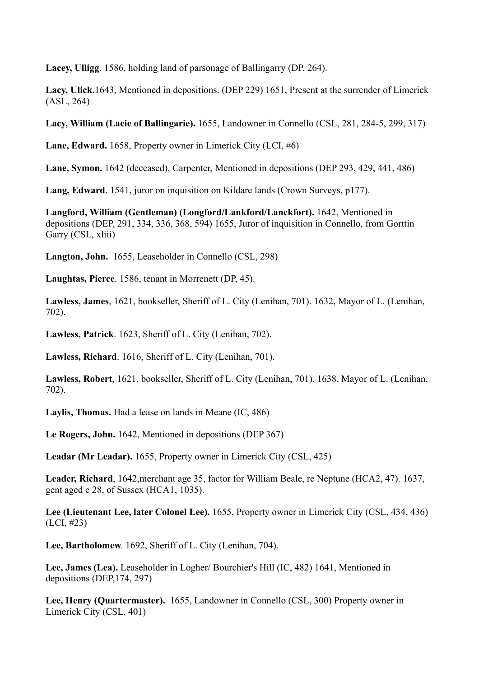**Lacey, Ulligg**. 1586, holding land of parsonage of Ballingarry (DP, 264).

**Lacy, Ulick.**1643, Mentioned in depositions. (DEP 229) 1651, Present at the surrender of Limerick (ASL, 264)

**Lacy, William (Lacie of Ballingarie).** 1655, Landowner in Connello (CSL, 281, 284-5, 299, 317)

**Lane, Edward.** 1658, Property owner in Limerick City (LCI, #6)

**Lane, Symon.** 1642 (deceased), Carpenter, Mentioned in depositions (DEP 293, 429, 441, 486)

**Lang, Edward**. 1541, juror on inquisition on Kildare lands (Crown Surveys, p177).

**Langford, William (Gentleman) (Longford/Lankford/Lanckfort).** 1642, Mentioned in depositions (DEP, 291, 334, 336, 368, 594) 1655, Juror of inquisition in Connello, from Gorttin Garry (CSL, xliii)

**Langton, John.** 1655, Leaseholder in Connello (CSL, 298)

**Laughtas, Pierce**. 1586, tenant in Morrenett (DP, 45).

**Lawless, James**, 1621, bookseller, Sheriff of L. City (Lenihan, 701). 1632, Mayor of L. (Lenihan, 702).

**Lawless, Patrick**. 1623, Sheriff of L. City (Lenihan, 702).

**Lawless, Richard**. 1616, Sheriff of L. City (Lenihan, 701).

**Lawless, Robert**, 1621, bookseller, Sheriff of L. City (Lenihan, 701). 1638, Mayor of L. (Lenihan, 702).

**Laylis, Thomas.** Had a lease on lands in Meane (IC, 486)

**Le Rogers, John.** 1642, Mentioned in depositions (DEP 367)

**Leadar (Mr Leadar).** 1655, Property owner in Limerick City (CSL, 425)

**Leader, Richard**, 1642,merchant age 35, factor for William Beale, re Neptune (HCA2, 47). 1637, gent aged c 28, of Sussex (HCA1, 1035).

**Lee (Lieutenant Lee, later Colonel Lee).** 1655, Property owner in Limerick City (CSL, 434, 436) (LCI, #23)

**Lee, Bartholomew**. 1692, Sheriff of L. City (Lenihan, 704).

**Lee, James (Lea).** Leaseholder in Logher/ Bourchier's Hill (IC, 482) 1641, Mentioned in depositions (DEP,174, 297)

**Lee, Henry (Quartermaster).** 1655, Landowner in Connello (CSL, 300) Property owner in Limerick City (CSL, 401)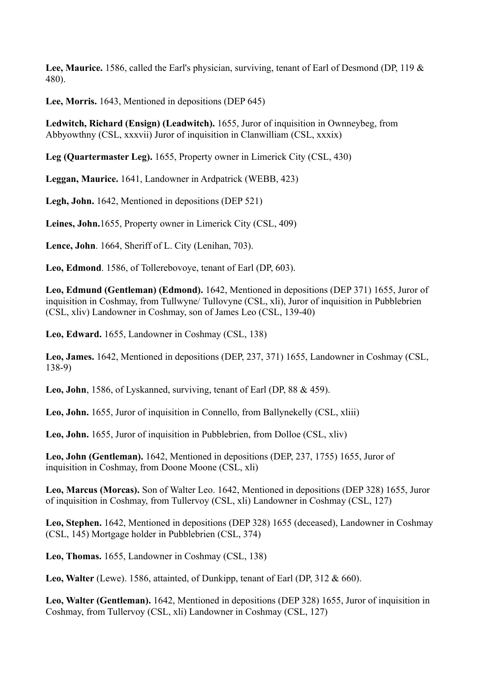**Lee, Maurice.** 1586, called the Earl's physician, surviving, tenant of Earl of Desmond (DP, 119 & 480).

**Lee, Morris.** 1643, Mentioned in depositions (DEP 645)

**Ledwitch, Richard (Ensign) (Leadwitch).** 1655, Juror of inquisition in Ownneybeg, from Abbyowthny (CSL, xxxvii) Juror of inquisition in Clanwilliam (CSL, xxxix)

**Leg (Quartermaster Leg).** 1655, Property owner in Limerick City (CSL, 430)

**Leggan, Maurice.** 1641, Landowner in Ardpatrick (WEBB, 423)

**Legh, John.** 1642, Mentioned in depositions (DEP 521)

**Leines, John.**1655, Property owner in Limerick City (CSL, 409)

**Lence, John**. 1664, Sheriff of L. City (Lenihan, 703).

**Leo, Edmond**. 1586, of Tollerebovoye, tenant of Earl (DP, 603).

**Leo, Edmund (Gentleman) (Edmond).** 1642, Mentioned in depositions (DEP 371) 1655, Juror of inquisition in Coshmay, from Tullwyne/ Tullovyne (CSL, xli), Juror of inquisition in Pubblebrien (CSL, xliv) Landowner in Coshmay, son of James Leo (CSL, 139-40)

**Leo, Edward.** 1655, Landowner in Coshmay (CSL, 138)

**Leo, James.** 1642, Mentioned in depositions (DEP, 237, 371) 1655, Landowner in Coshmay (CSL, 138-9)

**Leo, John**, 1586, of Lyskanned, surviving, tenant of Earl (DP, 88 & 459).

**Leo, John.** 1655, Juror of inquisition in Connello, from Ballynekelly (CSL, xliii)

**Leo, John.** 1655, Juror of inquisition in Pubblebrien, from Dolloe (CSL, xliv)

**Leo, John (Gentleman).** 1642, Mentioned in depositions (DEP, 237, 1755) 1655, Juror of inquisition in Coshmay, from Doone Moone (CSL, xli)

**Leo, Marcus (Morcas).** Son of Walter Leo. 1642, Mentioned in depositions (DEP 328) 1655, Juror of inquisition in Coshmay, from Tullervoy (CSL, xli) Landowner in Coshmay (CSL, 127)

**Leo, Stephen.** 1642, Mentioned in depositions (DEP 328) 1655 (deceased), Landowner in Coshmay (CSL, 145) Mortgage holder in Pubblebrien (CSL, 374)

**Leo, Thomas.** 1655, Landowner in Coshmay (CSL, 138)

**Leo, Walter** (Lewe). 1586, attainted, of Dunkipp, tenant of Earl (DP, 312 & 660).

**Leo, Walter (Gentleman).** 1642, Mentioned in depositions (DEP 328) 1655, Juror of inquisition in Coshmay, from Tullervoy (CSL, xli) Landowner in Coshmay (CSL, 127)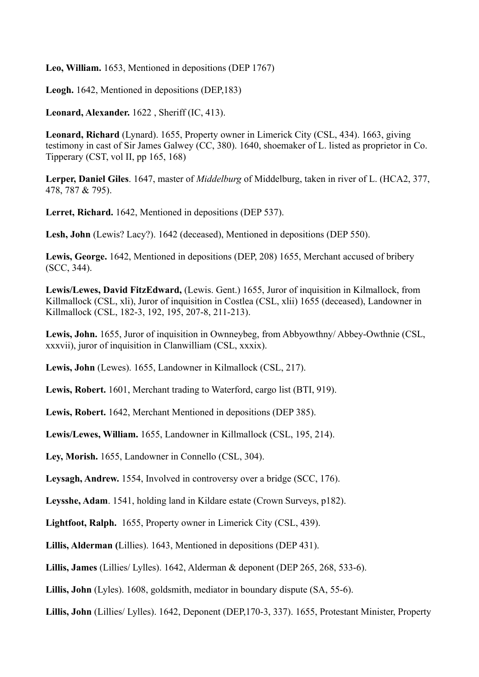**Leo, William.** 1653, Mentioned in depositions (DEP 1767)

**Leogh.** 1642, Mentioned in depositions (DEP,183)

**Leonard, Alexander.** 1622 , Sheriff (IC, 413).

**Leonard, Richard** (Lynard). 1655, Property owner in Limerick City (CSL, 434). 1663, giving testimony in cast of Sir James Galwey (CC, 380). 1640, shoemaker of L. listed as proprietor in Co. Tipperary (CST, vol II, pp 165, 168)

**Lerper, Daniel Giles**. 1647, master of *Middelburg* of Middelburg, taken in river of L. (HCA2, 377, 478, 787 & 795).

**Lerret, Richard.** 1642, Mentioned in depositions (DEP 537).

**Lesh, John** (Lewis? Lacy?). 1642 (deceased), Mentioned in depositions (DEP 550).

**Lewis, George.** 1642, Mentioned in depositions (DEP, 208) 1655, Merchant accused of bribery (SCC, 344).

**Lewis/Lewes, David FitzEdward,** (Lewis. Gent.) 1655, Juror of inquisition in Kilmallock, from Killmallock (CSL, xli), Juror of inquisition in Costlea (CSL, xlii) 1655 (deceased), Landowner in Killmallock (CSL, 182-3, 192, 195, 207-8, 211-213).

**Lewis, John.** 1655, Juror of inquisition in Ownneybeg, from Abbyowthny/ Abbey-Owthnie (CSL, xxxvii), juror of inquisition in Clanwilliam (CSL, xxxix).

**Lewis, John** (Lewes). 1655, Landowner in Kilmallock (CSL, 217).

**Lewis, Robert.** 1601, Merchant trading to Waterford, cargo list (BTI, 919).

**Lewis, Robert.** 1642, Merchant Mentioned in depositions (DEP 385).

**Lewis/Lewes, William.** 1655, Landowner in Killmallock (CSL, 195, 214).

**Ley, Morish.** 1655, Landowner in Connello (CSL, 304).

**Leysagh, Andrew.** 1554, Involved in controversy over a bridge (SCC, 176).

**Leysshe, Adam**. 1541, holding land in Kildare estate (Crown Surveys, p182).

**Lightfoot, Ralph.** 1655, Property owner in Limerick City (CSL, 439).

**Lillis, Alderman (**Lillies). 1643, Mentioned in depositions (DEP 431).

**Lillis, James** (Lillies/ Lylles). 1642, Alderman & deponent (DEP 265, 268, 533-6).

**Lillis, John** (Lyles). 1608, goldsmith, mediator in boundary dispute (SA, 55-6).

**Lillis, John** (Lillies/ Lylles). 1642, Deponent (DEP,170-3, 337). 1655, Protestant Minister, Property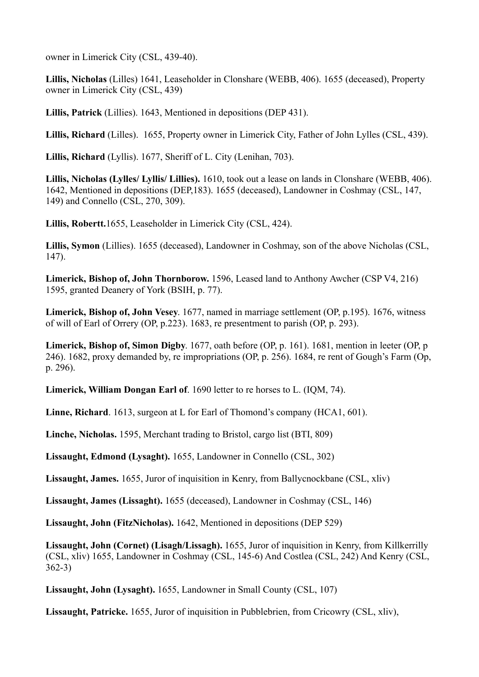owner in Limerick City (CSL, 439-40).

**Lillis, Nicholas** (Lilles) 1641, Leaseholder in Clonshare (WEBB, 406). 1655 (deceased), Property owner in Limerick City (CSL, 439)

**Lillis, Patrick** (Lillies). 1643, Mentioned in depositions (DEP 431).

**Lillis, Richard** (Lilles). 1655, Property owner in Limerick City, Father of John Lylles (CSL, 439).

**Lillis, Richard** (Lyllis). 1677, Sheriff of L. City (Lenihan, 703).

**Lillis, Nicholas (Lylles/ Lyllis/ Lillies).** 1610, took out a lease on lands in Clonshare (WEBB, 406). 1642, Mentioned in depositions (DEP,183). 1655 (deceased), Landowner in Coshmay (CSL, 147, 149) and Connello (CSL, 270, 309).

**Lillis, Robertt.**1655, Leaseholder in Limerick City (CSL, 424).

**Lillis, Symon** (Lillies). 1655 (deceased), Landowner in Coshmay, son of the above Nicholas (CSL, 147).

**Limerick, Bishop of, John Thornborow.** 1596, Leased land to Anthony Awcher (CSP V4, 216) 1595, granted Deanery of York (BSIH, p. 77).

**Limerick, Bishop of, John Vesey**. 1677, named in marriage settlement (OP, p.195). 1676, witness of will of Earl of Orrery (OP, p.223). 1683, re presentment to parish (OP, p. 293).

**Limerick, Bishop of, Simon Digby**. 1677, oath before (OP, p. 161). 1681, mention in leeter (OP, p 246). 1682, proxy demanded by, re impropriations (OP, p. 256). 1684, re rent of Gough's Farm (Op, p. 296).

**Limerick, William Dongan Earl of**. 1690 letter to re horses to L. (IQM, 74).

**Linne, Richard**. 1613, surgeon at L for Earl of Thomond's company (HCA1, 601).

**Linche, Nicholas.** 1595, Merchant trading to Bristol, cargo list (BTI, 809)

**Lissaught, Edmond (Lysaght).** 1655, Landowner in Connello (CSL, 302)

**Lissaught, James.** 1655, Juror of inquisition in Kenry, from Ballycnockbane (CSL, xliv)

**Lissaught, James (Lissaght).** 1655 (deceased), Landowner in Coshmay (CSL, 146)

**Lissaught, John (FitzNicholas).** 1642, Mentioned in depositions (DEP 529)

**Lissaught, John (Cornet) (Lisagh/Lissagh).** 1655, Juror of inquisition in Kenry, from Killkerrilly (CSL, xliv) 1655, Landowner in Coshmay (CSL, 145-6) And Costlea (CSL, 242) And Kenry (CSL, 362-3)

**Lissaught, John (Lysaght).** 1655, Landowner in Small County (CSL, 107)

**Lissaught, Patricke.** 1655, Juror of inquisition in Pubblebrien, from Cricowry (CSL, xliv),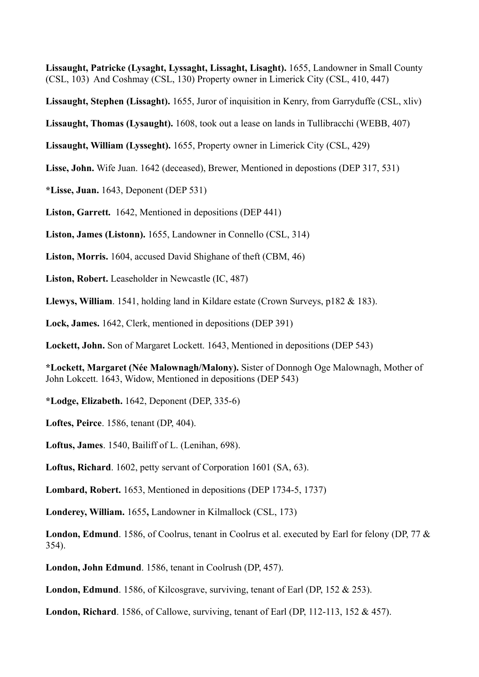**Lissaught, Patricke (Lysaght, Lyssaght, Lissaght, Lisaght).** 1655, Landowner in Small County (CSL, 103) And Coshmay (CSL, 130) Property owner in Limerick City (CSL, 410, 447)

**Lissaught, Stephen (Lissaght).** 1655, Juror of inquisition in Kenry, from Garryduffe (CSL, xliv)

**Lissaught, Thomas (Lysaught).** 1608, took out a lease on lands in Tullibracchi (WEBB, 407)

**Lissaught, William (Lysseght).** 1655, Property owner in Limerick City (CSL, 429)

**Lisse, John.** Wife Juan. 1642 (deceased), Brewer, Mentioned in depostions (DEP 317, 531)

**\*Lisse, Juan.** 1643, Deponent (DEP 531)

**Liston, Garrett.** 1642, Mentioned in depositions (DEP 441)

**Liston, James (Listonn).** 1655, Landowner in Connello (CSL, 314)

**Liston, Morris.** 1604, accused David Shighane of theft (CBM, 46)

**Liston, Robert.** Leaseholder in Newcastle (IC, 487)

**Llewys, William**. 1541, holding land in Kildare estate (Crown Surveys, p182 & 183).

**Lock, James.** 1642, Clerk, mentioned in depositions (DEP 391)

**Lockett, John.** Son of Margaret Lockett. 1643, Mentioned in depositions (DEP 543)

**\*Lockett, Margaret (Née Malownagh/Malony).** Sister of Donnogh Oge Malownagh, Mother of John Lokcett. 1643, Widow, Mentioned in depositions (DEP 543)

**\*Lodge, Elizabeth.** 1642, Deponent (DEP, 335-6)

**Loftes, Peirce**. 1586, tenant (DP, 404).

**Loftus, James**. 1540, Bailiff of L. (Lenihan, 698).

**Loftus, Richard**. 1602, petty servant of Corporation 1601 (SA, 63).

**Lombard, Robert.** 1653, Mentioned in depositions (DEP 1734-5, 1737)

**Londerey, William.** 1655**,** Landowner in Kilmallock (CSL, 173)

**London, Edmund**. 1586, of Coolrus, tenant in Coolrus et al. executed by Earl for felony (DP, 77 & 354).

**London, John Edmund**. 1586, tenant in Coolrush (DP, 457).

**London, Edmund**. 1586, of Kilcosgrave, surviving, tenant of Earl (DP, 152 & 253).

**London, Richard**. 1586, of Callowe, surviving, tenant of Earl (DP, 112-113, 152 & 457).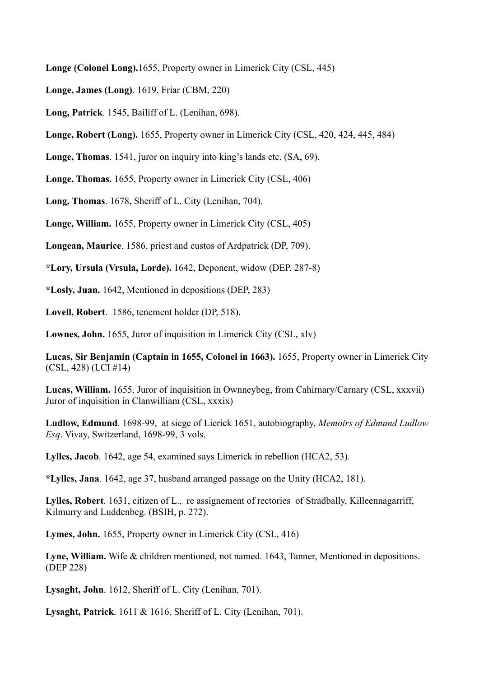**Longe (Colonel Long).**1655, Property owner in Limerick City (CSL, 445)

**Longe, James (Long)**. 1619, Friar (CBM, 220)

**Long, Patrick**. 1545, Bailiff of L. (Lenihan, 698).

**Longe, Robert (Long).** 1655, Property owner in Limerick City (CSL, 420, 424, 445, 484)

**Longe, Thomas**. 1541, juror on inquiry into king's lands etc. (SA, 69).

**Longe, Thomas.** 1655, Property owner in Limerick City (CSL, 406)

**Long, Thomas**. 1678, Sheriff of L. City (Lenihan, 704).

**Longe, William.** 1655, Property owner in Limerick City (CSL, 405)

**Longean, Maurice**. 1586, priest and custos of Ardpatrick (DP, 709).

**\*Lory, Ursula (Vrsula, Lorde).** 1642, Deponent, widow (DEP, 287-8)

**\*Losly, Juan.** 1642, Mentioned in depositions (DEP, 283)

**Lovell, Robert**. 1586, tenement holder (DP, 518).

**Lownes, John.** 1655, Juror of inquisition in Limerick City (CSL, xlv)

**Lucas, Sir Benjamin (Captain in 1655, Colonel in 1663).** 1655, Property owner in Limerick City (CSL, 428) (LCI #14)

**Lucas, William.** 1655, Juror of inquisition in Ownneybeg, from Cahirnary/Carnary (CSL, xxxvii) Juror of inquisition in Clanwilliam (CSL, xxxix)

**Ludlow, Edmund**. 1698-99, at siege of Lierick 1651, autobiography, *Memoirs of Edmund Ludlow Esq*. Vivay, Switzerland, 1698-99, 3 vols.

**Lylles, Jacob**. 1642, age 54, examined says Limerick in rebellion (HCA2, 53).

**\*Lylles, Jana**. 1642, age 37, husband arranged passage on the Unity (HCA2, 181).

**Lylles, Robert**. 1631, citizen of L., re assignement of rectories of Stradbally, Killeennagarriff, Kilmurry and Luddenbeg. (BSIH, p. 272).

**Lymes, John.** 1655, Property owner in Limerick City (CSL, 416)

Lyne, William. Wife & children mentioned, not named. 1643, Tanner, Mentioned in depositions. (DEP 228)

**Lysaght, John**. 1612, Sheriff of L. City (Lenihan, 701).

**Lysaght, Patrick**. 1611 & 1616, Sheriff of L. City (Lenihan, 701).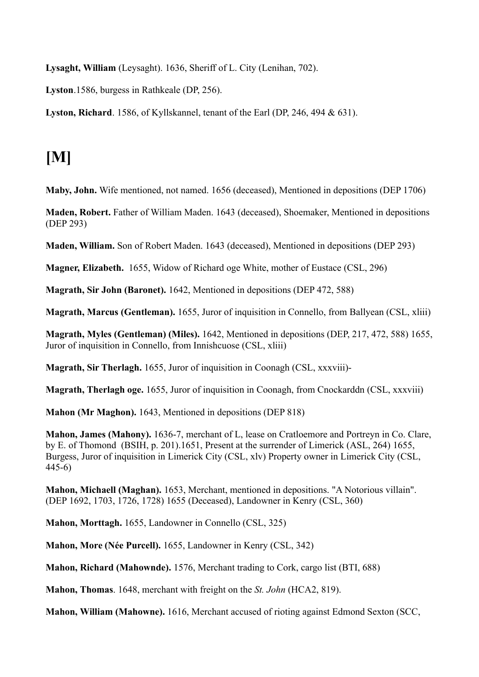**Lysaght, William** (Leysaght). 1636, Sheriff of L. City (Lenihan, 702).

**Lyston**.1586, burgess in Rathkeale (DP, 256).

**Lyston, Richard**. 1586, of Kyllskannel, tenant of the Earl (DP, 246, 494 & 631).

### **[M]**

**Maby, John.** Wife mentioned, not named. 1656 (deceased), Mentioned in depositions (DEP 1706)

**Maden, Robert.** Father of William Maden. 1643 (deceased), Shoemaker, Mentioned in depositions (DEP 293)

**Maden, William.** Son of Robert Maden. 1643 (deceased), Mentioned in depositions (DEP 293)

**Magner, Elizabeth.** 1655, Widow of Richard oge White, mother of Eustace (CSL, 296)

**Magrath, Sir John (Baronet).** 1642, Mentioned in depositions (DEP 472, 588)

**Magrath, Marcus (Gentleman).** 1655, Juror of inquisition in Connello, from Ballyean (CSL, xliii)

**Magrath, Myles (Gentleman) (Miles).** 1642, Mentioned in depositions (DEP, 217, 472, 588) 1655, Juror of inquisition in Connello, from Innishcuose (CSL, xliii)

**Magrath, Sir Therlagh.** 1655, Juror of inquisition in Coonagh (CSL, xxxviii)-

**Magrath, Therlagh oge.** 1655, Juror of inquisition in Coonagh, from Cnockarddn (CSL, xxxviii)

**Mahon (Mr Maghon).** 1643, Mentioned in depositions (DEP 818)

**Mahon, James (Mahony).** 1636-7, merchant of L, lease on Cratloemore and Portreyn in Co. Clare, by E. of Thomond (BSIH, p. 201).1651, Present at the surrender of Limerick (ASL, 264) 1655, Burgess, Juror of inquisition in Limerick City (CSL, xlv) Property owner in Limerick City (CSL, 445-6)

**Mahon, Michaell (Maghan).** 1653, Merchant, mentioned in depositions. "A Notorious villain". (DEP 1692, 1703, 1726, 1728) 1655 (Deceased), Landowner in Kenry (CSL, 360)

**Mahon, Morttagh.** 1655, Landowner in Connello (CSL, 325)

**Mahon, More (Née Purcell).** 1655, Landowner in Kenry (CSL, 342)

**Mahon, Richard (Mahownde).** 1576, Merchant trading to Cork, cargo list (BTI, 688)

**Mahon, Thomas**. 1648, merchant with freight on the *St. John* (HCA2, 819).

**Mahon, William (Mahowne).** 1616, Merchant accused of rioting against Edmond Sexton (SCC,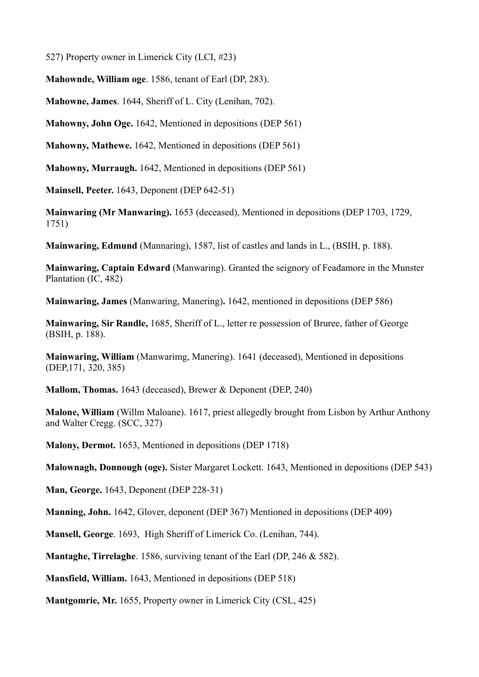527) Property owner in Limerick City (LCI, #23)

**Mahownde, William oge**. 1586, tenant of Earl (DP, 283).

**Mahowne, James**. 1644, Sheriff of L. City (Lenihan, 702).

**Mahowny, John Oge.** 1642, Mentioned in depositions (DEP 561)

**Mahowny, Mathewe.** 1642, Mentioned in depositions (DEP 561)

**Mahowny, Murraugh.** 1642, Mentioned in depositions (DEP 561)

**Mainsell, Peeter.** 1643, Deponent (DEP 642-51)

**Mainwaring (Mr Manwaring).** 1653 (deceased), Mentioned in depositions (DEP 1703, 1729, 1751)

**Mainwaring, Edmund** (Mannaring), 1587, list of castles and lands in L., (BSIH, p. 188).

**Mainwaring, Captain Edward** (Manwaring). Granted the seignory of Feadamore in the Munster Plantation (IC, 482)

**Mainwaring, James** (Manwaring, Manering)**.** 1642, mentioned in depositions (DEP 586)

**Mainwaring, Sir Randle,** 1685, Sheriff of L., letter re possession of Bruree, father of George (BSIH, p. 188).

**Mainwaring, William** (Manwarimg, Manering). 1641 (deceased), Mentioned in depositions (DEP,171, 320, 385)

**Mallom, Thomas.** 1643 (deceased), Brewer & Deponent (DEP, 240)

**Malone, William** (Willm Maloane). 1617, priest allegedly brought from Lisbon by Arthur Anthony and Walter Cregg. (SCC, 327)

**Malony, Dermot.** 1653, Mentioned in depositions (DEP 1718)

**Malownagh, Donnough (oge).** Sister Margaret Lockett. 1643, Mentioned in depositions (DEP 543)

**Man, George.** 1643, Deponent (DEP 228-31)

**Manning, John.** 1642, Glover, deponent (DEP 367) Mentioned in depositions (DEP 409)

**Mansell, George**. 1693, High Sheriff of Limerick Co. (Lenihan, 744).

**Mantaghe, Tirrelaghe**. 1586, surviving tenant of the Earl (DP, 246 & 582).

**Mansfield, William.** 1643, Mentioned in depositions (DEP 518)

**Mantgomrie, Mr.** 1655, Property owner in Limerick City (CSL, 425)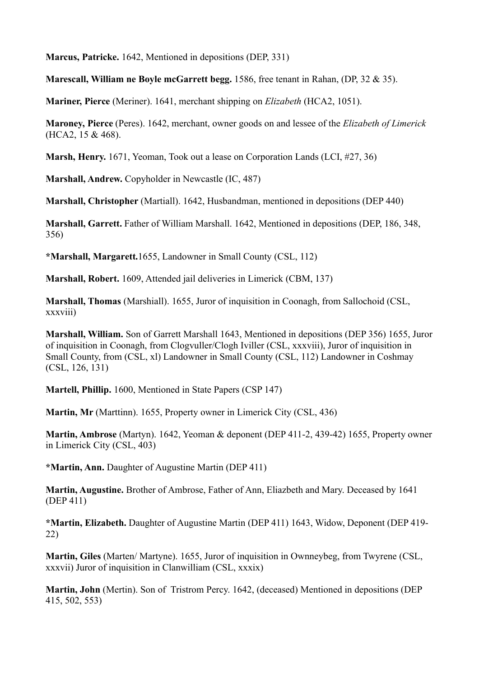**Marcus, Patricke.** 1642, Mentioned in depositions (DEP, 331)

**Marescall, William ne Boyle mcGarrett begg.** 1586, free tenant in Rahan, (DP, 32 & 35).

**Mariner, Pierce** (Meriner). 1641, merchant shipping on *Elizabeth* (HCA2, 1051).

**Maroney, Pierce** (Peres). 1642, merchant, owner goods on and lessee of the *Elizabeth of Limerick* (HCA2, 15 & 468).

**Marsh, Henry.** 1671, Yeoman, Took out a lease on Corporation Lands (LCI, #27, 36)

**Marshall, Andrew.** Copyholder in Newcastle (IC, 487)

**Marshall, Christopher** (Martiall). 1642, Husbandman, mentioned in depositions (DEP 440)

**Marshall, Garrett.** Father of William Marshall. 1642, Mentioned in depositions (DEP, 186, 348, 356)

**\*Marshall, Margarett.**1655, Landowner in Small County (CSL, 112)

**Marshall, Robert.** 1609, Attended jail deliveries in Limerick (CBM, 137)

**Marshall, Thomas** (Marshiall). 1655, Juror of inquisition in Coonagh, from Sallochoid (CSL, xxxviii)

**Marshall, William.** Son of Garrett Marshall 1643, Mentioned in depositions (DEP 356) 1655, Juror of inquisition in Coonagh, from Clogvuller/Clogh Iviller (CSL, xxxviii), Juror of inquisition in Small County, from (CSL, xl) Landowner in Small County (CSL, 112) Landowner in Coshmay (CSL, 126, 131)

**Martell, Phillip.** 1600, Mentioned in State Papers (CSP 147)

**Martin, Mr** (Marttinn). 1655, Property owner in Limerick City (CSL, 436)

**Martin, Ambrose** (Martyn). 1642, Yeoman & deponent (DEP 411-2, 439-42) 1655, Property owner in Limerick City (CSL, 403)

**\*Martin, Ann.** Daughter of Augustine Martin (DEP 411)

**Martin, Augustine.** Brother of Ambrose, Father of Ann, Eliazbeth and Mary. Deceased by 1641 (DEP 411)

**\*Martin, Elizabeth.** Daughter of Augustine Martin (DEP 411) 1643, Widow, Deponent (DEP 419- 22)

**Martin, Giles** (Marten/ Martyne). 1655, Juror of inquisition in Ownneybeg, from Twyrene (CSL, xxxvii) Juror of inquisition in Clanwilliam (CSL, xxxix)

**Martin, John** (Mertin). Son of Tristrom Percy. 1642, (deceased) Mentioned in depositions (DEP 415, 502, 553)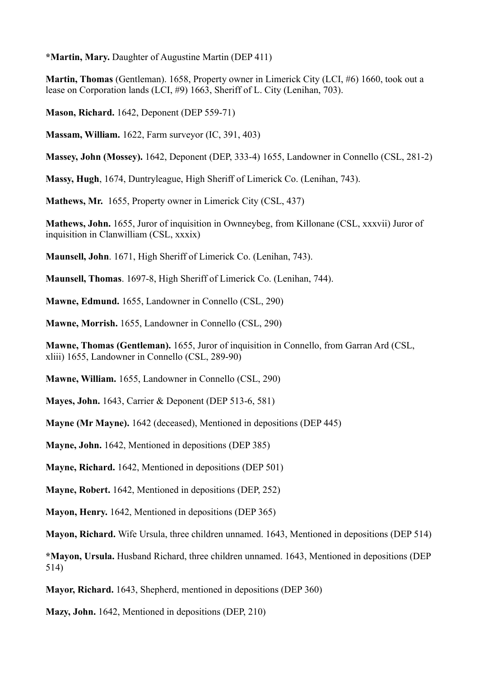**\*Martin, Mary.** Daughter of Augustine Martin (DEP 411)

**Martin, Thomas** (Gentleman). 1658, Property owner in Limerick City (LCI, #6) 1660, took out a lease on Corporation lands (LCI, #9) 1663, Sheriff of L. City (Lenihan, 703).

**Mason, Richard.** 1642, Deponent (DEP 559-71)

**Massam, William.** 1622, Farm surveyor (IC, 391, 403)

**Massey, John (Mossey).** 1642, Deponent (DEP, 333-4) 1655, Landowner in Connello (CSL, 281-2)

**Massy, Hugh**, 1674, Duntryleague, High Sheriff of Limerick Co. (Lenihan, 743).

**Mathews, Mr.** 1655, Property owner in Limerick City (CSL, 437)

**Mathews, John.** 1655, Juror of inquisition in Ownneybeg, from Killonane (CSL, xxxvii) Juror of inquisition in Clanwilliam (CSL, xxxix)

**Maunsell, John**. 1671, High Sheriff of Limerick Co. (Lenihan, 743).

**Maunsell, Thomas**. 1697-8, High Sheriff of Limerick Co. (Lenihan, 744).

**Mawne, Edmund.** 1655, Landowner in Connello (CSL, 290)

**Mawne, Morrish.** 1655, Landowner in Connello (CSL, 290)

**Mawne, Thomas (Gentleman).** 1655, Juror of inquisition in Connello, from Garran Ard (CSL, xliii) 1655, Landowner in Connello (CSL, 289-90)

**Mawne, William.** 1655, Landowner in Connello (CSL, 290)

**Mayes, John.** 1643, Carrier & Deponent (DEP 513-6, 581)

**Mayne (Mr Mayne).** 1642 (deceased), Mentioned in depositions (DEP 445)

**Mayne, John.** 1642, Mentioned in depositions (DEP 385)

**Mayne, Richard.** 1642, Mentioned in depositions (DEP 501)

**Mayne, Robert.** 1642, Mentioned in depositions (DEP, 252)

**Mayon, Henry.** 1642, Mentioned in depositions (DEP 365)

**Mayon, Richard.** Wife Ursula, three children unnamed. 1643, Mentioned in depositions (DEP 514)

**\*Mayon, Ursula.** Husband Richard, three children unnamed. 1643, Mentioned in depositions (DEP 514)

**Mayor, Richard.** 1643, Shepherd, mentioned in depositions (DEP 360)

**Mazy, John.** 1642, Mentioned in depositions (DEP, 210)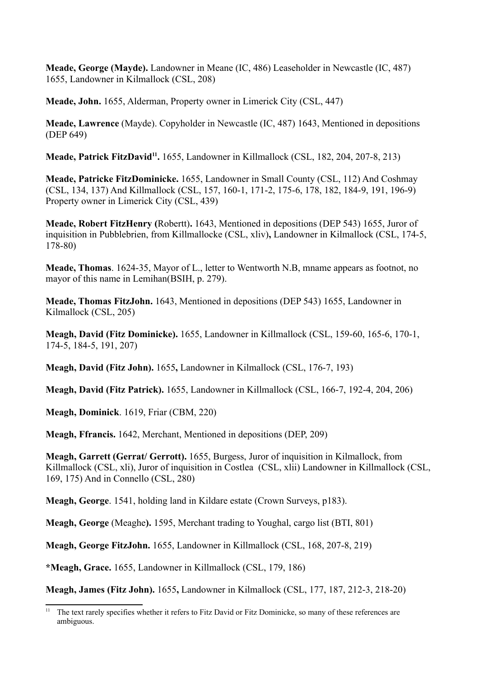**Meade, George (Mayde).** Landowner in Meane (IC, 486) Leaseholder in Newcastle (IC, 487) 1655, Landowner in Kilmallock (CSL, 208)

**Meade, John.** 1655, Alderman, Property owner in Limerick City (CSL, 447)

**Meade, Lawrence** (Mayde). Copyholder in Newcastle (IC, 487) 1643, Mentioned in depositions (DEP 649)

Meade, Patrick FitzDavid<sup>11</sup>. 1655, Landowner in Killmallock (CSL, 182, 204, 207-8, 213)

**Meade, Patricke FitzDominicke.** 1655, Landowner in Small County (CSL, 112) And Coshmay (CSL, 134, 137) And Killmallock (CSL, 157, 160-1, 171-2, 175-6, 178, 182, 184-9, 191, 196-9) Property owner in Limerick City (CSL, 439)

**Meade, Robert FitzHenry (**Robertt)**.** 1643, Mentioned in depositions (DEP 543) 1655, Juror of inquisition in Pubblebrien, from Killmallocke (CSL, xliv)**,** Landowner in Kilmallock (CSL, 174-5, 178-80)

**Meade, Thomas**. 1624-35, Mayor of L., letter to Wentworth N.B, mname appears as footnot, no mayor of this name in Lemihan(BSIH, p. 279).

**Meade, Thomas FitzJohn.** 1643, Mentioned in depositions (DEP 543) 1655, Landowner in Kilmallock (CSL, 205)

**Meagh, David (Fitz Dominicke).** 1655, Landowner in Killmallock (CSL, 159-60, 165-6, 170-1, 174-5, 184-5, 191, 207)

**Meagh, David (Fitz John).** 1655**,** Landowner in Kilmallock (CSL, 176-7, 193)

**Meagh, David (Fitz Patrick).** 1655, Landowner in Killmallock (CSL, 166-7, 192-4, 204, 206)

**Meagh, Dominick**. 1619, Friar (CBM, 220)

**Meagh, Ffrancis.** 1642, Merchant, Mentioned in depositions (DEP, 209)

**Meagh, Garrett (Gerrat/ Gerrott).** 1655, Burgess, Juror of inquisition in Kilmallock, from Killmallock (CSL, xli), Juror of inquisition in Costlea (CSL, xlii) Landowner in Killmallock (CSL, 169, 175) And in Connello (CSL, 280)

**Meagh, George**. 1541, holding land in Kildare estate (Crown Surveys, p183).

**Meagh, George** (Meaghe**).** 1595, Merchant trading to Youghal, cargo list (BTI, 801)

**Meagh, George FitzJohn.** 1655, Landowner in Killmallock (CSL, 168, 207-8, 219)

**\*Meagh, Grace.** 1655, Landowner in Killmallock (CSL, 179, 186)

**Meagh, James (Fitz John).** 1655**,** Landowner in Kilmallock (CSL, 177, 187, 212-3, 218-20)

 $11$  The text rarely specifies whether it refers to Fitz David or Fitz Dominicke, so many of these references are ambiguous.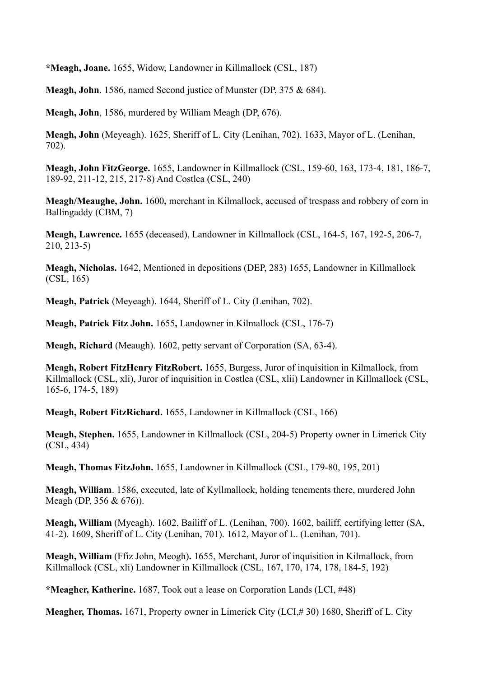**\*Meagh, Joane.** 1655, Widow, Landowner in Killmallock (CSL, 187)

**Meagh, John**. 1586, named Second justice of Munster (DP, 375 & 684).

**Meagh, John**, 1586, murdered by William Meagh (DP, 676).

**Meagh, John** (Meyeagh). 1625, Sheriff of L. City (Lenihan, 702). 1633, Mayor of L. (Lenihan, 702).

**Meagh, John FitzGeorge.** 1655, Landowner in Killmallock (CSL, 159-60, 163, 173-4, 181, 186-7, 189-92, 211-12, 215, 217-8) And Costlea (CSL, 240)

**Meagh/Meaughe, John.** 1600**,** merchant in Kilmallock, accused of trespass and robbery of corn in Ballingaddy (CBM, 7)

**Meagh, Lawrence.** 1655 (deceased), Landowner in Killmallock (CSL, 164-5, 167, 192-5, 206-7, 210, 213-5)

**Meagh, Nicholas.** 1642, Mentioned in depositions (DEP, 283) 1655, Landowner in Killmallock (CSL, 165)

**Meagh, Patrick** (Meyeagh). 1644, Sheriff of L. City (Lenihan, 702).

**Meagh, Patrick Fitz John.** 1655**,** Landowner in Kilmallock (CSL, 176-7)

**Meagh, Richard** (Meaugh). 1602, petty servant of Corporation (SA, 63-4).

**Meagh, Robert FitzHenry FitzRobert.** 1655, Burgess, Juror of inquisition in Kilmallock, from Killmallock (CSL, xli), Juror of inquisition in Costlea (CSL, xlii) Landowner in Killmallock (CSL, 165-6, 174-5, 189)

**Meagh, Robert FitzRichard.** 1655, Landowner in Killmallock (CSL, 166)

**Meagh, Stephen.** 1655, Landowner in Killmallock (CSL, 204-5) Property owner in Limerick City (CSL, 434)

**Meagh, Thomas FitzJohn.** 1655, Landowner in Killmallock (CSL, 179-80, 195, 201)

**Meagh, William**. 1586, executed, late of Kyllmallock, holding tenements there, murdered John Meagh (DP, 356 & 676)).

**Meagh, William** (Myeagh). 1602, Bailiff of L. (Lenihan, 700). 1602, bailiff, certifying letter (SA, 41-2). 1609, Sheriff of L. City (Lenihan, 701). 1612, Mayor of L. (Lenihan, 701).

**Meagh, William** (Ffiz John, Meogh)**.** 1655, Merchant, Juror of inquisition in Kilmallock, from Killmallock (CSL, xli) Landowner in Killmallock (CSL, 167, 170, 174, 178, 184-5, 192)

**\*Meagher, Katherine.** 1687, Took out a lease on Corporation Lands (LCI, #48)

**Meagher, Thomas.** 1671, Property owner in Limerick City (LCI,# 30) 1680, Sheriff of L. City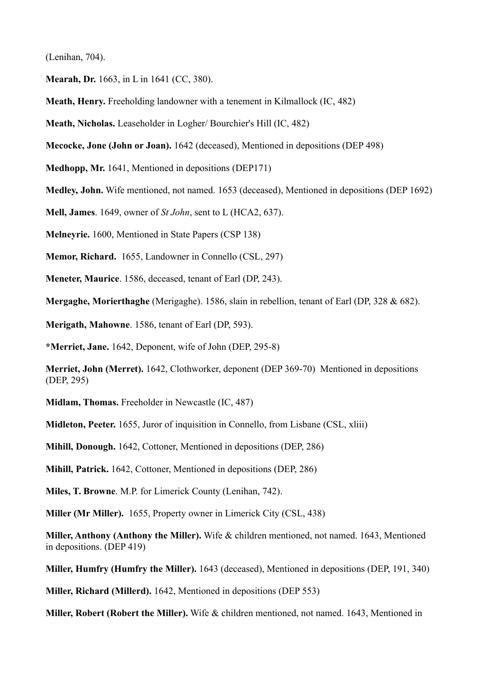(Lenihan, 704).

**Mearah, Dr.** 1663, in L in 1641 (CC, 380).

**Meath, Henry.** Freeholding landowner with a tenement in Kilmallock (IC, 482)

**Meath, Nicholas.** Leaseholder in Logher/ Bourchier's Hill (IC, 482)

**Mecocke, Jone (John or Joan).** 1642 (deceased), Mentioned in depositions (DEP 498)

**Medhopp, Mr.** 1641, Mentioned in depositions (DEP171)

**Medley, John.** Wife mentioned, not named. 1653 (deceased), Mentioned in depositions (DEP 1692)

**Mell, James**. 1649, owner of *St John*, sent to L (HCA2, 637).

**Melneyrie.** 1600, Mentioned in State Papers (CSP 138)

**Memor, Richard.** 1655, Landowner in Connello (CSL, 297)

**Meneter, Maurice**. 1586, deceased, tenant of Earl (DP, 243).

**Mergaghe, Morierthaghe** (Merigaghe). 1586, slain in rebellion, tenant of Earl (DP, 328 & 682).

**Merigath, Mahowne**. 1586, tenant of Earl (DP, 593).

**\*Merriet, Jane.** 1642, Deponent, wife of John (DEP, 295-8)

**Merriet, John (Merret).** 1642, Clothworker, deponent (DEP 369-70) Mentioned in depositions (DEP, 295)

**Midlam, Thomas.** Freeholder in Newcastle (IC, 487)

**Midleton, Peeter.** 1655, Juror of inquisition in Connello, from Lisbane (CSL, xliii)

**Mihill, Donough.** 1642, Cottoner, Mentioned in depositions (DEP, 286)

**Mihill, Patrick.** 1642, Cottoner, Mentioned in depositions (DEP, 286)

**Miles, T. Browne**. M.P. for Limerick County (Lenihan, 742).

**Miller (Mr Miller).** 1655, Property owner in Limerick City (CSL, 438)

**Miller, Anthony (Anthony the Miller).** Wife & children mentioned, not named. 1643, Mentioned in depositions. (DEP 419)

**Miller, Humfry (Humfry the Miller).** 1643 (deceased), Mentioned in depositions (DEP, 191, 340)

**Miller, Richard (Millerd).** 1642, Mentioned in depositions (DEP 553)

**Miller, Robert (Robert the Miller).** Wife & children mentioned, not named. 1643, Mentioned in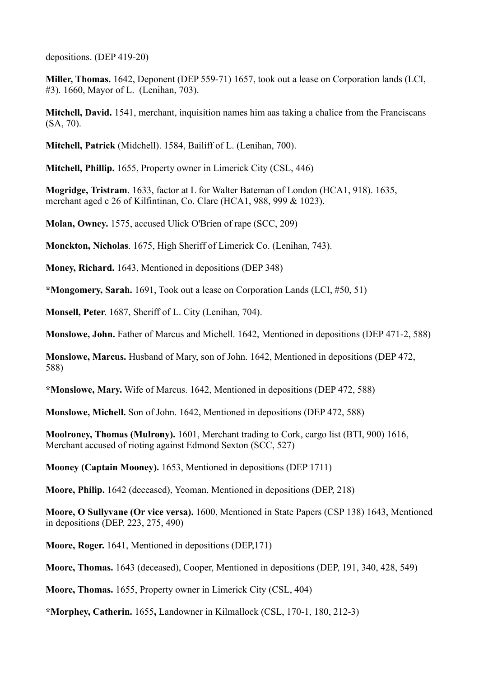depositions. (DEP 419-20)

**Miller, Thomas.** 1642, Deponent (DEP 559-71) 1657, took out a lease on Corporation lands (LCI, #3). 1660, Mayor of L. (Lenihan, 703).

**Mitchell, David.** 1541, merchant, inquisition names him aas taking a chalice from the Franciscans (SA, 70).

**Mitchell, Patrick** (Midchell). 1584, Bailiff of L. (Lenihan, 700).

**Mitchell, Phillip.** 1655, Property owner in Limerick City (CSL, 446)

**Mogridge, Tristram**. 1633, factor at L for Walter Bateman of London (HCA1, 918). 1635, merchant aged c 26 of Kilfintinan, Co. Clare (HCA1, 988, 999 & 1023).

**Molan, Owney.** 1575, accused Ulick O'Brien of rape (SCC, 209)

**Monckton, Nicholas**. 1675, High Sheriff of Limerick Co. (Lenihan, 743).

**Money, Richard.** 1643, Mentioned in depositions (DEP 348)

**\*Mongomery, Sarah.** 1691, Took out a lease on Corporation Lands (LCI, #50, 51)

**Monsell, Peter**. 1687, Sheriff of L. City (Lenihan, 704).

**Monslowe, John.** Father of Marcus and Michell. 1642, Mentioned in depositions (DEP 471-2, 588)

**Monslowe, Marcus.** Husband of Mary, son of John. 1642, Mentioned in depositions (DEP 472, 588)

**\*Monslowe, Mary.** Wife of Marcus. 1642, Mentioned in depositions (DEP 472, 588)

**Monslowe, Michell.** Son of John. 1642, Mentioned in depositions (DEP 472, 588)

**Moolroney, Thomas (Mulrony).** 1601, Merchant trading to Cork, cargo list (BTI, 900) 1616, Merchant accused of rioting against Edmond Sexton (SCC, 527)

**Mooney (Captain Mooney).** 1653, Mentioned in depositions (DEP 1711)

**Moore, Philip.** 1642 (deceased), Yeoman, Mentioned in depositions (DEP, 218)

**Moore, O Sullyvane (Or vice versa).** 1600, Mentioned in State Papers (CSP 138) 1643, Mentioned in depositions (DEP, 223, 275, 490)

**Moore, Roger.** 1641, Mentioned in depositions (DEP,171)

**Moore, Thomas.** 1643 (deceased), Cooper, Mentioned in depositions (DEP, 191, 340, 428, 549)

**Moore, Thomas.** 1655, Property owner in Limerick City (CSL, 404)

**\*Morphey, Catherin.** 1655**,** Landowner in Kilmallock (CSL, 170-1, 180, 212-3)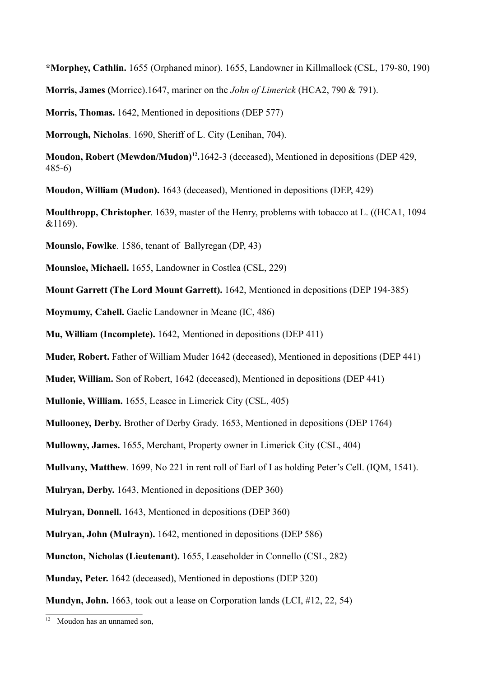**\*Morphey, Cathlin.** 1655 (Orphaned minor). 1655, Landowner in Killmallock (CSL, 179-80, 190)

**Morris, James (**Morrice).1647, mariner on the *John of Limerick* (HCA2, 790 & 791).

**Morris, Thomas.** 1642, Mentioned in depositions (DEP 577)

**Morrough, Nicholas**. 1690, Sheriff of L. City (Lenihan, 704).

**Moudon, Robert (Mewdon/Mudon)12.**1642-3 (deceased), Mentioned in depositions (DEP 429, 485-6)

**Moudon, William (Mudon).** 1643 (deceased), Mentioned in depositions (DEP, 429)

**Moulthropp, Christopher**. 1639, master of the Henry, problems with tobacco at L. ((HCA1, 1094 &1169).

**Mounslo, Fowlke**. 1586, tenant of Ballyregan (DP, 43)

**Mounsloe, Michaell.** 1655, Landowner in Costlea (CSL, 229)

**Mount Garrett (The Lord Mount Garrett).** 1642, Mentioned in depositions (DEP 194-385)

**Moymumy, Cahell.** Gaelic Landowner in Meane (IC, 486)

**Mu, William (Incomplete).** 1642, Mentioned in depositions (DEP 411)

**Muder, Robert.** Father of William Muder 1642 (deceased), Mentioned in depositions (DEP 441)

**Muder, William.** Son of Robert, 1642 (deceased), Mentioned in depositions (DEP 441)

**Mullonie, William.** 1655, Leasee in Limerick City (CSL, 405)

**Mullooney, Derby.** Brother of Derby Grady. 1653, Mentioned in depositions (DEP 1764)

**Mullowny, James.** 1655, Merchant, Property owner in Limerick City (CSL, 404)

**Mullvany, Matthew**. 1699, No 221 in rent roll of Earl of I as holding Peter's Cell. (IQM, 1541).

**Mulryan, Derby.** 1643, Mentioned in depositions (DEP 360)

**Mulryan, Donnell.** 1643, Mentioned in depositions (DEP 360)

**Mulryan, John (Mulrayn).** 1642, mentioned in depositions (DEP 586)

**Muncton, Nicholas (Lieutenant).** 1655, Leaseholder in Connello (CSL, 282)

**Munday, Peter.** 1642 (deceased), Mentioned in depostions (DEP 320)

**Mundyn, John.** 1663, took out a lease on Corporation lands (LCI, #12, 22, 54)

 $12$  Moudon has an unnamed son.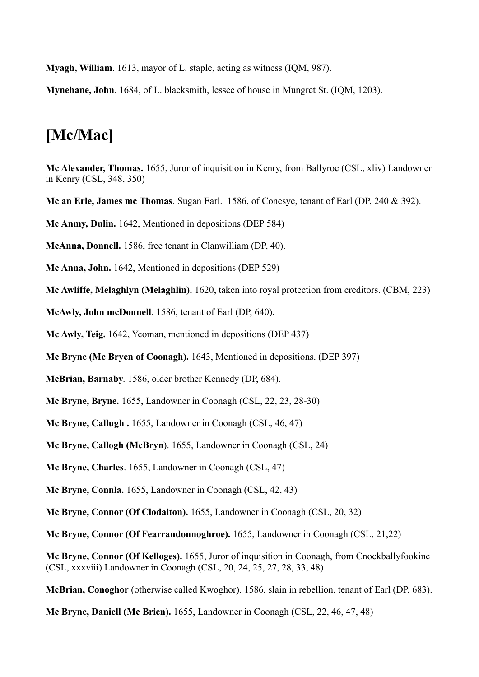**Myagh, William**. 1613, mayor of L. staple, acting as witness (IQM, 987).

**Mynehane, John**. 1684, of L. blacksmith, lessee of house in Mungret St. (IQM, 1203).

#### **[Mc/Mac]**

**Mc Alexander, Thomas.** 1655, Juror of inquisition in Kenry, from Ballyroe (CSL, xliv) Landowner in Kenry (CSL, 348, 350)

**Mc an Erle, James mc Thomas**. Sugan Earl. 1586, of Conesye, tenant of Earl (DP, 240 & 392).

**Mc Anmy, Dulin.** 1642, Mentioned in depositions (DEP 584)

**McAnna, Donnell.** 1586, free tenant in Clanwilliam (DP, 40).

**Mc Anna, John.** 1642, Mentioned in depositions (DEP 529)

**Mc Awliffe, Melaghlyn (Melaghlin).** 1620, taken into royal protection from creditors. (CBM, 223)

**McAwly, John mcDonnell**. 1586, tenant of Earl (DP, 640).

**Mc Awly, Teig.** 1642, Yeoman, mentioned in depositions (DEP 437)

**Mc Bryne (Mc Bryen of Coonagh).** 1643, Mentioned in depositions. (DEP 397)

**McBrian, Barnaby**. 1586, older brother Kennedy (DP, 684).

**Mc Bryne, Bryne.** 1655, Landowner in Coonagh (CSL, 22, 23, 28-30)

**Mc Bryne, Callugh .** 1655, Landowner in Coonagh (CSL, 46, 47)

**Mc Bryne, Callogh (McBryn**). 1655, Landowner in Coonagh (CSL, 24)

**Mc Bryne, Charles**. 1655, Landowner in Coonagh (CSL, 47)

**Mc Bryne, Connla.** 1655, Landowner in Coonagh (CSL, 42, 43)

**Mc Bryne, Connor (Of Clodalton).** 1655, Landowner in Coonagh (CSL, 20, 32)

**Mc Bryne, Connor (Of Fearrandonnoghroe).** 1655, Landowner in Coonagh (CSL, 21,22)

**Mc Bryne, Connor (Of Kelloges).** 1655, Juror of inquisition in Coonagh, from Cnockballyfookine (CSL, xxxviii) Landowner in Coonagh (CSL, 20, 24, 25, 27, 28, 33, 48)

**McBrian, Conoghor** (otherwise called Kwoghor). 1586, slain in rebellion, tenant of Earl (DP, 683).

**Mc Bryne, Daniell (Mc Brien).** 1655, Landowner in Coonagh (CSL, 22, 46, 47, 48)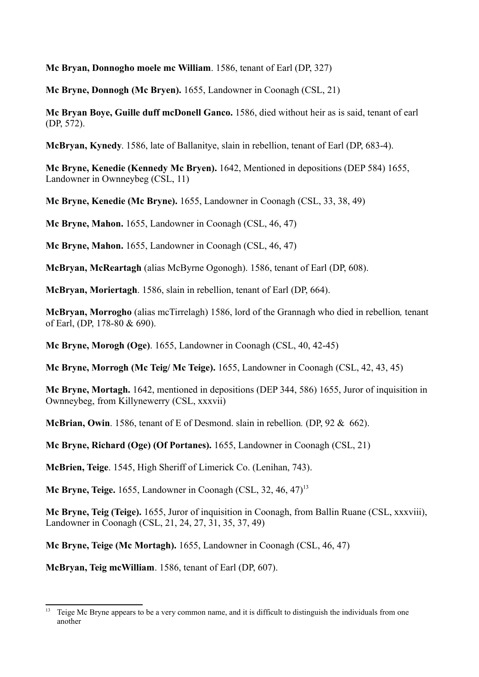**Mc Bryan, Donnogho moele mc William**. 1586, tenant of Earl (DP, 327)

**Mc Bryne, Donnogh (Mc Bryen).** 1655, Landowner in Coonagh (CSL, 21)

**Mc Bryan Boye, Guille duff mcDonell Ganco.** 1586, died without heir as is said, tenant of earl (DP, 572).

**McBryan, Kynedy**. 1586, late of Ballanitye, slain in rebellion, tenant of Earl (DP, 683-4).

**Mc Bryne, Kenedie (Kennedy Mc Bryen).** 1642, Mentioned in depositions (DEP 584) 1655, Landowner in Ownneybeg (CSL, 11)

**Mc Bryne, Kenedie (Mc Bryne).** 1655, Landowner in Coonagh (CSL, 33, 38, 49)

**Mc Bryne, Mahon.** 1655, Landowner in Coonagh (CSL, 46, 47)

**Mc Bryne, Mahon.** 1655, Landowner in Coonagh (CSL, 46, 47)

**McBryan, McReartagh** (alias McByrne Ogonogh). 1586, tenant of Earl (DP, 608).

**McBryan, Moriertagh**. 1586, slain in rebellion, tenant of Earl (DP, 664).

**McBryan, Morrogho** (alias mcTirrelagh) 1586, lord of the Grannagh who died in rebellion*,* tenant of Earl, (DP, 178-80 & 690).

**Mc Bryne, Morogh (Oge)**. 1655, Landowner in Coonagh (CSL, 40, 42-45)

**Mc Bryne, Morrogh (Mc Teig/ Mc Teige).** 1655, Landowner in Coonagh (CSL, 42, 43, 45)

**Mc Bryne, Mortagh.** 1642, mentioned in depositions (DEP 344, 586) 1655, Juror of inquisition in Ownneybeg, from Killynewerry (CSL, xxxvii)

**McBrian, Owin**. 1586, tenant of E of Desmond. slain in rebellion*.* (DP, 92 & 662).

**Mc Bryne, Richard (Oge) (Of Portanes).** 1655, Landowner in Coonagh (CSL, 21)

**McBrien, Teige**. 1545, High Sheriff of Limerick Co. (Lenihan, 743).

**Mc Bryne, Teige.** 1655, Landowner in Coonagh (CSL, 32, 46, 47)<sup>13</sup>

**Mc Bryne, Teig (Teige).** 1655, Juror of inquisition in Coonagh, from Ballin Ruane (CSL, xxxviii), Landowner in Coonagh (CSL, 21, 24, 27, 31, 35, 37, 49)

**Mc Bryne, Teige (Mc Mortagh).** 1655, Landowner in Coonagh (CSL, 46, 47)

**McBryan, Teig mcWilliam**. 1586, tenant of Earl (DP, 607).

<sup>&</sup>lt;sup>13</sup> Teige Mc Bryne appears to be a very common name, and it is difficult to distinguish the individuals from one another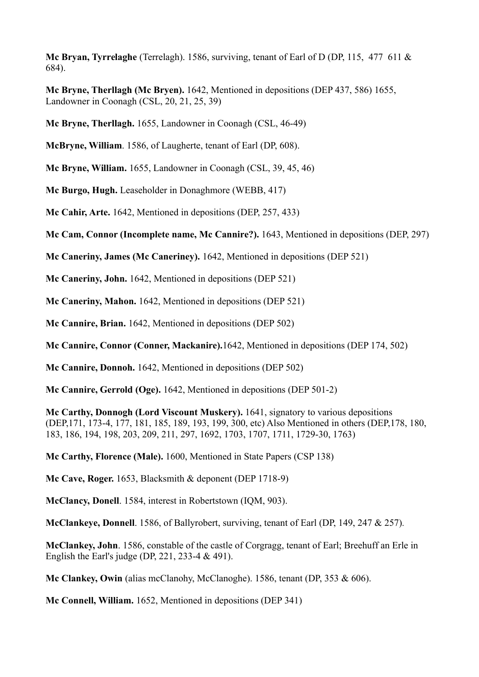**Mc Bryan, Tyrrelaghe** (Terrelagh). 1586, surviving, tenant of Earl of D (DP, 115, 477 611 & 684).

**Mc Bryne, Therllagh (Mc Bryen).** 1642, Mentioned in depositions (DEP 437, 586) 1655, Landowner in Coonagh (CSL, 20, 21, 25, 39)

**Mc Bryne, Therllagh.** 1655, Landowner in Coonagh (CSL, 46-49)

**McBryne, William**. 1586, of Laugherte, tenant of Earl (DP, 608).

**Mc Bryne, William.** 1655, Landowner in Coonagh (CSL, 39, 45, 46)

**Mc Burgo, Hugh.** Leaseholder in Donaghmore (WEBB, 417)

**Mc Cahir, Arte.** 1642, Mentioned in depositions (DEP, 257, 433)

**Mc Cam, Connor (Incomplete name, Mc Cannire?).** 1643, Mentioned in depositions (DEP, 297)

**Mc Caneriny, James (Mc Caneriney).** 1642, Mentioned in depositions (DEP 521)

**Mc Caneriny, John.** 1642, Mentioned in depositions (DEP 521)

**Mc Caneriny, Mahon.** 1642, Mentioned in depositions (DEP 521)

**Mc Cannire, Brian.** 1642, Mentioned in depositions (DEP 502)

**Mc Cannire, Connor (Conner, Mackanire).**1642, Mentioned in depositions (DEP 174, 502)

**Mc Cannire, Donnoh.** 1642, Mentioned in depositions (DEP 502)

**Mc Cannire, Gerrold (Oge).** 1642, Mentioned in depositions (DEP 501-2)

**Mc Carthy, Donnogh (Lord Viscount Muskery).** 1641, signatory to various depositions (DEP,171, 173-4, 177, 181, 185, 189, 193, 199, 300, etc) Also Mentioned in others (DEP,178, 180, 183, 186, 194, 198, 203, 209, 211, 297, 1692, 1703, 1707, 1711, 1729-30, 1763)

**Mc Carthy, Florence (Male).** 1600, Mentioned in State Papers (CSP 138)

**Mc Cave, Roger.** 1653, Blacksmith & deponent (DEP 1718-9)

**McClancy, Donell**. 1584, interest in Robertstown (IQM, 903).

**McClankeye, Donnell**. 1586, of Ballyrobert, surviving, tenant of Earl (DP, 149, 247 & 257)*.*

**McClankey, John**. 1586, constable of the castle of Corgragg, tenant of Earl; Breehuff an Erle in English the Earl's judge (DP, 221, 233-4 & 491).

**Mc Clankey, Owin** (alias mcClanohy, McClanoghe). 1586, tenant (DP, 353 & 606).

**Mc Connell, William.** 1652, Mentioned in depositions (DEP 341)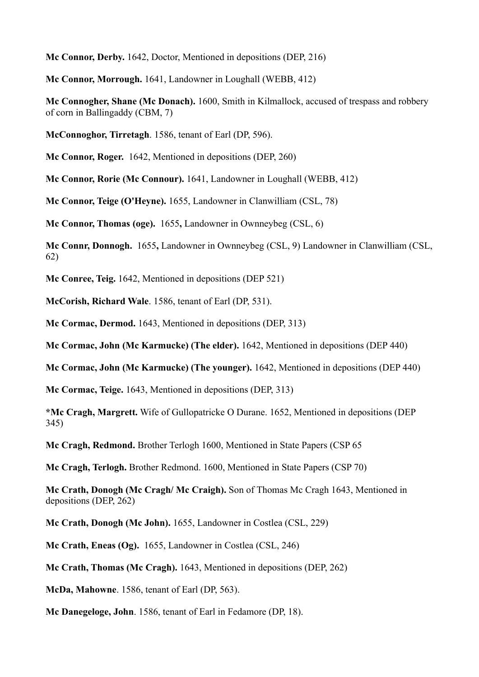**Mc Connor, Derby.** 1642, Doctor, Mentioned in depositions (DEP, 216)

**Mc Connor, Morrough.** 1641, Landowner in Loughall (WEBB, 412)

**Mc Connogher, Shane (Mc Donach).** 1600, Smith in Kilmallock, accused of trespass and robbery of corn in Ballingaddy (CBM, 7)

**McConnoghor, Tirretagh**. 1586, tenant of Earl (DP, 596).

**Mc Connor, Roger.** 1642, Mentioned in depositions (DEP, 260)

**Mc Connor, Rorie (Mc Connour).** 1641, Landowner in Loughall (WEBB, 412)

**Mc Connor, Teige (O'Heyne).** 1655, Landowner in Clanwilliam (CSL, 78)

**Mc Connor, Thomas (oge).** 1655**,** Landowner in Ownneybeg (CSL, 6)

**Mc Connr, Donnogh.** 1655**,** Landowner in Ownneybeg (CSL, 9) Landowner in Clanwilliam (CSL, 62)

**Mc Conree, Teig.** 1642, Mentioned in depositions (DEP 521)

**McCorish, Richard Wale**. 1586, tenant of Earl (DP, 531).

**Mc Cormac, Dermod.** 1643, Mentioned in depositions (DEP, 313)

**Mc Cormac, John (Mc Karmucke) (The elder).** 1642, Mentioned in depositions (DEP 440)

**Mc Cormac, John (Mc Karmucke) (The younger).** 1642, Mentioned in depositions (DEP 440)

**Mc Cormac, Teige.** 1643, Mentioned in depositions (DEP, 313)

**\*Mc Cragh, Margrett.** Wife of Gullopatricke O Durane. 1652, Mentioned in depositions (DEP 345)

**Mc Cragh, Redmond.** Brother Terlogh 1600, Mentioned in State Papers (CSP 65

**Mc Cragh, Terlogh.** Brother Redmond. 1600, Mentioned in State Papers (CSP 70)

**Mc Crath, Donogh (Mc Cragh/ Mc Craigh).** Son of Thomas Mc Cragh 1643, Mentioned in depositions (DEP, 262)

**Mc Crath, Donogh (Mc John).** 1655, Landowner in Costlea (CSL, 229)

**Mc Crath, Eneas (Og).** 1655, Landowner in Costlea (CSL, 246)

**Mc Crath, Thomas (Mc Cragh).** 1643, Mentioned in depositions (DEP, 262)

**McDa, Mahowne**. 1586, tenant of Earl (DP, 563).

**Mc Danegeloge, John**. 1586, tenant of Earl in Fedamore (DP, 18).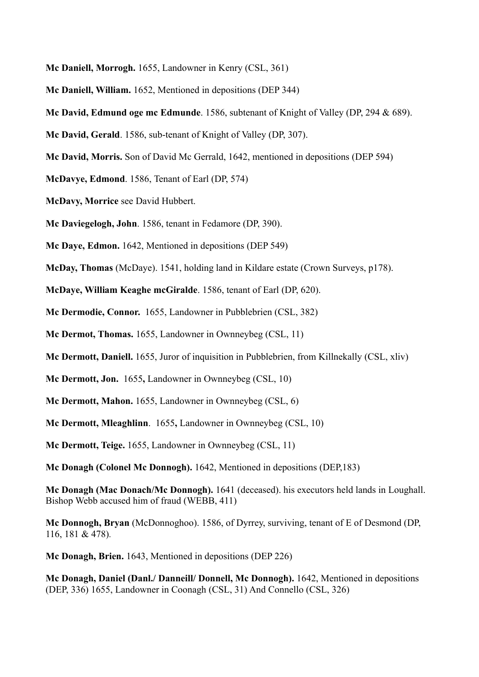- **Mc Daniell, Morrogh.** 1655, Landowner in Kenry (CSL, 361)
- **Mc Daniell, William.** 1652, Mentioned in depositions (DEP 344)
- **Mc David, Edmund oge mc Edmunde**. 1586, subtenant of Knight of Valley (DP, 294 & 689).
- **Mc David, Gerald**. 1586, sub-tenant of Knight of Valley (DP, 307).
- **Mc David, Morris.** Son of David Mc Gerrald, 1642, mentioned in depositions (DEP 594)
- **McDavye, Edmond**. 1586, Tenant of Earl (DP, 574)
- **McDavy, Morrice** see David Hubbert.
- **Mc Daviegelogh, John**. 1586, tenant in Fedamore (DP, 390).
- **Mc Daye, Edmon.** 1642, Mentioned in depositions (DEP 549)
- **McDay, Thomas** (McDaye). 1541, holding land in Kildare estate (Crown Surveys, p178).
- **McDaye, William Keaghe mcGiralde**. 1586, tenant of Earl (DP, 620).
- **Mc Dermodie, Connor.** 1655, Landowner in Pubblebrien (CSL, 382)
- **Mc Dermot, Thomas.** 1655, Landowner in Ownneybeg (CSL, 11)
- **Mc Dermott, Daniell.** 1655, Juror of inquisition in Pubblebrien, from Killnekally (CSL, xliv)
- **Mc Dermott, Jon.** 1655**,** Landowner in Ownneybeg (CSL, 10)
- **Mc Dermott, Mahon.** 1655, Landowner in Ownneybeg (CSL, 6)
- **Mc Dermott, Mleaghlinn**. 1655**,** Landowner in Ownneybeg (CSL, 10)
- **Mc Dermott, Teige.** 1655, Landowner in Ownneybeg (CSL, 11)
- **Mc Donagh (Colonel Mc Donnogh).** 1642, Mentioned in depositions (DEP,183)
- **Mc Donagh (Mac Donach/Mc Donnogh).** 1641 (deceased). his executors held lands in Loughall. Bishop Webb accused him of fraud (WEBB, 411)
- **Mc Donnogh, Bryan** (McDonnoghoo). 1586, of Dyrrey, surviving, tenant of E of Desmond (DP, 116, 181 & 478)*.*
- **Mc Donagh, Brien.** 1643, Mentioned in depositions (DEP 226)
- **Mc Donagh, Daniel (Danl./ Danneill/ Donnell, Mc Donnogh).** 1642, Mentioned in depositions (DEP, 336) 1655, Landowner in Coonagh (CSL, 31) And Connello (CSL, 326)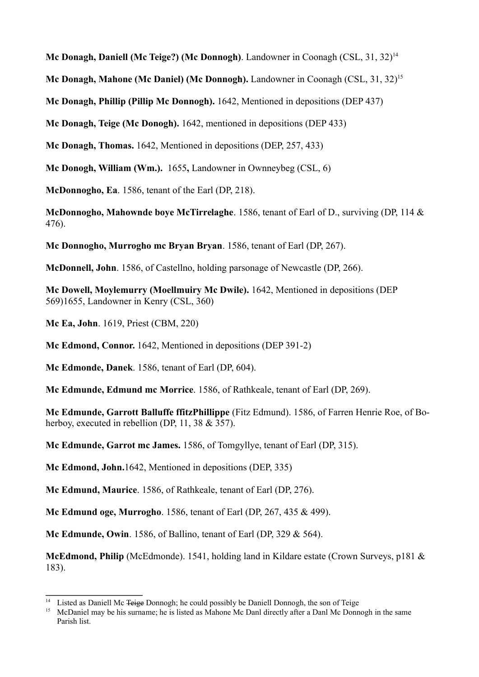**Mc Donagh, Daniell (Mc Teige?) (Mc Donnogh)**. Landowner in Coonagh (CSL, 31, 32)<sup>14</sup>

**Mc Donagh, Mahone (Mc Daniel) (Mc Donnogh).** Landowner in Coonagh (CSL, 31, 32)15

**Mc Donagh, Phillip (Pillip Mc Donnogh).** 1642, Mentioned in depositions (DEP 437)

**Mc Donagh, Teige (Mc Donogh).** 1642, mentioned in depositions (DEP 433)

**Mc Donagh, Thomas.** 1642, Mentioned in depositions (DEP, 257, 433)

**Mc Donogh, William (Wm.).** 1655**,** Landowner in Ownneybeg (CSL, 6)

**McDonnogho, Ea**. 1586, tenant of the Earl (DP, 218).

**McDonnogho, Mahownde boye McTirrelaghe**. 1586, tenant of Earl of D., surviving (DP, 114 & 476).

**Mc Donnogho, Murrogho mc Bryan Bryan**. 1586, tenant of Earl (DP, 267).

**McDonnell, John**. 1586, of Castellno, holding parsonage of Newcastle (DP, 266).

**Mc Dowell, Moylemurry (Moellmuiry Mc Dwile).** 1642, Mentioned in depositions (DEP 569)1655, Landowner in Kenry (CSL, 360)

**Mc Ea, John**. 1619, Priest (CBM, 220)

**Mc Edmond, Connor.** 1642, Mentioned in depositions (DEP 391-2)

**Mc Edmonde, Danek**. 1586, tenant of Earl (DP, 604).

**Mc Edmunde, Edmund mc Morrice**. 1586, of Rathkeale, tenant of Earl (DP, 269).

**Mc Edmunde, Garrott Balluffe ffitzPhillippe** (Fitz Edmund). 1586, of Farren Henrie Roe, of Boherboy, executed in rebellion (DP, 11, 38 & 357).

**Mc Edmunde, Garrot mc James.** 1586, of Tomgyllye, tenant of Earl (DP, 315).

**Mc Edmond, John.**1642, Mentioned in depositions (DEP, 335)

**Mc Edmund, Maurice**. 1586, of Rathkeale, tenant of Earl (DP, 276).

**Mc Edmund oge, Murrogho**. 1586, tenant of Earl (DP, 267, 435 & 499).

**Mc Edmunde, Owin**. 1586, of Ballino, tenant of Earl (DP, 329 & 564).

**McEdmond, Philip** (McEdmonde). 1541, holding land in Kildare estate (Crown Surveys, p181 & 183).

<sup>&</sup>lt;sup>14</sup> Listed as Daniell Mc <del>Teige</del> Donnogh; he could possibly be Daniell Donnogh, the son of Teige<br><sup>15</sup> McDaniel may be his surname; he is listed as Mahone Mc Danl directly after a Danl Mc Donn

<sup>15</sup> McDaniel may be his surname; he is listed as Mahone Mc Danl directly after a Danl Mc Donnogh in the same Parish list.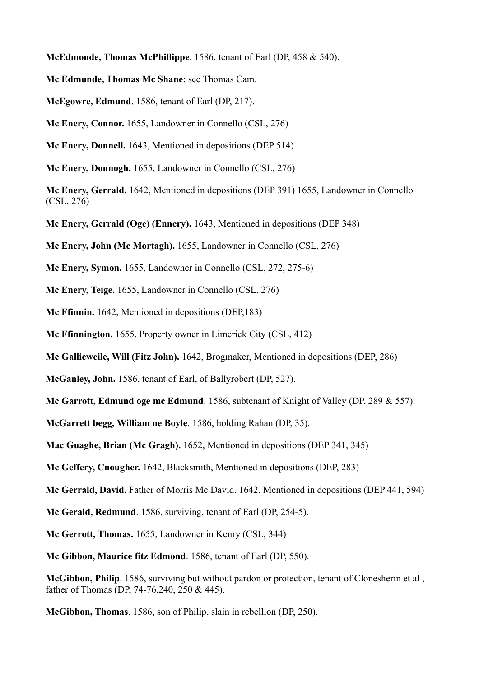**McEdmonde, Thomas McPhillippe**. 1586, tenant of Earl (DP, 458 & 540).

**Mc Edmunde, Thomas Mc Shane**; see Thomas Cam.

**McEgowre, Edmund**. 1586, tenant of Earl (DP, 217).

**Mc Enery, Connor.** 1655, Landowner in Connello (CSL, 276)

**Mc Enery, Donnell.** 1643, Mentioned in depositions (DEP 514)

**Mc Enery, Donnogh.** 1655, Landowner in Connello (CSL, 276)

**Mc Enery, Gerrald.** 1642, Mentioned in depositions (DEP 391) 1655, Landowner in Connello (CSL, 276)

**Mc Enery, Gerrald (Oge) (Ennery).** 1643, Mentioned in depositions (DEP 348)

**Mc Enery, John (Mc Mortagh).** 1655, Landowner in Connello (CSL, 276)

**Mc Enery, Symon.** 1655, Landowner in Connello (CSL, 272, 275-6)

**Mc Enery, Teige.** 1655, Landowner in Connello (CSL, 276)

**Mc Ffinnin.** 1642, Mentioned in depositions (DEP,183)

**Mc Ffinnington.** 1655, Property owner in Limerick City (CSL, 412)

**Mc Gallieweile, Will (Fitz John).** 1642, Brogmaker, Mentioned in depositions (DEP, 286)

**McGanley, John.** 1586, tenant of Earl, of Ballyrobert (DP, 527).

**Mc Garrott, Edmund oge mc Edmund**. 1586, subtenant of Knight of Valley (DP, 289 & 557).

**McGarrett begg, William ne Boyle**. 1586, holding Rahan (DP, 35).

**Mac Guaghe, Brian (Mc Gragh).** 1652, Mentioned in depositions (DEP 341, 345)

**Mc Geffery, Cnougher.** 1642, Blacksmith, Mentioned in depositions (DEP, 283)

**Mc Gerrald, David.** Father of Morris Mc David. 1642, Mentioned in depositions (DEP 441, 594)

**Mc Gerald, Redmund**. 1586, surviving, tenant of Earl (DP, 254-5).

**Mc Gerrott, Thomas.** 1655, Landowner in Kenry (CSL, 344)

**Mc Gibbon, Maurice fitz Edmond**. 1586, tenant of Earl (DP, 550).

**McGibbon, Philip**. 1586, surviving but without pardon or protection, tenant of Clonesherin et al , father of Thomas (DP, 74-76,240, 250 & 445).

**McGibbon, Thomas**. 1586, son of Philip, slain in rebellion (DP, 250).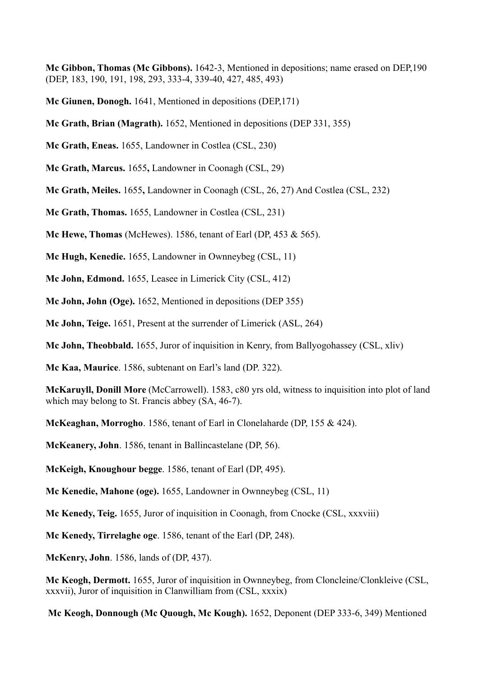**Mc Gibbon, Thomas (Mc Gibbons).** 1642-3, Mentioned in depositions; name erased on DEP,190 (DEP, 183, 190, 191, 198, 293, 333-4, 339-40, 427, 485, 493)

**Mc Giunen, Donogh.** 1641, Mentioned in depositions (DEP,171)

**Mc Grath, Brian (Magrath).** 1652, Mentioned in depositions (DEP 331, 355)

**Mc Grath, Eneas.** 1655, Landowner in Costlea (CSL, 230)

**Mc Grath, Marcus.** 1655**,** Landowner in Coonagh (CSL, 29)

**Mc Grath, Meiles.** 1655**,** Landowner in Coonagh (CSL, 26, 27) And Costlea (CSL, 232)

**Mc Grath, Thomas.** 1655, Landowner in Costlea (CSL, 231)

**Mc Hewe, Thomas** (McHewes). 1586, tenant of Earl (DP, 453 & 565).

**Mc Hugh, Kenedie.** 1655, Landowner in Ownneybeg (CSL, 11)

**Mc John, Edmond.** 1655, Leasee in Limerick City (CSL, 412)

**Mc John, John (Oge).** 1652, Mentioned in depositions (DEP 355)

**Mc John, Teige.** 1651, Present at the surrender of Limerick (ASL, 264)

**Mc John, Theobbald.** 1655, Juror of inquisition in Kenry, from Ballyogohassey (CSL, xliv)

**Mc Kaa, Maurice**. 1586, subtenant on Earl's land (DP. 322).

**McKaruyll, Donill More** (McCarrowell). 1583, c80 yrs old, witness to inquisition into plot of land which may belong to St. Francis abbey (SA, 46-7).

**McKeaghan, Morrogho**. 1586, tenant of Earl in Clonelaharde (DP, 155 & 424).

**McKeanery, John**. 1586, tenant in Ballincastelane (DP, 56).

**McKeigh, Knoughour begge**. 1586, tenant of Earl (DP, 495).

**Mc Kenedie, Mahone (oge).** 1655, Landowner in Ownneybeg (CSL, 11)

**Mc Kenedy, Teig.** 1655, Juror of inquisition in Coonagh, from Cnocke (CSL, xxxviii)

**Mc Kenedy, Tirrelaghe oge**. 1586, tenant of the Earl (DP, 248).

**McKenry, John**. 1586, lands of (DP, 437).

**Mc Keogh, Dermott.** 1655, Juror of inquisition in Ownneybeg, from Cloncleine/Clonkleive (CSL, xxxvii), Juror of inquisition in Clanwilliam from (CSL, xxxix)

**Mc Keogh, Donnough (Mc Quough, Mc Kough).** 1652, Deponent (DEP 333-6, 349) Mentioned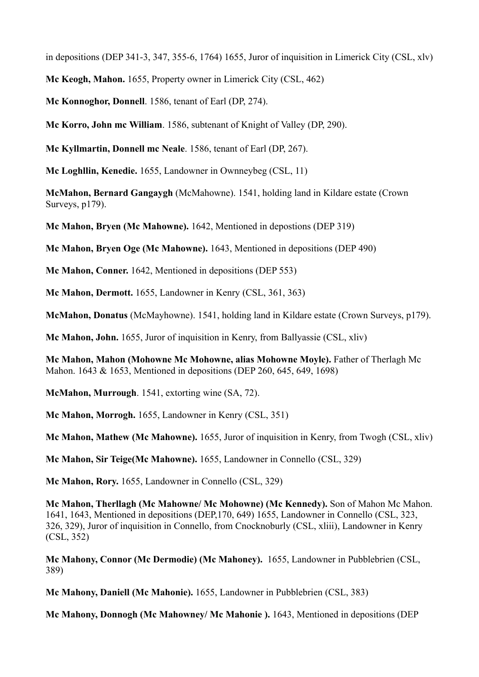in depositions (DEP 341-3, 347, 355-6, 1764) 1655, Juror of inquisition in Limerick City (CSL, xlv)

**Mc Keogh, Mahon.** 1655, Property owner in Limerick City (CSL, 462)

**Mc Konnoghor, Donnell**. 1586, tenant of Earl (DP, 274).

**Mc Korro, John mc William**. 1586, subtenant of Knight of Valley (DP, 290).

**Mc Kyllmartin, Donnell mc Neale**. 1586, tenant of Earl (DP, 267).

**Mc Loghllin, Kenedie.** 1655, Landowner in Ownneybeg (CSL, 11)

**McMahon, Bernard Gangaygh** (McMahowne). 1541, holding land in Kildare estate (Crown Surveys, p179).

**Mc Mahon, Bryen (Mc Mahowne).** 1642, Mentioned in depostions (DEP 319)

**Mc Mahon, Bryen Oge (Mc Mahowne).** 1643, Mentioned in depositions (DEP 490)

**Mc Mahon, Conner.** 1642, Mentioned in depositions (DEP 553)

**Mc Mahon, Dermott.** 1655, Landowner in Kenry (CSL, 361, 363)

**McMahon, Donatus** (McMayhowne). 1541, holding land in Kildare estate (Crown Surveys, p179).

**Mc Mahon, John.** 1655, Juror of inquisition in Kenry, from Ballyassie (CSL, xliv)

**Mc Mahon, Mahon (Mohowne Mc Mohowne, alias Mohowne Moyle).** Father of Therlagh Mc Mahon. 1643 & 1653, Mentioned in depositions (DEP 260, 645, 649, 1698)

**McMahon, Murrough**. 1541, extorting wine (SA, 72).

**Mc Mahon, Morrogh.** 1655, Landowner in Kenry (CSL, 351)

**Mc Mahon, Mathew (Mc Mahowne).** 1655, Juror of inquisition in Kenry, from Twogh (CSL, xliv)

**Mc Mahon, Sir Teige(Mc Mahowne).** 1655, Landowner in Connello (CSL, 329)

**Mc Mahon, Rory.** 1655, Landowner in Connello (CSL, 329)

**Mc Mahon, Therllagh (Mc Mahowne/ Mc Mohowne) (Mc Kennedy).** Son of Mahon Mc Mahon. 1641, 1643, Mentioned in depositions (DEP,170, 649) 1655, Landowner in Connello (CSL, 323, 326, 329), Juror of inquisition in Connello, from Cnocknoburly (CSL, xliii), Landowner in Kenry (CSL, 352)

**Mc Mahony, Connor (Mc Dermodie) (Mc Mahoney).** 1655, Landowner in Pubblebrien (CSL, 389)

**Mc Mahony, Daniell (Mc Mahonie).** 1655, Landowner in Pubblebrien (CSL, 383)

**Mc Mahony, Donnogh (Mc Mahowney/ Mc Mahonie ).** 1643, Mentioned in depositions (DEP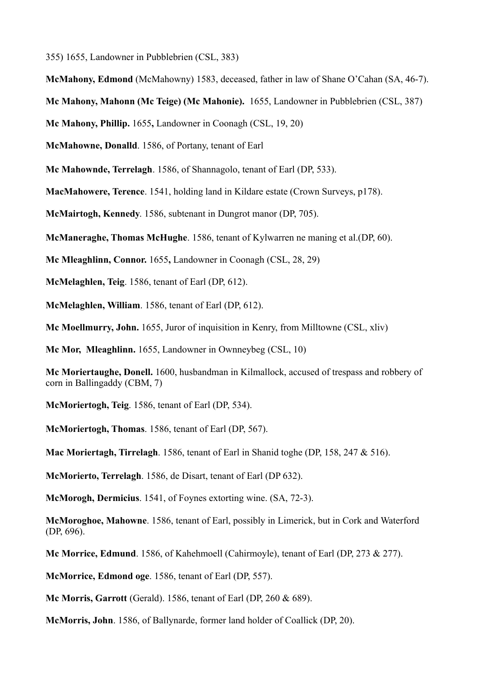355) 1655, Landowner in Pubblebrien (CSL, 383)

**McMahony, Edmond** (McMahowny) 1583, deceased, father in law of Shane O'Cahan (SA, 46-7).

**Mc Mahony, Mahonn (Mc Teige) (Mc Mahonie).** 1655, Landowner in Pubblebrien (CSL, 387)

**Mc Mahony, Phillip.** 1655**,** Landowner in Coonagh (CSL, 19, 20)

**McMahowne, Donalld**. 1586, of Portany, tenant of Earl

**Mc Mahownde, Terrelagh**. 1586, of Shannagolo, tenant of Earl (DP, 533).

**MacMahowere, Terence**. 1541, holding land in Kildare estate (Crown Surveys, p178).

**McMairtogh, Kennedy**. 1586, subtenant in Dungrot manor (DP, 705).

**McManeraghe, Thomas McHughe**. 1586, tenant of Kylwarren ne maning et al.(DP, 60).

**Mc Mleaghlinn, Connor.** 1655**,** Landowner in Coonagh (CSL, 28, 29)

**McMelaghlen, Teig**. 1586, tenant of Earl (DP, 612).

**McMelaghlen, William**. 1586, tenant of Earl (DP, 612).

**Mc Moellmurry, John.** 1655, Juror of inquisition in Kenry, from Milltowne (CSL, xliv)

**Mc Mor, Mleaghlinn.** 1655, Landowner in Ownneybeg (CSL, 10)

**Mc Moriertaughe, Donell.** 1600, husbandman in Kilmallock, accused of trespass and robbery of corn in Ballingaddy (CBM, 7)

**McMoriertogh, Teig**. 1586, tenant of Earl (DP, 534).

**McMoriertogh, Thomas**. 1586, tenant of Earl (DP, 567).

**Mac Moriertagh, Tirrelagh**. 1586, tenant of Earl in Shanid toghe (DP, 158, 247 & 516).

**McMorierto, Terrelagh**. 1586, de Disart, tenant of Earl (DP 632).

**McMorogh, Dermicius**. 1541, of Foynes extorting wine. (SA, 72-3).

**McMoroghoe, Mahowne**. 1586, tenant of Earl, possibly in Limerick, but in Cork and Waterford (DP, 696).

**Mc Morrice, Edmund**. 1586, of Kahehmoell (Cahirmoyle), tenant of Earl (DP, 273 & 277).

**McMorrice, Edmond oge**. 1586, tenant of Earl (DP, 557).

**Mc Morris, Garrott** (Gerald). 1586, tenant of Earl (DP, 260 & 689).

**McMorris, John**. 1586, of Ballynarde, former land holder of Coallick (DP, 20).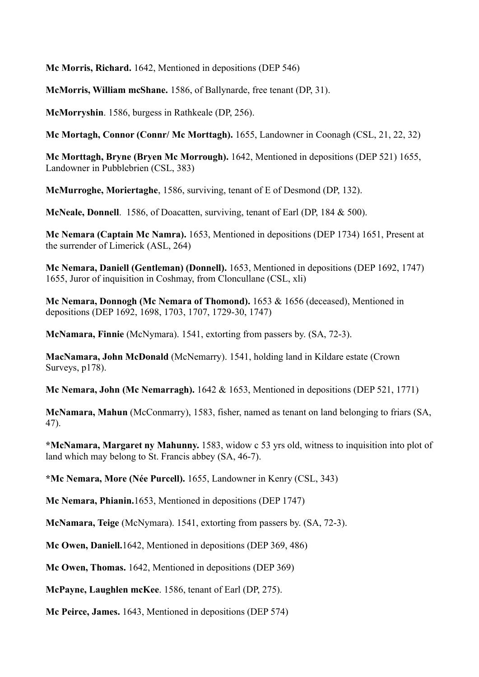**Mc Morris, Richard.** 1642, Mentioned in depositions (DEP 546)

**McMorris, William mcShane.** 1586, of Ballynarde, free tenant (DP, 31).

**McMorryshin**. 1586, burgess in Rathkeale (DP, 256).

**Mc Mortagh, Connor (Connr/ Mc Morttagh).** 1655, Landowner in Coonagh (CSL, 21, 22, 32)

**Mc Morttagh, Bryne (Bryen Mc Morrough).** 1642, Mentioned in depositions (DEP 521) 1655, Landowner in Pubblebrien (CSL, 383)

**McMurroghe, Moriertaghe**, 1586, surviving, tenant of E of Desmond (DP, 132).

**McNeale, Donnell**. 1586, of Doacatten, surviving, tenant of Earl (DP, 184 & 500).

**Mc Nemara (Captain Mc Namra).** 1653, Mentioned in depositions (DEP 1734) 1651, Present at the surrender of Limerick (ASL, 264)

**Mc Nemara, Daniell (Gentleman) (Donnell).** 1653, Mentioned in depositions (DEP 1692, 1747) 1655, Juror of inquisition in Coshmay, from Cloncullane (CSL, xli)

**Mc Nemara, Donnogh (Mc Nemara of Thomond).** 1653 & 1656 (deceased), Mentioned in depositions (DEP 1692, 1698, 1703, 1707, 1729-30, 1747)

**McNamara, Finnie** (McNymara). 1541, extorting from passers by. (SA, 72-3).

**MacNamara, John McDonald** (McNemarry). 1541, holding land in Kildare estate (Crown Surveys, p178).

**Mc Nemara, John (Mc Nemarragh).** 1642 & 1653, Mentioned in depositions (DEP 521, 1771)

**McNamara, Mahun** (McConmarry), 1583, fisher, named as tenant on land belonging to friars (SA, 47).

**\*McNamara, Margaret ny Mahunny.** 1583, widow c 53 yrs old, witness to inquisition into plot of land which may belong to St. Francis abbey (SA, 46-7).

**\*Mc Nemara, More (Née Purcell).** 1655, Landowner in Kenry (CSL, 343)

**Mc Nemara, Phianin.**1653, Mentioned in depositions (DEP 1747)

**McNamara, Teige** (McNymara). 1541, extorting from passers by. (SA, 72-3).

**Mc Owen, Daniell.**1642, Mentioned in depositions (DEP 369, 486)

**Mc Owen, Thomas.** 1642, Mentioned in depositions (DEP 369)

**McPayne, Laughlen mcKee**. 1586, tenant of Earl (DP, 275).

**Mc Peirce, James.** 1643, Mentioned in depositions (DEP 574)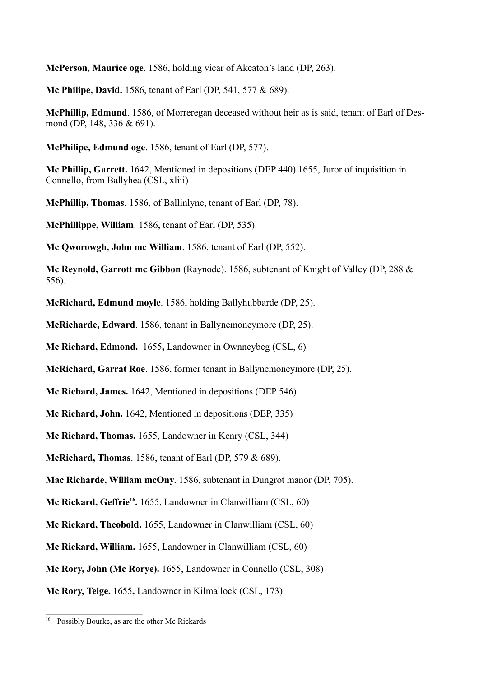**McPerson, Maurice oge**. 1586, holding vicar of Akeaton's land (DP, 263).

**Mc Philipe, David.** 1586, tenant of Earl (DP, 541, 577 & 689).

**McPhillip, Edmund**. 1586, of Morreregan deceased without heir as is said, tenant of Earl of Desmond (DP, 148, 336 & 691).

**McPhilipe, Edmund oge**. 1586, tenant of Earl (DP, 577).

**Mc Phillip, Garrett.** 1642, Mentioned in depositions (DEP 440) 1655, Juror of inquisition in Connello, from Ballyhea (CSL, xliii)

**McPhillip, Thomas**. 1586, of Ballinlyne, tenant of Earl (DP, 78).

**McPhillippe, William**. 1586, tenant of Earl (DP, 535).

**Mc Qworowgh, John mc William**. 1586, tenant of Earl (DP, 552).

**Mc Reynold, Garrott mc Gibbon** (Raynode). 1586, subtenant of Knight of Valley (DP, 288 & 556).

**McRichard, Edmund moyle**. 1586, holding Ballyhubbarde (DP, 25).

**McRicharde, Edward**. 1586, tenant in Ballynemoneymore (DP, 25).

**Mc Richard, Edmond.** 1655**,** Landowner in Ownneybeg (CSL, 6)

**McRichard, Garrat Roe**. 1586, former tenant in Ballynemoneymore (DP, 25).

**Mc Richard, James.** 1642, Mentioned in depositions (DEP 546)

**Mc Richard, John.** 1642, Mentioned in depositions (DEP, 335)

**Mc Richard, Thomas.** 1655, Landowner in Kenry (CSL, 344)

**McRichard, Thomas**. 1586, tenant of Earl (DP, 579 & 689).

**Mac Richarde, William mcOny**. 1586, subtenant in Dungrot manor (DP, 705).

Mc Rickard, Geffrie<sup>16</sup>. 1655, Landowner in Clanwilliam (CSL, 60)

**Mc Rickard, Theobold.** 1655, Landowner in Clanwilliam (CSL, 60)

**Mc Rickard, William.** 1655, Landowner in Clanwilliam (CSL, 60)

**Mc Rory, John (Mc Rorye).** 1655, Landowner in Connello (CSL, 308)

**Mc Rory, Teige.** 1655**,** Landowner in Kilmallock (CSL, 173)

<sup>&</sup>lt;sup>16</sup> Possibly Bourke, as are the other Mc Rickards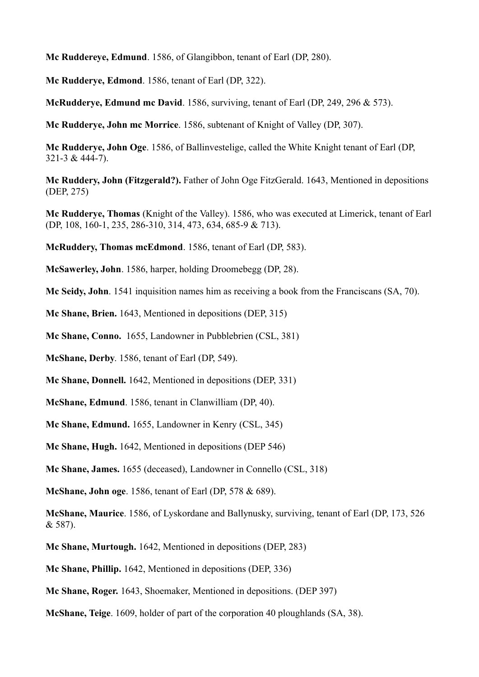**Mc Ruddereye, Edmund**. 1586, of Glangibbon, tenant of Earl (DP, 280).

**Mc Rudderye, Edmond**. 1586, tenant of Earl (DP, 322).

**McRudderye, Edmund mc David**. 1586, surviving, tenant of Earl (DP, 249, 296 & 573).

**Mc Rudderye, John mc Morrice**. 1586, subtenant of Knight of Valley (DP, 307).

**Mc Rudderye, John Oge**. 1586, of Ballinvestelige, called the White Knight tenant of Earl (DP, 321-3 & 444-7).

**Mc Ruddery, John (Fitzgerald?).** Father of John Oge FitzGerald. 1643, Mentioned in depositions (DEP, 275)

**Mc Rudderye, Thomas** (Knight of the Valley). 1586, who was executed at Limerick, tenant of Earl (DP, 108, 160-1, 235, 286-310, 314, 473, 634, 685-9 & 713).

**McRuddery, Thomas mcEdmond**. 1586, tenant of Earl (DP, 583).

**McSawerley, John**. 1586, harper, holding Droomebegg (DP, 28).

**Mc Seidy, John**. 1541 inquisition names him as receiving a book from the Franciscans (SA, 70).

**Mc Shane, Brien.** 1643, Mentioned in depositions (DEP, 315)

**Mc Shane, Conno.** 1655, Landowner in Pubblebrien (CSL, 381)

**McShane, Derby**. 1586, tenant of Earl (DP, 549).

**Mc Shane, Donnell.** 1642, Mentioned in depositions (DEP, 331)

**McShane, Edmund**. 1586, tenant in Clanwilliam (DP, 40).

**Mc Shane, Edmund.** 1655, Landowner in Kenry (CSL, 345)

**Mc Shane, Hugh.** 1642, Mentioned in depositions (DEP 546)

**Mc Shane, James.** 1655 (deceased), Landowner in Connello (CSL, 318)

**McShane, John oge**. 1586, tenant of Earl (DP, 578 & 689).

**McShane, Maurice**. 1586, of Lyskordane and Ballynusky, surviving, tenant of Earl (DP, 173, 526 & 587).

**Mc Shane, Murtough.** 1642, Mentioned in depositions (DEP, 283)

**Mc Shane, Phillip.** 1642, Mentioned in depositions (DEP, 336)

**Mc Shane, Roger.** 1643, Shoemaker, Mentioned in depositions. (DEP 397)

**McShane, Teige**. 1609, holder of part of the corporation 40 ploughlands (SA, 38).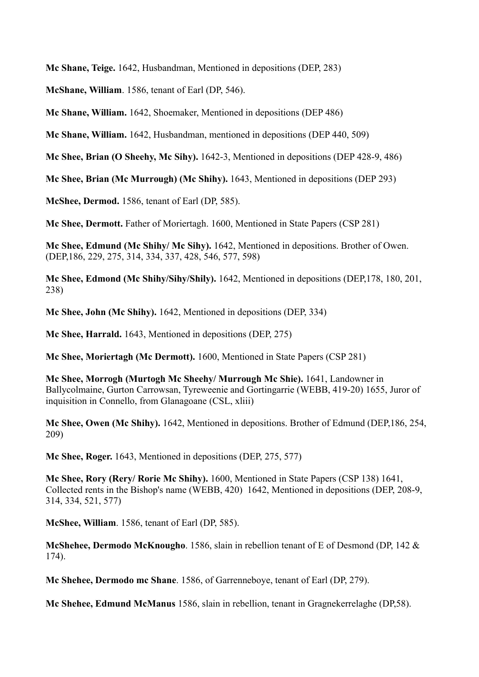**Mc Shane, Teige.** 1642, Husbandman, Mentioned in depositions (DEP, 283)

**McShane, William**. 1586, tenant of Earl (DP, 546).

**Mc Shane, William.** 1642, Shoemaker, Mentioned in depositions (DEP 486)

**Mc Shane, William.** 1642, Husbandman, mentioned in depositions (DEP 440, 509)

**Mc Shee, Brian (O Sheehy, Mc Sihy).** 1642-3, Mentioned in depositions (DEP 428-9, 486)

**Mc Shee, Brian (Mc Murrough) (Mc Shihy).** 1643, Mentioned in depositions (DEP 293)

**McShee, Dermod.** 1586, tenant of Earl (DP, 585).

**Mc Shee, Dermott.** Father of Moriertagh. 1600, Mentioned in State Papers (CSP 281)

**Mc Shee, Edmund (Mc Shihy/ Mc Sihy).** 1642, Mentioned in depositions. Brother of Owen. (DEP,186, 229, 275, 314, 334, 337, 428, 546, 577, 598)

**Mc Shee, Edmond (Mc Shihy/Sihy/Shily).** 1642, Mentioned in depositions (DEP,178, 180, 201, 238)

**Mc Shee, John (Mc Shihy).** 1642, Mentioned in depositions (DEP, 334)

**Mc Shee, Harrald.** 1643, Mentioned in depositions (DEP, 275)

**Mc Shee, Moriertagh (Mc Dermott).** 1600, Mentioned in State Papers (CSP 281)

**Mc Shee, Morrogh (Murtogh Mc Sheehy/ Murrough Mc Shie).** 1641, Landowner in Ballycolmaine, Gurton Carrowsan, Tyreweenie and Gortingarrie (WEBB, 419-20) 1655, Juror of inquisition in Connello, from Glanagoane (CSL, xliii)

**Mc Shee, Owen (Mc Shihy).** 1642, Mentioned in depositions. Brother of Edmund (DEP,186, 254, 209)

**Mc Shee, Roger.** 1643, Mentioned in depositions (DEP, 275, 577)

**Mc Shee, Rory (Rery/ Rorie Mc Shihy).** 1600, Mentioned in State Papers (CSP 138) 1641, Collected rents in the Bishop's name (WEBB, 420) 1642, Mentioned in depositions (DEP, 208-9, 314, 334, 521, 577)

**McShee, William**. 1586, tenant of Earl (DP, 585).

**McShehee, Dermodo McKnougho**. 1586, slain in rebellion tenant of E of Desmond (DP, 142 & 174).

**Mc Shehee, Dermodo mc Shane**. 1586, of Garrenneboye, tenant of Earl (DP, 279).

**Mc Shehee, Edmund McManus** 1586, slain in rebellion, tenant in Gragnekerrelaghe (DP,58).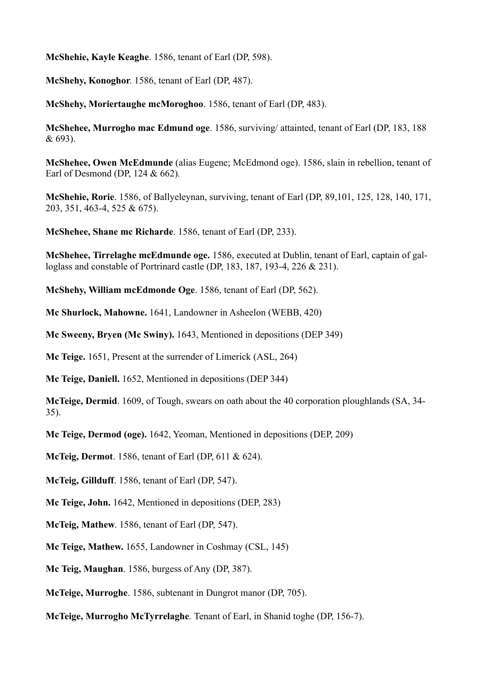**McShehie, Kayle Keaghe**. 1586, tenant of Earl (DP, 598).

**McShehy, Konoghor**. 1586, tenant of Earl (DP, 487).

**McShehy, Moriertaughe mcMoroghoo**. 1586, tenant of Earl (DP, 483).

**McShehee, Murrogho mac Edmund oge**. 1586, surviving/ attainted, tenant of Earl (DP, 183, 188 & 693).

**McShehee, Owen McEdmunde** (alias Eugene; McEdmond oge). 1586, slain in rebellion, tenant of Earl of Desmond (DP, 124 & 662)*.*

**McShehie, Rorie**. 1586, of Ballyeleynan, surviving, tenant of Earl (DP, 89,101, 125, 128, 140, 171, 203, 351, 463-4, 525 & 675).

**McShehee, Shane mc Richarde**. 1586, tenant of Earl (DP, 233).

**McShehee, Tirrelaghe mcEdmunde oge.** 1586, executed at Dublin, tenant of Earl, captain of galloglass and constable of Portrinard castle (DP, 183, 187, 193-4, 226 & 231).

**McShehy, William mcEdmonde Oge**. 1586, tenant of Earl (DP, 562).

**Mc Shurlock, Mahowne.** 1641, Landowner in Asheelon (WEBB, 420)

**Mc Sweeny, Bryen (Mc Swiny).** 1643, Mentioned in depositions (DEP 349)

**Mc Teige.** 1651, Present at the surrender of Limerick (ASL, 264)

**Mc Teige, Daniell.** 1652, Mentioned in depositions (DEP 344)

**McTeige, Dermid**. 1609, of Tough, swears on oath about the 40 corporation ploughlands (SA, 34- 35).

**Mc Teige, Dermod (oge).** 1642, Yeoman, Mentioned in depositions (DEP, 209)

**McTeig, Dermot**. 1586, tenant of Earl (DP, 611 & 624).

**McTeig, Gillduff**. 1586, tenant of Earl (DP, 547).

**Mc Teige, John.** 1642, Mentioned in depositions (DEP, 283)

**McTeig, Mathew**. 1586, tenant of Earl (DP, 547).

**Mc Teige, Mathew.** 1655, Landowner in Coshmay (CSL, 145)

**Mc Teig, Maughan**. 1586, burgess of Any (DP, 387).

**McTeige, Murroghe**. 1586, subtenant in Dungrot manor (DP, 705).

**McTeige, Murrogho McTyrrelaghe***.* Tenant of Earl, in Shanid toghe (DP, 156-7).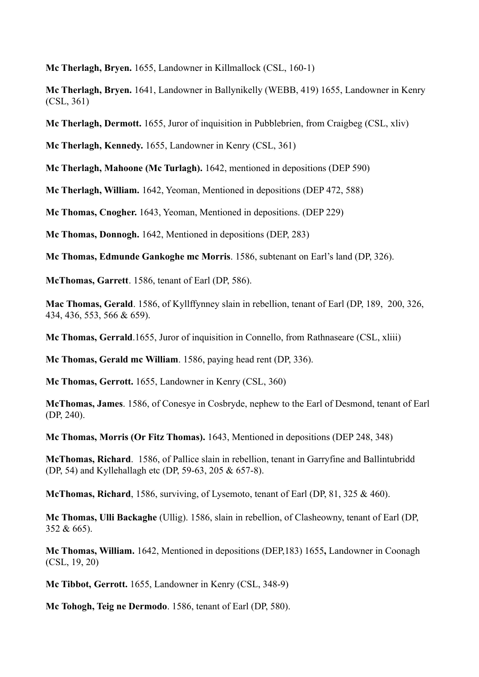**Mc Therlagh, Bryen.** 1655, Landowner in Killmallock (CSL, 160-1)

**Mc Therlagh, Bryen.** 1641, Landowner in Ballynikelly (WEBB, 419) 1655, Landowner in Kenry (CSL, 361)

**Mc Therlagh, Dermott.** 1655, Juror of inquisition in Pubblebrien, from Craigbeg (CSL, xliv)

**Mc Therlagh, Kennedy.** 1655, Landowner in Kenry (CSL, 361)

**Mc Therlagh, Mahoone (Mc Turlagh).** 1642, mentioned in depositions (DEP 590)

**Mc Therlagh, William.** 1642, Yeoman, Mentioned in depositions (DEP 472, 588)

**Mc Thomas, Cnogher.** 1643, Yeoman, Mentioned in depositions. (DEP 229)

**Mc Thomas, Donnogh.** 1642, Mentioned in depositions (DEP, 283)

**Mc Thomas, Edmunde Gankoghe mc Morris**. 1586, subtenant on Earl's land (DP, 326).

**McThomas, Garrett**. 1586, tenant of Earl (DP, 586).

**Mac Thomas, Gerald**. 1586, of Kyllffynney slain in rebellion, tenant of Earl (DP, 189, 200, 326, 434, 436, 553, 566 & 659).

**Mc Thomas, Gerrald**.1655, Juror of inquisition in Connello, from Rathnaseare (CSL, xliii)

**Mc Thomas, Gerald mc William**. 1586, paying head rent (DP, 336).

**Mc Thomas, Gerrott.** 1655, Landowner in Kenry (CSL, 360)

**McThomas, James**. 1586, of Conesye in Cosbryde, nephew to the Earl of Desmond, tenant of Earl (DP, 240).

**Mc Thomas, Morris (Or Fitz Thomas).** 1643, Mentioned in depositions (DEP 248, 348)

**McThomas, Richard**. 1586, of Pallice slain in rebellion, tenant in Garryfine and Ballintubridd (DP, 54) and Kyllehallagh etc (DP, 59-63, 205 & 657-8).

**McThomas, Richard**, 1586, surviving, of Lysemoto, tenant of Earl (DP, 81, 325 & 460).

**Mc Thomas, Ulli Backaghe** (Ullig). 1586, slain in rebellion, of Clasheowny, tenant of Earl (DP, 352 & 665).

**Mc Thomas, William.** 1642, Mentioned in depositions (DEP,183) 1655**,** Landowner in Coonagh (CSL, 19, 20)

**Mc Tibbot, Gerrott.** 1655, Landowner in Kenry (CSL, 348-9)

**Mc Tohogh, Teig ne Dermodo**. 1586, tenant of Earl (DP, 580).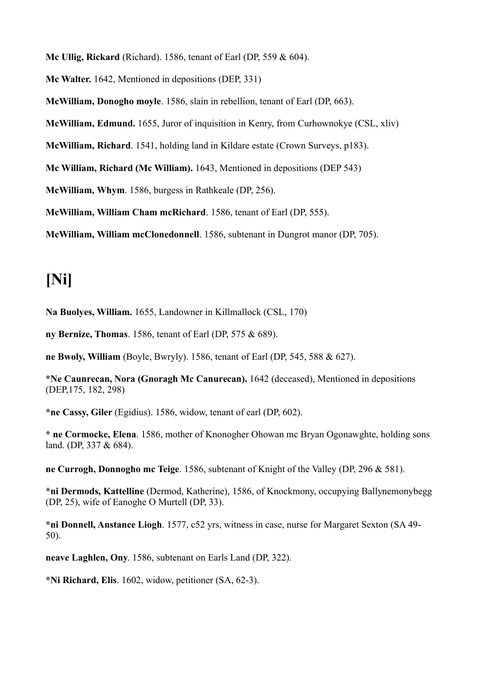**Mc Ullig, Rickard** (Richard). 1586, tenant of Earl (DP, 559 & 604).

**Mc Walter.** 1642, Mentioned in depositions (DEP, 331)

**McWilliam, Donogho moyle**. 1586, slain in rebellion, tenant of Earl (DP, 663).

**McWilliam, Edmund.** 1655, Juror of inquisition in Kenry, from Curhownokye (CSL, xliv)

**McWilliam, Richard**. 1541, holding land in Kildare estate (Crown Surveys, p183).

**Mc William, Richard (Mc William).** 1643, Mentioned in depositions (DEP 543)

**McWilliam, Whym**. 1586, burgess in Rathkeale (DP, 256).

**McWilliam, William Cham mcRichard**. 1586, tenant of Earl (DP, 555).

**McWilliam, William mcClonedonnell**. 1586, subtenant in Dungrot manor (DP, 705).

#### **[Ni]**

**Na Buolyes, William.** 1655, Landowner in Killmallock (CSL, 170)

**ny Bernize, Thomas**. 1586, tenant of Earl (DP, 575 & 689).

**ne Bwoly, William** (Boyle, Bwryly). 1586, tenant of Earl (DP, 545, 588 & 627).

**\*Ne Caunrecan, Nora (Gnoragh Mc Canurecan).** 1642 (deceased), Mentioned in depositions (DEP,175, 182, 298)

**\*ne Cassy, Giler** (Egidius). 1586, widow, tenant of earl (DP, 602).

**\* ne Cormocke, Elena**. 1586, mother of Knonogher Ohowan mc Bryan Ogonawghte, holding sons land. (DP, 337 & 684).

**ne Currogh, Donnogho mc Teige**. 1586, subtenant of Knight of the Valley (DP, 296 & 581).

**\*ni Dermods, Kattelline** (Dermod, Katherine), 1586, of Knockmony, occupying Ballynemonybegg (DP, 25), wife of Eanoghe O Murtell (DP, 33).

**\*ni Donnell, Anstance Liogh**. 1577, c52 yrs, witness in case, nurse for Margaret Sexton (SA 49- 50).

**neave Laghlen, Ony**. 1586, subtenant on Earls Land (DP, 322).

**\*Ni Richard, Elis**. 1602, widow, petitioner (SA, 62-3).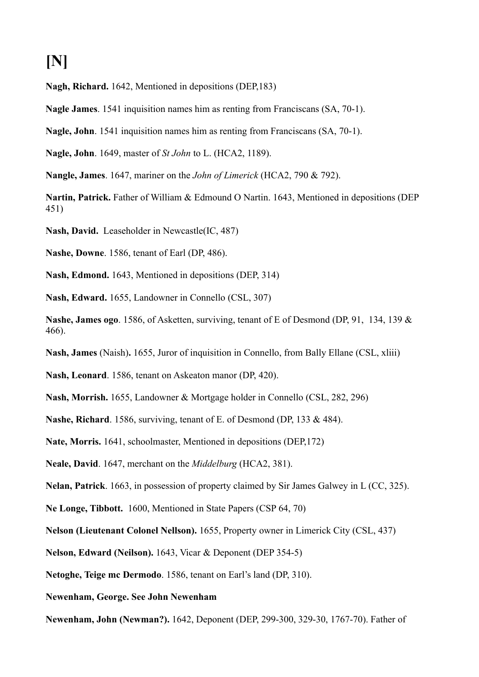### **[N]**

**Nagh, Richard.** 1642, Mentioned in depositions (DEP,183)

**Nagle James**. 1541 inquisition names him as renting from Franciscans (SA, 70-1).

**Nagle, John**. 1541 inquisition names him as renting from Franciscans (SA, 70-1).

**Nagle, John**. 1649, master of *St John* to L. (HCA2, 1189).

**Nangle, James**. 1647, mariner on the *John of Limerick* (HCA2, 790 & 792).

**Nartin, Patrick.** Father of William & Edmound O Nartin. 1643, Mentioned in depositions (DEP 451)

**Nash, David.** Leaseholder in Newcastle(IC, 487)

**Nashe, Downe**. 1586, tenant of Earl (DP, 486).

**Nash, Edmond.** 1643, Mentioned in depositions (DEP, 314)

**Nash, Edward.** 1655, Landowner in Connello (CSL, 307)

**Nashe, James ogo**. 1586, of Asketten, surviving, tenant of E of Desmond (DP, 91, 134, 139 & 466).

**Nash, James** (Naish)**.** 1655, Juror of inquisition in Connello, from Bally Ellane (CSL, xliii)

**Nash, Leonard**. 1586, tenant on Askeaton manor (DP, 420).

**Nash, Morrish.** 1655, Landowner & Mortgage holder in Connello (CSL, 282, 296)

**Nashe, Richard**. 1586, surviving, tenant of E. of Desmond (DP, 133 & 484).

**Nate, Morris.** 1641, schoolmaster, Mentioned in depositions (DEP,172)

**Neale, David**. 1647, merchant on the *Middelburg* (HCA2, 381).

**Nelan, Patrick**. 1663, in possession of property claimed by Sir James Galwey in L (CC, 325).

**Ne Longe, Tibbott.** 1600, Mentioned in State Papers (CSP 64, 70)

**Nelson (Lieutenant Colonel Nellson).** 1655, Property owner in Limerick City (CSL, 437)

**Nelson, Edward (Neilson).** 1643, Vicar & Deponent (DEP 354-5)

**Netoghe, Teige mc Dermodo**. 1586, tenant on Earl's land (DP, 310).

**Newenham, George. See John Newenham**

**Newenham, John (Newman?).** 1642, Deponent (DEP, 299-300, 329-30, 1767-70). Father of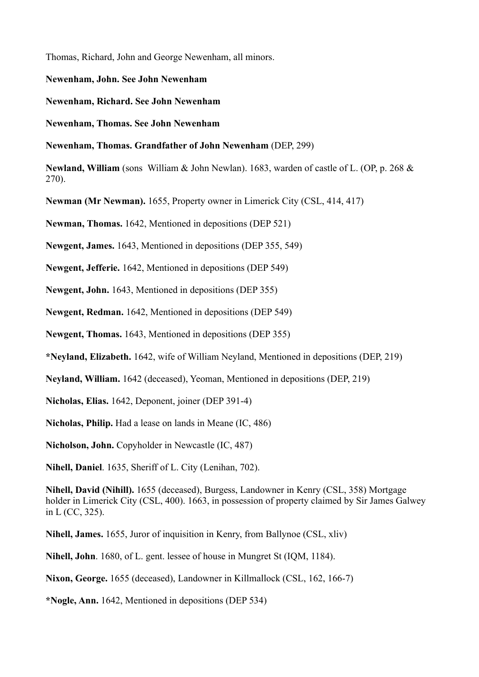Thomas, Richard, John and George Newenham, all minors.

**Newenham, John. See John Newenham**

**Newenham, Richard. See John Newenham**

**Newenham, Thomas. See John Newenham**

**Newenham, Thomas. Grandfather of John Newenham** (DEP, 299)

**Newland, William** (sons William & John Newlan). 1683, warden of castle of L. (OP, p. 268 & 270).

**Newman (Mr Newman).** 1655, Property owner in Limerick City (CSL, 414, 417)

**Newman, Thomas.** 1642, Mentioned in depositions (DEP 521)

**Newgent, James.** 1643, Mentioned in depositions (DEP 355, 549)

**Newgent, Jefferie.** 1642, Mentioned in depositions (DEP 549)

**Newgent, John.** 1643, Mentioned in depositions (DEP 355)

**Newgent, Redman.** 1642, Mentioned in depositions (DEP 549)

**Newgent, Thomas.** 1643, Mentioned in depositions (DEP 355)

**\*Neyland, Elizabeth.** 1642, wife of William Neyland, Mentioned in depositions (DEP, 219)

**Neyland, William.** 1642 (deceased), Yeoman, Mentioned in depositions (DEP, 219)

**Nicholas, Elias.** 1642, Deponent, joiner (DEP 391-4)

**Nicholas, Philip.** Had a lease on lands in Meane (IC, 486)

**Nicholson, John.** Copyholder in Newcastle (IC, 487)

**Nihell, Daniel**. 1635, Sheriff of L. City (Lenihan, 702).

**Nihell, David (Nihill).** 1655 (deceased), Burgess, Landowner in Kenry (CSL, 358) Mortgage holder in Limerick City (CSL, 400). 1663, in possession of property claimed by Sir James Galwey in L (CC, 325).

**Nihell, James.** 1655, Juror of inquisition in Kenry, from Ballynoe (CSL, xliv)

**Nihell, John**. 1680, of L. gent. lessee of house in Mungret St (IQM, 1184).

**Nixon, George.** 1655 (deceased), Landowner in Killmallock (CSL, 162, 166-7)

**\*Nogle, Ann.** 1642, Mentioned in depositions (DEP 534)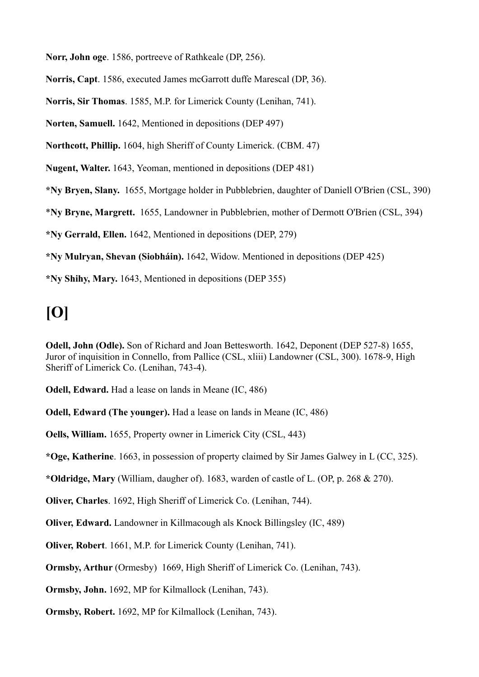**Norr, John oge**. 1586, portreeve of Rathkeale (DP, 256).

**Norris, Capt**. 1586, executed James mcGarrott duffe Marescal (DP, 36).

**Norris, Sir Thomas**. 1585, M.P. for Limerick County (Lenihan, 741).

**Norten, Samuell.** 1642, Mentioned in depositions (DEP 497)

**Northcott, Phillip.** 1604, high Sheriff of County Limerick. (CBM. 47)

**Nugent, Walter.** 1643, Yeoman, mentioned in depositions (DEP 481)

**\*Ny Bryen, Slany.** 1655, Mortgage holder in Pubblebrien, daughter of Daniell O'Brien (CSL, 390)

\***Ny Bryne, Margrett.** 1655, Landowner in Pubblebrien, mother of Dermott O'Brien (CSL, 394)

**\*Ny Gerrald, Ellen.** 1642, Mentioned in depositions (DEP, 279)

**\*Ny Mulryan, Shevan (Siobháin).** 1642, Widow. Mentioned in depositions (DEP 425)

**\*Ny Shihy, Mary.** 1643, Mentioned in depositions (DEP 355)

### **[O]**

**Odell, John (Odle).** Son of Richard and Joan Bettesworth. 1642, Deponent (DEP 527-8) 1655, Juror of inquisition in Connello, from Pallice (CSL, xliii) Landowner (CSL, 300). 1678-9, High Sheriff of Limerick Co. (Lenihan, 743-4).

**Odell, Edward.** Had a lease on lands in Meane (IC, 486)

**Odell, Edward (The younger).** Had a lease on lands in Meane (IC, 486)

**Oells, William.** 1655, Property owner in Limerick City (CSL, 443)

**\*Oge, Katherine**. 1663, in possession of property claimed by Sir James Galwey in L (CC, 325).

**\*Oldridge, Mary** (William, daugher of). 1683, warden of castle of L. (OP, p. 268 & 270).

**Oliver, Charles**. 1692, High Sheriff of Limerick Co. (Lenihan, 744).

**Oliver, Edward.** Landowner in Killmacough als Knock Billingsley (IC, 489)

**Oliver, Robert**. 1661, M.P. for Limerick County (Lenihan, 741).

**Ormsby, Arthur** (Ormesby) 1669, High Sheriff of Limerick Co. (Lenihan, 743).

**Ormsby, John.** 1692, MP for Kilmallock (Lenihan, 743).

**Ormsby, Robert.** 1692, MP for Kilmallock (Lenihan, 743).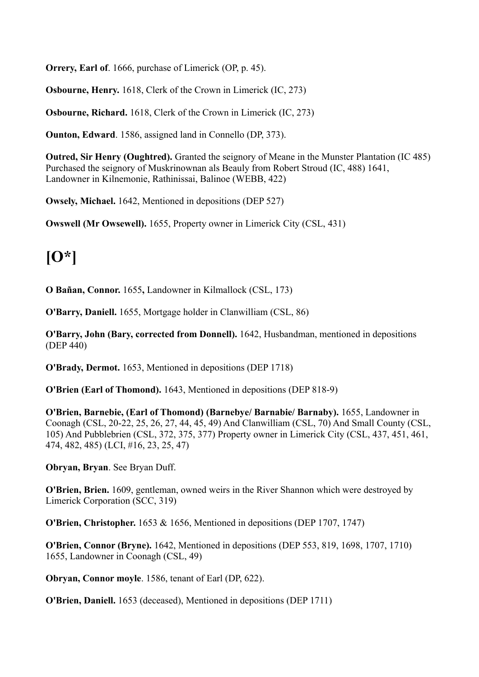**Orrery, Earl of**. 1666, purchase of Limerick (OP, p. 45).

**Osbourne, Henry.** 1618, Clerk of the Crown in Limerick (IC, 273)

**Osbourne, Richard.** 1618, Clerk of the Crown in Limerick (IC, 273)

**Ounton, Edward**. 1586, assigned land in Connello (DP, 373).

**Outred, Sir Henry (Oughtred).** Granted the seignory of Meane in the Munster Plantation (IC 485) Purchased the seignory of Muskrinownan als Beauly from Robert Stroud (IC, 488) 1641, Landowner in Kilnemonie, Rathinissai, Balinoe (WEBB, 422)

**Owsely, Michael.** 1642, Mentioned in depositions (DEP 527)

**Owswell (Mr Owsewell).** 1655, Property owner in Limerick City (CSL, 431)

### **[O\*]**

**O Bañan, Connor.** 1655**,** Landowner in Kilmallock (CSL, 173)

**O'Barry, Daniell.** 1655, Mortgage holder in Clanwilliam (CSL, 86)

**O'Barry, John (Bary, corrected from Donnell).** 1642, Husbandman, mentioned in depositions (DEP 440)

**O'Brady, Dermot.** 1653, Mentioned in depositions (DEP 1718)

**O'Brien (Earl of Thomond).** 1643, Mentioned in depositions (DEP 818-9)

**O'Brien, Barnebie, (Earl of Thomond) (Barnebye/ Barnabie/ Barnaby).** 1655, Landowner in Coonagh (CSL, 20-22, 25, 26, 27, 44, 45, 49) And Clanwilliam (CSL, 70) And Small County (CSL, 105) And Pubblebrien (CSL, 372, 375, 377) Property owner in Limerick City (CSL, 437, 451, 461, 474, 482, 485) (LCI, #16, 23, 25, 47)

**Obryan, Bryan**. See Bryan Duff.

**O'Brien, Brien.** 1609, gentleman, owned weirs in the River Shannon which were destroyed by Limerick Corporation (SCC, 319)

**O'Brien, Christopher.** 1653 & 1656, Mentioned in depositions (DEP 1707, 1747)

**O'Brien, Connor (Bryne).** 1642, Mentioned in depositions (DEP 553, 819, 1698, 1707, 1710) 1655, Landowner in Coonagh (CSL, 49)

**Obryan, Connor moyle**. 1586, tenant of Earl (DP, 622).

**O'Brien, Daniell.** 1653 (deceased), Mentioned in depositions (DEP 1711)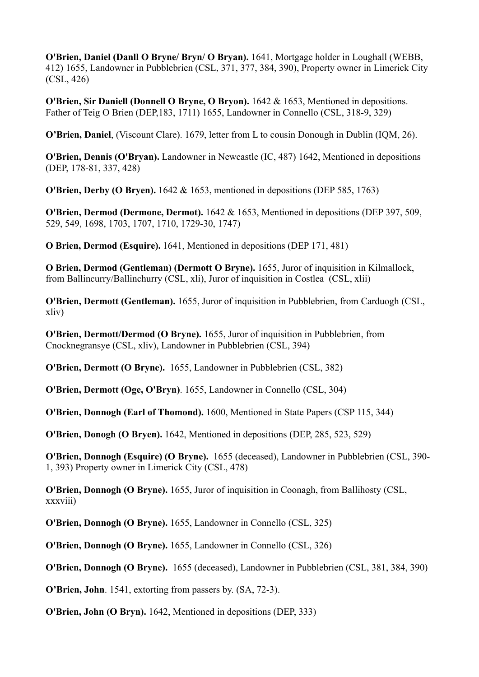**O'Brien, Daniel (Danll O Bryne/ Bryn/ O Bryan).** 1641, Mortgage holder in Loughall (WEBB, 412) 1655, Landowner in Pubblebrien (CSL, 371, 377, 384, 390), Property owner in Limerick City (CSL, 426)

**O'Brien, Sir Daniell (Donnell O Bryne, O Bryon).** 1642 & 1653, Mentioned in depositions. Father of Teig O Brien (DEP,183, 1711) 1655, Landowner in Connello (CSL, 318-9, 329)

**O'Brien, Daniel**, (Viscount Clare). 1679, letter from L to cousin Donough in Dublin (IQM, 26).

**O'Brien, Dennis (O'Bryan).** Landowner in Newcastle (IC, 487) 1642, Mentioned in depositions (DEP, 178-81, 337, 428)

**O'Brien, Derby (O Bryen).** 1642 & 1653, mentioned in depositions (DEP 585, 1763)

**O'Brien, Dermod (Dermone, Dermot).** 1642 & 1653, Mentioned in depositions (DEP 397, 509, 529, 549, 1698, 1703, 1707, 1710, 1729-30, 1747)

**O Brien, Dermod (Esquire).** 1641, Mentioned in depositions (DEP 171, 481)

**O Brien, Dermod (Gentleman) (Dermott O Bryne).** 1655, Juror of inquisition in Kilmallock, from Ballincurry/Ballinchurry (CSL, xli), Juror of inquisition in Costlea (CSL, xlii)

**O'Brien, Dermott (Gentleman).** 1655, Juror of inquisition in Pubblebrien, from Carduogh (CSL, xliv)

**O'Brien, Dermott/Dermod (O Bryne).** 1655, Juror of inquisition in Pubblebrien, from Cnocknegransye (CSL, xliv), Landowner in Pubblebrien (CSL, 394)

**O'Brien, Dermott (O Bryne).** 1655, Landowner in Pubblebrien (CSL, 382)

**O'Brien, Dermott (Oge, O'Bryn)**. 1655, Landowner in Connello (CSL, 304)

**O'Brien, Donnogh (Earl of Thomond).** 1600, Mentioned in State Papers (CSP 115, 344)

**O'Brien, Donogh (O Bryen).** 1642, Mentioned in depositions (DEP, 285, 523, 529)

**O'Brien, Donnogh (Esquire) (O Bryne).** 1655 (deceased), Landowner in Pubblebrien (CSL, 390- 1, 393) Property owner in Limerick City (CSL, 478)

**O'Brien, Donnogh (O Bryne).** 1655, Juror of inquisition in Coonagh, from Ballihosty (CSL, xxxviii)

**O'Brien, Donnogh (O Bryne).** 1655, Landowner in Connello (CSL, 325)

**O'Brien, Donnogh (O Bryne).** 1655, Landowner in Connello (CSL, 326)

**O'Brien, Donnogh (O Bryne).** 1655 (deceased), Landowner in Pubblebrien (CSL, 381, 384, 390)

**O'Brien, John**. 1541, extorting from passers by. (SA, 72-3).

**O'Brien, John (O Bryn).** 1642, Mentioned in depositions (DEP, 333)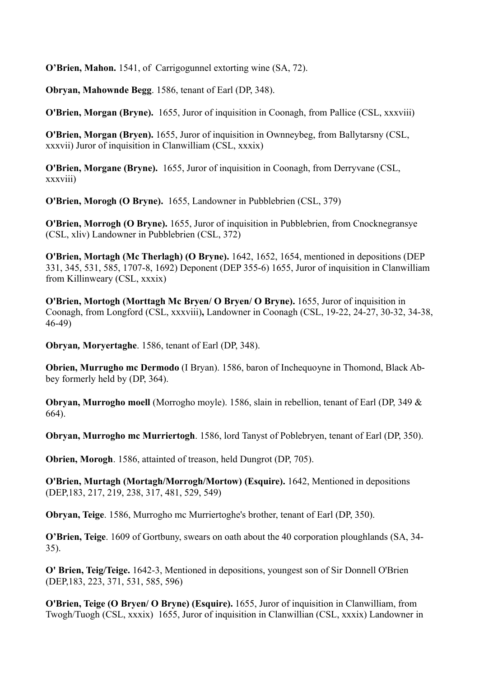**O'Brien, Mahon.** 1541, of Carrigogunnel extorting wine (SA, 72).

**Obryan, Mahownde Begg**. 1586, tenant of Earl (DP, 348).

**O'Brien, Morgan (Bryne).** 1655, Juror of inquisition in Coonagh, from Pallice (CSL, xxxviii)

**O'Brien, Morgan (Bryen).** 1655, Juror of inquisition in Ownneybeg, from Ballytarsny (CSL, xxxvii) Juror of inquisition in Clanwilliam (CSL, xxxix)

**O'Brien, Morgane (Bryne).** 1655, Juror of inquisition in Coonagh, from Derryvane (CSL, xxxviii)

**O'Brien, Morogh (O Bryne).** 1655, Landowner in Pubblebrien (CSL, 379)

**O'Brien, Morrogh (O Bryne).** 1655, Juror of inquisition in Pubblebrien, from Cnocknegransye (CSL, xliv) Landowner in Pubblebrien (CSL, 372)

**O'Brien, Mortagh (Mc Therlagh) (O Bryne).** 1642, 1652, 1654, mentioned in depositions (DEP 331, 345, 531, 585, 1707-8, 1692) Deponent (DEP 355-6) 1655, Juror of inquisition in Clanwilliam from Killinweary (CSL, xxxix)

**O'Brien, Mortogh (Morttagh Mc Bryen/ O Bryen/ O Bryne).** 1655, Juror of inquisition in Coonagh, from Longford (CSL, xxxviii)**,** Landowner in Coonagh (CSL, 19-22, 24-27, 30-32, 34-38, 46-49)

**Obryan***,* **Moryertaghe**. 1586, tenant of Earl (DP, 348).

**Obrien, Murrugho mc Dermodo** (I Bryan). 1586, baron of Inchequoyne in Thomond, Black Abbey formerly held by (DP, 364).

**Obryan, Murrogho moell** (Morrogho moyle). 1586, slain in rebellion, tenant of Earl (DP, 349 & 664).

**Obryan, Murrogho mc Murriertogh**. 1586, lord Tanyst of Poblebryen, tenant of Earl (DP, 350).

**Obrien, Morogh**. 1586, attainted of treason, held Dungrot (DP, 705).

**O'Brien, Murtagh (Mortagh/Morrogh/Mortow) (Esquire).** 1642, Mentioned in depositions (DEP,183, 217, 219, 238, 317, 481, 529, 549)

**Obryan, Teige**. 1586, Murrogho mc Murriertoghe's brother, tenant of Earl (DP, 350).

**O'Brien, Teige**. 1609 of Gortbuny, swears on oath about the 40 corporation ploughlands (SA, 34- 35).

**O' Brien, Teig/Teige.** 1642-3, Mentioned in depositions, youngest son of Sir Donnell O'Brien (DEP,183, 223, 371, 531, 585, 596)

**O'Brien, Teige (O Bryen/ O Bryne) (Esquire).** 1655, Juror of inquisition in Clanwilliam, from Twogh/Tuogh (CSL, xxxix) 1655, Juror of inquisition in Clanwillian (CSL, xxxix) Landowner in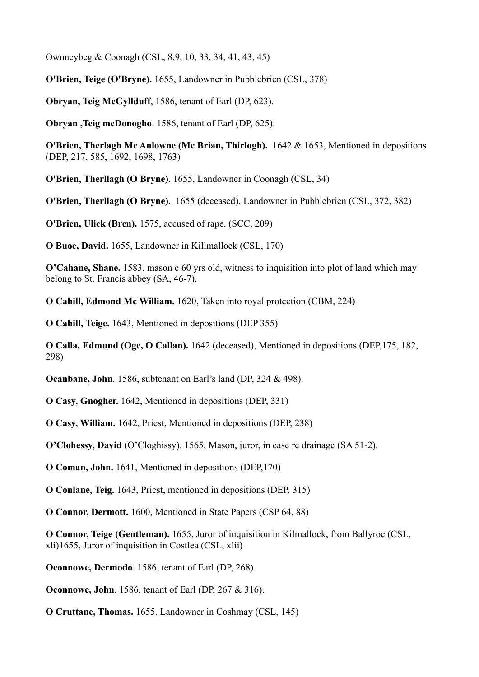Ownneybeg & Coonagh (CSL, 8,9, 10, 33, 34, 41, 43, 45)

**O'Brien, Teige (O'Bryne).** 1655, Landowner in Pubblebrien (CSL, 378)

**Obryan, Teig McGyllduff**, 1586, tenant of Earl (DP, 623).

**Obryan ,Teig mcDonogho**. 1586, tenant of Earl (DP, 625).

**O'Brien, Therlagh Mc Anlowne (Mc Brian, Thirlogh).** 1642 & 1653, Mentioned in depositions (DEP, 217, 585, 1692, 1698, 1763)

**O'Brien, Therllagh (O Bryne).** 1655, Landowner in Coonagh (CSL, 34)

**O'Brien, Therllagh (O Bryne).** 1655 (deceased), Landowner in Pubblebrien (CSL, 372, 382)

**O'Brien, Ulick (Bren).** 1575, accused of rape. (SCC, 209)

**O Buoe, David.** 1655, Landowner in Killmallock (CSL, 170)

**O'Cahane, Shane.** 1583, mason c 60 yrs old, witness to inquisition into plot of land which may belong to St. Francis abbey (SA, 46-7).

**O Cahill, Edmond Mc William.** 1620, Taken into royal protection (CBM, 224)

**O Cahill, Teige.** 1643, Mentioned in depositions (DEP 355)

**O Calla, Edmund (Oge, O Callan).** 1642 (deceased), Mentioned in depositions (DEP,175, 182, 298)

**Ocanbane, John**. 1586, subtenant on Earl's land (DP, 324 & 498).

**O Casy, Gnogher.** 1642, Mentioned in depositions (DEP, 331)

**O Casy, William.** 1642, Priest, Mentioned in depositions (DEP, 238)

**O'Clohessy, David** (O'Cloghissy). 1565, Mason, juror, in case re drainage (SA 51-2).

**O Coman, John.** 1641, Mentioned in depositions (DEP,170)

**O Conlane, Teig.** 1643, Priest, mentioned in depositions (DEP, 315)

**O Connor, Dermott.** 1600, Mentioned in State Papers (CSP 64, 88)

**O Connor, Teige (Gentleman).** 1655, Juror of inquisition in Kilmallock, from Ballyroe (CSL, xli)1655, Juror of inquisition in Costlea (CSL, xlii)

**Oconnowe, Dermodo**. 1586, tenant of Earl (DP, 268).

**Oconnowe, John**. 1586, tenant of Earl (DP, 267 & 316).

**O Cruttane, Thomas.** 1655, Landowner in Coshmay (CSL, 145)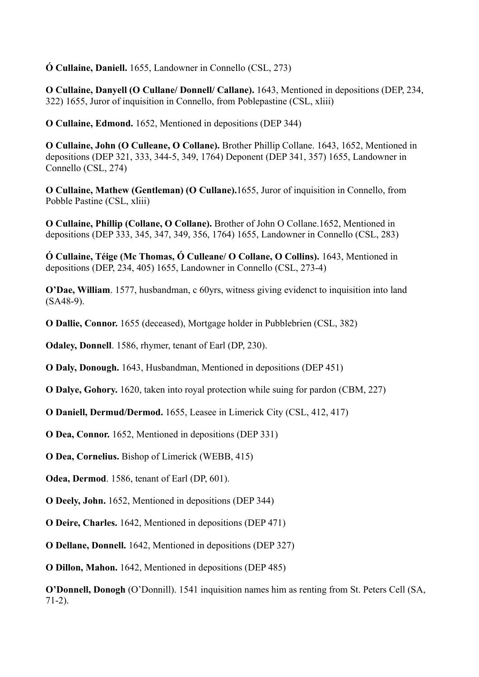**Ó Cullaine, Daniell.** 1655, Landowner in Connello (CSL, 273)

**O Cullaine, Danyell (O Cullane/ Donnell/ Callane).** 1643, Mentioned in depositions (DEP, 234, 322) 1655, Juror of inquisition in Connello, from Poblepastine (CSL, xliii)

**O Cullaine, Edmond.** 1652, Mentioned in depositions (DEP 344)

**O Cullaine, John (O Culleane, O Collane).** Brother Phillip Collane. 1643, 1652, Mentioned in depositions (DEP 321, 333, 344-5, 349, 1764) Deponent (DEP 341, 357) 1655, Landowner in Connello (CSL, 274)

**O Cullaine, Mathew (Gentleman) (O Cullane).**1655, Juror of inquisition in Connello, from Pobble Pastine (CSL, xliii)

**O Cullaine, Phillip (Collane, O Collane).** Brother of John O Collane.1652, Mentioned in depositions (DEP 333, 345, 347, 349, 356, 1764) 1655, Landowner in Connello (CSL, 283)

**Ó Cullaine, Téige (Mc Thomas, Ó Culleane/ O Collane, O Collins).** 1643, Mentioned in depositions (DEP, 234, 405) 1655, Landowner in Connello (CSL, 273-4)

**O'Dae, William**. 1577, husbandman, c 60yrs, witness giving evidenct to inquisition into land (SA48-9).

**O Dallie, Connor.** 1655 (deceased), Mortgage holder in Pubblebrien (CSL, 382)

**Odaley, Donnell**. 1586, rhymer, tenant of Earl (DP, 230).

**O Daly, Donough.** 1643, Husbandman, Mentioned in depositions (DEP 451)

**O Dalye, Gohory.** 1620, taken into royal protection while suing for pardon (CBM, 227)

**O Daniell, Dermud/Dermod.** 1655, Leasee in Limerick City (CSL, 412, 417)

**O Dea, Connor.** 1652, Mentioned in depositions (DEP 331)

**O Dea, Cornelius.** Bishop of Limerick (WEBB, 415)

**Odea, Dermod**. 1586, tenant of Earl (DP, 601).

**O Deely, John.** 1652, Mentioned in depositions (DEP 344)

**O Deire, Charles.** 1642, Mentioned in depositions (DEP 471)

**O Dellane, Donnell.** 1642, Mentioned in depositions (DEP 327)

**O Dillon, Mahon.** 1642, Mentioned in depositions (DEP 485)

**O'Donnell, Donogh** (O'Donnill). 1541 inquisition names him as renting from St. Peters Cell (SA, 71-2).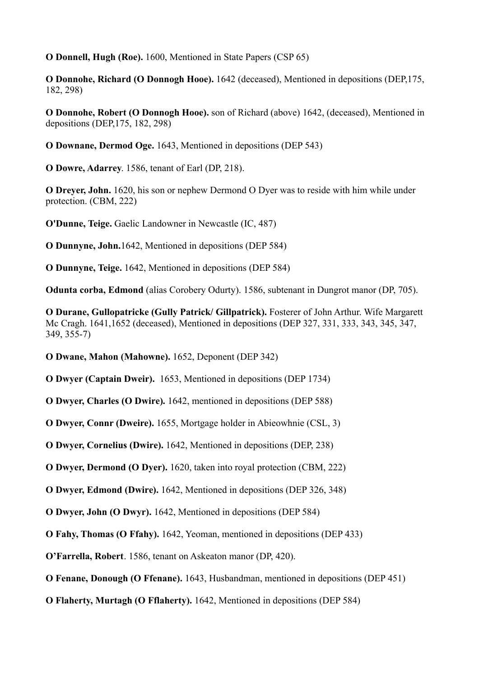**O Donnell, Hugh (Roe).** 1600, Mentioned in State Papers (CSP 65)

**O Donnohe, Richard (O Donnogh Hooe).** 1642 (deceased), Mentioned in depositions (DEP,175, 182, 298)

**O Donnohe, Robert (O Donnogh Hooe).** son of Richard (above) 1642, (deceased), Mentioned in depositions (DEP,175, 182, 298)

**O Downane, Dermod Oge.** 1643, Mentioned in depositions (DEP 543)

**O Dowre, Adarrey**. 1586, tenant of Earl (DP, 218).

**O Dreyer, John.** 1620, his son or nephew Dermond O Dyer was to reside with him while under protection. (CBM, 222)

**O'Dunne, Teige.** Gaelic Landowner in Newcastle (IC, 487)

**O Dunnyne, John.**1642, Mentioned in depositions (DEP 584)

**O Dunnyne, Teige.** 1642, Mentioned in depositions (DEP 584)

**Odunta corba, Edmond** (alias Corobery Odurty). 1586, subtenant in Dungrot manor (DP, 705).

**O Durane, Gullopatricke (Gully Patrick/ Gillpatrick).** Fosterer of John Arthur. Wife Margarett Mc Cragh. 1641,1652 (deceased), Mentioned in depositions (DEP 327, 331, 333, 343, 345, 347, 349, 355-7)

**O Dwane, Mahon (Mahowne).** 1652, Deponent (DEP 342)

**O Dwyer (Captain Dweir).** 1653, Mentioned in depositions (DEP 1734)

**O Dwyer, Charles (O Dwire).** 1642, mentioned in depositions (DEP 588)

**O Dwyer, Connr (Dweire).** 1655, Mortgage holder in Abieowhnie (CSL, 3)

**O Dwyer, Cornelius (Dwire).** 1642, Mentioned in depositions (DEP, 238)

**O Dwyer, Dermond (O Dyer).** 1620, taken into royal protection (CBM, 222)

**O Dwyer, Edmond (Dwire).** 1642, Mentioned in depositions (DEP 326, 348)

**O Dwyer, John (O Dwyr).** 1642, Mentioned in depositions (DEP 584)

**O Fahy, Thomas (O Ffahy).** 1642, Yeoman, mentioned in depositions (DEP 433)

**O'Farrella, Robert**. 1586, tenant on Askeaton manor (DP, 420).

**O Fenane, Donough (O Ffenane).** 1643, Husbandman, mentioned in depositions (DEP 451)

**O Flaherty, Murtagh (O Fflaherty).** 1642, Mentioned in depositions (DEP 584)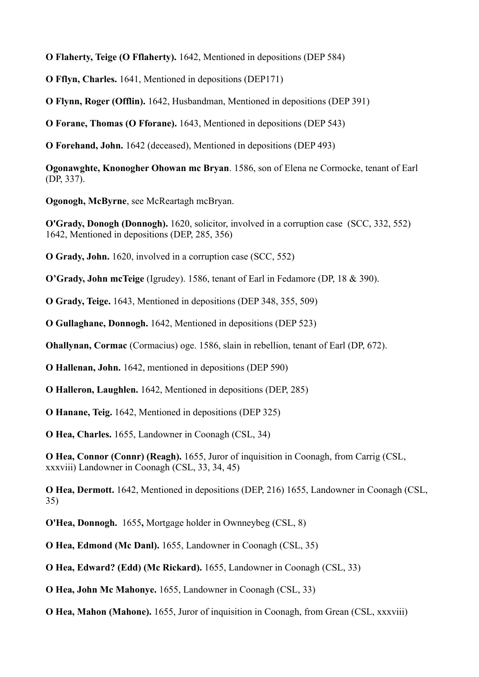**O Flaherty, Teige (O Fflaherty).** 1642, Mentioned in depositions (DEP 584)

**O Fflyn, Charles.** 1641, Mentioned in depositions (DEP171)

**O Flynn, Roger (Offlin).** 1642, Husbandman, Mentioned in depositions (DEP 391)

**O Forane, Thomas (O Fforane).** 1643, Mentioned in depositions (DEP 543)

**O Forehand, John.** 1642 (deceased), Mentioned in depositions (DEP 493)

**Ogonawghte, Knonogher Ohowan mc Bryan**. 1586, son of Elena ne Cormocke, tenant of Earl (DP, 337).

**Ogonogh, McByrne**, see McReartagh mcBryan.

**O'Grady, Donogh (Donnogh).** 1620, solicitor, involved in a corruption case (SCC, 332, 552) 1642, Mentioned in depositions (DEP, 285, 356)

**O Grady, John.** 1620, involved in a corruption case (SCC, 552)

**O'Grady, John mcTeige** (Igrudey). 1586, tenant of Earl in Fedamore (DP, 18 & 390).

**O Grady, Teige.** 1643, Mentioned in depositions (DEP 348, 355, 509)

**O Gullaghane, Donnogh.** 1642, Mentioned in depositions (DEP 523)

**Ohallynan, Cormac** (Cormacius) oge. 1586, slain in rebellion, tenant of Earl (DP, 672).

**O Hallenan, John.** 1642, mentioned in depositions (DEP 590)

**O Halleron, Laughlen.** 1642, Mentioned in depositions (DEP, 285)

**O Hanane, Teig.** 1642, Mentioned in depositions (DEP 325)

**O Hea, Charles.** 1655, Landowner in Coonagh (CSL, 34)

**O Hea, Connor (Connr) (Reagh).** 1655, Juror of inquisition in Coonagh, from Carrig (CSL, xxxviii) Landowner in Coonagh (CSL, 33, 34, 45)

**O Hea, Dermott.** 1642, Mentioned in depositions (DEP, 216) 1655, Landowner in Coonagh (CSL, 35)

**O'Hea, Donnogh.** 1655**,** Mortgage holder in Ownneybeg (CSL, 8)

**O Hea, Edmond (Mc Danl).** 1655, Landowner in Coonagh (CSL, 35)

**O Hea, Edward? (Edd) (Mc Rickard).** 1655, Landowner in Coonagh (CSL, 33)

**O Hea, John Mc Mahonye.** 1655, Landowner in Coonagh (CSL, 33)

**O Hea, Mahon (Mahone).** 1655, Juror of inquisition in Coonagh, from Grean (CSL, xxxviii)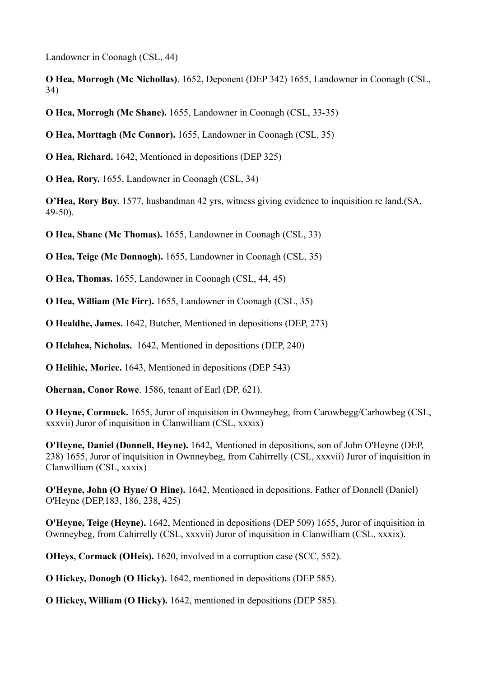Landowner in Coonagh (CSL, 44)

**O Hea, Morrogh (Mc Nichollas)**. 1652, Deponent (DEP 342) 1655, Landowner in Coonagh (CSL, 34)

**O Hea, Morrogh (Mc Shane).** 1655, Landowner in Coonagh (CSL, 33-35)

**O Hea, Morttagh (Mc Connor).** 1655, Landowner in Coonagh (CSL, 35)

**O Hea, Richard.** 1642, Mentioned in depositions (DEP 325)

**O Hea, Rory.** 1655, Landowner in Coonagh (CSL, 34)

**O'Hea, Rory Buy**. 1577, husbandman 42 yrs, witness giving evidence to inquisition re land.(SA, 49-50).

**O Hea, Shane (Mc Thomas).** 1655, Landowner in Coonagh (CSL, 33)

**O Hea, Teige (Mc Donnogh).** 1655, Landowner in Coonagh (CSL, 35)

**O Hea, Thomas.** 1655, Landowner in Coonagh (CSL, 44, 45)

**O Hea, William (Mc Firr).** 1655, Landowner in Coonagh (CSL, 35)

**O Healdhe, James.** 1642, Butcher, Mentioned in depositions (DEP, 273)

**O Helahea, Nicholas.** 1642, Mentioned in depositions (DEP, 240)

**O Helihie, Morice.** 1643, Mentioned in depositions (DEP 543)

**Ohernan, Conor Rowe**. 1586, tenant of Earl (DP, 621).

**O Heyne, Cormuck.** 1655, Juror of inquisition in Ownneybeg, from Carowbegg/Carhowbeg (CSL, xxxvii) Juror of inquisition in Clanwilliam (CSL, xxxix)

**O'Heyne, Daniel (Donnell, Heyne).** 1642, Mentioned in depositions, son of John O'Heyne (DEP, 238) 1655, Juror of inquisition in Ownneybeg, from Cahirrelly (CSL, xxxvii) Juror of inquisition in Clanwilliam (CSL, xxxix)

**O'Heyne, John (O Hyne/ O Hine).** 1642, Mentioned in depositions. Father of Donnell (Daniel) O'Heyne (DEP,183, 186, 238, 425)

**O'Heyne, Teige (Heyne).** 1642, Mentioned in depositions (DEP 509) 1655, Juror of inquisition in Ownneybeg, from Cahirrelly (CSL, xxxvii) Juror of inquisition in Clanwilliam (CSL, xxxix).

**OHeys, Cormack (OHeis).** 1620, involved in a corruption case (SCC, 552).

**O Hickey, Donogh (O Hicky).** 1642, mentioned in depositions (DEP 585).

**O Hickey, William (O Hicky).** 1642, mentioned in depositions (DEP 585).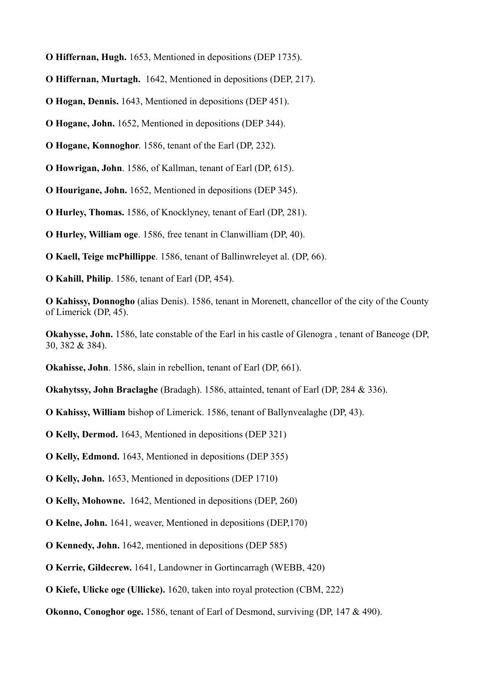- **O Hiffernan, Hugh.** 1653, Mentioned in depositions (DEP 1735).
- **O Hiffernan, Murtagh.** 1642, Mentioned in depositions (DEP, 217).
- **O Hogan, Dennis.** 1643, Mentioned in depositions (DEP 451).
- **O Hogane, John.** 1652, Mentioned in depositions (DEP 344).
- **O Hogane, Konnoghor**. 1586, tenant of the Earl (DP, 232).
- **O Howrigan, John**. 1586, of Kallman, tenant of Earl (DP, 615).
- **O Hourigane, John.** 1652, Mentioned in depositions (DEP 345).
- **O Hurley, Thomas.** 1586, of Knocklyney, tenant of Earl (DP, 281).
- **O Hurley, William oge**. 1586, free tenant in Clanwilliam (DP, 40).
- **O Kaell, Teige mcPhillippe**. 1586, tenant of Ballinwreleyet al. (DP, 66).
- **O Kahill, Philip**. 1586, tenant of Earl (DP, 454).
- **O Kahissy, Donnogho** (alias Denis). 1586, tenant in Morenett, chancellor of the city of the County of Limerick (DP, 45).
- **Okahysse, John.** 1586, late constable of the Earl in his castle of Glenogra , tenant of Baneoge (DP, 30, 382 & 384).
- **Okahisse, John**. 1586, slain in rebellion, tenant of Earl (DP, 661).
- **Okahytssy, John Braclaghe** (Bradagh). 1586, attainted, tenant of Earl (DP, 284 & 336).
- **O Kahissy, William** bishop of Limerick. 1586, tenant of Ballynvealaghe (DP, 43).
- **O Kelly, Dermod.** 1643, Mentioned in depositions (DEP 321)
- **O Kelly, Edmond.** 1643, Mentioned in depositions (DEP 355)
- **O Kelly, John.** 1653, Mentioned in depositions (DEP 1710)
- **O Kelly, Mohowne.** 1642, Mentioned in depositions (DEP, 260)
- **O Kelne, John.** 1641, weaver, Mentioned in depositions (DEP,170)
- **O Kennedy, John.** 1642, mentioned in depositions (DEP 585)
- **O Kerrie, Gildecrew.** 1641, Landowner in Gortincarragh (WEBB, 420)
- **O Kiefe, Ulicke oge (Ullicke).** 1620, taken into royal protection (CBM, 222)
- **Okonno, Conoghor oge.** 1586, tenant of Earl of Desmond, surviving (DP, 147 & 490).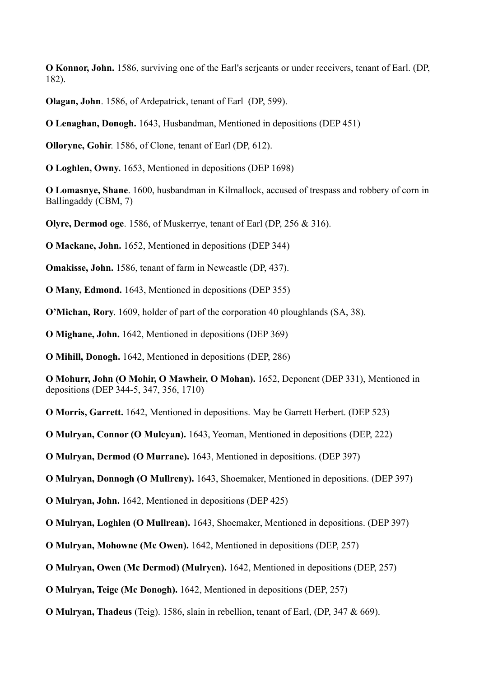**O Konnor, John.** 1586, surviving one of the Earl's serjeants or under receivers, tenant of Earl. (DP, 182).

**Olagan, John**. 1586, of Ardepatrick, tenant of Earl (DP, 599).

**O Lenaghan, Donogh.** 1643, Husbandman, Mentioned in depositions (DEP 451)

**Olloryne, Gohir**. 1586, of Clone, tenant of Earl (DP, 612).

**O Loghlen, Owny.** 1653, Mentioned in depositions (DEP 1698)

**O Lomasnye, Shane**. 1600, husbandman in Kilmallock, accused of trespass and robbery of corn in Ballingaddy (CBM, 7)

**Olyre, Dermod oge**. 1586, of Muskerrye, tenant of Earl (DP, 256 & 316).

**O Mackane, John.** 1652, Mentioned in depositions (DEP 344)

**Omakisse, John.** 1586, tenant of farm in Newcastle (DP, 437).

**O Many, Edmond.** 1643, Mentioned in depositions (DEP 355)

**O'Michan, Rory**. 1609, holder of part of the corporation 40 ploughlands (SA, 38).

**O Mighane, John.** 1642, Mentioned in depositions (DEP 369)

**O Mihill, Donogh.** 1642, Mentioned in depositions (DEP, 286)

**O Mohurr, John (O Mohir, O Mawheir, O Mohan).** 1652, Deponent (DEP 331), Mentioned in depositions (DEP 344-5, 347, 356, 1710)

**O Morris, Garrett.** 1642, Mentioned in depositions. May be Garrett Herbert. (DEP 523)

**O Mulryan, Connor (O Mulcyan).** 1643, Yeoman, Mentioned in depositions (DEP, 222)

**O Mulryan, Dermod (O Murrane).** 1643, Mentioned in depositions. (DEP 397)

**O Mulryan, Donnogh (O Mullreny).** 1643, Shoemaker, Mentioned in depositions. (DEP 397)

**O Mulryan, John.** 1642, Mentioned in depositions (DEP 425)

**O Mulryan, Loghlen (O Mullrean).** 1643, Shoemaker, Mentioned in depositions. (DEP 397)

**O Mulryan, Mohowne (Mc Owen).** 1642, Mentioned in depositions (DEP, 257)

**O Mulryan, Owen (Mc Dermod) (Mulryen).** 1642, Mentioned in depositions (DEP, 257)

**O Mulryan, Teige (Mc Donogh).** 1642, Mentioned in depositions (DEP, 257)

**O Mulryan, Thadeus** (Teig). 1586, slain in rebellion, tenant of Earl, (DP, 347 & 669).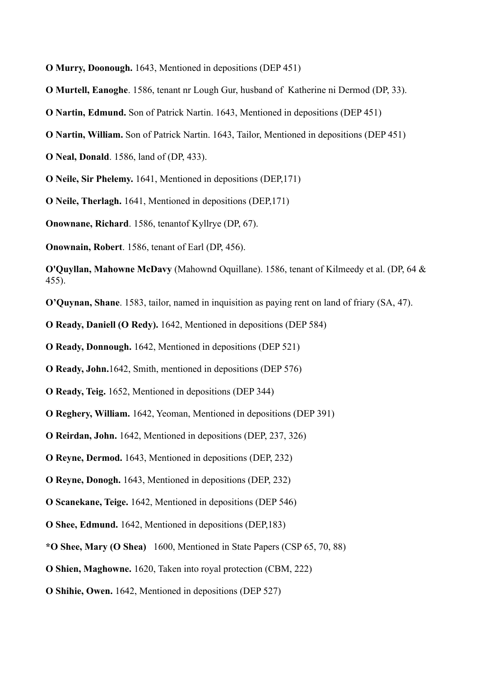**O Murry, Doonough.** 1643, Mentioned in depositions (DEP 451)

- **O Murtell, Eanoghe**. 1586, tenant nr Lough Gur, husband of Katherine ni Dermod (DP, 33).
- **O Nartin, Edmund.** Son of Patrick Nartin. 1643, Mentioned in depositions (DEP 451)
- **O Nartin, William.** Son of Patrick Nartin. 1643, Tailor, Mentioned in depositions (DEP 451)
- **O Neal, Donald**. 1586, land of (DP, 433).
- **O Neile, Sir Phelemy.** 1641, Mentioned in depositions (DEP,171)
- **O Neile, Therlagh.** 1641, Mentioned in depositions (DEP,171)
- **Onownane, Richard**. 1586, tenantof Kyllrye (DP, 67).

**Onownain, Robert**. 1586, tenant of Earl (DP, 456).

**O'Quyllan, Mahowne McDavy** (Mahownd Oquillane). 1586, tenant of Kilmeedy et al. (DP, 64 & 455).

**O'Quynan, Shane**. 1583, tailor, named in inquisition as paying rent on land of friary (SA, 47).

**O Ready, Daniell (O Redy).** 1642, Mentioned in depositions (DEP 584)

**O Ready, Donnough.** 1642, Mentioned in depositions (DEP 521)

**O Ready, John.**1642, Smith, mentioned in depositions (DEP 576)

- **O Ready, Teig.** 1652, Mentioned in depositions (DEP 344)
- **O Reghery, William.** 1642, Yeoman, Mentioned in depositions (DEP 391)
- **O Reirdan, John.** 1642, Mentioned in depositions (DEP, 237, 326)
- **O Reyne, Dermod.** 1643, Mentioned in depositions (DEP, 232)
- **O Reyne, Donogh.** 1643, Mentioned in depositions (DEP, 232)
- **O Scanekane, Teige.** 1642, Mentioned in depositions (DEP 546)
- **O Shee, Edmund.** 1642, Mentioned in depositions (DEP,183)
- **\*O Shee, Mary (O Shea)** 1600, Mentioned in State Papers (CSP 65, 70, 88)
- **O Shien, Maghowne.** 1620, Taken into royal protection (CBM, 222)
- **O Shihie, Owen.** 1642, Mentioned in depositions (DEP 527)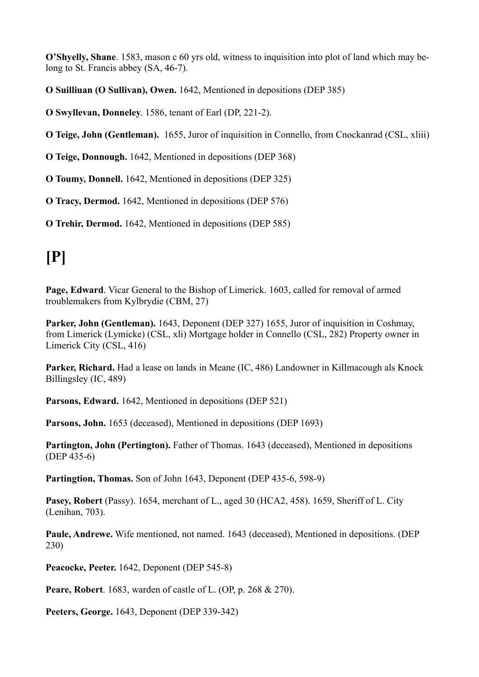**O'Shyelly, Shane**. 1583, mason c 60 yrs old, witness to inquisition into plot of land which may belong to St. Francis abbey (SA, 46-7).

**O Suilliuan (O Sullivan), Owen.** 1642, Mentioned in depositions (DEP 385)

**O Swyllevan, Donneley**. 1586, tenant of Earl (DP, 221-2).

**O Teige, John (Gentleman).** 1655, Juror of inquisition in Connello, from Cnockanrad (CSL, xliii)

**O Teige, Donnough.** 1642, Mentioned in depositions (DEP 368)

**O Toumy, Donnell.** 1642, Mentioned in depositions (DEP 325)

**O Tracy, Dermod.** 1642, Mentioned in depositions (DEP 576)

**O Trehir, Dermod.** 1642, Mentioned in depositions (DEP 585)

## **[P]**

**Page, Edward**. Vicar General to the Bishop of Limerick. 1603, called for removal of armed troublemakers from Kylbrydie (CBM, 27)

Parker, John (Gentleman). 1643, Deponent (DEP 327) 1655, Juror of inquisition in Coshmay, from Limerick (Lymicke) (CSL, xli) Mortgage holder in Connello (CSL, 282) Property owner in Limerick City (CSL, 416)

**Parker, Richard.** Had a lease on lands in Meane (IC, 486) Landowner in Killmacough als Knock Billingsley (IC, 489)

**Parsons, Edward.** 1642, Mentioned in depositions (DEP 521)

Parsons, John. 1653 (deceased), Mentioned in depositions (DEP 1693)

**Partington, John (Pertington).** Father of Thomas. 1643 (deceased), Mentioned in depositions (DEP 435-6)

**Partingtion, Thomas.** Son of John 1643, Deponent (DEP 435-6, 598-9)

**Pasey, Robert** (Passy). 1654, merchant of L., aged 30 (HCA2, 458). 1659, Sheriff of L. City (Lenihan, 703).

**Paule, Andrewe.** Wife mentioned, not named. 1643 (deceased), Mentioned in depositions. (DEP 230)

**Peacocke, Peeter.** 1642, Deponent (DEP 545-8)

**Peare, Robert**. 1683, warden of castle of L. (OP, p. 268 & 270).

**Peeters, George.** 1643, Deponent (DEP 339-342)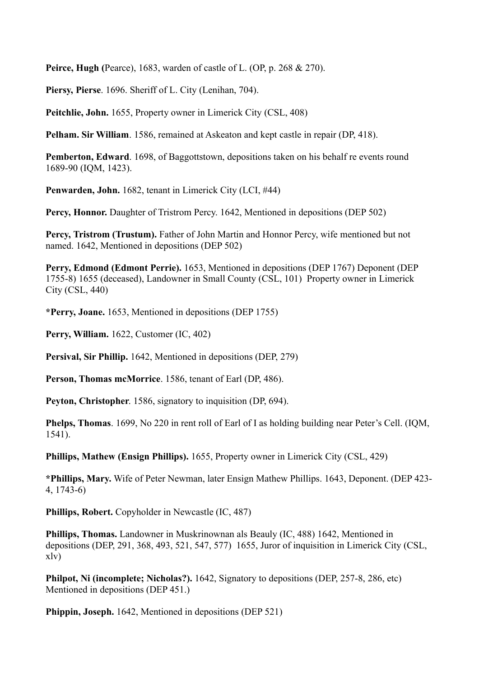**Peirce, Hugh (**Pearce), 1683, warden of castle of L. (OP, p. 268 & 270).

**Piersy, Pierse**. 1696. Sheriff of L. City (Lenihan, 704).

**Peitchlie, John.** 1655, Property owner in Limerick City (CSL, 408)

**Pelham. Sir William**. 1586, remained at Askeaton and kept castle in repair (DP, 418).

**Pemberton, Edward**. 1698, of Baggottstown, depositions taken on his behalf re events round 1689-90 (IQM, 1423).

**Penwarden, John.** 1682, tenant in Limerick City (LCI, #44)

**Percy, Honnor.** Daughter of Tristrom Percy. 1642, Mentioned in depositions (DEP 502)

**Percy, Tristrom (Trustum).** Father of John Martin and Honnor Percy, wife mentioned but not named. 1642, Mentioned in depositions (DEP 502)

**Perry, Edmond (Edmont Perrie).** 1653, Mentioned in depositions (DEP 1767) Deponent (DEP 1755-8) 1655 (deceased), Landowner in Small County (CSL, 101) Property owner in Limerick City (CSL, 440)

**\*Perry, Joane.** 1653, Mentioned in depositions (DEP 1755)

**Perry, William.** 1622, Customer (IC, 402)

**Persival, Sir Phillip.** 1642, Mentioned in depositions (DEP, 279)

**Person, Thomas mcMorrice**. 1586, tenant of Earl (DP, 486).

**Peyton, Christopher**. 1586, signatory to inquisition (DP, 694).

**Phelps, Thomas**. 1699, No 220 in rent roll of Earl of I as holding building near Peter's Cell. (IQM, 1541).

**Phillips, Mathew (Ensign Phillips).** 1655, Property owner in Limerick City (CSL, 429)

**\*Phillips, Mary.** Wife of Peter Newman, later Ensign Mathew Phillips. 1643, Deponent. (DEP 423- 4, 1743-6)

**Phillips, Robert.** Copyholder in Newcastle (IC, 487)

**Phillips, Thomas.** Landowner in Muskrinownan als Beauly (IC, 488) 1642, Mentioned in depositions (DEP, 291, 368, 493, 521, 547, 577) 1655, Juror of inquisition in Limerick City (CSL, xlv)

**Philpot, Ni (incomplete; Nicholas?).** 1642, Signatory to depositions (DEP, 257-8, 286, etc) Mentioned in depositions (DEP 451.)

**Phippin, Joseph.** 1642, Mentioned in depositions (DEP 521)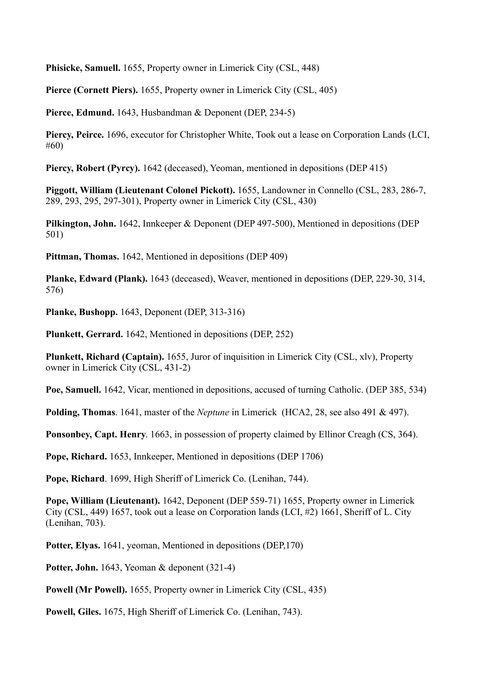**Phisicke, Samuell.** 1655, Property owner in Limerick City (CSL, 448)

**Pierce (Cornett Piers).** 1655, Property owner in Limerick City (CSL, 405)

**Pierce, Edmund.** 1643, Husbandman & Deponent (DEP, 234-5)

**Piercy, Peirce.** 1696, executor for Christopher White, Took out a lease on Corporation Lands (LCI, #60)

**Piercy, Robert (Pyrcy).** 1642 (deceased), Yeoman, mentioned in depositions (DEP 415)

**Piggott, William (Lieutenant Colonel Pickott).** 1655, Landowner in Connello (CSL, 283, 286-7, 289, 293, 295, 297-301), Property owner in Limerick City (CSL, 430)

**Pilkington, John.** 1642, Innkeeper & Deponent (DEP 497-500), Mentioned in depositions (DEP 501)

**Pittman, Thomas.** 1642, Mentioned in depositions (DEP 409)

**Planke, Edward (Plank).** 1643 (deceased), Weaver, mentioned in depositions (DEP, 229-30, 314, 576)

**Planke, Bushopp.** 1643, Deponent (DEP, 313-316)

**Plunkett, Gerrard.** 1642, Mentioned in depositions (DEP, 252)

**Plunkett, Richard (Captain).** 1655, Juror of inquisition in Limerick City (CSL, xlv), Property owner in Limerick City (CSL, 431-2)

**Poe, Samuell.** 1642, Vicar, mentioned in depositions, accused of turning Catholic. (DEP 385, 534)

**Polding, Thomas**. 1641, master of the *Neptune* in Limerick (HCA2, 28, see also 491 & 497).

**Ponsonbey, Capt. Henry**. 1663, in possession of property claimed by Ellinor Creagh (CS, 364).

**Pope, Richard.** 1653, Innkeeper, Mentioned in depositions (DEP 1706)

**Pope, Richard**. 1699, High Sheriff of Limerick Co. (Lenihan, 744).

**Pope, William (Lieutenant).** 1642, Deponent (DEP 559-71) 1655, Property owner in Limerick City (CSL, 449) 1657, took out a lease on Corporation lands (LCI, #2) 1661, Sheriff of L. City (Lenihan, 703).

**Potter, Elyas.** 1641, yeoman, Mentioned in depositions (DEP,170)

Potter, John. 1643, Yeoman & deponent (321-4)

**Powell (Mr Powell).** 1655, Property owner in Limerick City (CSL, 435)

**Powell, Giles.** 1675, High Sheriff of Limerick Co. (Lenihan, 743).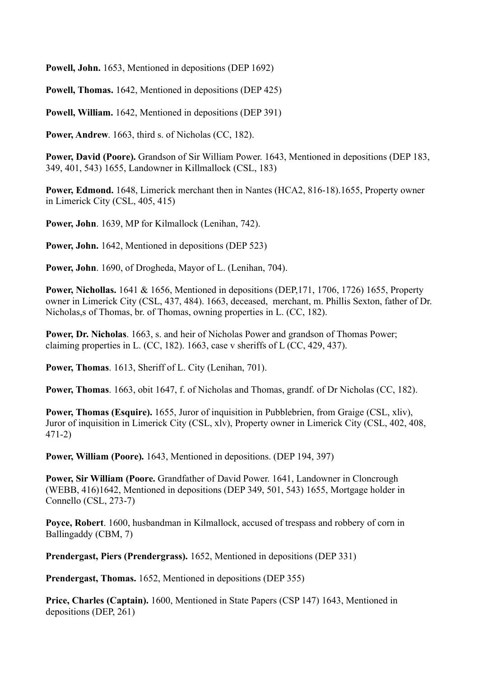**Powell, John.** 1653, Mentioned in depositions (DEP 1692)

**Powell, Thomas.** 1642, Mentioned in depositions (DEP 425)

**Powell, William.** 1642, Mentioned in depositions (DEP 391)

**Power, Andrew**. 1663, third s. of Nicholas (CC, 182).

**Power, David (Poore).** Grandson of Sir William Power. 1643, Mentioned in depositions (DEP 183, 349, 401, 543) 1655, Landowner in Killmallock (CSL, 183)

**Power, Edmond.** 1648, Limerick merchant then in Nantes (HCA2, 816-18).1655, Property owner in Limerick City (CSL, 405, 415)

**Power, John**. 1639, MP for Kilmallock (Lenihan, 742).

**Power, John.** 1642, Mentioned in depositions (DEP 523)

**Power, John**. 1690, of Drogheda, Mayor of L. (Lenihan, 704).

**Power, Nichollas.** 1641 & 1656, Mentioned in depositions (DEP,171, 1706, 1726) 1655, Property owner in Limerick City (CSL, 437, 484). 1663, deceased, merchant, m. Phillis Sexton, father of Dr. Nicholas,s of Thomas, br. of Thomas, owning properties in L. (CC, 182).

**Power, Dr. Nicholas**. 1663, s. and heir of Nicholas Power and grandson of Thomas Power; claiming properties in L. (CC, 182). 1663, case v sheriffs of L (CC, 429, 437).

**Power, Thomas**. 1613, Sheriff of L. City (Lenihan, 701).

**Power, Thomas**. 1663, obit 1647, f. of Nicholas and Thomas, grandf. of Dr Nicholas (CC, 182).

**Power, Thomas (Esquire).** 1655, Juror of inquisition in Pubblebrien, from Graige (CSL, xliv), Juror of inquisition in Limerick City (CSL, xlv), Property owner in Limerick City (CSL, 402, 408, 471-2)

**Power, William (Poore).** 1643, Mentioned in depositions. (DEP 194, 397)

**Power, Sir William (Poore.** Grandfather of David Power. 1641, Landowner in Cloncrough (WEBB, 416)1642, Mentioned in depositions (DEP 349, 501, 543) 1655, Mortgage holder in Connello (CSL, 273-7)

**Poyce, Robert**. 1600, husbandman in Kilmallock, accused of trespass and robbery of corn in Ballingaddy (CBM, 7)

**Prendergast, Piers (Prendergrass).** 1652, Mentioned in depositions (DEP 331)

**Prendergast, Thomas.** 1652, Mentioned in depositions (DEP 355)

**Price, Charles (Captain).** 1600, Mentioned in State Papers (CSP 147) 1643, Mentioned in depositions (DEP, 261)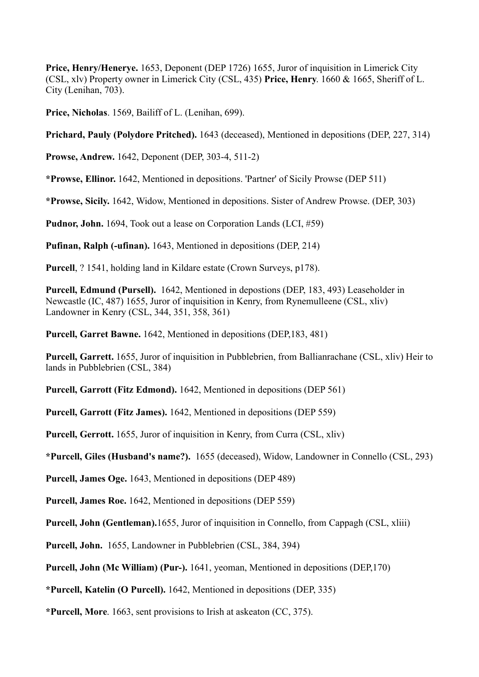**Price, Henry/Henerye.** 1653, Deponent (DEP 1726) 1655, Juror of inquisition in Limerick City (CSL, xlv) Property owner in Limerick City (CSL, 435) **Price, Henry**. 1660 & 1665, Sheriff of L. City (Lenihan, 703).

**Price, Nicholas**. 1569, Bailiff of L. (Lenihan, 699).

**Prichard, Pauly (Polydore Pritched).** 1643 (deceased), Mentioned in depositions (DEP, 227, 314)

**Prowse, Andrew.** 1642, Deponent (DEP, 303-4, 511-2)

**\*Prowse, Ellinor.** 1642, Mentioned in depositions. 'Partner' of Sicily Prowse (DEP 511)

**\*Prowse, Sicily.** 1642, Widow, Mentioned in depositions. Sister of Andrew Prowse. (DEP, 303)

**Pudnor, John.** 1694, Took out a lease on Corporation Lands (LCI, #59)

**Pufinan, Ralph (-ufinan).** 1643, Mentioned in depositions (DEP, 214)

**Purcell**, ? 1541, holding land in Kildare estate (Crown Surveys, p178).

**Purcell, Edmund (Pursell).** 1642, Mentioned in depostions (DEP, 183, 493) Leaseholder in Newcastle (IC, 487) 1655, Juror of inquisition in Kenry, from Rynemulleene (CSL, xliv) Landowner in Kenry (CSL, 344, 351, 358, 361)

**Purcell, Garret Bawne.** 1642, Mentioned in depositions (DEP,183, 481)

**Purcell, Garrett.** 1655, Juror of inquisition in Pubblebrien, from Ballianrachane (CSL, xliv) Heir to lands in Pubblebrien (CSL, 384)

**Purcell, Garrott (Fitz Edmond).** 1642, Mentioned in depositions (DEP 561)

**Purcell, Garrott (Fitz James).** 1642, Mentioned in depositions (DEP 559)

**Purcell, Gerrott.** 1655, Juror of inquisition in Kenry, from Curra (CSL, xliv)

**\*Purcell, Giles (Husband's name?).** 1655 (deceased), Widow, Landowner in Connello (CSL, 293)

**Purcell, James Oge.** 1643, Mentioned in depositions (DEP 489)

**Purcell, James Roe.** 1642, Mentioned in depositions (DEP 559)

**Purcell, John (Gentleman).**1655, Juror of inquisition in Connello, from Cappagh (CSL, xliii)

**Purcell, John.** 1655, Landowner in Pubblebrien (CSL, 384, 394)

**Purcell, John (Mc William) (Pur-).** 1641, yeoman, Mentioned in depositions (DEP,170)

**\*Purcell, Katelin (O Purcell).** 1642, Mentioned in depositions (DEP, 335)

**\*Purcell, More**. 1663, sent provisions to Irish at askeaton (CC, 375).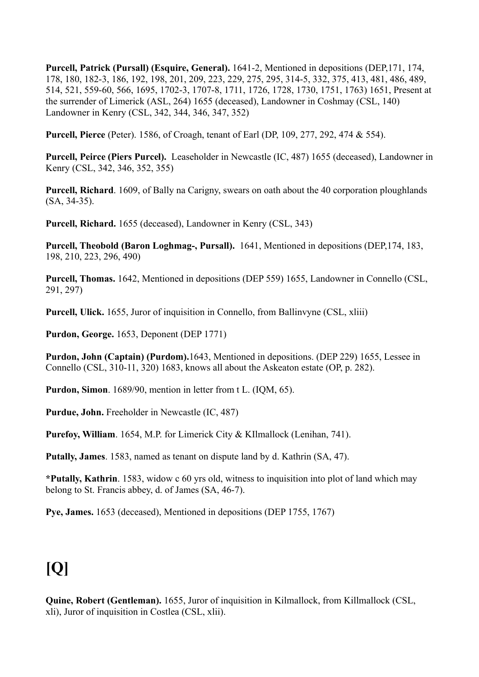**Purcell, Patrick (Pursall) (Esquire, General).** 1641-2, Mentioned in depositions (DEP,171, 174, 178, 180, 182-3, 186, 192, 198, 201, 209, 223, 229, 275, 295, 314-5, 332, 375, 413, 481, 486, 489, 514, 521, 559-60, 566, 1695, 1702-3, 1707-8, 1711, 1726, 1728, 1730, 1751, 1763) 1651, Present at the surrender of Limerick (ASL, 264) 1655 (deceased), Landowner in Coshmay (CSL, 140) Landowner in Kenry (CSL, 342, 344, 346, 347, 352)

**Purcell, Pierce** (Peter). 1586, of Croagh, tenant of Earl (DP, 109, 277, 292, 474 & 554).

**Purcell, Peirce (Piers Purcel).** Leaseholder in Newcastle (IC, 487) 1655 (deceased), Landowner in Kenry (CSL, 342, 346, 352, 355)

**Purcell, Richard**. 1609, of Bally na Carigny, swears on oath about the 40 corporation ploughlands (SA, 34-35).

**Purcell, Richard.** 1655 (deceased), Landowner in Kenry (CSL, 343)

**Purcell, Theobold (Baron Loghmag-, Pursall).** 1641, Mentioned in depositions (DEP,174, 183, 198, 210, 223, 296, 490)

**Purcell, Thomas.** 1642, Mentioned in depositions (DEP 559) 1655, Landowner in Connello (CSL, 291, 297)

**Purcell, Ulick.** 1655, Juror of inquisition in Connello, from Ballinvyne (CSL, xliii)

**Purdon, George.** 1653, Deponent (DEP 1771)

**Purdon, John (Captain) (Purdom).**1643, Mentioned in depositions. (DEP 229) 1655, Lessee in Connello (CSL, 310-11, 320) 1683, knows all about the Askeaton estate (OP, p. 282).

**Purdon, Simon**. 1689/90, mention in letter from t L. (IQM, 65).

**Purdue, John.** Freeholder in Newcastle (IC, 487)

**Purefoy, William**. 1654, M.P. for Limerick City & KIlmallock (Lenihan, 741).

**Putally, James**. 1583, named as tenant on dispute land by d. Kathrin (SA, 47).

**\*Putally, Kathrin**. 1583, widow c 60 yrs old, witness to inquisition into plot of land which may belong to St. Francis abbey, d. of James (SA, 46-7).

**Pye, James.** 1653 (deceased), Mentioned in depositions (DEP 1755, 1767)

# **[Q]**

**Quine, Robert (Gentleman).** 1655, Juror of inquisition in Kilmallock, from Killmallock (CSL, xli), Juror of inquisition in Costlea (CSL, xlii).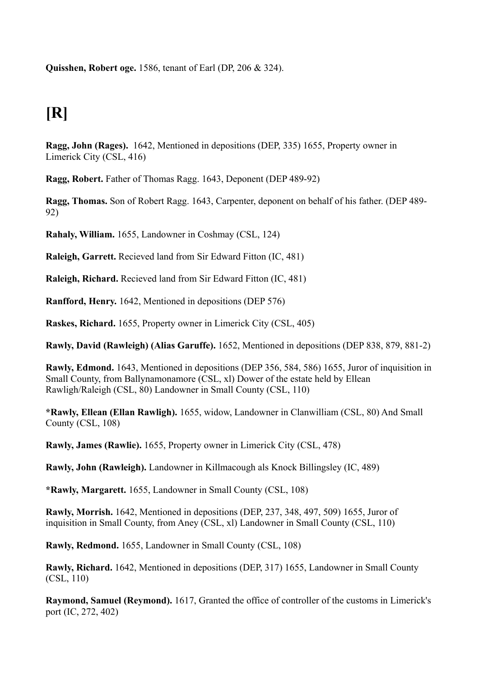**Quisshen, Robert oge.** 1586, tenant of Earl (DP, 206 & 324).

### **[R]**

**Ragg, John (Rages).** 1642, Mentioned in depositions (DEP, 335) 1655, Property owner in Limerick City (CSL, 416)

**Ragg, Robert.** Father of Thomas Ragg. 1643, Deponent (DEP 489-92)

**Ragg, Thomas.** Son of Robert Ragg. 1643, Carpenter, deponent on behalf of his father. (DEP 489- 92)

**Rahaly, William.** 1655, Landowner in Coshmay (CSL, 124)

**Raleigh, Garrett.** Recieved land from Sir Edward Fitton (IC, 481)

**Raleigh, Richard.** Recieved land from Sir Edward Fitton (IC, 481)

**Ranfford, Henry.** 1642, Mentioned in depositions (DEP 576)

**Raskes, Richard.** 1655, Property owner in Limerick City (CSL, 405)

**Rawly, David (Rawleigh) (Alias Garuffe).** 1652, Mentioned in depositions (DEP 838, 879, 881-2)

**Rawly, Edmond.** 1643, Mentioned in depositions (DEP 356, 584, 586) 1655, Juror of inquisition in Small County, from Ballynamonamore (CSL, xl) Dower of the estate held by Ellean Rawligh/Raleigh (CSL, 80) Landowner in Small County (CSL, 110)

**\*Rawly, Ellean (Ellan Rawligh).** 1655, widow, Landowner in Clanwilliam (CSL, 80) And Small County (CSL, 108)

**Rawly, James (Rawlie).** 1655, Property owner in Limerick City (CSL, 478)

**Rawly, John (Rawleigh).** Landowner in Killmacough als Knock Billingsley (IC, 489)

**\*Rawly, Margarett.** 1655, Landowner in Small County (CSL, 108)

**Rawly, Morrish.** 1642, Mentioned in depositions (DEP, 237, 348, 497, 509) 1655, Juror of inquisition in Small County, from Aney (CSL, xl) Landowner in Small County (CSL, 110)

**Rawly, Redmond.** 1655, Landowner in Small County (CSL, 108)

**Rawly, Richard.** 1642, Mentioned in depositions (DEP, 317) 1655, Landowner in Small County (CSL, 110)

**Raymond, Samuel (Reymond).** 1617, Granted the office of controller of the customs in Limerick's port (IC, 272, 402)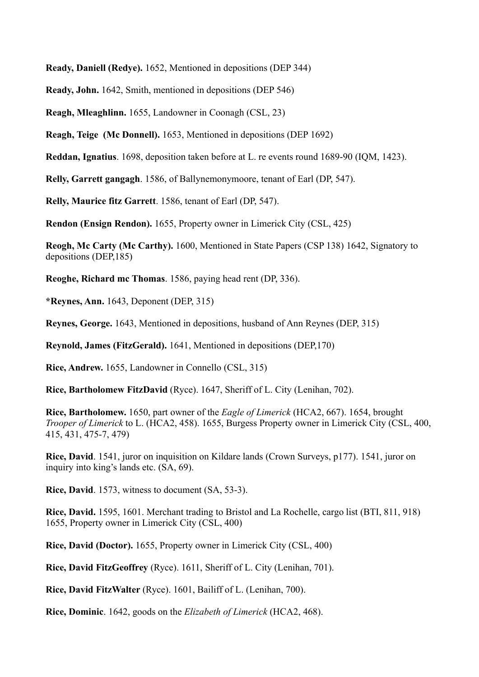**Ready, Daniell (Redye).** 1652, Mentioned in depositions (DEP 344)

**Ready, John.** 1642, Smith, mentioned in depositions (DEP 546)

**Reagh, Mleaghlinn.** 1655, Landowner in Coonagh (CSL, 23)

**Reagh, Teige (Mc Donnell).** 1653, Mentioned in depositions (DEP 1692)

**Reddan, Ignatius**. 1698, deposition taken before at L. re events round 1689-90 (IQM, 1423).

**Relly, Garrett gangagh**. 1586, of Ballynemonymoore, tenant of Earl (DP, 547).

**Relly, Maurice fitz Garrett**. 1586, tenant of Earl (DP, 547).

**Rendon (Ensign Rendon).** 1655, Property owner in Limerick City (CSL, 425)

**Reogh, Mc Carty (Mc Carthy).** 1600, Mentioned in State Papers (CSP 138) 1642, Signatory to depositions (DEP,185)

**Reoghe, Richard mc Thomas**. 1586, paying head rent (DP, 336).

**\*Reynes, Ann.** 1643, Deponent (DEP, 315)

**Reynes, George.** 1643, Mentioned in depositions, husband of Ann Reynes (DEP, 315)

**Reynold, James (FitzGerald).** 1641, Mentioned in depositions (DEP,170)

**Rice, Andrew.** 1655, Landowner in Connello (CSL, 315)

**Rice, Bartholomew FitzDavid** (Ryce). 1647, Sheriff of L. City (Lenihan, 702).

**Rice, Bartholomew.** 1650, part owner of the *Eagle of Limerick* (HCA2, 667). 1654, brought *Trooper of Limerick* to L. (HCA2, 458). 1655, Burgess Property owner in Limerick City (CSL, 400, 415, 431, 475-7, 479)

**Rice, David**. 1541, juror on inquisition on Kildare lands (Crown Surveys, p177). 1541, juror on inquiry into king's lands etc. (SA, 69).

**Rice, David**. 1573, witness to document (SA, 53-3).

**Rice, David.** 1595, 1601. Merchant trading to Bristol and La Rochelle, cargo list (BTI, 811, 918) 1655, Property owner in Limerick City (CSL, 400)

**Rice, David (Doctor).** 1655, Property owner in Limerick City (CSL, 400)

**Rice, David FitzGeoffrey** (Ryce). 1611, Sheriff of L. City (Lenihan, 701).

**Rice, David FitzWalter** (Ryce). 1601, Bailiff of L. (Lenihan, 700).

**Rice, Dominic**. 1642, goods on the *Elizabeth of Limerick* (HCA2, 468).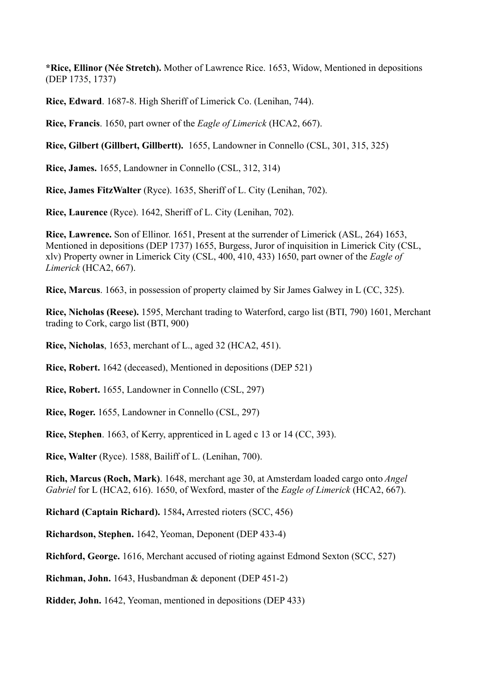**\*Rice, Ellinor (Née Stretch).** Mother of Lawrence Rice. 1653, Widow, Mentioned in depositions (DEP 1735, 1737)

**Rice, Edward**. 1687-8. High Sheriff of Limerick Co. (Lenihan, 744).

**Rice, Francis**. 1650, part owner of the *Eagle of Limerick* (HCA2, 667).

**Rice, Gilbert (Gillbert, Gillbertt).** 1655, Landowner in Connello (CSL, 301, 315, 325)

**Rice, James.** 1655, Landowner in Connello (CSL, 312, 314)

**Rice, James FitzWalter** (Ryce). 1635, Sheriff of L. City (Lenihan, 702).

**Rice, Laurence** (Ryce). 1642, Sheriff of L. City (Lenihan, 702).

**Rice, Lawrence.** Son of Ellinor. 1651, Present at the surrender of Limerick (ASL, 264) 1653, Mentioned in depositions (DEP 1737) 1655, Burgess, Juror of inquisition in Limerick City (CSL, xlv) Property owner in Limerick City (CSL, 400, 410, 433) 1650, part owner of the *Eagle of Limerick* (HCA2, 667).

**Rice, Marcus**. 1663, in possession of property claimed by Sir James Galwey in L (CC, 325).

**Rice, Nicholas (Reese).** 1595, Merchant trading to Waterford, cargo list (BTI, 790) 1601, Merchant trading to Cork, cargo list (BTI, 900)

**Rice, Nicholas**, 1653, merchant of L., aged 32 (HCA2, 451).

**Rice, Robert.** 1642 (deceased), Mentioned in depositions (DEP 521)

**Rice, Robert.** 1655, Landowner in Connello (CSL, 297)

**Rice, Roger.** 1655, Landowner in Connello (CSL, 297)

**Rice, Stephen**. 1663, of Kerry, apprenticed in L aged c 13 or 14 (CC, 393).

**Rice, Walter** (Ryce). 1588, Bailiff of L. (Lenihan, 700).

**Rich, Marcus (Roch, Mark)**. 1648, merchant age 30, at Amsterdam loaded cargo onto *Angel Gabriel* for L (HCA2, 616). 1650, of Wexford, master of the *Eagle of Limerick* (HCA2, 667).

**Richard (Captain Richard).** 1584**,** Arrested rioters (SCC, 456)

**Richardson, Stephen.** 1642, Yeoman, Deponent (DEP 433-4)

**Richford, George.** 1616, Merchant accused of rioting against Edmond Sexton (SCC, 527)

**Richman, John.** 1643, Husbandman & deponent (DEP 451-2)

**Ridder, John.** 1642, Yeoman, mentioned in depositions (DEP 433)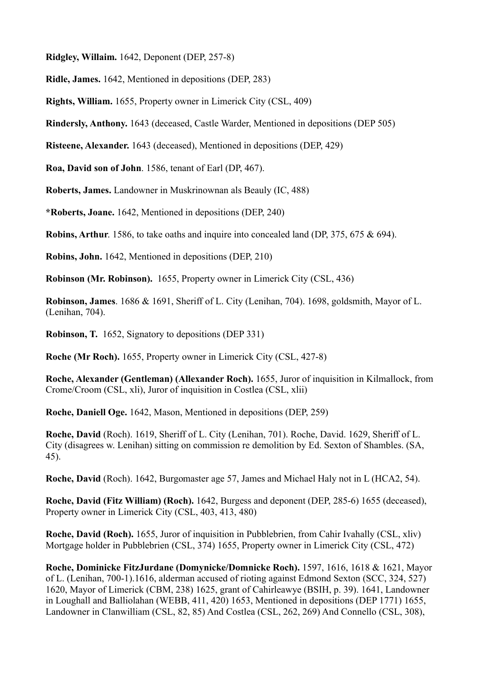**Ridgley, Willaim.** 1642, Deponent (DEP, 257-8)

**Ridle, James.** 1642, Mentioned in depositions (DEP, 283)

**Rights, William.** 1655, Property owner in Limerick City (CSL, 409)

**Rindersly, Anthony.** 1643 (deceased, Castle Warder, Mentioned in depositions (DEP 505)

**Risteene, Alexander.** 1643 (deceased), Mentioned in depositions (DEP, 429)

**Roa, David son of John**. 1586, tenant of Earl (DP, 467).

**Roberts, James.** Landowner in Muskrinownan als Beauly (IC, 488)

**\*Roberts, Joane.** 1642, Mentioned in depositions (DEP, 240)

**Robins, Arthur**. 1586, to take oaths and inquire into concealed land (DP, 375, 675 & 694).

**Robins, John.** 1642, Mentioned in depositions (DEP, 210)

**Robinson (Mr. Robinson).** 1655, Property owner in Limerick City (CSL, 436)

**Robinson, James**. 1686 & 1691, Sheriff of L. City (Lenihan, 704). 1698, goldsmith, Mayor of L. (Lenihan, 704).

**Robinson, T.** 1652, Signatory to depositions (DEP 331)

**Roche (Mr Roch).** 1655, Property owner in Limerick City (CSL, 427-8)

**Roche, Alexander (Gentleman) (Allexander Roch).** 1655, Juror of inquisition in Kilmallock, from Crome/Croom (CSL, xli), Juror of inquisition in Costlea (CSL, xlii)

**Roche, Daniell Oge.** 1642, Mason, Mentioned in depositions (DEP, 259)

**Roche, David** (Roch). 1619, Sheriff of L. City (Lenihan, 701). Roche, David. 1629, Sheriff of L. City (disagrees w. Lenihan) sitting on commission re demolition by Ed. Sexton of Shambles. (SA, 45).

**Roche, David** (Roch). 1642, Burgomaster age 57, James and Michael Haly not in L (HCA2, 54).

**Roche, David (Fitz William) (Roch).** 1642, Burgess and deponent (DEP, 285-6) 1655 (deceased), Property owner in Limerick City (CSL, 403, 413, 480)

**Roche, David (Roch).** 1655, Juror of inquisition in Pubblebrien, from Cahir Ivahally (CSL, xliv) Mortgage holder in Pubblebrien (CSL, 374) 1655, Property owner in Limerick City (CSL, 472)

**Roche, Dominicke FitzJurdane (Domynicke/Domnicke Roch).** 1597, 1616, 1618 & 1621, Mayor of L. (Lenihan, 700-1).1616, alderman accused of rioting against Edmond Sexton (SCC, 324, 527) 1620, Mayor of Limerick (CBM, 238) 1625, grant of Cahirleawye (BSIH, p. 39). 1641, Landowner in Loughall and Balliolahan (WEBB, 411, 420) 1653, Mentioned in depositions (DEP 1771) 1655, Landowner in Clanwilliam (CSL, 82, 85) And Costlea (CSL, 262, 269) And Connello (CSL, 308),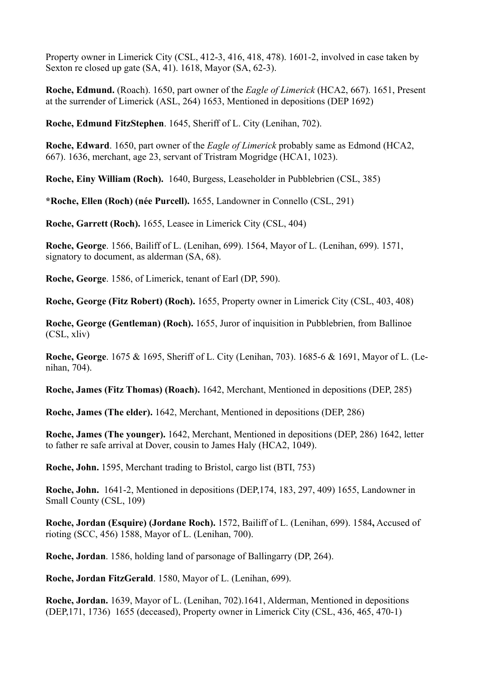Property owner in Limerick City (CSL, 412-3, 416, 418, 478). 1601-2, involved in case taken by Sexton re closed up gate (SA, 41). 1618, Mayor (SA, 62-3).

**Roche, Edmund.** (Roach). 1650, part owner of the *Eagle of Limerick* (HCA2, 667). 1651, Present at the surrender of Limerick (ASL, 264) 1653, Mentioned in depositions (DEP 1692)

**Roche, Edmund FitzStephen**. 1645, Sheriff of L. City (Lenihan, 702).

**Roche, Edward**. 1650, part owner of the *Eagle of Limerick* probably same as Edmond (HCA2, 667). 1636, merchant, age 23, servant of Tristram Mogridge (HCA1, 1023).

**Roche, Einy William (Roch).** 1640, Burgess, Leaseholder in Pubblebrien (CSL, 385)

**\*Roche, Ellen (Roch) (née Purcell).** 1655, Landowner in Connello (CSL, 291)

**Roche, Garrett (Roch).** 1655, Leasee in Limerick City (CSL, 404)

**Roche, George**. 1566, Bailiff of L. (Lenihan, 699). 1564, Mayor of L. (Lenihan, 699). 1571, signatory to document, as alderman (SA, 68).

**Roche, George**. 1586, of Limerick, tenant of Earl (DP, 590).

**Roche, George (Fitz Robert) (Roch).** 1655, Property owner in Limerick City (CSL, 403, 408)

**Roche, George (Gentleman) (Roch).** 1655, Juror of inquisition in Pubblebrien, from Ballinoe (CSL, xliv)

**Roche, George**. 1675 & 1695, Sheriff of L. City (Lenihan, 703). 1685-6 & 1691, Mayor of L. (Lenihan, 704).

**Roche, James (Fitz Thomas) (Roach).** 1642, Merchant, Mentioned in depositions (DEP, 285)

**Roche, James (The elder).** 1642, Merchant, Mentioned in depositions (DEP, 286)

**Roche, James (The younger).** 1642, Merchant, Mentioned in depositions (DEP, 286) 1642, letter to father re safe arrival at Dover, cousin to James Haly (HCA2, 1049).

**Roche, John.** 1595, Merchant trading to Bristol, cargo list (BTI, 753)

**Roche, John.** 1641-2, Mentioned in depositions (DEP,174, 183, 297, 409) 1655, Landowner in Small County (CSL, 109)

**Roche, Jordan (Esquire) (Jordane Roch).** 1572, Bailiff of L. (Lenihan, 699). 1584**,** Accused of rioting (SCC, 456) 1588, Mayor of L. (Lenihan, 700).

**Roche, Jordan**. 1586, holding land of parsonage of Ballingarry (DP, 264).

**Roche, Jordan FitzGerald**. 1580, Mayor of L. (Lenihan, 699).

**Roche, Jordan.** 1639, Mayor of L. (Lenihan, 702).1641, Alderman, Mentioned in depositions (DEP,171, 1736)1655 (deceased), Property owner in Limerick City (CSL, 436, 465, 470-1)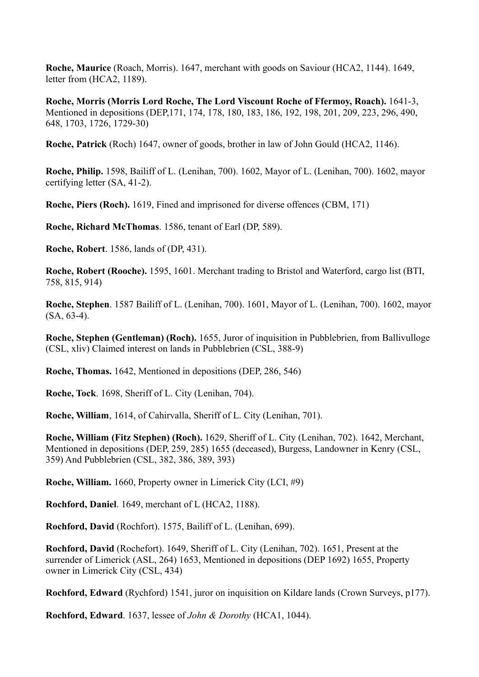**Roche, Maurice** (Roach, Morris). 1647, merchant with goods on Saviour (HCA2, 1144). 1649, letter from (HCA2, 1189).

**Roche, Morris (Morris Lord Roche, The Lord Viscount Roche of Ffermoy, Roach).** 1641-3, Mentioned in depositions (DEP,171, 174, 178, 180, 183, 186, 192, 198, 201, 209, 223, 296, 490, 648, 1703, 1726, 1729-30)

**Roche, Patrick** (Roch) 1647, owner of goods, brother in law of John Gould (HCA2, 1146).

**Roche, Philip.** 1598, Bailiff of L. (Lenihan, 700). 1602, Mayor of L. (Lenihan, 700). 1602, mayor certifying letter (SA, 41-2).

**Roche, Piers (Roch).** 1619, Fined and imprisoned for diverse offences (CBM, 171)

**Roche, Richard McThomas**. 1586, tenant of Earl (DP, 589).

**Roche, Robert**. 1586, lands of (DP, 431).

**Roche, Robert (Rooche).** 1595, 1601. Merchant trading to Bristol and Waterford, cargo list (BTI, 758, 815, 914)

**Roche, Stephen**. 1587 Bailiff of L. (Lenihan, 700). 1601, Mayor of L. (Lenihan, 700). 1602, mayor (SA, 63-4).

**Roche, Stephen (Gentleman) (Roch).** 1655, Juror of inquisition in Pubblebrien, from Ballivulloge (CSL, xliv) Claimed interest on lands in Pubblebrien (CSL, 388-9)

**Roche, Thomas.** 1642, Mentioned in depositions (DEP, 286, 546)

**Roche, Tock**. 1698, Sheriff of L. City (Lenihan, 704).

**Roche, William**, 1614, of Cahirvalla, Sheriff of L. City (Lenihan, 701).

**Roche, William (Fitz Stephen) (Roch).** 1629, Sheriff of L. City (Lenihan, 702). 1642, Merchant, Mentioned in depositions (DEP, 259, 285) 1655 (deceased), Burgess, Landowner in Kenry (CSL, 359) And Pubblebrien (CSL, 382, 386, 389, 393)

**Roche, William.** 1660, Property owner in Limerick City (LCI, #9)

**Rochford, Daniel**. 1649, merchant of L (HCA2, 1188).

**Rochford, David** (Rochfort). 1575, Bailiff of L. (Lenihan, 699).

**Rochford, David** (Rochefort). 1649, Sheriff of L. City (Lenihan, 702). 1651, Present at the surrender of Limerick (ASL, 264) 1653, Mentioned in depositions (DEP 1692) 1655, Property owner in Limerick City (CSL, 434)

**Rochford, Edward** (Rychford) 1541, juror on inquisition on Kildare lands (Crown Surveys, p177).

**Rochford, Edward**. 1637, lessee of *John & Dorothy* (HCA1, 1044).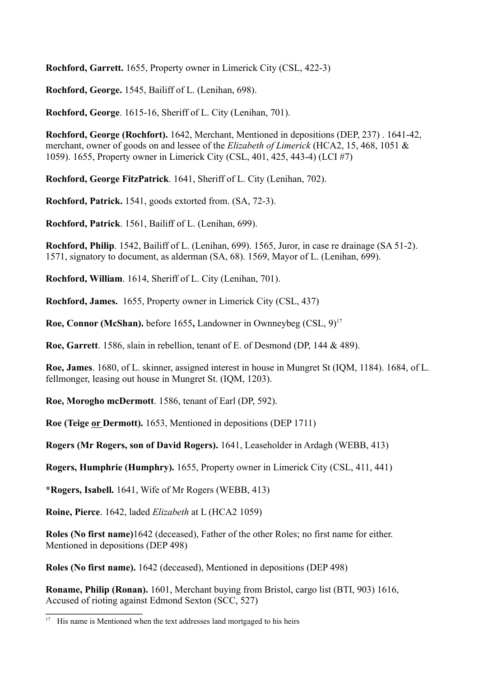**Rochford, Garrett.** 1655, Property owner in Limerick City (CSL, 422-3)

**Rochford, George.** 1545, Bailiff of L. (Lenihan, 698).

**Rochford, George**. 1615-16, Sheriff of L. City (Lenihan, 701).

**Rochford, George (Rochfort).** 1642, Merchant, Mentioned in depositions (DEP, 237) . 1641-42, merchant, owner of goods on and lessee of the *Elizabeth of Limerick* (HCA2, 15, 468, 1051 & 1059). 1655, Property owner in Limerick City (CSL, 401, 425, 443-4) (LCI #7)

**Rochford, George FitzPatrick**. 1641, Sheriff of L. City (Lenihan, 702).

**Rochford, Patrick.** 1541, goods extorted from. (SA, 72-3).

**Rochford, Patrick**. 1561, Bailiff of L. (Lenihan, 699).

**Rochford, Philip**. 1542, Bailiff of L. (Lenihan, 699). 1565, Juror, in case re drainage (SA 51-2). 1571, signatory to document, as alderman (SA, 68). 1569, Mayor of L. (Lenihan, 699).

**Rochford, William**. 1614, Sheriff of L. City (Lenihan, 701).

**Rochford, James.** 1655, Property owner in Limerick City (CSL, 437)

**Roe, Connor (McShan).** before 1655, Landowner in Ownneybeg (CSL, 9)<sup>17</sup>

**Roe, Garrett**. 1586, slain in rebellion, tenant of E. of Desmond (DP, 144 & 489).

**Roe, James**. 1680, of L. skinner, assigned interest in house in Mungret St (IQM, 1184). 1684, of L. fellmonger, leasing out house in Mungret St. (IQM, 1203).

**Roe, Morogho mcDermott**. 1586, tenant of Earl (DP, 592).

**Roe (Teige or Dermott).** 1653, Mentioned in depositions (DEP 1711)

**Rogers (Mr Rogers, son of David Rogers).** 1641, Leaseholder in Ardagh (WEBB, 413)

**Rogers, Humphrie (Humphry).** 1655, Property owner in Limerick City (CSL, 411, 441)

**\*Rogers, Isabell.** 1641, Wife of Mr Rogers (WEBB, 413)

**Roine, Pierce**. 1642, laded *Elizabeth* at L (HCA2 1059)

**Roles (No first name)**1642 (deceased), Father of the other Roles; no first name for either. Mentioned in depositions (DEP 498)

**Roles (No first name).** 1642 (deceased), Mentioned in depositions (DEP 498)

**Roname, Philip (Ronan).** 1601, Merchant buying from Bristol, cargo list (BTI, 903) 1616, Accused of rioting against Edmond Sexton (SCC, 527)

 $17$  His name is Mentioned when the text addresses land mortgaged to his heirs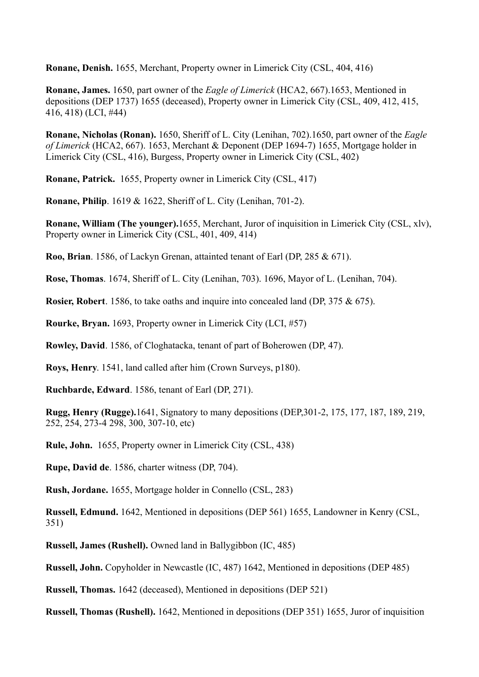**Ronane, Denish.** 1655, Merchant, Property owner in Limerick City (CSL, 404, 416)

**Ronane, James.** 1650, part owner of the *Eagle of Limerick* (HCA2, 667).1653, Mentioned in depositions (DEP 1737) 1655 (deceased), Property owner in Limerick City (CSL, 409, 412, 415, 416, 418) (LCI, #44)

**Ronane, Nicholas (Ronan).** 1650, Sheriff of L. City (Lenihan, 702).1650, part owner of the *Eagle of Limerick* (HCA2, 667). 1653, Merchant & Deponent (DEP 1694-7) 1655, Mortgage holder in Limerick City (CSL, 416), Burgess, Property owner in Limerick City (CSL, 402)

**Ronane, Patrick.** 1655, Property owner in Limerick City (CSL, 417)

**Ronane, Philip**. 1619 & 1622, Sheriff of L. City (Lenihan, 701-2).

**Ronane, William (The younger).**1655, Merchant, Juror of inquisition in Limerick City (CSL, xlv), Property owner in Limerick City (CSL, 401, 409, 414)

**Roo, Brian**. 1586, of Lackyn Grenan, attainted tenant of Earl (DP, 285 & 671).

**Rose, Thomas**. 1674, Sheriff of L. City (Lenihan, 703). 1696, Mayor of L. (Lenihan, 704).

**Rosier, Robert**. 1586, to take oaths and inquire into concealed land (DP, 375 & 675).

**Rourke, Bryan.** 1693, Property owner in Limerick City (LCI, #57)

**Rowley, David**. 1586, of Cloghatacka, tenant of part of Boherowen (DP, 47).

**Roys, Henry**. 1541, land called after him (Crown Surveys, p180).

**Ruchbarde, Edward**. 1586, tenant of Earl (DP, 271).

**Rugg, Henry (Rugge).**1641, Signatory to many depositions (DEP,301-2, 175, 177, 187, 189, 219, 252, 254, 273-4 298, 300, 307-10, etc)

**Rule, John.** 1655, Property owner in Limerick City (CSL, 438)

**Rupe, David de**. 1586, charter witness (DP, 704).

**Rush, Jordane.** 1655, Mortgage holder in Connello (CSL, 283)

**Russell, Edmund.** 1642, Mentioned in depositions (DEP 561) 1655, Landowner in Kenry (CSL, 351)

**Russell, James (Rushell).** Owned land in Ballygibbon (IC, 485)

**Russell, John.** Copyholder in Newcastle (IC, 487) 1642, Mentioned in depositions (DEP 485)

**Russell, Thomas.** 1642 (deceased), Mentioned in depositions (DEP 521)

**Russell, Thomas (Rushell).** 1642, Mentioned in depositions (DEP 351) 1655, Juror of inquisition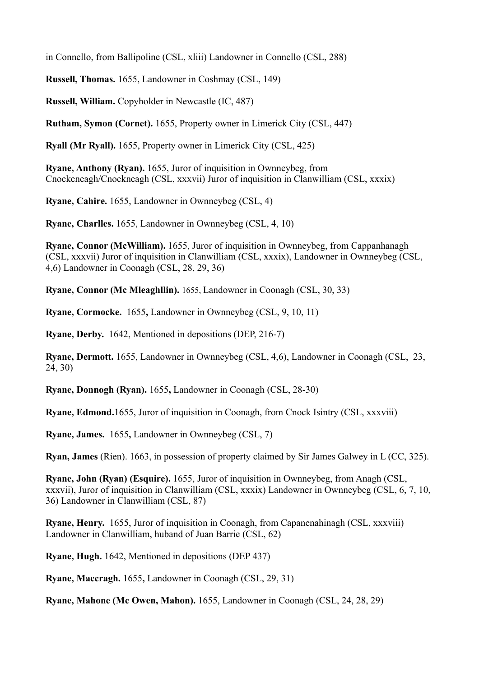in Connello, from Ballipoline (CSL, xliii) Landowner in Connello (CSL, 288)

**Russell, Thomas.** 1655, Landowner in Coshmay (CSL, 149)

**Russell, William.** Copyholder in Newcastle (IC, 487)

**Rutham, Symon (Cornet).** 1655, Property owner in Limerick City (CSL, 447)

**Ryall (Mr Ryall).** 1655, Property owner in Limerick City (CSL, 425)

**Ryane, Anthony (Ryan).** 1655, Juror of inquisition in Ownneybeg, from Cnockeneagh/Cnockneagh (CSL, xxxvii) Juror of inquisition in Clanwilliam (CSL, xxxix)

**Ryane, Cahire.** 1655, Landowner in Ownneybeg (CSL, 4)

**Ryane, Charlles.** 1655, Landowner in Ownneybeg (CSL, 4, 10)

**Ryane, Connor (McWilliam).** 1655, Juror of inquisition in Ownneybeg, from Cappanhanagh (CSL, xxxvii) Juror of inquisition in Clanwilliam (CSL, xxxix), Landowner in Ownneybeg (CSL, 4,6) Landowner in Coonagh (CSL, 28, 29, 36)

**Ryane, Connor (Mc Mleaghllin).** 1655, Landowner in Coonagh (CSL, 30, 33)

**Ryane, Cormocke.** 1655**,** Landowner in Ownneybeg (CSL, 9, 10, 11)

**Ryane, Derby.** 1642, Mentioned in depositions (DEP, 216-7)

**Ryane, Dermott.** 1655, Landowner in Ownneybeg (CSL, 4,6), Landowner in Coonagh (CSL, 23, 24, 30)

**Ryane, Donnogh (Ryan).** 1655**,** Landowner in Coonagh (CSL, 28-30)

**Ryane, Edmond.**1655, Juror of inquisition in Coonagh, from Cnock Isintry (CSL, xxxviii)

**Ryane, James.** 1655**,** Landowner in Ownneybeg (CSL, 7)

**Ryan, James** (Rien). 1663, in possession of property claimed by Sir James Galwey in L (CC, 325).

**Ryane, John (Ryan) (Esquire).** 1655, Juror of inquisition in Ownneybeg, from Anagh (CSL, xxxvii), Juror of inquisition in Clanwilliam (CSL, xxxix) Landowner in Ownneybeg (CSL, 6, 7, 10, 36) Landowner in Clanwilliam (CSL, 87)

**Ryane, Henry.** 1655, Juror of inquisition in Coonagh, from Capanenahinagh (CSL, xxxviii) Landowner in Clanwilliam, huband of Juan Barrie (CSL, 62)

**Ryane, Hugh.** 1642, Mentioned in depositions (DEP 437)

**Ryane, Maccragh.** 1655**,** Landowner in Coonagh (CSL, 29, 31)

**Ryane, Mahone (Mc Owen, Mahon).** 1655, Landowner in Coonagh (CSL, 24, 28, 29)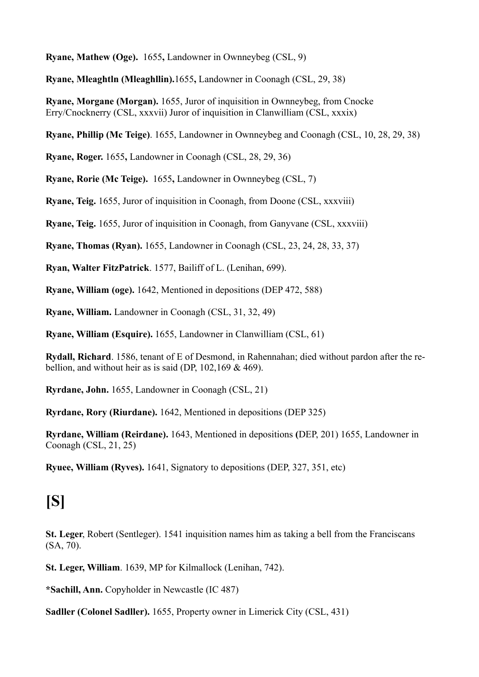**Ryane, Mathew (Oge).** 1655**,** Landowner in Ownneybeg (CSL, 9)

**Ryane, Mleaghtln (Mleaghllin).**1655**,** Landowner in Coonagh (CSL, 29, 38)

**Ryane, Morgane (Morgan).** 1655, Juror of inquisition in Ownneybeg, from Cnocke Erry/Cnocknerry (CSL, xxxvii) Juror of inquisition in Clanwilliam (CSL, xxxix)

**Ryane, Phillip (Mc Teige)**. 1655, Landowner in Ownneybeg and Coonagh (CSL, 10, 28, 29, 38)

**Ryane, Roger.** 1655**,** Landowner in Coonagh (CSL, 28, 29, 36)

**Ryane, Rorie (Mc Teige).** 1655**,** Landowner in Ownneybeg (CSL, 7)

**Ryane, Teig.** 1655, Juror of inquisition in Coonagh, from Doone (CSL, xxxviii)

**Ryane, Teig.** 1655, Juror of inquisition in Coonagh, from Ganyvane (CSL, xxxviii)

**Ryane, Thomas (Ryan).** 1655, Landowner in Coonagh (CSL, 23, 24, 28, 33, 37)

**Ryan, Walter FitzPatrick**. 1577, Bailiff of L. (Lenihan, 699).

**Ryane, William (oge).** 1642, Mentioned in depositions (DEP 472, 588)

**Ryane, William.** Landowner in Coonagh (CSL, 31, 32, 49)

**Ryane, William (Esquire).** 1655, Landowner in Clanwilliam (CSL, 61)

**Rydall, Richard**. 1586, tenant of E of Desmond, in Rahennahan; died without pardon after the rebellion, and without heir as is said (DP, 102,169 & 469).

**Ryrdane, John.** 1655, Landowner in Coonagh (CSL, 21)

**Ryrdane, Rory (Riurdane).** 1642, Mentioned in depositions (DEP 325)

**Ryrdane, William (Reirdane).** 1643, Mentioned in depositions **(**DEP, 201) 1655, Landowner in Coonagh (CSL, 21, 25)

**Ryuee, William (Ryves).** 1641, Signatory to depositions (DEP, 327, 351, etc)

## **[S]**

**St. Leger**, Robert (Sentleger). 1541 inquisition names him as taking a bell from the Franciscans (SA, 70).

**St. Leger, William**. 1639, MP for Kilmallock (Lenihan, 742).

**\*Sachill, Ann.** Copyholder in Newcastle (IC 487)

**Sadller (Colonel Sadller).** 1655, Property owner in Limerick City (CSL, 431)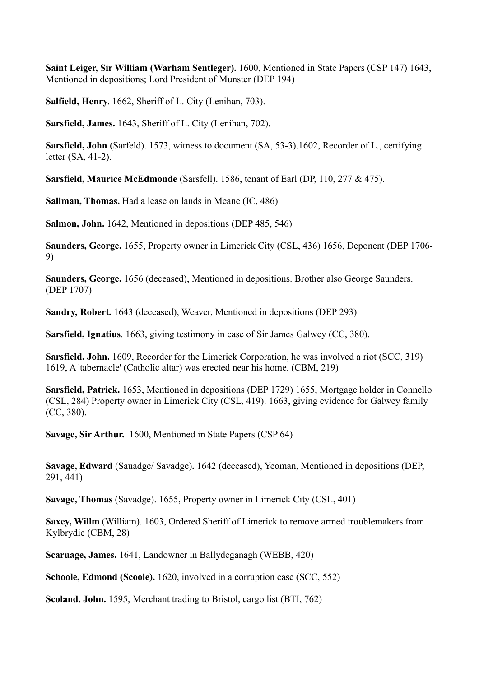**Saint Leiger, Sir William (Warham Sentleger).** 1600, Mentioned in State Papers (CSP 147) 1643, Mentioned in depositions; Lord President of Munster (DEP 194)

**Salfield, Henry**. 1662, Sheriff of L. City (Lenihan, 703).

**Sarsfield, James.** 1643, Sheriff of L. City (Lenihan, 702).

**Sarsfield, John** (Sarfeld). 1573, witness to document (SA, 53-3).1602, Recorder of L., certifying letter (SA, 41-2).

**Sarsfield, Maurice McEdmonde** (Sarsfell). 1586, tenant of Earl (DP, 110, 277 & 475).

**Sallman, Thomas.** Had a lease on lands in Meane (IC, 486)

**Salmon, John.** 1642, Mentioned in depositions (DEP 485, 546)

**Saunders, George.** 1655, Property owner in Limerick City (CSL, 436) 1656, Deponent (DEP 1706- 9)

**Saunders, George.** 1656 (deceased), Mentioned in depositions. Brother also George Saunders. (DEP 1707)

**Sandry, Robert.** 1643 (deceased), Weaver, Mentioned in depositions (DEP 293)

**Sarsfield, Ignatius**. 1663, giving testimony in case of Sir James Galwey (CC, 380).

**Sarsfield. John.** 1609, Recorder for the Limerick Corporation, he was involved a riot (SCC, 319) 1619, A 'tabernacle' (Catholic altar) was erected near his home. (CBM, 219)

**Sarsfield, Patrick.** 1653, Mentioned in depositions (DEP 1729) 1655, Mortgage holder in Connello (CSL, 284) Property owner in Limerick City (CSL, 419). 1663, giving evidence for Galwey family (CC, 380).

**Savage, Sir Arthur.** 1600, Mentioned in State Papers (CSP 64)

**Savage, Edward** (Sauadge/ Savadge)**.** 1642 (deceased), Yeoman, Mentioned in depositions (DEP, 291, 441)

**Savage, Thomas** (Savadge). 1655, Property owner in Limerick City (CSL, 401)

**Saxey, Willm** (William). 1603, Ordered Sheriff of Limerick to remove armed troublemakers from Kylbrydie (CBM, 28)

**Scaruage, James.** 1641, Landowner in Ballydeganagh (WEBB, 420)

**Schoole, Edmond (Scoole).** 1620, involved in a corruption case (SCC, 552)

**Scoland, John.** 1595, Merchant trading to Bristol, cargo list (BTI, 762)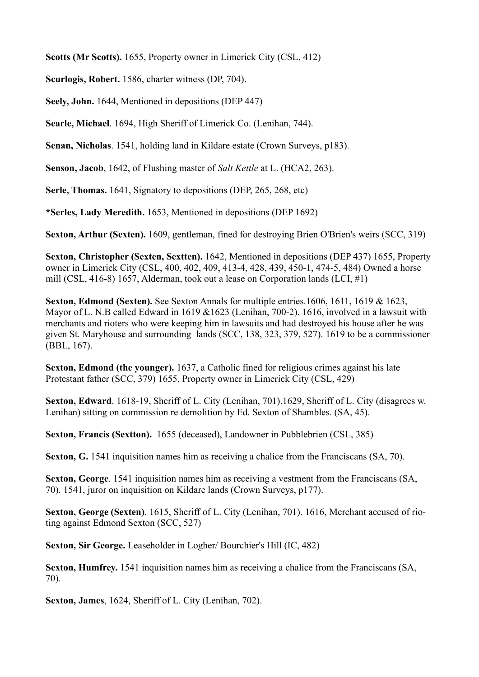**Scotts (Mr Scotts).** 1655, Property owner in Limerick City (CSL, 412)

**Scurlogis, Robert.** 1586, charter witness (DP, 704).

**Seely, John.** 1644, Mentioned in depositions (DEP 447)

**Searle, Michael**. 1694, High Sheriff of Limerick Co. (Lenihan, 744).

**Senan, Nicholas**. 1541, holding land in Kildare estate (Crown Surveys, p183).

**Senson, Jacob**, 1642, of Flushing master of *Salt Kettle* at L. (HCA2, 263).

**Serle, Thomas.** 1641, Signatory to depositions (DEP, 265, 268, etc)

**\*Serles, Lady Meredith.** 1653, Mentioned in depositions (DEP 1692)

**Sexton, Arthur (Sexten).** 1609, gentleman, fined for destroying Brien O'Brien's weirs (SCC, 319)

**Sexton, Christopher (Sexten, Sextten).** 1642, Mentioned in depositions (DEP 437) 1655, Property owner in Limerick City (CSL, 400, 402, 409, 413-4, 428, 439, 450-1, 474-5, 484) Owned a horse mill (CSL, 416-8) 1657, Alderman, took out a lease on Corporation lands (LCI, #1)

**Sexton, Edmond (Sexten).** See Sexton Annals for multiple entries.1606, 1611, 1619 & 1623, Mayor of L. N.B called Edward in 1619 &1623 (Lenihan, 700-2). 1616, involved in a lawsuit with merchants and rioters who were keeping him in lawsuits and had destroyed his house after he was given St. Maryhouse and surrounding lands (SCC, 138, 323, 379, 527). 1619 to be a commissioner (BBL, 167).

**Sexton, Edmond (the younger).** 1637, a Catholic fined for religious crimes against his late Protestant father (SCC, 379) 1655, Property owner in Limerick City (CSL, 429)

**Sexton, Edward**. 1618-19, Sheriff of L. City (Lenihan, 701).1629, Sheriff of L. City (disagrees w. Lenihan) sitting on commission re demolition by Ed. Sexton of Shambles. (SA, 45).

**Sexton, Francis (Sextton).** 1655 (deceased), Landowner in Pubblebrien (CSL, 385)

**Sexton, G.** 1541 inquisition names him as receiving a chalice from the Franciscans (SA, 70).

**Sexton, George**. 1541 inquisition names him as receiving a vestment from the Franciscans (SA, 70). 1541, juror on inquisition on Kildare lands (Crown Surveys, p177).

**Sexton, George (Sexten)**. 1615, Sheriff of L. City (Lenihan, 701). 1616, Merchant accused of rioting against Edmond Sexton (SCC, 527)

**Sexton, Sir George.** Leaseholder in Logher/ Bourchier's Hill (IC, 482)

**Sexton, Humfrey.** 1541 inquisition names him as receiving a chalice from the Franciscans (SA, 70).

**Sexton, James**, 1624, Sheriff of L. City (Lenihan, 702).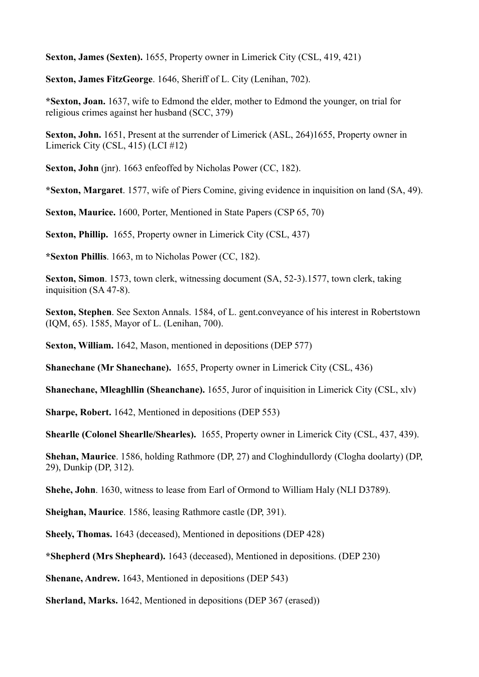**Sexton, James (Sexten).** 1655, Property owner in Limerick City (CSL, 419, 421)

**Sexton, James FitzGeorge**. 1646, Sheriff of L. City (Lenihan, 702).

**\*Sexton, Joan.** 1637, wife to Edmond the elder, mother to Edmond the younger, on trial for religious crimes against her husband (SCC, 379)

**Sexton, John.** 1651, Present at the surrender of Limerick (ASL, 264)1655, Property owner in Limerick City (CSL, 415) (LCI #12)

**Sexton, John** (jnr). 1663 enfeoffed by Nicholas Power (CC, 182).

**\*Sexton, Margaret**. 1577, wife of Piers Comine, giving evidence in inquisition on land (SA, 49).

**Sexton, Maurice.** 1600, Porter, Mentioned in State Papers (CSP 65, 70)

**Sexton, Phillip.** 1655, Property owner in Limerick City (CSL, 437)

**\*Sexton Phillis**. 1663, m to Nicholas Power (CC, 182).

**Sexton, Simon**. 1573, town clerk, witnessing document (SA, 52-3).1577, town clerk, taking inquisition (SA 47-8).

**Sexton, Stephen**. See Sexton Annals. 1584, of L. gent.conveyance of his interest in Robertstown (IQM, 65). 1585, Mayor of L. (Lenihan, 700).

**Sexton, William.** 1642, Mason, mentioned in depositions (DEP 577)

**Shanechane (Mr Shanechane).** 1655, Property owner in Limerick City (CSL, 436)

**Shanechane, Mleaghllin (Sheanchane).** 1655, Juror of inquisition in Limerick City (CSL, xlv)

**Sharpe, Robert.** 1642, Mentioned in depositions (DEP 553)

**Shearlle (Colonel Shearlle/Shearles).** 1655, Property owner in Limerick City (CSL, 437, 439).

**Shehan, Maurice**. 1586, holding Rathmore (DP, 27) and Cloghindullordy (Clogha doolarty) (DP, 29), Dunkip (DP, 312).

**Shehe, John**. 1630, witness to lease from Earl of Ormond to William Haly (NLI D3789).

**Sheighan, Maurice**. 1586, leasing Rathmore castle (DP, 391).

**Sheely, Thomas.** 1643 (deceased), Mentioned in depositions (DEP 428)

**\*Shepherd (Mrs Shepheard).** 1643 (deceased), Mentioned in depositions. (DEP 230)

**Shenane, Andrew.** 1643, Mentioned in depositions (DEP 543)

**Sherland, Marks.** 1642, Mentioned in depositions (DEP 367 (erased))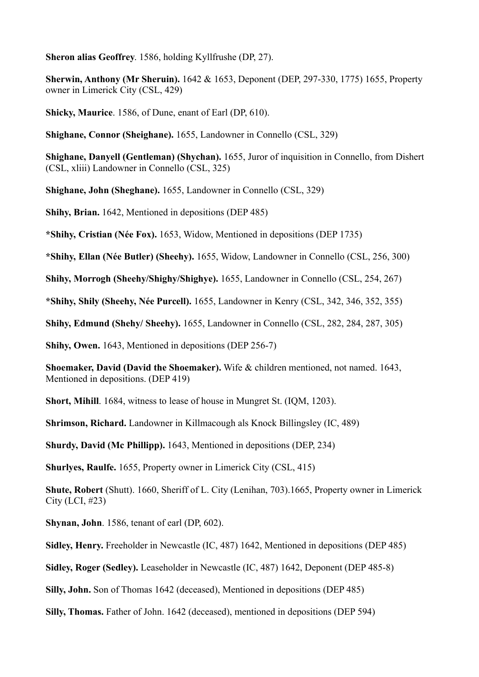**Sheron alias Geoffrey**. 1586, holding Kyllfrushe (DP, 27).

**Sherwin, Anthony (Mr Sheruin).** 1642 & 1653, Deponent (DEP, 297-330, 1775) 1655, Property owner in Limerick City (CSL, 429)

**Shicky, Maurice**. 1586, of Dune, enant of Earl (DP, 610).

**Shighane, Connor (Sheighane).** 1655, Landowner in Connello (CSL, 329)

**Shighane, Danyell (Gentleman) (Shychan).** 1655, Juror of inquisition in Connello, from Dishert (CSL, xliii) Landowner in Connello (CSL, 325)

**Shighane, John (Sheghane).** 1655, Landowner in Connello (CSL, 329)

**Shihy, Brian.** 1642, Mentioned in depositions (DEP 485)

**\*Shihy, Cristian (Née Fox).** 1653, Widow, Mentioned in depositions (DEP 1735)

**\*Shihy, Ellan (Née Butler) (Sheehy).** 1655, Widow, Landowner in Connello (CSL, 256, 300)

**Shihy, Morrogh (Sheehy/Shighy/Shighye).** 1655, Landowner in Connello (CSL, 254, 267)

**\*Shihy, Shily (Sheehy, Née Purcell).** 1655, Landowner in Kenry (CSL, 342, 346, 352, 355)

**Shihy, Edmund (Shehy/ Sheehy).** 1655, Landowner in Connello (CSL, 282, 284, 287, 305)

**Shihy, Owen.** 1643, Mentioned in depositions (DEP 256-7)

**Shoemaker, David (David the Shoemaker).** Wife & children mentioned, not named. 1643, Mentioned in depositions. (DEP 419)

**Short, Mihill.** 1684, witness to lease of house in Mungret St. (IOM, 1203).

**Shrimson, Richard.** Landowner in Killmacough als Knock Billingsley (IC, 489)

**Shurdy, David (Mc Phillipp).** 1643, Mentioned in depositions (DEP, 234)

**Shurlyes, Raulfe.** 1655, Property owner in Limerick City (CSL, 415)

**Shute, Robert** (Shutt). 1660, Sheriff of L. City (Lenihan, 703).1665, Property owner in Limerick City (LCI, #23)

**Shynan, John**. 1586, tenant of earl (DP, 602).

**Sidley, Henry.** Freeholder in Newcastle (IC, 487) 1642, Mentioned in depositions (DEP 485)

**Sidley, Roger (Sedley).** Leaseholder in Newcastle (IC, 487) 1642, Deponent (DEP 485-8)

**Silly, John.** Son of Thomas 1642 (deceased), Mentioned in depositions (DEP 485)

**Silly, Thomas.** Father of John. 1642 (deceased), mentioned in depositions (DEP 594)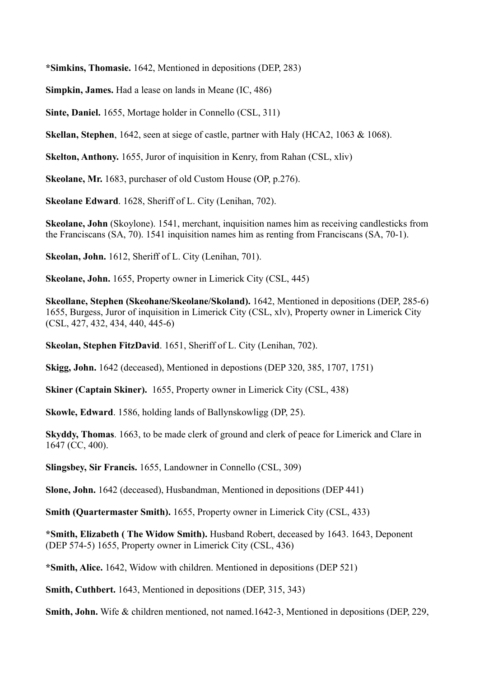**\*Simkins, Thomasie.** 1642, Mentioned in depositions (DEP, 283)

**Simpkin, James.** Had a lease on lands in Meane (IC, 486)

**Sinte, Daniel.** 1655, Mortage holder in Connello (CSL, 311)

**Skellan, Stephen**, 1642, seen at siege of castle, partner with Haly (HCA2, 1063 & 1068).

**Skelton, Anthony.** 1655, Juror of inquisition in Kenry, from Rahan (CSL, xliv)

**Skeolane, Mr.** 1683, purchaser of old Custom House (OP, p.276).

**Skeolane Edward**. 1628, Sheriff of L. City (Lenihan, 702).

**Skeolane, John** (Skoylone). 1541, merchant, inquisition names him as receiving candlesticks from the Franciscans (SA, 70). 1541 inquisition names him as renting from Franciscans (SA, 70-1).

**Skeolan, John.** 1612, Sheriff of L. City (Lenihan, 701).

**Skeolane, John.** 1655, Property owner in Limerick City (CSL, 445)

**Skeollane, Stephen (Skeohane/Skeolane/Skoland).** 1642, Mentioned in depositions (DEP, 285-6) 1655, Burgess, Juror of inquisition in Limerick City (CSL, xlv), Property owner in Limerick City (CSL, 427, 432, 434, 440, 445-6)

**Skeolan, Stephen FitzDavid**. 1651, Sheriff of L. City (Lenihan, 702).

**Skigg, John.** 1642 (deceased), Mentioned in depostions (DEP 320, 385, 1707, 1751)

**Skiner (Captain Skiner).** 1655, Property owner in Limerick City (CSL, 438)

**Skowle, Edward**. 1586, holding lands of Ballynskowligg (DP, 25).

**Skyddy, Thomas**. 1663, to be made clerk of ground and clerk of peace for Limerick and Clare in 1647 (CC, 400).

**Slingsbey, Sir Francis.** 1655, Landowner in Connello (CSL, 309)

**Slone, John.** 1642 (deceased), Husbandman, Mentioned in depositions (DEP 441)

**Smith (Quartermaster Smith).** 1655, Property owner in Limerick City (CSL, 433)

**\*Smith, Elizabeth ( The Widow Smith).** Husband Robert, deceased by 1643. 1643, Deponent (DEP 574-5) 1655, Property owner in Limerick City (CSL, 436)

**\*Smith, Alice.** 1642, Widow with children. Mentioned in depositions (DEP 521)

**Smith, Cuthbert.** 1643, Mentioned in depositions (DEP, 315, 343)

**Smith, John.** Wife & children mentioned, not named.1642-3, Mentioned in depositions (DEP, 229,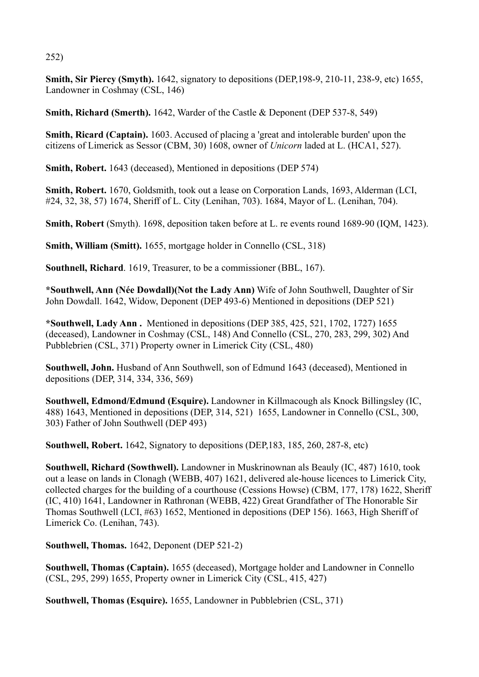252)

**Smith, Sir Piercy (Smyth).** 1642, signatory to depositions (DEP,198-9, 210-11, 238-9, etc) 1655, Landowner in Coshmay (CSL, 146)

**Smith, Richard (Smerth).** 1642, Warder of the Castle & Deponent (DEP 537-8, 549)

**Smith, Ricard (Captain).** 1603. Accused of placing a 'great and intolerable burden' upon the citizens of Limerick as Sessor (CBM, 30) 1608, owner of *Unicorn* laded at L. (HCA1, 527).

**Smith, Robert.** 1643 (deceased), Mentioned in depositions (DEP 574)

**Smith, Robert.** 1670, Goldsmith, took out a lease on Corporation Lands, 1693, Alderman (LCI, #24, 32, 38, 57) 1674, Sheriff of L. City (Lenihan, 703). 1684, Mayor of L. (Lenihan, 704).

**Smith, Robert** (Smyth). 1698, deposition taken before at L. re events round 1689-90 (IQM, 1423).

**Smith, William (Smitt).** 1655, mortgage holder in Connello (CSL, 318)

**Southnell, Richard**. 1619, Treasurer, to be a commissioner (BBL, 167).

**\*Southwell, Ann (Née Dowdall)(Not the Lady Ann)** Wife of John Southwell, Daughter of Sir John Dowdall. 1642, Widow, Deponent (DEP 493-6) Mentioned in depositions (DEP 521)

**\*Southwell, Lady Ann .** Mentioned in depositions (DEP 385, 425, 521, 1702, 1727) 1655 (deceased), Landowner in Coshmay (CSL, 148) And Connello (CSL, 270, 283, 299, 302) And Pubblebrien (CSL, 371) Property owner in Limerick City (CSL, 480)

**Southwell, John.** Husband of Ann Southwell, son of Edmund 1643 (deceased), Mentioned in depositions (DEP, 314, 334, 336, 569)

**Southwell, Edmond/Edmund (Esquire).** Landowner in Killmacough als Knock Billingsley (IC, 488) 1643, Mentioned in depositions (DEP, 314, 521) 1655, Landowner in Connello (CSL, 300, 303) Father of John Southwell (DEP 493)

**Southwell, Robert.** 1642, Signatory to depositions (DEP,183, 185, 260, 287-8, etc)

**Southwell, Richard (Sowthwell).** Landowner in Muskrinownan als Beauly (IC, 487) 1610, took out a lease on lands in Clonagh (WEBB, 407) 1621, delivered ale-house licences to Limerick City, collected charges for the building of a courthouse (Cessions Howse) (CBM, 177, 178) 1622, Sheriff (IC, 410) 1641, Landowner in Rathronan (WEBB, 422) Great Grandfather of The Honorable Sir Thomas Southwell (LCI, #63) 1652, Mentioned in depositions (DEP 156). 1663, High Sheriff of Limerick Co. (Lenihan, 743).

**Southwell, Thomas.** 1642, Deponent (DEP 521-2)

**Southwell, Thomas (Captain).** 1655 (deceased), Mortgage holder and Landowner in Connello (CSL, 295, 299) 1655, Property owner in Limerick City (CSL, 415, 427)

**Southwell, Thomas (Esquire).** 1655, Landowner in Pubblebrien (CSL, 371)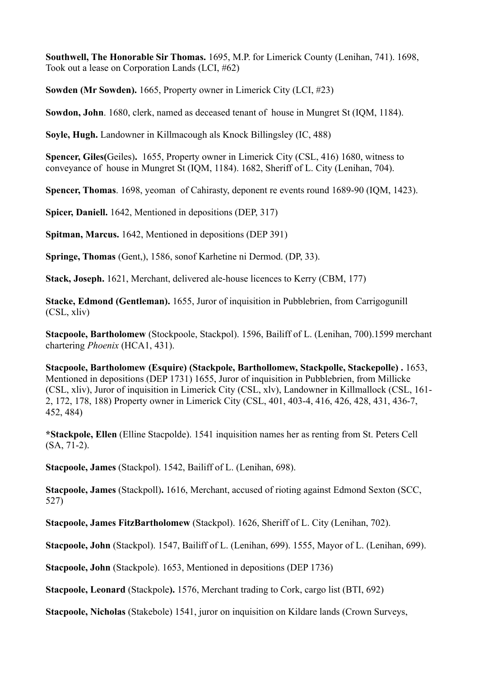**Southwell, The Honorable Sir Thomas.** 1695, M.P. for Limerick County (Lenihan, 741). 1698, Took out a lease on Corporation Lands (LCI, #62)

**Sowden (Mr Sowden).** 1665, Property owner in Limerick City (LCI, #23)

**Sowdon, John**. 1680, clerk, named as deceased tenant of house in Mungret St (IQM, 1184).

**Soyle, Hugh.** Landowner in Killmacough als Knock Billingsley (IC, 488)

**Spencer, Giles(**Geiles)**.** 1655, Property owner in Limerick City (CSL, 416) 1680, witness to conveyance of house in Mungret St (IQM, 1184). 1682, Sheriff of L. City (Lenihan, 704).

**Spencer, Thomas**. 1698, yeoman of Cahirasty, deponent re events round 1689-90 (IQM, 1423).

**Spicer, Daniell.** 1642, Mentioned in depositions (DEP, 317)

**Spitman, Marcus.** 1642, Mentioned in depositions (DEP 391)

**Springe, Thomas** (Gent,), 1586, sonof Karhetine ni Dermod. (DP, 33).

**Stack, Joseph.** 1621, Merchant, delivered ale-house licences to Kerry (CBM, 177)

**Stacke, Edmond (Gentleman).** 1655, Juror of inquisition in Pubblebrien, from Carrigogunill (CSL, xliv)

**Stacpoole, Bartholomew** (Stockpoole, Stackpol). 1596, Bailiff of L. (Lenihan, 700).1599 merchant chartering *Phoenix* (HCA1, 431).

**Stacpoole, Bartholomew (Esquire) (Stackpole, Barthollomew, Stackpolle, Stackepolle) .** 1653, Mentioned in depositions (DEP 1731) 1655, Juror of inquisition in Pubblebrien, from Millicke (CSL, xliv), Juror of inquisition in Limerick City (CSL, xlv), Landowner in Killmallock (CSL, 161- 2, 172, 178, 188) Property owner in Limerick City (CSL, 401, 403-4, 416, 426, 428, 431, 436-7, 452, 484)

**\*Stackpole, Ellen** (Elline Stacpolde). 1541 inquisition names her as renting from St. Peters Cell (SA, 71-2).

**Stacpoole, James** (Stackpol). 1542, Bailiff of L. (Lenihan, 698).

**Stacpoole, James** (Stackpoll)**.** 1616, Merchant, accused of rioting against Edmond Sexton (SCC, 527)

**Stacpoole, James FitzBartholomew** (Stackpol). 1626, Sheriff of L. City (Lenihan, 702).

**Stacpoole, John** (Stackpol). 1547, Bailiff of L. (Lenihan, 699). 1555, Mayor of L. (Lenihan, 699).

**Stacpoole, John** (Stackpole). 1653, Mentioned in depositions (DEP 1736)

**Stacpoole, Leonard** (Stackpole**).** 1576, Merchant trading to Cork, cargo list (BTI, 692)

**Stacpoole, Nicholas** (Stakebole) 1541, juror on inquisition on Kildare lands (Crown Surveys,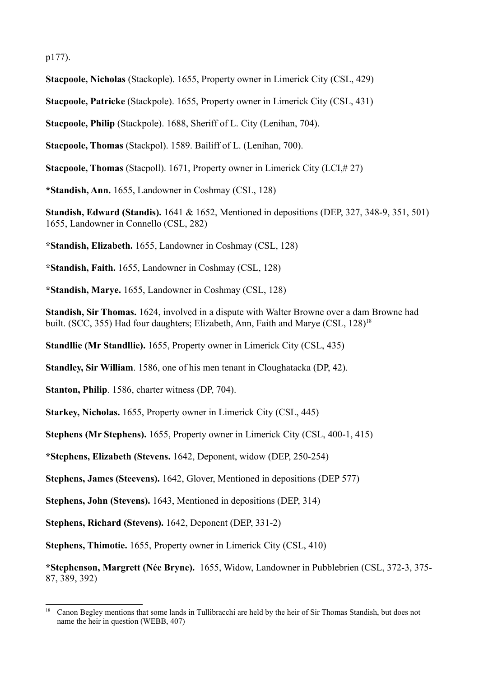p177).

**Stacpoole, Nicholas** (Stackople). 1655, Property owner in Limerick City (CSL, 429)

**Stacpoole, Patricke** (Stackpole). 1655, Property owner in Limerick City (CSL, 431)

**Stacpoole, Philip** (Stackpole). 1688, Sheriff of L. City (Lenihan, 704).

**Stacpoole, Thomas** (Stackpol). 1589. Bailiff of L. (Lenihan, 700).

**Stacpoole, Thomas** (Stacpoll). 1671, Property owner in Limerick City (LCI,# 27)

**\*Standish, Ann.** 1655, Landowner in Coshmay (CSL, 128)

**Standish, Edward (Standis).** 1641 & 1652, Mentioned in depositions (DEP, 327, 348-9, 351, 501) 1655, Landowner in Connello (CSL, 282)

**\*Standish, Elizabeth.** 1655, Landowner in Coshmay (CSL, 128)

**\*Standish, Faith.** 1655, Landowner in Coshmay (CSL, 128)

**\*Standish, Marye.** 1655, Landowner in Coshmay (CSL, 128)

**Standish, Sir Thomas.** 1624, involved in a dispute with Walter Browne over a dam Browne had built. (SCC, 355) Had four daughters; Elizabeth, Ann, Faith and Marye (CSL, 128)<sup>18</sup>

**Standllie (Mr Standllie).** 1655, Property owner in Limerick City (CSL, 435)

**Standley, Sir William**. 1586, one of his men tenant in Cloughatacka (DP, 42).

**Stanton, Philip**. 1586, charter witness (DP, 704).

**Starkey, Nicholas.** 1655, Property owner in Limerick City (CSL, 445)

**Stephens (Mr Stephens).** 1655, Property owner in Limerick City (CSL, 400-1, 415)

**\*Stephens, Elizabeth (Stevens.** 1642, Deponent, widow (DEP, 250-254)

**Stephens, James (Steevens).** 1642, Glover, Mentioned in depositions (DEP 577)

**Stephens, John (Stevens).** 1643, Mentioned in depositions (DEP, 314)

**Stephens, Richard (Stevens).** 1642, Deponent (DEP, 331-2)

**Stephens, Thimotie.** 1655, Property owner in Limerick City (CSL, 410)

**\*Stephenson, Margrett (Née Bryne).** 1655, Widow, Landowner in Pubblebrien (CSL, 372-3, 375- 87, 389, 392)

<sup>&</sup>lt;sup>18</sup> Canon Begley mentions that some lands in Tullibracchi are held by the heir of Sir Thomas Standish, but does not name the heir in question (WEBB, 407)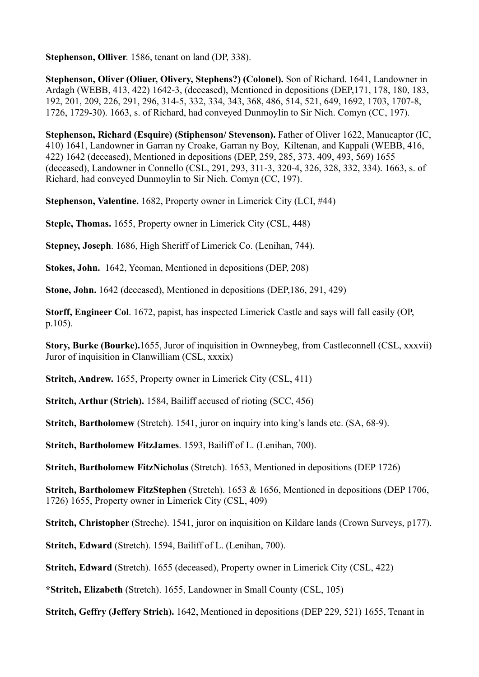**Stephenson, Olliver**. 1586, tenant on land (DP, 338).

**Stephenson, Oliver (Oliuer, Olivery, Stephens?) (Colonel).** Son of Richard. 1641, Landowner in Ardagh (WEBB, 413, 422) 1642-3, (deceased), Mentioned in depositions (DEP,171, 178, 180, 183, 192, 201, 209, 226, 291, 296, 314-5, 332, 334, 343, 368, 486, 514, 521, 649, 1692, 1703, 1707-8, 1726, 1729-30). 1663, s. of Richard, had conveyed Dunmoylin to Sir Nich. Comyn (CC, 197).

**Stephenson, Richard (Esquire) (Stiphenson/ Stevenson).** Father of Oliver 1622, Manucaptor (IC, 410) 1641, Landowner in Garran ny Croake, Garran ny Boy, Kiltenan, and Kappali (WEBB, 416, 422) 1642 (deceased), Mentioned in depositions (DEP, 259, 285, 373, 409, 493, 569) 1655 (deceased), Landowner in Connello (CSL, 291, 293, 311-3, 320-4, 326, 328, 332, 334). 1663, s. of Richard, had conveyed Dunmoylin to Sir Nich. Comyn (CC, 197).

**Stephenson, Valentine.** 1682, Property owner in Limerick City (LCI, #44)

**Steple, Thomas.** 1655, Property owner in Limerick City (CSL, 448)

**Stepney, Joseph**. 1686, High Sheriff of Limerick Co. (Lenihan, 744).

**Stokes, John.** 1642, Yeoman, Mentioned in depositions (DEP, 208)

**Stone, John.** 1642 (deceased), Mentioned in depositions (DEP,186, 291, 429)

**Storff, Engineer Col**. 1672, papist, has inspected Limerick Castle and says will fall easily (OP, p.105).

**Story, Burke (Bourke).**1655, Juror of inquisition in Ownneybeg, from Castleconnell (CSL, xxxvii) Juror of inquisition in Clanwilliam (CSL, xxxix)

**Stritch, Andrew.** 1655, Property owner in Limerick City (CSL, 411)

**Stritch, Arthur (Strich).** 1584. Bailiff accused of rioting (SCC, 456)

**Stritch, Bartholomew** (Stretch). 1541, juror on inquiry into king's lands etc. (SA, 68-9).

**Stritch, Bartholomew FitzJames**. 1593, Bailiff of L. (Lenihan, 700).

**Stritch, Bartholomew FitzNicholas** (Stretch). 1653, Mentioned in depositions (DEP 1726)

**Stritch, Bartholomew FitzStephen** (Stretch). 1653 & 1656, Mentioned in depositions (DEP 1706, 1726) 1655, Property owner in Limerick City (CSL, 409)

**Stritch, Christopher** (Streche). 1541, juror on inquisition on Kildare lands (Crown Surveys, p177).

**Stritch, Edward** (Stretch). 1594, Bailiff of L. (Lenihan, 700).

**Stritch, Edward** (Stretch). 1655 (deceased), Property owner in Limerick City (CSL, 422)

**\*Stritch, Elizabeth** (Stretch). 1655, Landowner in Small County (CSL, 105)

**Stritch, Geffry (Jeffery Strich).** 1642, Mentioned in depositions (DEP 229, 521) 1655, Tenant in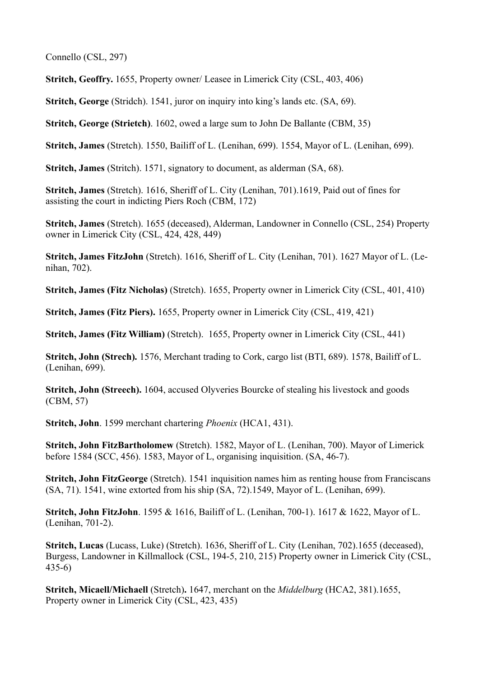Connello (CSL, 297)

**Stritch, Geoffry.** 1655, Property owner/ Leasee in Limerick City (CSL, 403, 406)

**Stritch, George** (Stridch). 1541, juror on inquiry into king's lands etc. (SA, 69).

**Stritch, George (Strietch)**. 1602, owed a large sum to John De Ballante (CBM, 35)

**Stritch, James** (Stretch). 1550, Bailiff of L. (Lenihan, 699). 1554, Mayor of L. (Lenihan, 699).

**Stritch, James** (Stritch). 1571, signatory to document, as alderman (SA, 68).

**Stritch, James** (Stretch). 1616, Sheriff of L. City (Lenihan, 701).1619, Paid out of fines for assisting the court in indicting Piers Roch (CBM, 172)

**Stritch, James** (Stretch). 1655 (deceased), Alderman, Landowner in Connello (CSL, 254) Property owner in Limerick City (CSL, 424, 428, 449)

**Stritch, James FitzJohn** (Stretch). 1616, Sheriff of L. City (Lenihan, 701). 1627 Mayor of L. (Lenihan, 702).

**Stritch, James (Fitz Nicholas)** (Stretch). 1655. Property owner in Limerick City (CSL, 401, 410)

**Stritch, James (Fitz Piers).** 1655, Property owner in Limerick City (CSL, 419, 421)

**Stritch, James (Fitz William)** (Stretch). 1655, Property owner in Limerick City (CSL, 441)

**Stritch, John (Strech).** 1576, Merchant trading to Cork, cargo list (BTI, 689). 1578, Bailiff of L. (Lenihan, 699).

**Stritch, John (Streech).** 1604, accused Olyveries Bourcke of stealing his livestock and goods (CBM, 57)

**Stritch, John**. 1599 merchant chartering *Phoenix* (HCA1, 431).

**Stritch, John FitzBartholomew** (Stretch). 1582, Mayor of L. (Lenihan, 700). Mayor of Limerick before 1584 (SCC, 456). 1583, Mayor of L, organising inquisition. (SA, 46-7).

**Stritch, John FitzGeorge** (Stretch). 1541 inquisition names him as renting house from Franciscans (SA, 71). 1541, wine extorted from his ship (SA, 72).1549, Mayor of L. (Lenihan, 699).

**Stritch, John FitzJohn**. 1595 & 1616, Bailiff of L. (Lenihan, 700-1). 1617 & 1622, Mayor of L. (Lenihan, 701-2).

**Stritch, Lucas** (Lucass, Luke) (Stretch). 1636, Sheriff of L. City (Lenihan, 702).1655 (deceased), Burgess, Landowner in Killmallock (CSL, 194-5, 210, 215) Property owner in Limerick City (CSL, 435-6)

**Stritch, Micaell/Michaell** (Stretch)**.** 1647, merchant on the *Middelburg* (HCA2, 381).1655, Property owner in Limerick City (CSL, 423, 435)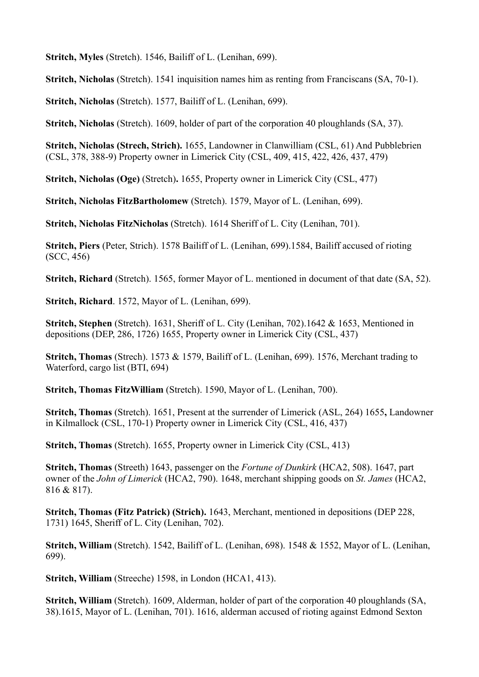**Stritch, Myles** (Stretch). 1546, Bailiff of L. (Lenihan, 699).

**Stritch, Nicholas** (Stretch). 1541 inquisition names him as renting from Franciscans (SA, 70-1).

**Stritch, Nicholas** (Stretch). 1577, Bailiff of L. (Lenihan, 699).

**Stritch, Nicholas** (Stretch). 1609, holder of part of the corporation 40 ploughlands (SA, 37).

**Stritch, Nicholas (Strech, Strich).** 1655, Landowner in Clanwilliam (CSL, 61) And Pubblebrien (CSL, 378, 388-9) Property owner in Limerick City (CSL, 409, 415, 422, 426, 437, 479)

**Stritch, Nicholas (Oge)** (Stretch)**.** 1655, Property owner in Limerick City (CSL, 477)

**Stritch, Nicholas FitzBartholomew** (Stretch). 1579, Mayor of L. (Lenihan, 699).

**Stritch, Nicholas FitzNicholas** (Stretch). 1614 Sheriff of L. City (Lenihan, 701).

**Stritch, Piers** (Peter, Strich). 1578 Bailiff of L. (Lenihan, 699).1584, Bailiff accused of rioting (SCC, 456)

**Stritch, Richard** (Stretch). 1565, former Mayor of L. mentioned in document of that date (SA, 52).

**Stritch, Richard**. 1572, Mayor of L. (Lenihan, 699).

**Stritch, Stephen** (Stretch). 1631, Sheriff of L. City (Lenihan, 702).1642 & 1653, Mentioned in depositions (DEP, 286, 1726) 1655, Property owner in Limerick City (CSL, 437)

**Stritch, Thomas** (Strech). 1573 & 1579, Bailiff of L. (Lenihan, 699). 1576, Merchant trading to Waterford, cargo list (BTI, 694)

**Stritch, Thomas FitzWilliam** (Stretch). 1590, Mayor of L. (Lenihan, 700).

**Stritch, Thomas** (Stretch). 1651, Present at the surrender of Limerick (ASL, 264) 1655**,** Landowner in Kilmallock (CSL, 170-1) Property owner in Limerick City (CSL, 416, 437)

**Stritch, Thomas** (Stretch). 1655, Property owner in Limerick City (CSL, 413)

**Stritch, Thomas** (Streeth) 1643, passenger on the *Fortune of Dunkirk* (HCA2, 508). 1647, part owner of the *John of Limerick* (HCA2, 790). 1648, merchant shipping goods on *St. James* (HCA2, 816 & 817).

**Stritch, Thomas (Fitz Patrick) (Strich).** 1643, Merchant, mentioned in depositions (DEP 228, 1731) 1645, Sheriff of L. City (Lenihan, 702).

**Stritch, William** (Stretch). 1542, Bailiff of L. (Lenihan, 698). 1548 & 1552, Mayor of L. (Lenihan, 699).

**Stritch, William** (Streeche) 1598, in London (HCA1, 413).

**Stritch, William** (Stretch). 1609, Alderman, holder of part of the corporation 40 ploughlands (SA, 38).1615, Mayor of L. (Lenihan, 701). 1616, alderman accused of rioting against Edmond Sexton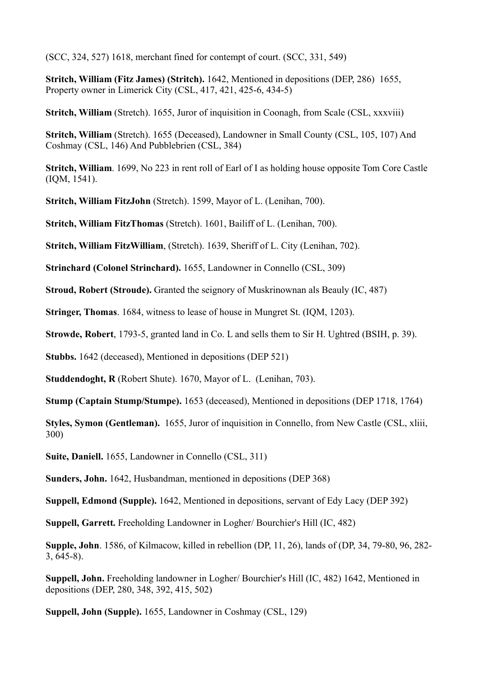(SCC, 324, 527) 1618, merchant fined for contempt of court. (SCC, 331, 549)

**Stritch, William (Fitz James) (Stritch).** 1642, Mentioned in depositions (DEP, 286)1655, Property owner in Limerick City (CSL, 417, 421, 425-6, 434-5)

**Stritch, William** (Stretch). 1655, Juror of inquisition in Coonagh, from Scale (CSL, xxxviii)

**Stritch, William** (Stretch). 1655 (Deceased), Landowner in Small County (CSL, 105, 107) And Coshmay (CSL, 146) And Pubblebrien (CSL, 384)

**Stritch, William**. 1699, No 223 in rent roll of Earl of I as holding house opposite Tom Core Castle (IQM, 1541).

**Stritch, William FitzJohn** (Stretch). 1599, Mayor of L. (Lenihan, 700).

**Stritch, William FitzThomas** (Stretch). 1601, Bailiff of L. (Lenihan, 700).

**Stritch, William FitzWilliam**, (Stretch). 1639, Sheriff of L. City (Lenihan, 702).

**Strinchard (Colonel Strinchard).** 1655, Landowner in Connello (CSL, 309)

**Stroud, Robert (Stroude).** Granted the seignory of Muskrinownan als Beauly (IC, 487)

**Stringer, Thomas**. 1684, witness to lease of house in Mungret St. (IQM, 1203).

**Strowde, Robert**, 1793-5, granted land in Co. L and sells them to Sir H. Ughtred (BSIH, p. 39).

**Stubbs.** 1642 (deceased), Mentioned in depositions (DEP 521)

**Studdendoght, R** (Robert Shute). 1670, Mayor of L. (Lenihan, 703).

**Stump (Captain Stump/Stumpe).** 1653 (deceased), Mentioned in depositions (DEP 1718, 1764)

**Styles, Symon (Gentleman).** 1655, Juror of inquisition in Connello, from New Castle (CSL, xliii, 300)

**Suite, Daniell.** 1655, Landowner in Connello (CSL, 311)

**Sunders, John.** 1642, Husbandman, mentioned in depositions (DEP 368)

**Suppell, Edmond (Supple).** 1642, Mentioned in depositions, servant of Edy Lacy (DEP 392)

**Suppell, Garrett.** Freeholding Landowner in Logher/ Bourchier's Hill (IC, 482)

**Supple, John**. 1586, of Kilmacow, killed in rebellion (DP, 11, 26), lands of (DP, 34, 79-80, 96, 282- 3, 645-8).

**Suppell, John.** Freeholding landowner in Logher/ Bourchier's Hill (IC, 482) 1642, Mentioned in depositions (DEP, 280, 348, 392, 415, 502)

**Suppell, John (Supple).** 1655, Landowner in Coshmay (CSL, 129)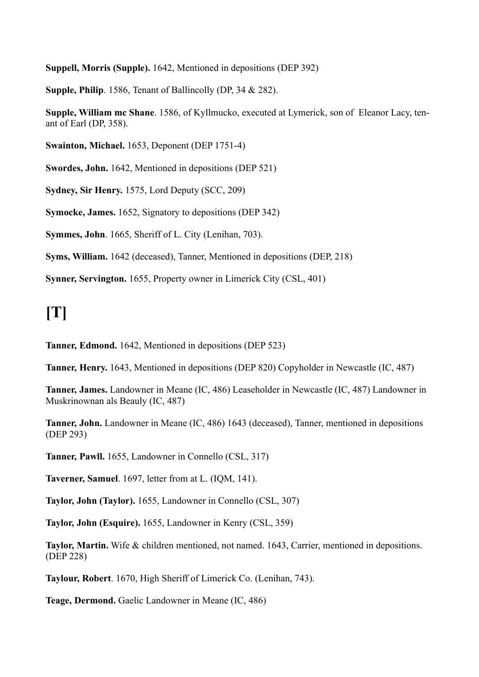**Suppell, Morris (Supple).** 1642, Mentioned in depositions (DEP 392)

**Supple, Philip**. 1586, Tenant of Ballincolly (DP, 34 & 282).

**Supple, William mc Shane**. 1586, of Kyllmucko, executed at Lymerick, son of Eleanor Lacy, tenant of Earl (DP, 358).

**Swainton, Michael.** 1653, Deponent (DEP 1751-4)

**Swordes, John.** 1642, Mentioned in depositions (DEP 521)

**Sydney, Sir Henry.** 1575, Lord Deputy (SCC, 209)

**Symocke, James.** 1652, Signatory to depositions (DEP 342)

**Symmes, John**. 1665, Sheriff of L. City (Lenihan, 703).

**Syms, William.** 1642 (deceased), Tanner, Mentioned in depositions (DEP, 218)

**Synner, Servington.** 1655, Property owner in Limerick City (CSL, 401)

## **[T]**

**Tanner, Edmond.** 1642, Mentioned in depositions (DEP 523)

**Tanner, Henry.** 1643, Mentioned in depositions (DEP 820) Copyholder in Newcastle (IC, 487)

**Tanner, James.** Landowner in Meane (IC, 486) Leaseholder in Newcastle (IC, 487) Landowner in Muskrinownan als Beauly (IC, 487)

**Tanner, John.** Landowner in Meane (IC, 486) 1643 (deceased), Tanner, mentioned in depositions (DEP 293)

**Tanner, Pawll.** 1655, Landowner in Connello (CSL, 317)

**Taverner, Samuel**. 1697, letter from at L. (IQM, 141).

**Taylor, John (Taylor).** 1655, Landowner in Connello (CSL, 307)

**Taylor, John (Esquire).** 1655, Landowner in Kenry (CSL, 359)

**Taylor, Martin.** Wife & children mentioned, not named. 1643, Carrier, mentioned in depositions. (DEP 228)

**Taylour, Robert**. 1670, High Sheriff of Limerick Co. (Lenihan, 743).

**Teage, Dermond.** Gaelic Landowner in Meane (IC, 486)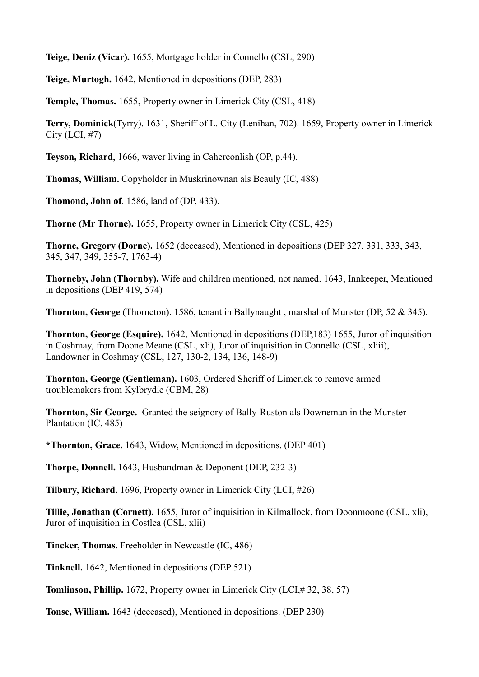**Teige, Deniz (Vicar).** 1655, Mortgage holder in Connello (CSL, 290)

**Teige, Murtogh.** 1642, Mentioned in depositions (DEP, 283)

**Temple, Thomas.** 1655, Property owner in Limerick City (CSL, 418)

**Terry, Dominick**(Tyrry). 1631, Sheriff of L. City (Lenihan, 702). 1659, Property owner in Limerick City (LCI, #7)

**Teyson, Richard**, 1666, waver living in Caherconlish (OP, p.44).

**Thomas, William.** Copyholder in Muskrinownan als Beauly (IC, 488)

**Thomond, John of**. 1586, land of (DP, 433).

**Thorne (Mr Thorne).** 1655, Property owner in Limerick City (CSL, 425)

**Thorne, Gregory (Dorne).** 1652 (deceased), Mentioned in depositions (DEP 327, 331, 333, 343, 345, 347, 349, 355-7, 1763-4)

**Thorneby, John (Thornby).** Wife and children mentioned, not named. 1643, Innkeeper, Mentioned in depositions (DEP 419, 574)

**Thornton, George** (Thorneton). 1586, tenant in Ballynaught , marshal of Munster (DP, 52 & 345).

**Thornton, George (Esquire).** 1642, Mentioned in depositions (DEP,183) 1655, Juror of inquisition in Coshmay, from Doone Meane (CSL, xli), Juror of inquisition in Connello (CSL, xliii), Landowner in Coshmay (CSL, 127, 130-2, 134, 136, 148-9)

**Thornton, George (Gentleman).** 1603, Ordered Sheriff of Limerick to remove armed troublemakers from Kylbrydie (CBM, 28)

**Thornton, Sir George.** Granted the seignory of Bally-Ruston als Downeman in the Munster Plantation (IC, 485)

**\*Thornton, Grace.** 1643, Widow, Mentioned in depositions. (DEP 401)

**Thorpe, Donnell.** 1643, Husbandman & Deponent (DEP, 232-3)

**Tilbury, Richard.** 1696, Property owner in Limerick City (LCI, #26)

**Tillie, Jonathan (Cornett).** 1655, Juror of inquisition in Kilmallock, from Doonmoone (CSL, xli), Juror of inquisition in Costlea (CSL, xlii)

**Tincker, Thomas.** Freeholder in Newcastle (IC, 486)

**Tinknell.** 1642, Mentioned in depositions (DEP 521)

**Tomlinson, Phillip.** 1672, Property owner in Limerick City (LCI,# 32, 38, 57)

**Tonse, William.** 1643 (deceased), Mentioned in depositions. (DEP 230)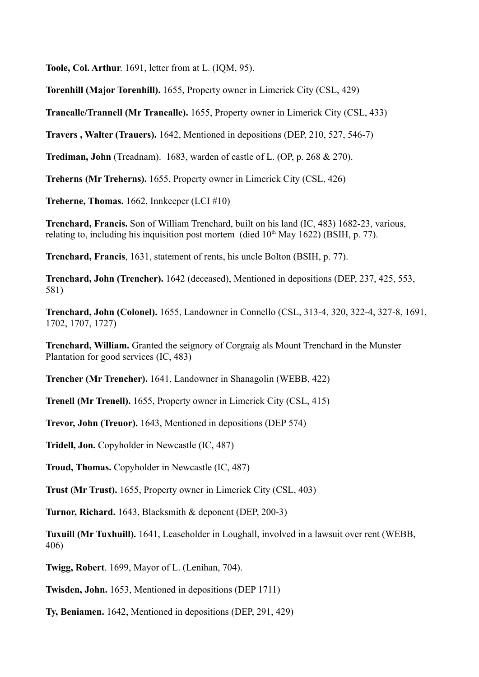**Toole, Col. Arthur**. 1691, letter from at L. (IQM, 95).

**Torenhill (Major Torenhill).** 1655, Property owner in Limerick City (CSL, 429)

**Tranealle/Trannell (Mr Tranealle).** 1655, Property owner in Limerick City (CSL, 433)

**Travers , Walter (Trauers).** 1642, Mentioned in depositions (DEP, 210, 527, 546-7)

**Trediman, John** (Treadnam). 1683, warden of castle of L. (OP, p. 268 & 270).

**Treherns (Mr Treherns).** 1655, Property owner in Limerick City (CSL, 426)

**Treherne, Thomas.** 1662, Innkeeper (LCI #10)

**Trenchard, Francis.** Son of William Trenchard, built on his land (IC, 483) 1682-23, various, relating to, including his inquisition post mortem (died  $10<sup>th</sup>$  May 1622) (BSIH, p. 77).

**Trenchard, Francis**, 1631, statement of rents, his uncle Bolton (BSIH, p. 77).

**Trenchard, John (Trencher).** 1642 (deceased), Mentioned in depositions (DEP, 237, 425, 553, 581)

**Trenchard, John (Colonel).** 1655, Landowner in Connello (CSL, 313-4, 320, 322-4, 327-8, 1691, 1702, 1707, 1727)

**Trenchard, William.** Granted the seignory of Corgraig als Mount Trenchard in the Munster Plantation for good services (IC, 483)

**Trencher (Mr Trencher).** 1641, Landowner in Shanagolin (WEBB, 422)

**Trenell (Mr Trenell).** 1655, Property owner in Limerick City (CSL, 415)

**Trevor, John (Treuor).** 1643, Mentioned in depositions (DEP 574)

**Tridell, Jon.** Copyholder in Newcastle (IC, 487)

**Troud, Thomas.** Copyholder in Newcastle (IC, 487)

**Trust (Mr Trust).** 1655, Property owner in Limerick City (CSL, 403)

**Turnor, Richard.** 1643, Blacksmith & deponent (DEP, 200-3)

**Tuxuill (Mr Tuxhuill).** 1641, Leaseholder in Loughall, involved in a lawsuit over rent (WEBB, 406)

**Twigg, Robert**. 1699, Mayor of L. (Lenihan, 704).

**Twisden, John.** 1653, Mentioned in depositions (DEP 1711)

**Ty, Beniamen.** 1642, Mentioned in depositions (DEP, 291, 429)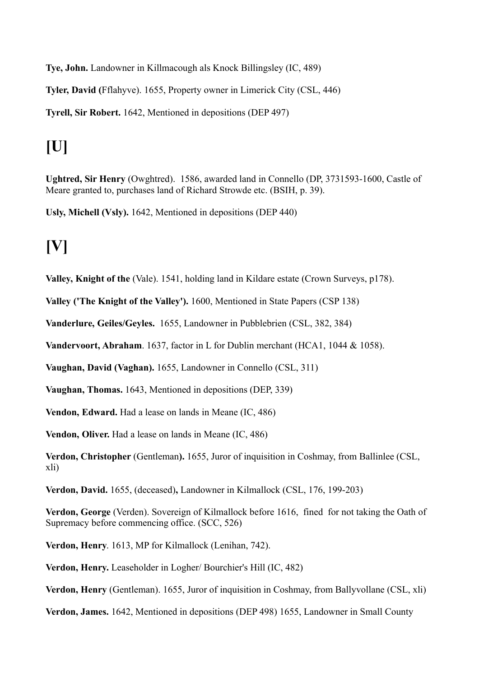**Tye, John.** Landowner in Killmacough als Knock Billingsley (IC, 489)

**Tyler, David (**Fflahyve). 1655, Property owner in Limerick City (CSL, 446)

**Tyrell, Sir Robert.** 1642, Mentioned in depositions (DEP 497)

# **[U]**

**Ughtred, Sir Henry** (Owghtred). 1586, awarded land in Connello (DP, 3731593-1600, Castle of Meare granted to, purchases land of Richard Strowde etc. (BSIH, p. 39).

**Usly, Michell (Vsly).** 1642, Mentioned in depositions (DEP 440)

# **[V]**

**Valley, Knight of the** (Vale). 1541, holding land in Kildare estate (Crown Surveys, p178).

**Valley ('The Knight of the Valley').** 1600, Mentioned in State Papers (CSP 138)

**Vanderlure, Geiles/Geyles.** 1655, Landowner in Pubblebrien (CSL, 382, 384)

**Vandervoort, Abraham**. 1637, factor in L for Dublin merchant (HCA1, 1044 & 1058).

**Vaughan, David (Vaghan).** 1655, Landowner in Connello (CSL, 311)

**Vaughan, Thomas.** 1643, Mentioned in depositions (DEP, 339)

**Vendon, Edward.** Had a lease on lands in Meane (IC, 486)

**Vendon, Oliver.** Had a lease on lands in Meane (IC, 486)

**Verdon, Christopher** (Gentleman**).** 1655, Juror of inquisition in Coshmay, from Ballinlee (CSL, xli)

**Verdon, David.** 1655, (deceased)**,** Landowner in Kilmallock (CSL, 176, 199-203)

**Verdon, George** (Verden). Sovereign of Kilmallock before 1616,fined for not taking the Oath of Supremacy before commencing office. (SCC, 526)

**Verdon, Henry**. 1613, MP for Kilmallock (Lenihan, 742).

**Verdon, Henry.** Leaseholder in Logher/ Bourchier's Hill (IC, 482)

**Verdon, Henry** (Gentleman). 1655, Juror of inquisition in Coshmay, from Ballyvollane (CSL, xli)

**Verdon, James.** 1642, Mentioned in depositions (DEP 498) 1655, Landowner in Small County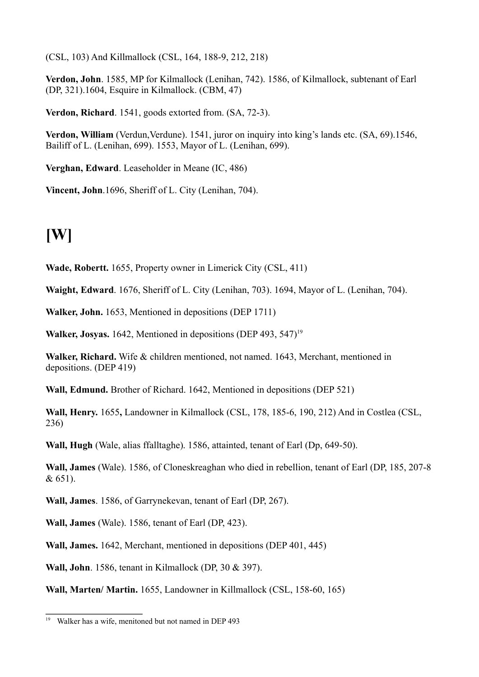(CSL, 103) And Killmallock (CSL, 164, 188-9, 212, 218)

**Verdon, John**. 1585, MP for Kilmallock (Lenihan, 742). 1586, of Kilmallock, subtenant of Earl (DP, 321).1604, Esquire in Kilmallock. (CBM, 47)

**Verdon, Richard**. 1541, goods extorted from. (SA, 72-3).

**Verdon, William** (Verdun, Verdune). 1541, juror on inquiry into king's lands etc. (SA, 69). 1546, Bailiff of L. (Lenihan, 699). 1553, Mayor of L. (Lenihan, 699).

**Verghan, Edward**. Leaseholder in Meane (IC, 486)

**Vincent, John**.1696, Sheriff of L. City (Lenihan, 704).

## **[W]**

**Wade, Robertt.** 1655, Property owner in Limerick City (CSL, 411)

**Waight, Edward**. 1676, Sheriff of L. City (Lenihan, 703). 1694, Mayor of L. (Lenihan, 704).

**Walker, John.** 1653, Mentioned in depositions (DEP 1711)

**Walker, Josyas.** 1642, Mentioned in depositions (DEP 493, 547)<sup>19</sup>

**Walker, Richard.** Wife & children mentioned, not named. 1643, Merchant, mentioned in depositions. (DEP 419)

**Wall, Edmund.** Brother of Richard. 1642, Mentioned in depositions (DEP 521)

**Wall, Henry.** 1655**,** Landowner in Kilmallock (CSL, 178, 185-6, 190, 212) And in Costlea (CSL, 236)

**Wall, Hugh** (Wale, alias ffalltaghe). 1586, attainted, tenant of Earl (Dp, 649-50).

**Wall, James** (Wale). 1586, of Cloneskreaghan who died in rebellion, tenant of Earl (DP, 185, 207-8 & 651).

**Wall, James**. 1586, of Garrynekevan, tenant of Earl (DP, 267).

**Wall, James** (Wale). 1586, tenant of Earl (DP, 423).

**Wall, James.** 1642, Merchant, mentioned in depositions (DEP 401, 445)

**Wall, John**. 1586, tenant in Kilmallock (DP, 30 & 397).

**Wall, Marten/ Martin.** 1655, Landowner in Killmallock (CSL, 158-60, 165)

<sup>19</sup> Walker has a wife, menitoned but not named in DEP 493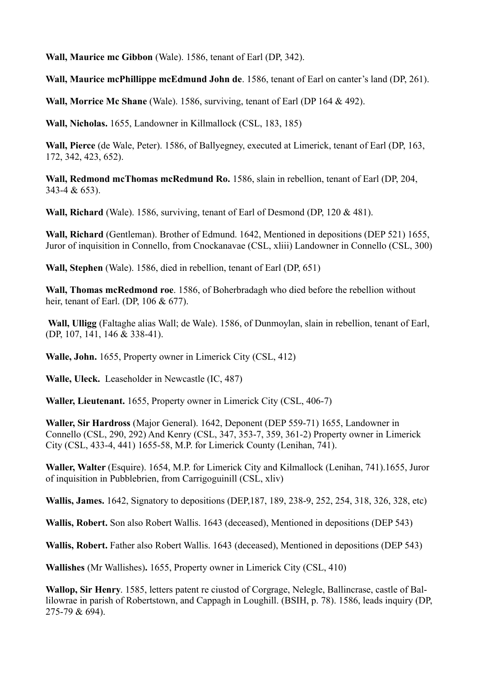**Wall, Maurice mc Gibbon** (Wale). 1586, tenant of Earl (DP, 342).

**Wall, Maurice mcPhillippe mcEdmund John de**. 1586, tenant of Earl on canter's land (DP, 261).

**Wall, Morrice Mc Shane** (Wale). 1586, surviving, tenant of Earl (DP 164 & 492).

**Wall, Nicholas.** 1655, Landowner in Killmallock (CSL, 183, 185)

**Wall, Pierce** (de Wale, Peter). 1586, of Ballyegney, executed at Limerick, tenant of Earl (DP, 163, 172, 342, 423, 652).

**Wall, Redmond mcThomas mcRedmund Ro.** 1586, slain in rebellion, tenant of Earl (DP, 204, 343-4 & 653).

**Wall, Richard** (Wale). 1586, surviving, tenant of Earl of Desmond (DP, 120 & 481).

**Wall, Richard** (Gentleman). Brother of Edmund. 1642, Mentioned in depositions (DEP 521) 1655, Juror of inquisition in Connello, from Cnockanavae (CSL, xliii) Landowner in Connello (CSL, 300)

**Wall, Stephen** (Wale). 1586, died in rebellion, tenant of Earl (DP, 651)

**Wall, Thomas mcRedmond roe**. 1586, of Boherbradagh who died before the rebellion without heir, tenant of Earl. (DP, 106 & 677).

 **Wall, Ulligg** (Faltaghe alias Wall; de Wale). 1586, of Dunmoylan, slain in rebellion, tenant of Earl, (DP, 107, 141, 146 & 338-41).

**Walle, John.** 1655, Property owner in Limerick City (CSL, 412)

**Walle, Uleck.** Leaseholder in Newcastle (IC, 487)

**Waller, Lieutenant.** 1655, Property owner in Limerick City (CSL, 406-7)

**Waller, Sir Hardross** (Major General). 1642, Deponent (DEP 559-71) 1655, Landowner in Connello (CSL, 290, 292) And Kenry (CSL, 347, 353-7, 359, 361-2) Property owner in Limerick City (CSL, 433-4, 441) 1655-58, M.P. for Limerick County (Lenihan, 741).

**Waller, Walter** (Esquire). 1654, M.P. for Limerick City and Kilmallock (Lenihan, 741).1655, Juror of inquisition in Pubblebrien, from Carrigoguinill (CSL, xliv)

**Wallis, James.** 1642, Signatory to depositions (DEP,187, 189, 238-9, 252, 254, 318, 326, 328, etc)

**Wallis, Robert.** Son also Robert Wallis. 1643 (deceased), Mentioned in depositions (DEP 543)

**Wallis, Robert.** Father also Robert Wallis. 1643 (deceased), Mentioned in depositions (DEP 543)

**Wallishes** (Mr Wallishes)**.** 1655, Property owner in Limerick City (CSL, 410)

**Wallop, Sir Henry**. 1585, letters patent re ciustod of Corgrage, Nelegle, Ballincrase, castle of Ballilowrae in parish of Robertstown, and Cappagh in Loughill. (BSIH, p. 78). 1586, leads inquiry (DP, 275-79 & 694).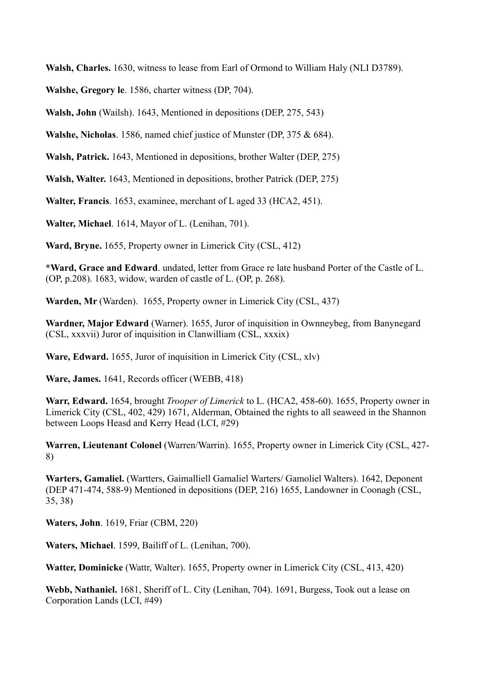**Walsh, Charles.** 1630, witness to lease from Earl of Ormond to William Haly (NLI D3789).

**Walshe, Gregory le**. 1586, charter witness (DP, 704).

**Walsh, John** (Wailsh). 1643, Mentioned in depositions (DEP, 275, 543)

**Walshe, Nicholas**. 1586, named chief justice of Munster (DP, 375 & 684).

**Walsh, Patrick.** 1643, Mentioned in depositions, brother Walter (DEP, 275)

**Walsh, Walter.** 1643, Mentioned in depositions, brother Patrick (DEP, 275)

**Walter, Francis**. 1653, examinee, merchant of L aged 33 (HCA2, 451).

**Walter, Michael**. 1614, Mayor of L. (Lenihan, 701).

**Ward, Bryne.** 1655, Property owner in Limerick City (CSL, 412)

**\*Ward, Grace and Edward**. undated, letter from Grace re late husband Porter of the Castle of L. (OP, p.208). 1683, widow, warden of castle of L. (OP, p. 268).

**Warden, Mr** (Warden).1655, Property owner in Limerick City (CSL, 437)

**Wardner, Major Edward** (Warner). 1655, Juror of inquisition in Ownneybeg, from Banynegard (CSL, xxxvii) Juror of inquisition in Clanwilliam (CSL, xxxix)

**Ware, Edward.** 1655, Juror of inquisition in Limerick City (CSL, xlv)

**Ware, James.** 1641, Records officer (WEBB, 418)

**Warr, Edward.** 1654, brought *Trooper of Limerick* to L. (HCA2, 458-60). 1655, Property owner in Limerick City (CSL, 402, 429) 1671, Alderman, Obtained the rights to all seaweed in the Shannon between Loops Heasd and Kerry Head (LCI, #29)

**Warren, Lieutenant Colonel** (Warren/Warrin). 1655, Property owner in Limerick City (CSL, 427- 8)

**Warters, Gamaliel.** (Wartters, Gaimalliell Gamaliel Warters/ Gamoliel Walters). 1642, Deponent (DEP 471-474, 588-9) Mentioned in depositions (DEP, 216) 1655, Landowner in Coonagh (CSL, 35, 38)

**Waters, John**. 1619, Friar (CBM, 220)

**Waters, Michael**. 1599, Bailiff of L. (Lenihan, 700).

**Watter, Dominicke** (Wattr, Walter). 1655, Property owner in Limerick City (CSL, 413, 420)

**Webb, Nathaniel.** 1681, Sheriff of L. City (Lenihan, 704). 1691, Burgess, Took out a lease on Corporation Lands (LCI, #49)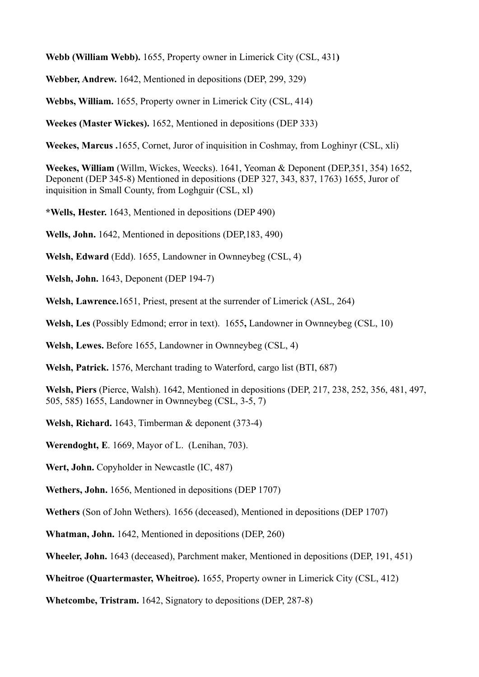**Webb (William Webb).** 1655, Property owner in Limerick City (CSL, 431**)**

**Webber, Andrew.** 1642, Mentioned in depositions (DEP, 299, 329)

**Webbs, William.** 1655, Property owner in Limerick City (CSL, 414)

**Weekes (Master Wickes).** 1652, Mentioned in depositions (DEP 333)

**Weekes, Marcus .**1655, Cornet, Juror of inquisition in Coshmay, from Loghinyr (CSL, xli)

**Weekes, William** (Willm, Wickes, Weecks). 1641, Yeoman & Deponent (DEP,351, 354) 1652, Deponent (DEP 345-8) Mentioned in depositions (DEP 327, 343, 837, 1763) 1655, Juror of inquisition in Small County, from Loghguir (CSL, xl)

**\*Wells, Hester.** 1643, Mentioned in depositions (DEP 490)

**Wells, John.** 1642, Mentioned in depositions (DEP,183, 490)

**Welsh, Edward** (Edd). 1655, Landowner in Ownneybeg (CSL, 4)

**Welsh, John.** 1643, Deponent (DEP 194-7)

**Welsh, Lawrence.**1651, Priest, present at the surrender of Limerick (ASL, 264)

**Welsh, Les** (Possibly Edmond; error in text).1655**,** Landowner in Ownneybeg (CSL, 10)

**Welsh, Lewes.** Before 1655, Landowner in Ownneybeg (CSL, 4)

**Welsh, Patrick.** 1576, Merchant trading to Waterford, cargo list (BTI, 687)

**Welsh, Piers** (Pierce, Walsh). 1642, Mentioned in depositions (DEP, 217, 238, 252, 356, 481, 497, 505, 585) 1655, Landowner in Ownneybeg (CSL, 3-5, 7)

**Welsh, Richard.** 1643, Timberman & deponent (373-4)

**Werendoght, E**. 1669, Mayor of L. (Lenihan, 703).

**Wert, John.** Copyholder in Newcastle (IC, 487)

**Wethers, John.** 1656, Mentioned in depositions (DEP 1707)

**Wethers** (Son of John Wethers). 1656 (deceased), Mentioned in depositions (DEP 1707)

**Whatman, John.** 1642, Mentioned in depositions (DEP, 260)

**Wheeler, John.** 1643 (deceased), Parchment maker, Mentioned in depositions (DEP, 191, 451)

**Wheitroe (Quartermaster, Wheitroe).** 1655, Property owner in Limerick City (CSL, 412)

**Whetcombe, Tristram.** 1642, Signatory to depositions (DEP, 287-8)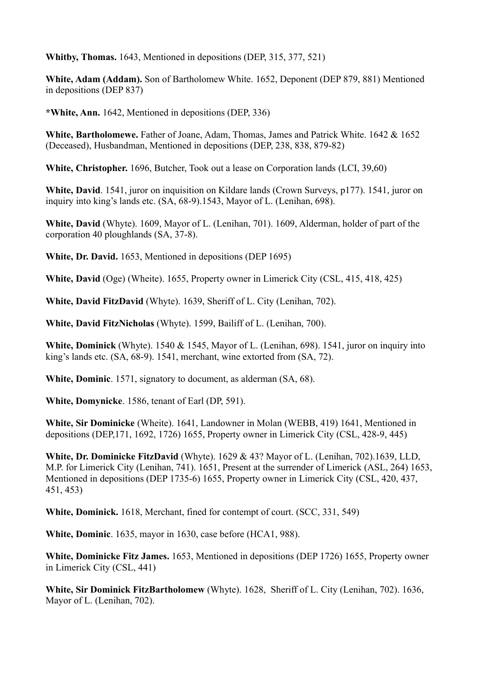**Whitby, Thomas.** 1643, Mentioned in depositions (DEP, 315, 377, 521)

**White, Adam (Addam).** Son of Bartholomew White. 1652, Deponent (DEP 879, 881) Mentioned in depositions (DEP 837)

**\*White, Ann.** 1642, Mentioned in depositions (DEP, 336)

**White, Bartholomewe.** Father of Joane, Adam, Thomas, James and Patrick White. 1642 & 1652 (Deceased), Husbandman, Mentioned in depositions (DEP, 238, 838, 879-82)

**White, Christopher.** 1696, Butcher, Took out a lease on Corporation lands (LCI, 39,60)

**White, David**. 1541, juror on inquisition on Kildare lands (Crown Surveys, p177). 1541, juror on inquiry into king's lands etc. (SA, 68-9).1543, Mayor of L. (Lenihan, 698).

**White, David** (Whyte). 1609, Mayor of L. (Lenihan, 701). 1609, Alderman, holder of part of the corporation 40 ploughlands (SA, 37-8).

**White, Dr. David.** 1653, Mentioned in depositions (DEP 1695)

**White, David** (Oge) (Wheite). 1655, Property owner in Limerick City (CSL, 415, 418, 425)

**White, David FitzDavid** (Whyte). 1639, Sheriff of L. City (Lenihan, 702).

**White, David FitzNicholas** (Whyte). 1599, Bailiff of L. (Lenihan, 700).

**White, Dominick** (Whyte). 1540 & 1545, Mayor of L. (Lenihan, 698). 1541, juror on inquiry into king's lands etc. (SA, 68-9). 1541, merchant, wine extorted from (SA, 72).

**White, Dominic**. 1571, signatory to document, as alderman (SA, 68).

**White, Domynicke**. 1586, tenant of Earl (DP, 591).

**White, Sir Dominicke** (Wheite). 1641, Landowner in Molan (WEBB, 419) 1641, Mentioned in depositions (DEP,171, 1692, 1726) 1655, Property owner in Limerick City (CSL, 428-9, 445)

**White, Dr. Dominicke FitzDavid** (Whyte). 1629 & 43? Mayor of L. (Lenihan, 702).1639, LLD, M.P. for Limerick City (Lenihan, 741). 1651, Present at the surrender of Limerick (ASL, 264) 1653, Mentioned in depositions (DEP 1735-6) 1655, Property owner in Limerick City (CSL, 420, 437, 451, 453)

**White, Dominick.** 1618, Merchant, fined for contempt of court. (SCC, 331, 549)

**White, Dominic**. 1635, mayor in 1630, case before (HCA1, 988).

**White, Dominicke Fitz James.** 1653, Mentioned in depositions (DEP 1726) 1655, Property owner in Limerick City (CSL, 441)

**White, Sir Dominick FitzBartholomew** (Whyte). 1628, Sheriff of L. City (Lenihan, 702). 1636, Mayor of L. (Lenihan, 702).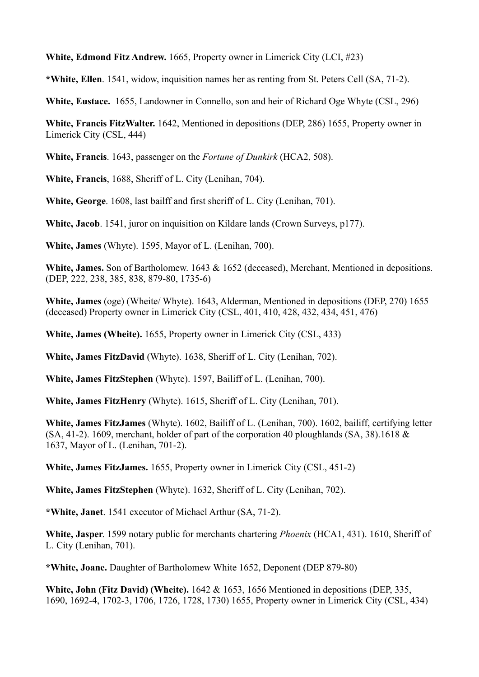**White, Edmond Fitz Andrew.** 1665, Property owner in Limerick City (LCI, #23)

**\*White, Ellen**. 1541, widow, inquisition names her as renting from St. Peters Cell (SA, 71-2).

**White, Eustace.** 1655, Landowner in Connello, son and heir of Richard Oge Whyte (CSL, 296)

**White, Francis FitzWalter.** 1642, Mentioned in depositions (DEP, 286) 1655, Property owner in Limerick City (CSL, 444)

**White, Francis**. 1643, passenger on the *Fortune of Dunkirk* (HCA2, 508).

**White, Francis**, 1688, Sheriff of L. City (Lenihan, 704).

**White, George**. 1608, last bailff and first sheriff of L. City (Lenihan, 701).

**White, Jacob**. 1541, juror on inquisition on Kildare lands (Crown Surveys, p177).

**White, James** (Whyte). 1595, Mayor of L. (Lenihan, 700).

White, James. Son of Bartholomew. 1643 & 1652 (deceased), Merchant, Mentioned in depositions. (DEP, 222, 238, 385, 838, 879-80, 1735-6)

**White, James** (oge) (Wheite/ Whyte). 1643, Alderman, Mentioned in depositions (DEP, 270) 1655 (deceased) Property owner in Limerick City (CSL, 401, 410, 428, 432, 434, 451, 476)

**White, James (Wheite).** 1655, Property owner in Limerick City (CSL, 433)

**White, James FitzDavid** (Whyte). 1638, Sheriff of L. City (Lenihan, 702).

**White, James FitzStephen** (Whyte). 1597, Bailiff of L. (Lenihan, 700).

**White, James FitzHenry** (Whyte). 1615, Sheriff of L. City (Lenihan, 701).

**White, James FitzJames** (Whyte). 1602, Bailiff of L. (Lenihan, 700). 1602, bailiff, certifying letter  $(SA, 41-2)$ . 1609, merchant, holder of part of the corporation 40 ploughlands  $(SA, 38)$ . 1618 & 1637, Mayor of L. (Lenihan, 701-2).

**White, James FitzJames.** 1655, Property owner in Limerick City (CSL, 451-2)

**White, James FitzStephen** (Whyte). 1632, Sheriff of L. City (Lenihan, 702).

**\*White, Janet**. 1541 executor of Michael Arthur (SA, 71-2).

**White, Jasper**. 1599 notary public for merchants chartering *Phoenix* (HCA1, 431). 1610, Sheriff of L. City (Lenihan, 701).

**\*White, Joane.** Daughter of Bartholomew White 1652, Deponent (DEP 879-80)

**White, John (Fitz David) (Wheite).** 1642 & 1653, 1656 Mentioned in depositions (DEP, 335, 1690, 1692-4, 1702-3, 1706, 1726, 1728, 1730) 1655, Property owner in Limerick City (CSL, 434)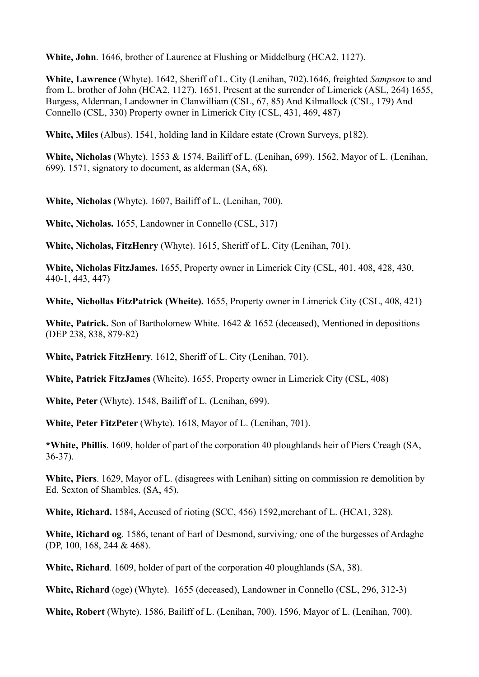**White, John**. 1646, brother of Laurence at Flushing or Middelburg (HCA2, 1127).

**White, Lawrence** (Whyte). 1642, Sheriff of L. City (Lenihan, 702).1646, freighted *Sampson* to and from L. brother of John (HCA2, 1127). 1651, Present at the surrender of Limerick (ASL, 264) 1655, Burgess, Alderman, Landowner in Clanwilliam (CSL, 67, 85) And Kilmallock (CSL, 179) And Connello (CSL, 330) Property owner in Limerick City (CSL, 431, 469, 487)

**White, Miles** (Albus). 1541, holding land in Kildare estate (Crown Surveys, p182).

**White, Nicholas** (Whyte). 1553 & 1574, Bailiff of L. (Lenihan, 699). 1562, Mayor of L. (Lenihan, 699). 1571, signatory to document, as alderman (SA, 68).

**White, Nicholas** (Whyte). 1607, Bailiff of L. (Lenihan, 700).

**White, Nicholas.** 1655, Landowner in Connello (CSL, 317)

**White, Nicholas, FitzHenry** (Whyte). 1615, Sheriff of L. City (Lenihan, 701).

**White, Nicholas FitzJames.** 1655, Property owner in Limerick City (CSL, 401, 408, 428, 430, 440-1, 443, 447)

**White, Nichollas FitzPatrick (Wheite).** 1655, Property owner in Limerick City (CSL, 408, 421)

**White, Patrick.** Son of Bartholomew White. 1642 & 1652 (deceased), Mentioned in depositions (DEP 238, 838, 879-82)

**White, Patrick FitzHenry**. 1612, Sheriff of L. City (Lenihan, 701).

**White, Patrick FitzJames** (Wheite). 1655, Property owner in Limerick City (CSL, 408)

**White, Peter** (Whyte). 1548, Bailiff of L. (Lenihan, 699).

**White, Peter FitzPeter** (Whyte). 1618, Mayor of L. (Lenihan, 701).

**\*White, Phillis**. 1609, holder of part of the corporation 40 ploughlands heir of Piers Creagh (SA, 36-37).

**White, Piers**. 1629, Mayor of L. (disagrees with Lenihan) sitting on commission re demolition by Ed. Sexton of Shambles. (SA, 45).

**White, Richard.** 1584**,** Accused of rioting (SCC, 456) 1592,merchant of L. (HCA1, 328).

**White, Richard og**. 1586, tenant of Earl of Desmond, surviving*;* one of the burgesses of Ardaghe (DP, 100, 168, 244 & 468).

**White, Richard**. 1609, holder of part of the corporation 40 ploughlands (SA, 38).

**White, Richard** (oge) (Whyte). 1655 (deceased), Landowner in Connello (CSL, 296, 312-3)

**White, Robert** (Whyte). 1586, Bailiff of L. (Lenihan, 700). 1596, Mayor of L. (Lenihan, 700).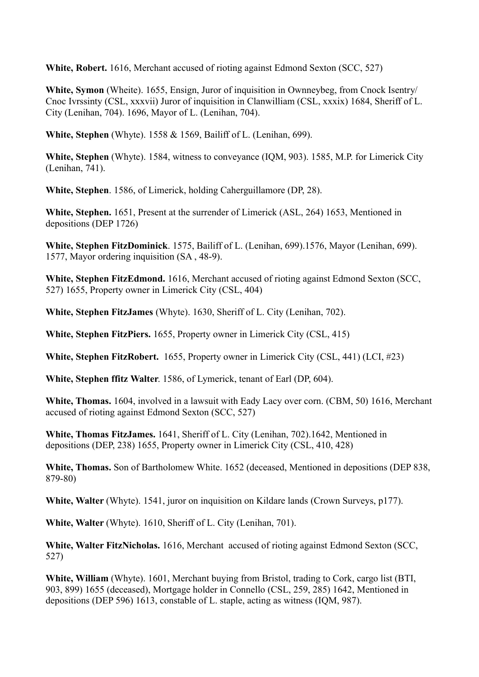**White, Robert.** 1616, Merchant accused of rioting against Edmond Sexton (SCC, 527)

**White, Symon** (Wheite). 1655, Ensign, Juror of inquisition in Ownneybeg, from Cnock Isentry/ Cnoc Ivrssinty (CSL, xxxvii) Juror of inquisition in Clanwilliam (CSL, xxxix) 1684, Sheriff of L. City (Lenihan, 704). 1696, Mayor of L. (Lenihan, 704).

**White, Stephen** (Whyte). 1558 & 1569, Bailiff of L. (Lenihan, 699).

**White, Stephen** (Whyte). 1584, witness to conveyance (IQM, 903). 1585, M.P. for Limerick City (Lenihan, 741).

**White, Stephen**. 1586, of Limerick, holding Caherguillamore (DP, 28).

**White, Stephen.** 1651, Present at the surrender of Limerick (ASL, 264) 1653, Mentioned in depositions (DEP 1726)

**White, Stephen FitzDominick**. 1575, Bailiff of L. (Lenihan, 699).1576, Mayor (Lenihan, 699). 1577, Mayor ordering inquisition (SA , 48-9).

**White, Stephen FitzEdmond.** 1616, Merchant accused of rioting against Edmond Sexton (SCC, 527) 1655, Property owner in Limerick City (CSL, 404)

**White, Stephen FitzJames** (Whyte). 1630, Sheriff of L. City (Lenihan, 702).

**White, Stephen FitzPiers.** 1655, Property owner in Limerick City (CSL, 415)

**White, Stephen FitzRobert.** 1655, Property owner in Limerick City (CSL, 441) (LCI, #23)

**White, Stephen ffitz Walter**. 1586, of Lymerick, tenant of Earl (DP, 604).

**White, Thomas.** 1604, involved in a lawsuit with Eady Lacy over corn. (CBM, 50) 1616, Merchant accused of rioting against Edmond Sexton (SCC, 527)

**White, Thomas FitzJames.** 1641, Sheriff of L. City (Lenihan, 702).1642, Mentioned in depositions (DEP, 238) 1655, Property owner in Limerick City (CSL, 410, 428)

**White, Thomas.** Son of Bartholomew White. 1652 (deceased, Mentioned in depositions (DEP 838, 879-80)

**White, Walter** (Whyte). 1541, juror on inquisition on Kildare lands (Crown Surveys, p177).

**White, Walter** (Whyte). 1610, Sheriff of L. City (Lenihan, 701).

**White, Walter FitzNicholas.** 1616, Merchant accused of rioting against Edmond Sexton (SCC, 527)

**White, William** (Whyte). 1601, Merchant buying from Bristol, trading to Cork, cargo list (BTI, 903, 899) 1655 (deceased), Mortgage holder in Connello (CSL, 259, 285) 1642, Mentioned in depositions (DEP 596) 1613, constable of L. staple, acting as witness (IQM, 987).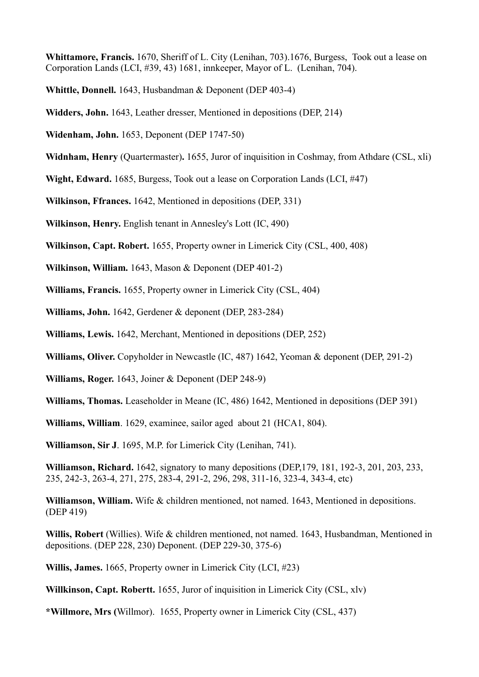**Whittamore, Francis.** 1670, Sheriff of L. City (Lenihan, 703).1676, Burgess, Took out a lease on Corporation Lands (LCI, #39, 43) 1681, innkeeper, Mayor of L. (Lenihan, 704).

- **Whittle, Donnell.** 1643, Husbandman & Deponent (DEP 403-4)
- **Widders, John.** 1643, Leather dresser, Mentioned in depositions (DEP, 214)
- **Widenham, John.** 1653, Deponent (DEP 1747-50)
- **Widnham, Henry** (Quartermaster)**.** 1655, Juror of inquisition in Coshmay, from Athdare (CSL, xli)
- **Wight, Edward.** 1685, Burgess, Took out a lease on Corporation Lands (LCI, #47)
- **Wilkinson, Ffrances.** 1642, Mentioned in depositions (DEP, 331)
- **Wilkinson, Henry.** English tenant in Annesley's Lott (IC, 490)
- **Wilkinson, Capt. Robert.** 1655, Property owner in Limerick City (CSL, 400, 408)
- **Wilkinson, William.** 1643, Mason & Deponent (DEP 401-2)
- **Williams, Francis.** 1655, Property owner in Limerick City (CSL, 404)
- **Williams, John.** 1642, Gerdener & deponent (DEP, 283-284)
- **Williams, Lewis.** 1642, Merchant, Mentioned in depositions (DEP, 252)
- **Williams, Oliver.** Copyholder in Newcastle (IC, 487) 1642, Yeoman & deponent (DEP, 291-2)
- **Williams, Roger.** 1643, Joiner & Deponent (DEP 248-9)
- **Williams, Thomas.** Leaseholder in Meane (IC, 486) 1642, Mentioned in depositions (DEP 391)
- **Williams, William**. 1629, examinee, sailor aged about 21 (HCA1, 804).
- **Williamson, Sir J**. 1695, M.P. for Limerick City (Lenihan, 741).
- **Williamson, Richard.** 1642, signatory to many depositions (DEP,179, 181, 192-3, 201, 203, 233, 235, 242-3, 263-4, 271, 275, 283-4, 291-2, 296, 298, 311-16, 323-4, 343-4, etc)
- **Williamson, William.** Wife & children mentioned, not named. 1643, Mentioned in depositions. (DEP 419)
- **Willis, Robert** (Willies). Wife & children mentioned, not named. 1643, Husbandman, Mentioned in depositions. (DEP 228, 230) Deponent. (DEP 229-30, 375-6)
- **Willis, James.** 1665, Property owner in Limerick City (LCI, #23)
- **Willkinson, Capt. Robertt.** 1655, Juror of inquisition in Limerick City (CSL, xlv)
- **\*Willmore, Mrs (**Willmor).1655, Property owner in Limerick City (CSL, 437)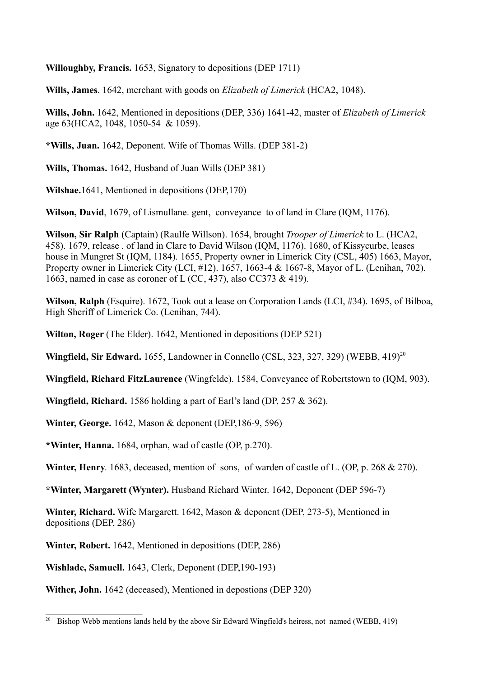**Willoughby, Francis.** 1653, Signatory to depositions (DEP 1711)

**Wills, James**. 1642, merchant with goods on *Elizabeth of Limerick* (HCA2, 1048).

**Wills, John.** 1642, Mentioned in depositions (DEP, 336) 1641-42, master of *Elizabeth of Limerick* age 63(HCA2, 1048, 1050-54 & 1059).

**\*Wills, Juan.** 1642, Deponent. Wife of Thomas Wills. (DEP 381-2)

**Wills, Thomas.** 1642, Husband of Juan Wills (DEP 381)

**Wilshae.**1641, Mentioned in depositions (DEP,170)

**Wilson, David**, 1679, of Lismullane. gent, conveyance to of land in Clare (IQM, 1176).

**Wilson, Sir Ralph** (Captain) (Raulfe Willson). 1654, brought *Trooper of Limerick* to L. (HCA2, 458). 1679, release . of land in Clare to David Wilson (IQM, 1176). 1680, of Kissycurbe, leases house in Mungret St (IQM, 1184). 1655, Property owner in Limerick City (CSL, 405) 1663, Mayor, Property owner in Limerick City (LCI, #12). 1657, 1663-4 & 1667-8, Mayor of L. (Lenihan, 702). 1663, named in case as coroner of L (CC, 437), also CC373 & 419).

**Wilson, Ralph** (Esquire). 1672, Took out a lease on Corporation Lands (LCI, #34). 1695, of Bilboa, High Sheriff of Limerick Co. (Lenihan, 744).

**Wilton, Roger** (The Elder). 1642, Mentioned in depositions (DEP 521)

**Wingfield, Sir Edward.** 1655, Landowner in Connello (CSL, 323, 327, 329) (WEBB, 419)<sup>20</sup>

**Wingfield, Richard FitzLaurence** (Wingfelde). 1584, Conveyance of Robertstown to (IQM, 903).

**Wingfield, Richard.** 1586 holding a part of Earl's land (DP, 257 & 362).

**Winter, George.** 1642, Mason & deponent (DEP,186-9, 596)

**\*Winter, Hanna.** 1684, orphan, wad of castle (OP, p.270).

**Winter, Henry**. 1683, deceased, mention of sons, of warden of castle of L. (OP, p. 268 & 270).

**\*Winter, Margarett (Wynter).** Husband Richard Winter. 1642, Deponent (DEP 596-7)

**Winter, Richard.** Wife Margarett. 1642, Mason & deponent (DEP, 273-5), Mentioned in depositions (DEP, 286)

**Winter, Robert.** 1642, Mentioned in depositions (DEP, 286)

**Wishlade, Samuell.** 1643, Clerk, Deponent (DEP,190-193)

**Wither, John.** 1642 (deceased), Mentioned in depostions (DEP 320)

 $20$  Bishop Webb mentions lands held by the above Sir Edward Wingfield's heiress, not named (WEBB, 419)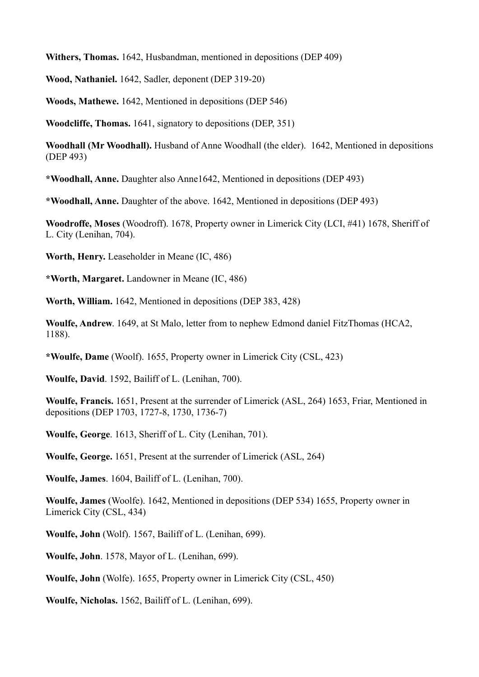**Withers, Thomas.** 1642, Husbandman, mentioned in depositions (DEP 409)

**Wood, Nathaniel.** 1642, Sadler, deponent (DEP 319-20)

**Woods, Mathewe.** 1642, Mentioned in depositions (DEP 546)

**Woodcliffe, Thomas.** 1641, signatory to depositions (DEP, 351)

**Woodhall (Mr Woodhall).** Husband of Anne Woodhall (the elder). 1642, Mentioned in depositions (DEP 493)

**\*Woodhall, Anne.** Daughter also Anne1642, Mentioned in depositions (DEP 493)

**\*Woodhall, Anne.** Daughter of the above. 1642, Mentioned in depositions (DEP 493)

**Woodroffe, Moses** (Woodroff). 1678, Property owner in Limerick City (LCI, #41) 1678, Sheriff of L. City (Lenihan, 704).

**Worth, Henry.** Leaseholder in Meane (IC, 486)

**\*Worth, Margaret.** Landowner in Meane (IC, 486)

**Worth, William.** 1642, Mentioned in depositions (DEP 383, 428)

**Woulfe, Andrew**. 1649, at St Malo, letter from to nephew Edmond daniel FitzThomas (HCA2, 1188).

**\*Woulfe, Dame** (Woolf). 1655, Property owner in Limerick City (CSL, 423)

**Woulfe, David**. 1592, Bailiff of L. (Lenihan, 700).

**Woulfe, Francis.** 1651, Present at the surrender of Limerick (ASL, 264) 1653, Friar, Mentioned in depositions (DEP 1703, 1727-8, 1730, 1736-7)

**Woulfe, George**. 1613, Sheriff of L. City (Lenihan, 701).

**Woulfe, George.** 1651, Present at the surrender of Limerick (ASL, 264)

**Woulfe, James**. 1604, Bailiff of L. (Lenihan, 700).

**Woulfe, James** (Woolfe). 1642, Mentioned in depositions (DEP 534) 1655, Property owner in Limerick City (CSL, 434)

**Woulfe, John** (Wolf). 1567, Bailiff of L. (Lenihan, 699).

**Woulfe, John**. 1578, Mayor of L. (Lenihan, 699).

**Woulfe, John** (Wolfe). 1655, Property owner in Limerick City (CSL, 450)

**Woulfe, Nicholas.** 1562, Bailiff of L. (Lenihan, 699).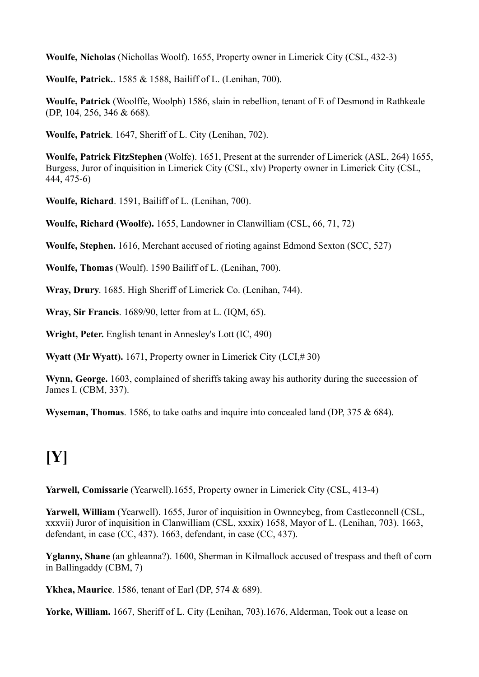**Woulfe, Nicholas** (Nichollas Woolf). 1655, Property owner in Limerick City (CSL, 432-3)

**Woulfe, Patrick.**. 1585 & 1588, Bailiff of L. (Lenihan, 700).

**Woulfe, Patrick** (Woolffe, Woolph) 1586, slain in rebellion, tenant of E of Desmond in Rathkeale (DP, 104, 256, 346 & 668)*.*

**Woulfe, Patrick**. 1647, Sheriff of L. City (Lenihan, 702).

**Woulfe, Patrick FitzStephen** (Wolfe). 1651, Present at the surrender of Limerick (ASL, 264) 1655, Burgess, Juror of inquisition in Limerick City (CSL, xlv) Property owner in Limerick City (CSL, 444, 475-6)

**Woulfe, Richard**. 1591, Bailiff of L. (Lenihan, 700).

**Woulfe, Richard (Woolfe).** 1655, Landowner in Clanwilliam (CSL, 66, 71, 72)

**Woulfe, Stephen.** 1616, Merchant accused of rioting against Edmond Sexton (SCC, 527)

**Woulfe, Thomas** (Woulf). 1590 Bailiff of L. (Lenihan, 700).

**Wray, Drury**. 1685. High Sheriff of Limerick Co. (Lenihan, 744).

**Wray, Sir Francis**. 1689/90, letter from at L. (IQM, 65).

**Wright, Peter.** English tenant in Annesley's Lott (IC, 490)

Wyatt (Mr Wyatt). 1671, Property owner in Limerick City (LCI,#30)

**Wynn, George.** 1603, complained of sheriffs taking away his authority during the succession of James I. (CBM, 337).

**Wyseman, Thomas**. 1586, to take oaths and inquire into concealed land (DP, 375 & 684).

# **[Y]**

**Yarwell, Comissarie** (Yearwell).1655, Property owner in Limerick City (CSL, 413-4)

**Yarwell, William** (Yearwell). 1655, Juror of inquisition in Ownneybeg, from Castleconnell (CSL, xxxvii) Juror of inquisition in Clanwilliam (CSL, xxxix) 1658, Mayor of L. (Lenihan, 703). 1663, defendant, in case (CC, 437). 1663, defendant, in case (CC, 437).

**Yglanny, Shane** (an ghleanna?). 1600, Sherman in Kilmallock accused of trespass and theft of corn in Ballingaddy (CBM, 7)

**Ykhea, Maurice**. 1586, tenant of Earl (DP, 574 & 689).

**Yorke, William.** 1667, Sheriff of L. City (Lenihan, 703).1676, Alderman, Took out a lease on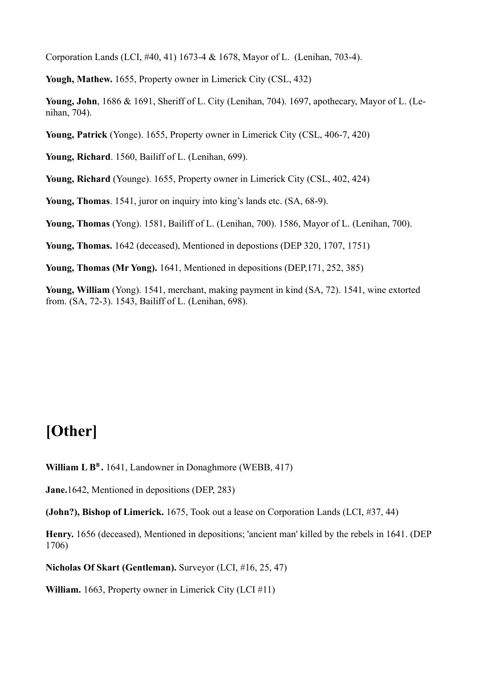Corporation Lands (LCI, #40, 41) 1673-4 & 1678, Mayor of L. (Lenihan, 703-4).

**Yough, Mathew.** 1655, Property owner in Limerick City (CSL, 432)

**Young, John**, 1686 & 1691, Sheriff of L. City (Lenihan, 704). 1697, apothecary, Mayor of L. (Lenihan, 704).

**Young, Patrick** (Yonge). 1655, Property owner in Limerick City (CSL, 406-7, 420)

**Young, Richard**. 1560, Bailiff of L. (Lenihan, 699).

**Young, Richard** (Younge). 1655, Property owner in Limerick City (CSL, 402, 424)

**Young, Thomas**. 1541, juror on inquiry into king's lands etc. (SA, 68-9).

**Young, Thomas** (Yong). 1581, Bailiff of L. (Lenihan, 700). 1586, Mayor of L. (Lenihan, 700).

**Young, Thomas.** 1642 (deceased), Mentioned in depostions (DEP 320, 1707, 1751)

**Young, Thomas (Mr Yong).** 1641, Mentioned in depositions (DEP,171, 252, 385)

**Young, William** (Yong). 1541, merchant, making payment in kind (SA, 72). 1541, wine extorted from. (SA, 72-3). 1543, Bailiff of L. (Lenihan, 698).

### **[Other]**

**William L B<sup>B</sup> .** 1641, Landowner in Donaghmore (WEBB, 417)

**Jane.**1642, Mentioned in depositions (DEP, 283)

**(John?), Bishop of Limerick.** 1675, Took out a lease on Corporation Lands (LCI, #37, 44)

**Henry.** 1656 (deceased), Mentioned in depositions; 'ancient man' killed by the rebels in 1641. (DEP 1706)

**Nicholas Of Skart (Gentleman).** Surveyor (LCI, #16, 25, 47)

**William.** 1663, Property owner in Limerick City (LCI #11)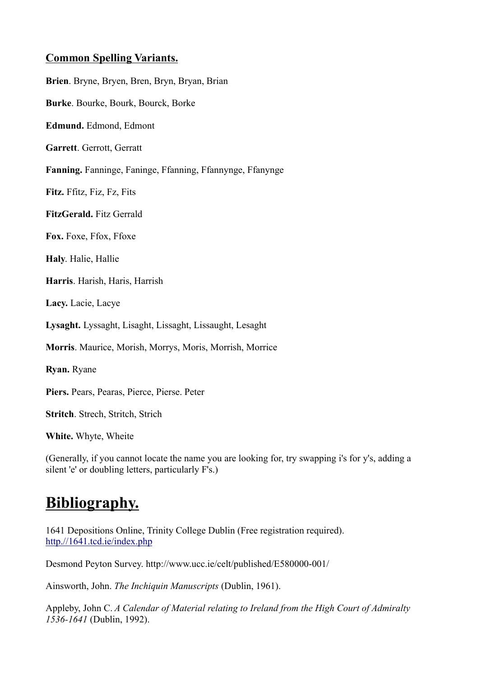### **Common Spelling Variants.**

**Brien**. Bryne, Bryen, Bren, Bryn, Bryan, Brian **Burke**. Bourke, Bourk, Bourck, Borke **Edmund.** Edmond, Edmont **Garrett**. Gerrott, Gerratt **Fanning.** Fanninge, Faninge, Ffanning, Ffannynge, Ffanynge **Fitz.** Ffitz, Fiz, Fz, Fits **FitzGerald.** Fitz Gerrald **Fox.** Foxe, Ffox, Ffoxe **Haly**. Halie, Hallie **Harris**. Harish, Haris, Harrish **Lacy.** Lacie, Lacye **Lysaght.** Lyssaght, Lisaght, Lissaght, Lissaught, Lesaght **Morris**. Maurice, Morish, Morrys, Moris, Morrish, Morrice **Ryan.** Ryane **Piers.** Pears, Pearas, Pierce, Pierse. Peter **Stritch**. Strech, Stritch, Strich **White.** Whyte, Wheite

(Generally, if you cannot locate the name you are looking for, try swapping i's for y's, adding a silent 'e' or doubling letters, particularly F's.)

## **Bibliography.**

1641 Depositions Online, Trinity College Dublin (Free registration required). http.//1641.tcd.ie/index.php

Desmond Peyton Survey. http://www.ucc.ie/celt/published/E580000-001/

Ainsworth, John. *The Inchiquin Manuscripts* (Dublin, 1961).

Appleby, John C. *A Calendar of Material relating to Ireland from the High Court of Admiralty 1536-1641* (Dublin, 1992).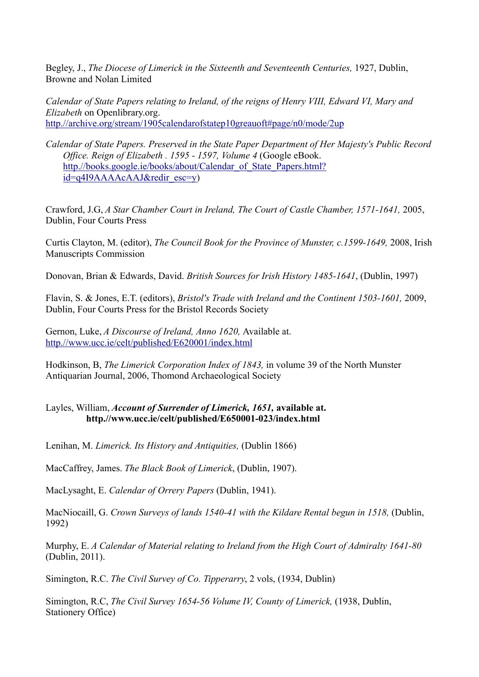Begley, J., *The Diocese of Limerick in the Sixteenth and Seventeenth Centuries,* 1927, Dublin, Browne and Nolan Limited

*Calendar of State Papers relating to Ireland, of the reigns of Henry VIII, Edward VI, Mary and Elizabeth* on Openlibrary.org. http.//archive.org/stream/1905calendarofstatep10greauoft#page/n0/mode/2up

*Calendar of State Papers. Preserved in the State Paper Department of Her Majesty's Public Record Office. Reign of Elizabeth . 1595 - 1597, Volume 4* (Google eBook. http.//books.google.ie/books/about/Calendar\_of\_State\_Papers.html? id=q4I9AAAAcAAJ&redir\_esc=y)

Crawford, J.G, *A Star Chamber Court in Ireland, The Court of Castle Chamber, 1571-1641,* 2005, Dublin, Four Courts Press

Curtis Clayton, M. (editor), *The Council Book for the Province of Munster, c.1599-1649,* 2008, Irish Manuscripts Commission

Donovan, Brian & Edwards, David. *British Sources for Irish History 1485-1641*, (Dublin, 1997)

Flavin, S. & Jones, E.T. (editors), *Bristol's Trade with Ireland and the Continent 1503-1601,* 2009, Dublin, Four Courts Press for the Bristol Records Society

Gernon, Luke, *A Discourse of Ireland, Anno 1620,* Available at. http.//www.ucc.ie/celt/published/E620001/index.html

Hodkinson, B, *The Limerick Corporation Index of 1843,* in volume 39 of the North Munster Antiquarian Journal, 2006, Thomond Archaeological Society

### Layles, William, *Account of Surrender of Limerick, 1651,* **available at. http.//www.ucc.ie/celt/published/E650001-023/index.html**

Lenihan, M. *Limerick. Its History and Antiquities,* (Dublin 1866)

MacCaffrey, James. *The Black Book of Limerick*, (Dublin, 1907).

MacLysaght, E. *Calendar of Orrery Papers* (Dublin, 1941).

MacNiocaill, G. *Crown Surveys of lands 1540-41 with the Kildare Rental begun in 1518,* (Dublin, 1992)

Murphy, E. *A Calendar of Material relating to Ireland from the High Court of Admiralty 1641-80* (Dublin, 2011).

Simington, R.C. *The Civil Survey of Co. Tipperarry*, 2 vols, (1934, Dublin)

Simington, R.C, *The Civil Survey 1654-56 Volume IV, County of Limerick,* (1938, Dublin, Stationery Office)